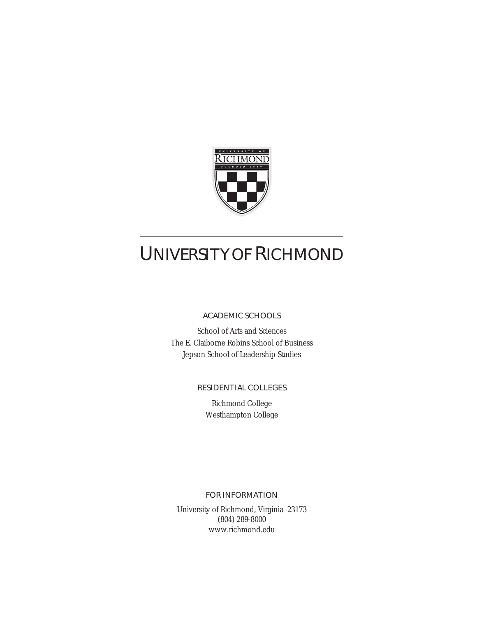

# UNIVERSITYOF RICHMOND

#### ACADEMIC SCHOOLS

School of Arts and Sciences The E. Claiborne Robins School of Business Jepson School of Leadership Studies

#### RESIDENTIAL COLLEGES

Richmond College Westhampton College

FOR INFORMATION University of Richmond, Virginia 23173 (804) 289-8000 www.richmond.edu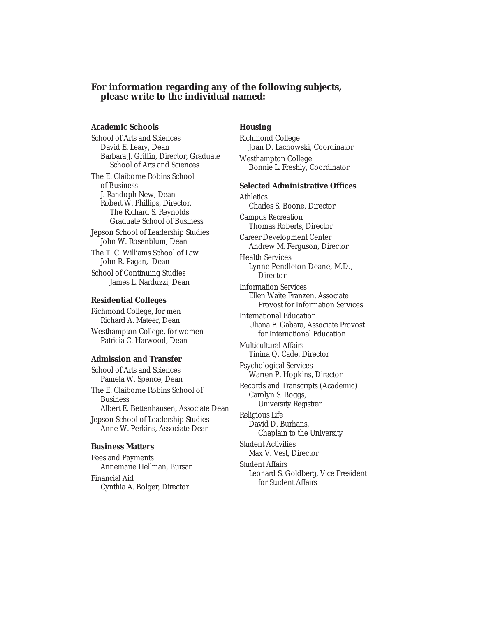#### **For information regarding any of the following subjects, please write to the individual named:**

#### **Academic Schools**

School of Arts and Sciences David E. Leary, Dean Barbara J. Griffin, Director, Graduate School of Arts and Sciences

The E. Claiborne Robins School of Business J. Randoph New, Dean Robert W. Phillips, Director, The Richard S. Reynolds Graduate School of Business

Jepson School of Leadership Studies John W. Rosenblum, Dean

The T. C. Williams School of Law John R. Pagan, Dean

School of Continuing Studies James L. Narduzzi, Dean

#### **Residential Colleges**

Richmond College, for men Richard A. Mateer, Dean Westhampton College, for women Patricia C. Harwood, Dean

#### **Admission and Transfer**

School of Arts and Sciences Pamela W. Spence, Dean The E. Claiborne Robins School of Business Albert E. Bettenhausen, Associate Dean Jepson School of Leadership Studies Anne W. Perkins, Associate Dean

#### **Business Matters**

Fees and Payments Annemarie Hellman, Bursar Financial Aid Cynthia A. Bolger, Director

#### **Housing**

Richmond College Joan D. Lachowski, Coordinator Westhampton College Bonnie L. Freshly, Coordinator

#### **Selected Administrative Offices**

**Athletics** Charles S. Boone, Director Campus Recreation Thomas Roberts, Director Career Development Center Andrew M. Ferguson, Director Health Services Lynne Pendleton Deane, M.D., Director Information Services Ellen Waite Franzen, Associate Provost for Information Services International Education Uliana F. Gabara, Associate Provost for International Education Multicultural Affairs Tinina Q. Cade, Director Psychological Services Warren P. Hopkins, Director Records and Transcripts (Academic) Carolyn S. Boggs, University Registrar Religious Life David D. Burhans, Chaplain to the University Student Activities Max V. Vest, Director Student Affairs Leonard S. Goldberg, Vice President

for Student Affairs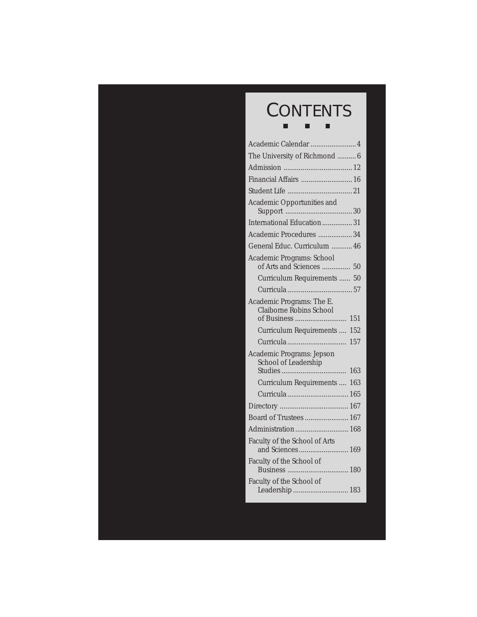### **CONTENTS** ш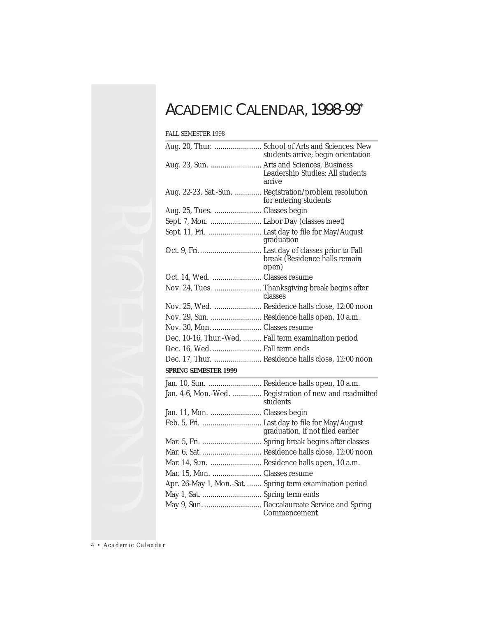### ACADEMIC CALENDAR, 1998-99\*

| <b>FALL SEMESTER 1998</b>               |                                                                                          |
|-----------------------------------------|------------------------------------------------------------------------------------------|
|                                         | students arrive; begin orientation                                                       |
|                                         | Aug. 23, Sun.  Arts and Sciences, Business<br>Leadership Studies: All students<br>arrive |
|                                         | Aug. 22-23, Sat.-Sun.  Registration/problem resolution<br>for entering students          |
| Aug. 25, Tues.  Classes begin           |                                                                                          |
| Sept. 7, Mon.  Labor Day (classes meet) |                                                                                          |
|                                         | Sept. 11, Fri.  Last day to file for May/August<br>graduation                            |
|                                         | open)                                                                                    |
| Oct. 14, Wed.  Classes resume           |                                                                                          |
|                                         | Nov. 24, Tues.  Thanksgiving break begins after<br>classes                               |
|                                         | Nov. 25, Wed.  Residence halls close, 12:00 noon                                         |
|                                         | Nov. 29, Sun.  Residence halls open, 10 a.m.                                             |
| Nov. 30, Mon.  Classes resume           |                                                                                          |
|                                         | Dec. 10-16, Thur.-Wed.  Fall term examination period                                     |
| Dec. 16, Wed.  Fall term ends           |                                                                                          |
|                                         | Dec. 17, Thur.  Residence halls close, 12:00 noon                                        |
| <b>SPRING SEMESTER 1999</b>             |                                                                                          |
|                                         | Jan. 10, Sun.  Residence halls open, 10 a.m.                                             |
|                                         | Jan. 4-6, Mon.-Wed.  Registration of new and readmitted<br>students                      |
| Jan. 11, Mon.  Classes begin            |                                                                                          |
|                                         | graduation, if not filed earlier                                                         |
|                                         | Mar. 5, Fri.  Spring break begins after classes                                          |
|                                         | Mar. 6, Sat.  Residence halls close, 12:00 noon                                          |
|                                         | Mar. 14, Sun.  Residence halls open, 10 a.m.                                             |
| Mar. 15, Mon.  Classes resume           |                                                                                          |
|                                         | Apr. 26-May 1, Mon.-Sat.  Spring term examination period                                 |
| May 1, Sat.  Spring term ends           |                                                                                          |
|                                         | May 9, Sun.  Baccalaureate Service and Spring<br>Commencement                            |

*4 • Academic Calendar*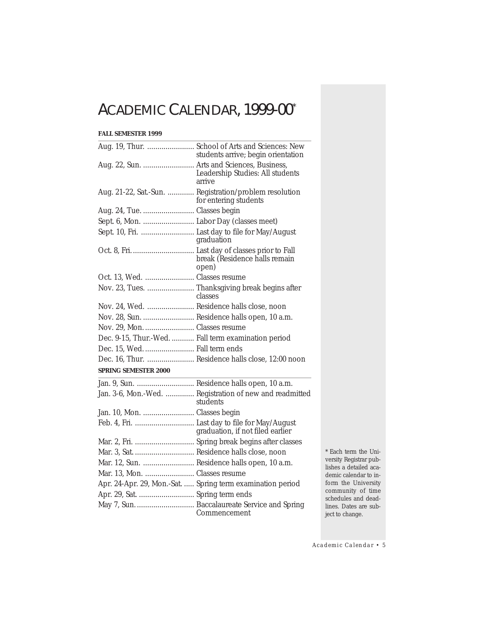### ACADEMIC CALENDAR, 1999-00\*

#### **FALL SEMESTER 1999**

|                                             | Aug. 19, Thur.  School of Arts and Sciences: New<br>students arrive; begin orientation |
|---------------------------------------------|----------------------------------------------------------------------------------------|
| Aug. 22, Sun.  Arts and Sciences, Business, | Leadership Studies: All students<br>arrive                                             |
|                                             | Aug. 21-22, Sat.-Sun.  Registration/problem resolution<br>for entering students        |
| Aug. 24, Tue.  Classes begin                |                                                                                        |
| Sept. 6, Mon.  Labor Day (classes meet)     |                                                                                        |
|                                             | Sept. 10, Fri.  Last day to file for May/August<br>graduation                          |
|                                             | break (Residence halls remain<br>open)                                                 |
|                                             |                                                                                        |
|                                             | Nov. 23, Tues.  Thanksgiving break begins after<br>classes                             |
| Nov. 24, Wed.  Residence halls close, noon  |                                                                                        |
|                                             | Nov. 28, Sun.  Residence halls open, 10 a.m.                                           |
| Nov. 29, Mon.  Classes resume               |                                                                                        |
|                                             | Dec. 9-15, Thur.-Wed.  Fall term examination period                                    |
| Dec. 15, Wed.  Fall term ends               |                                                                                        |
|                                             | Dec. 16, Thur.  Residence halls close, 12:00 noon                                      |
| <b>SPRING SEMESTER 2000</b>                 |                                                                                        |
|                                             | Jan. 9, Sun.  Residence halls open, 10 a.m.                                            |
|                                             | Jan. 3-6, Mon.-Wed.  Registration of new and readmitted<br>students                    |
| Jan. 10, Mon.  Classes begin                |                                                                                        |
|                                             | graduation, if not filed earlier                                                       |
|                                             | Mar. 2, Fri.  Spring break begins after classes                                        |
| Mar. 3, Sat.  Residence halls close, noon   |                                                                                        |
|                                             | Mar. 12, Sun.  Residence halls open, 10 a.m.                                           |
| Mar. 13, Mon.  Classes resume               |                                                                                        |
|                                             | Apr. 24-Apr. 29, Mon.-Sat.  Spring term examination period                             |
| Apr. 29, Sat.  Spring term ends             |                                                                                        |
|                                             | May 7, Sun.  Baccalaureate Service and Spring<br>Commencement                          |

\* Each term the University Registrar publishes a detailed academic calendar to inform the University community of time schedules and deadlines. Dates are subject to change.

*Academic Calendar • 5*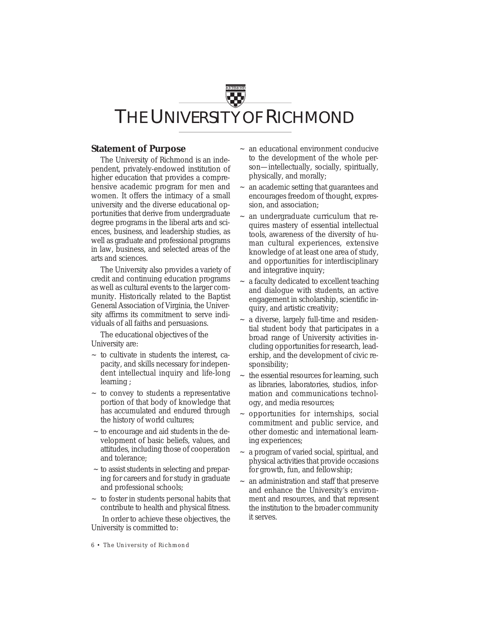# THE UNIVERSITY OF RICHMOND

#### **Statement of Purpose**

The University of Richmond is an independent, privately-endowed institution of higher education that provides a comprehensive academic program for men and women. It offers the intimacy of a small university and the diverse educational opportunities that derive from undergraduate degree programs in the liberal arts and sciences, business, and leadership studies, as well as graduate and professional programs in law, business, and selected areas of the arts and sciences.

The University also provides a variety of credit and continuing education programs as well as cultural events to the larger community. Historically related to the Baptist General Association of Virginia, the University affirms its commitment to serve individuals of all faiths and persuasions.

The educational objectives of the University are:

- $\sim$  to cultivate in students the interest, capacity, and skills necessary for independent intellectual inquiry and life-long learning ;
- ~ to convey to students a representative portion of that body of knowledge that has accumulated and endured through the history of world cultures;
- ~ to encourage and aid students in the development of basic beliefs, values, and attitudes, including those of cooperation and tolerance;
- ~ to assist students in selecting and preparing for careers and for study in graduate and professional schools;
- $\sim$  to foster in students personal habits that contribute to health and physical fitness. In order to achieve these objectives, the

University is committed to:

- an educational environment conducive to the development of the whole person—intellectually, socially, spiritually, physically, and morally;
- ~ an academic setting that guarantees and encourages freedom of thought, expression, and association;
- an undergraduate curriculum that requires mastery of essential intellectual tools, awareness of the diversity of human cultural experiences, extensive knowledge of at least one area of study, and opportunities for interdisciplinary and integrative inquiry;
- a faculty dedicated to excellent teaching and dialogue with students, an active engagement in scholarship, scientific inquiry, and artistic creativity;
- ~ a diverse, largely full-time and residential student body that participates in a broad range of University activities including opportunities for research, leadership, and the development of civic responsibility;
- the essential resources for learning, such as libraries, laboratories, studios, information and communications technology, and media resources;
- ~ opportunities for internships, social commitment and public service, and other domestic and international learning experiences;
- ~ a program of varied social, spiritual, and physical activities that provide occasions for growth, fun, and fellowship;
- $\sim$  an administration and staff that preserve and enhance the University's environment and resources, and that represent the institution to the broader community it serves.

*6 • The University of Richmond*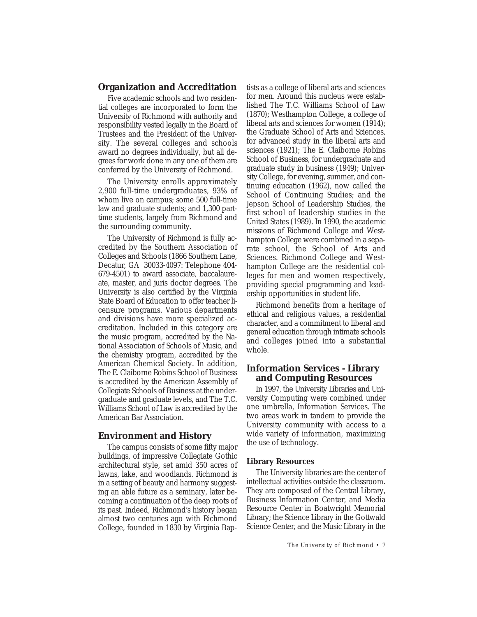#### **Organization and Accreditation**

Five academic schools and two residential colleges are incorporated to form the University of Richmond with authority and responsibility vested legally in the Board of Trustees and the President of the University. The several colleges and schools award no degrees individually, but all degrees for work done in any one of them are conferred by the University of Richmond.

The University enrolls approximately 2,900 full-time undergraduates, 93% of whom live on campus; some 500 full-time law and graduate students; and 1,300 parttime students, largely from Richmond and the surrounding community.

The University of Richmond is fully accredited by the Southern Association of Colleges and Schools (1866 Southern Lane, Decatur, GA 30033-4097: Telephone 404- 679-4501) to award associate, baccalaureate, master, and juris doctor degrees. The University is also certified by the Virginia State Board of Education to offer teacher licensure programs. Various departments and divisions have more specialized accreditation. Included in this category are the music program, accredited by the National Association of Schools of Music, and the chemistry program, accredited by the American Chemical Society. In addition, The E. Claiborne Robins School of Business is accredited by the American Assembly of Collegiate Schools of Business at the undergraduate and graduate levels, and The T.C. Williams School of Law is accredited by the American Bar Association.

#### **Environment and History**

The campus consists of some fifty major buildings, of impressive Collegiate Gothic architectural style, set amid 350 acres of lawns, lake, and woodlands. Richmond is in a setting of beauty and harmony suggesting an able future as a seminary, later becoming a continuation of the deep roots of its past. Indeed, Richmond's history began almost two centuries ago with Richmond College, founded in 1830 by Virginia Baptists as a college of liberal arts and sciences for men. Around this nucleus were established The T.C. Williams School of Law (1870); Westhampton College, a college of liberal arts and sciences for women (1914); the Graduate School of Arts and Sciences, for advanced study in the liberal arts and sciences (1921); The E. Claiborne Robins School of Business, for undergraduate and graduate study in business (1949); University College, for evening, summer, and continuing education (1962), now called the School of Continuing Studies; and the Jepson School of Leadership Studies, the first school of leadership studies in the United States (1989). In 1990, the academic missions of Richmond College and Westhampton College were combined in a separate school, the School of Arts and Sciences. Richmond College and Westhampton College are the residential colleges for men and women respectively, providing special programming and leadership opportunities in student life.

Richmond benefits from a heritage of ethical and religious values, a residential character, and a commitment to liberal and general education through intimate schools and colleges joined into a substantial whole.

#### **Information Services - Library and Computing Resources**

In 1997, the University Libraries and University Computing were combined under one umbrella, Information Services. The two areas work in tandem to provide the University community with access to a wide variety of information, maximizing the use of technology.

#### **Library Resources**

The University libraries are the center of intellectual activities outside the classroom. They are composed of the Central Library, Business Information Center, and Media Resource Center in Boatwright Memorial Library; the Science Library in the Gottwald Science Center, and the Music Library in the

*The University of Richmond • 7*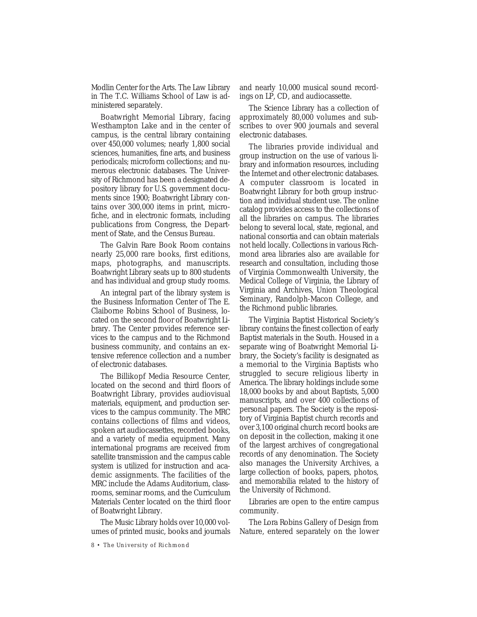Modlin Center for the Arts. The Law Library in The T.C. Williams School of Law is administered separately.

Boatwright Memorial Library, facing Westhampton Lake and in the center of campus, is the central library containing over 450,000 volumes; nearly 1,800 social sciences, humanities, fine arts, and business periodicals; microform collections; and numerous electronic databases. The University of Richmond has been a designated depository library for U.S. government documents since 1900; Boatwright Library contains over 300,000 items in print, microfiche, and in electronic formats, including publications from Congress, the Department of State, and the Census Bureau.

The Galvin Rare Book Room contains nearly 25,000 rare books, first editions, maps, photographs, and manuscripts. Boatwright Library seats up to 800 students and has individual and group study rooms.

An integral part of the library system is the Business Information Center of The E. Claiborne Robins School of Business, located on the second floor of Boatwright Library. The Center provides reference services to the campus and to the Richmond business community, and contains an extensive reference collection and a number of electronic databases.

The Billikopf Media Resource Center, located on the second and third floors of Boatwright Library, provides audiovisual materials, equipment, and production services to the campus community. The MRC contains collections of films and videos, spoken art audiocassettes, recorded books, and a variety of media equipment. Many international programs are received from satellite transmission and the campus cable system is utilized for instruction and academic assignments. The facilities of the MRC include the Adams Auditorium, classrooms, seminar rooms, and the Curriculum Materials Center located on the third floor of Boatwright Library.

The Music Library holds over 10,000 volumes of printed music, books and journals and nearly 10,000 musical sound recordings on LP, CD, and audiocassette.

The Science Library has a collection of approximately 80,000 volumes and subscribes to over 900 journals and several electronic databases.

The libraries provide individual and group instruction on the use of various library and information resources, including the Internet and other electronic databases. A computer classroom is located in Boatwright Library for both group instruction and individual student use. The online catalog provides access to the collections of all the libraries on campus. The libraries belong to several local, state, regional, and national consortia and can obtain materials not held locally. Collections in various Richmond area libraries also are available for research and consultation, including those of Virginia Commonwealth University, the Medical College of Virginia, the Library of Virginia and Archives, Union Theological Seminary, Randolph-Macon College, and the Richmond public libraries.

The Virginia Baptist Historical Society's library contains the finest collection of early Baptist materials in the South. Housed in a separate wing of Boatwright Memorial Library, the Society's facility is designated as a memorial to the Virginia Baptists who struggled to secure religious liberty in America. The library holdings include some 18,000 books by and about Baptists, 5,000 manuscripts, and over 400 collections of personal papers. The Society is the repository of Virginia Baptist church records and over 3,100 original church record books are on deposit in the collection, making it one of the largest archives of congregational records of any denomination. The Society also manages the University Archives, a large collection of books, papers, photos, and memorabilia related to the history of the University of Richmond.

Libraries are open to the entire campus community.

The Lora Robins Gallery of Design from Nature, entered separately on the lower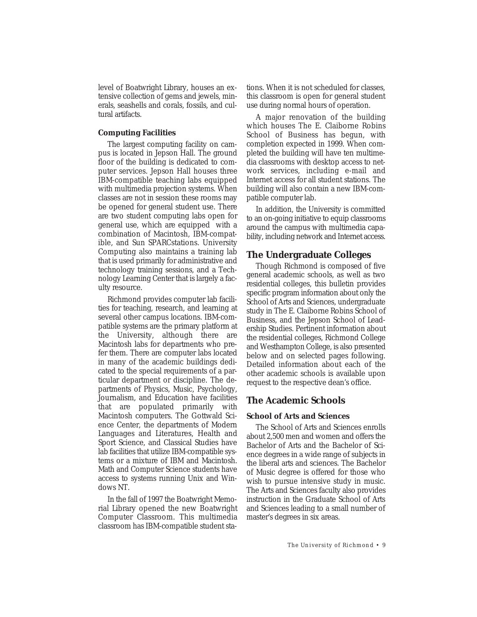level of Boatwright Library, houses an extensive collection of gems and jewels, minerals, seashells and corals, fossils, and cultural artifacts.

#### **Computing Facilities**

The largest computing facility on campus is located in Jepson Hall. The ground floor of the building is dedicated to computer services. Jepson Hall houses three IBM-compatible teaching labs equipped with multimedia projection systems. When classes are not in session these rooms may be opened for general student use. There are two student computing labs open for general use, which are equipped with a combination of Macintosh, IBM-compatible, and Sun SPARCstations. University Computing also maintains a training lab that is used primarily for administrative and technology training sessions, and a Technology Learning Center that is largely a faculty resource.

Richmond provides computer lab facilities for teaching, research, and learning at several other campus locations. IBM-compatible systems are the primary platform at the University, although there are Macintosh labs for departments who prefer them. There are computer labs located in many of the academic buildings dedicated to the special requirements of a particular department or discipline. The departments of Physics, Music, Psychology, Journalism, and Education have facilities that are populated primarily with Macintosh computers. The Gottwald Science Center, the departments of Modern Languages and Literatures, Health and Sport Science, and Classical Studies have lab facilities that utilize IBM-compatible systems or a mixture of IBM and Macintosh. Math and Computer Science students have access to systems running Unix and Windows NT.

In the fall of 1997 the Boatwright Memorial Library opened the new Boatwright Computer Classroom. This multimedia classroom has IBM-compatible student stations. When it is not scheduled for classes, this classroom is open for general student use during normal hours of operation.

A major renovation of the building which houses The E. Claiborne Robins School of Business has begun, with completion expected in 1999. When completed the building will have ten multimedia classrooms with desktop access to network services, including e-mail and Internet access for all student stations. The building will also contain a new IBM-compatible computer lab.

In addition, the University is committed to an on-going initiative to equip classrooms around the campus with multimedia capability, including network and Internet access.

#### **The Undergraduate Colleges**

Though Richmond is composed of five general academic schools, as well as two residential colleges, this bulletin provides specific program information about only the School of Arts and Sciences, undergraduate study in The E. Claiborne Robins School of Business, and the Jepson School of Leadership Studies. Pertinent information about the residential colleges, Richmond College and Westhampton College, is also presented below and on selected pages following. Detailed information about each of the other academic schools is available upon request to the respective dean's office.

#### **The Academic Schools**

#### **School of Arts and Sciences**

The School of Arts and Sciences enrolls about 2,500 men and women and offers the Bachelor of Arts and the Bachelor of Science degrees in a wide range of subjects in the liberal arts and sciences. The Bachelor of Music degree is offered for those who wish to pursue intensive study in music. The Arts and Sciences faculty also provides instruction in the Graduate School of Arts and Sciences leading to a small number of master's degrees in six areas.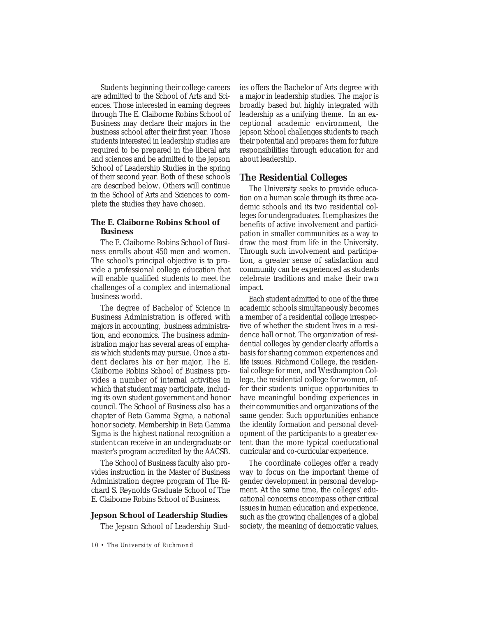Students beginning their college careers are admitted to the School of Arts and Sciences. Those interested in earning degrees through The E. Claiborne Robins School of Business may declare their majors in the business school after their first year. Those students interested in leadership studies are required to be prepared in the liberal arts and sciences and be admitted to the Jepson School of Leadership Studies in the spring of their second year. Both of these schools are described below. Others will continue in the School of Arts and Sciences to complete the studies they have chosen.

#### **The E. Claiborne Robins School of Business**

The E. Claiborne Robins School of Business enrolls about 450 men and women. The school's principal objective is to provide a professional college education that will enable qualified students to meet the challenges of a complex and international business world.

The degree of Bachelor of Science in Business Administration is offered with majors in accounting, business administration, and economics. The business administration major has several areas of emphasis which students may pursue. Once a student declares his or her major, The E. Claiborne Robins School of Business provides a number of internal activities in which that student may participate, including its own student government and honor council. The School of Business also has a chapter of Beta Gamma Sigma, a national honor society. Membership in Beta Gamma Sigma is the highest national recognition a student can receive in an undergraduate or master's program accredited by the AACSB.

The School of Business faculty also provides instruction in the Master of Business Administration degree program of The Richard S. Reynolds Graduate School of The E. Claiborne Robins School of Business.

#### **Jepson School of Leadership Studies**

The Jepson School of Leadership Stud-

ies offers the Bachelor of Arts degree with a major in leadership studies. The major is broadly based but highly integrated with leadership as a unifying theme. In an exceptional academic environment, the Jepson School challenges students to reach their potential and prepares them for future responsibilities through education for and about leadership.

#### **The Residential Colleges**

The University seeks to provide education on a human scale through its three academic schools and its two residential colleges for undergraduates. It emphasizes the benefits of active involvement and participation in smaller communities as a way to draw the most from life in the University. Through such involvement and participation, a greater sense of satisfaction and community can be experienced as students celebrate traditions and make their own impact.

Each student admitted to one of the three academic schools simultaneously becomes a member of a residential college irrespective of whether the student lives in a residence hall or not. The organization of residential colleges by gender clearly affords a basis for sharing common experiences and life issues. Richmond College, the residential college for men, and Westhampton College, the residential college for women, offer their students unique opportunities to have meaningful bonding experiences in their communities and organizations of the same gender. Such opportunities enhance the identity formation and personal development of the participants to a greater extent than the more typical coeducational curricular and co-curricular experience.

The coordinate colleges offer a ready way to focus on the important theme of gender development in personal development. At the same time, the colleges' educational concerns encompass other critical issues in human education and experience, such as the growing challenges of a global society, the meaning of democratic values,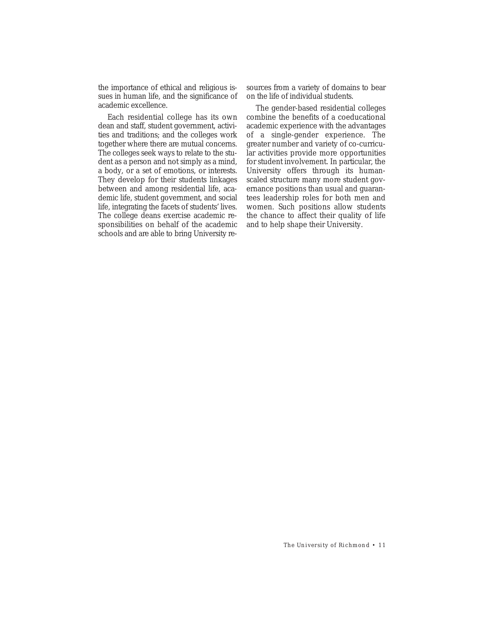the importance of ethical and religious issues in human life, and the significance of academic excellence.

Each residential college has its own dean and staff, student government, activities and traditions; and the colleges work together where there are mutual concerns. The colleges seek ways to relate to the student as a person and not simply as a mind, a body, or a set of emotions, or interests. They develop for their students linkages between and among residential life, academic life, student government, and social life, integrating the facets of students' lives. The college deans exercise academic responsibilities on behalf of the academic schools and are able to bring University resources from a variety of domains to bear on the life of individual students.

The gender-based residential colleges combine the benefits of a coeducational academic experience with the advantages of a single-gender experience. The greater number and variety of co-curricular activities provide more opportunities for student involvement. In particular, the University offers through its humanscaled structure many more student governance positions than usual and guarantees leadership roles for both men and women. Such positions allow students the chance to affect their quality of life and to help shape their University.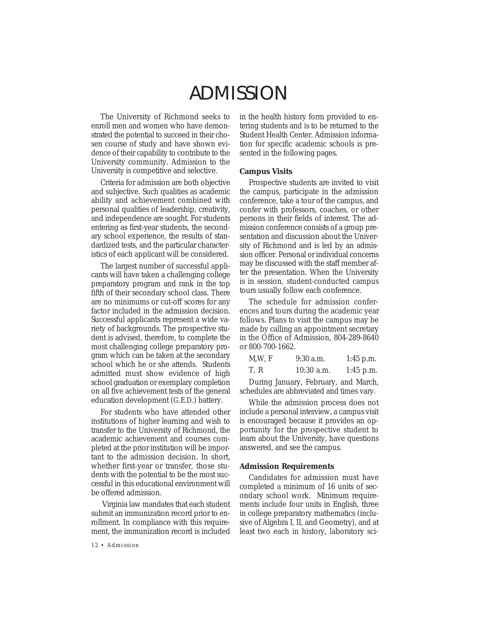## ADMISSION

The University of Richmond seeks to enroll men and women who have demonstrated the potential to succeed in their chosen course of study and have shown evidence of their capability to contribute to the University community. Admission to the University is competitive and selective.

Criteria for admission are both objective and subjective. Such qualities as academic ability and achievement combined with personal qualities of leadership, creativity, and independence are sought. For students entering as first-year students, the secondary school experience, the results of standardized tests, and the particular characteristics of each applicant will be considered.

The largest number of successful applicants will have taken a challenging college preparatory program and rank in the top fifth of their secondary school class. There are no minimums or cut-off scores for any factor included in the admission decision. Successful applicants represent a wide variety of backgrounds. The prospective student is advised, therefore, to complete the most challenging college preparatory program which can be taken at the secondary school which he or she attends. Students admitted must show evidence of high school graduation or exemplary completion on all five achievement tests of the general education development (G.E.D.) battery.

For students who have attended other institutions of higher learning and wish to transfer to the University of Richmond, the academic achievement and courses completed at the prior institution will be important to the admission decision. In short, whether first-year or transfer, those students with the potential to be the most successful in this educational environment will be offered admission.

 Virginia law mandates that each student submit an immunization record prior to enrollment. In compliance with this requirement, the immunization record is included

*12 • Admission*

in the health history form provided to entering students and is to be returned to the Student Health Center. Admission information for specific academic schools is presented in the following pages.

#### **Campus Visits**

Prospective students are invited to visit the campus, participate in the admission conference, take a tour of the campus, and confer with professors, coaches, or other persons in their fields of interest. The admission conference consists of a group presentation and discussion about the University of Richmond and is led by an admission officer. Personal or individual concerns may be discussed with the staff member after the presentation. When the University is in session, student-conducted campus tours usually follow each conference.

The schedule for admission conferences and tours during the academic year follows. Plans to visit the campus may be made by calling an appointment secretary in the Office of Admission, 804-289-8640 or 800-700-1662.

| M,W, F | $9:30$ a.m.  | $1:45$ p.m. |
|--------|--------------|-------------|
| T, R   | $10:30$ a.m. | $1:45$ p.m. |

During January, February, and March, schedules are abbreviated and times vary.

While the admission process does not include a personal interview, a campus visit is encouraged because it provides an opportunity for the prospective student to learn about the University, have questions answered, and see the campus.

#### **Admission Requirements**

Candidates for admission must have completed a minimum of 16 units of secondary school work. Minimum requirements include four units in English, three in college preparatory mathematics (inclusive of Algebra I, II, and Geometry), and at least two each in history, laboratory sci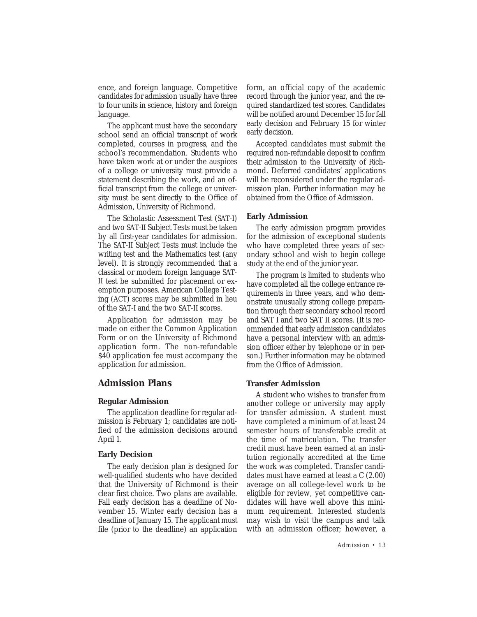ence, and foreign language. Competitive candidates for admission usually have three to four units in science, history and foreign language.

The applicant must have the secondary school send an official transcript of work completed, courses in progress, and the school's recommendation. Students who have taken work at or under the auspices of a college or university must provide a statement describing the work, and an official transcript from the college or university must be sent directly to the Office of Admission, University of Richmond.

The Scholastic Assessment Test (SAT-I) and two SAT-II Subject Tests must be taken by all first-year candidates for admission. The SAT-II Subject Tests must include the writing test and the Mathematics test (any level). It is strongly recommended that a classical or modern foreign language SAT-II test be submitted for placement or exemption purposes. American College Testing (ACT) scores may be submitted in lieu of the SAT-I and the two SAT-II scores.

Application for admission may be made on either the Common Application Form or on the University of Richmond application form. The non-refundable \$40 application fee must accompany the application for admission.

#### **Admission Plans**

#### **Regular Admission**

The application deadline for regular admission is February 1; candidates are notified of the admission decisions around April 1.

#### **Early Decision**

The early decision plan is designed for well-qualified students who have decided that the University of Richmond is their clear first choice. Two plans are available. Fall early decision has a deadline of November 15. Winter early decision has a deadline of January 15. The applicant must file (prior to the deadline) an application form, an official copy of the academic record through the junior year, and the required standardized test scores. Candidates will be notified around December 15 for fall early decision and February 15 for winter early decision.

Accepted candidates must submit the required non-refundable deposit to confirm their admission to the University of Richmond. Deferred candidates' applications will be reconsidered under the regular admission plan. Further information may be obtained from the Office of Admission.

#### **Early Admission**

The early admission program provides for the admission of exceptional students who have completed three years of secondary school and wish to begin college study at the end of the junior year.

The program is limited to students who have completed all the college entrance requirements in three years, and who demonstrate unusually strong college preparation through their secondary school record and SAT I and two SAT II scores. (It is recommended that early admission candidates have a personal interview with an admission officer either by telephone or in person.) Further information may be obtained from the Office of Admission.

#### **Transfer Admission**

A student who wishes to transfer from another college or university may apply for transfer admission. A student must have completed a minimum of at least 24 semester hours of transferable credit at the time of matriculation. The transfer credit must have been earned at an institution regionally accredited at the time the work was completed. Transfer candidates must have earned at least a *C* (2.00) average on all college-level work to be eligible for review, yet competitive candidates will have well above this minimum requirement. Interested students may wish to visit the campus and talk with an admission officer; however, a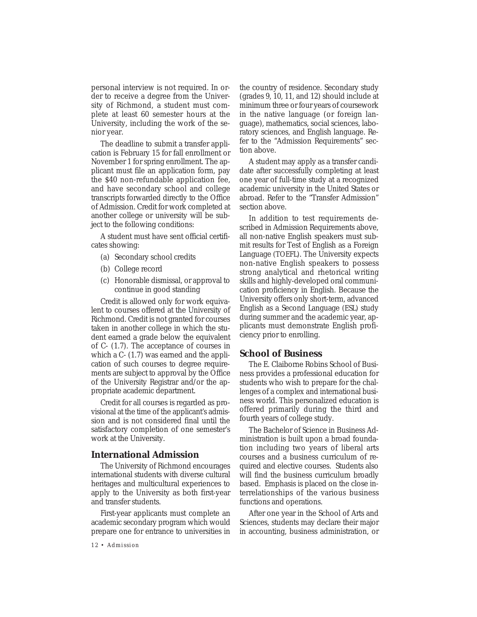personal interview is not required. In order to receive a degree from the University of Richmond, a student must complete at least 60 semester hours at the University, including the work of the senior year.

The deadline to submit a transfer application is February 15 for fall enrollment or November 1 for spring enrollment. The applicant must file an application form, pay the \$40 non-refundable application fee, and have secondary school and college transcripts forwarded directly to the Office of Admission. Credit for work completed at another college or university will be subject to the following conditions:

A student must have sent official certificates showing:

- (a) Secondary school credits
- (b) College record
- (c) Honorable dismissal, or approval to continue in good standing

Credit is allowed only for work equivalent to courses offered at the University of Richmond. Credit is not granted for courses taken in another college in which the student earned a grade below the equivalent of *C-* (1.7). The acceptance of courses in which a *C-* (1.7) was earned and the application of such courses to degree requirements are subject to approval by the Office of the University Registrar and/or the appropriate academic department.

Credit for all courses is regarded as provisional at the time of the applicant's admission and is not considered final until the satisfactory completion of one semester's work at the University.

#### **International Admission**

The University of Richmond encourages international students with diverse cultural heritages and multicultural experiences to apply to the University as both first-year and transfer students.

First-year applicants must complete an academic secondary program which would prepare one for entrance to universities in the country of residence. Secondary study (grades 9, 10, 11, and 12) should include at minimum three or four years of coursework in the native language (or foreign language), mathematics, social sciences, laboratory sciences, and English language. Refer to the "Admission Requirements" section above.

A student may apply as a transfer candidate after successfully completing at least one year of full-time study at a recognized academic university in the United States or abroad. Refer to the "Transfer Admission" section above.

In addition to test requirements described in Admission Requirements above, all non-native English speakers must submit results for Test of English as a Foreign Language (TOEFL). The University expects non-native English speakers to possess strong analytical and rhetorical writing skills and highly-developed oral communication proficiency in English. Because the University offers only short-term, advanced English as a Second Language (ESL) study during summer and the academic year, applicants must demonstrate English proficiency prior to enrolling.

#### **School of Business**

The E. Claiborne Robins School of Business provides a professional education for students who wish to prepare for the challenges of a complex and international business world. This personalized education is offered primarily during the third and fourth years of college study.

The Bachelor of Science in Business Administration is built upon a broad foundation including two years of liberal arts courses and a business curriculum of required and elective courses. Students also will find the business curriculum broadly based. Emphasis is placed on the close interrelationships of the various business functions and operations.

After one year in the School of Arts and Sciences, students may declare their major in accounting, business administration, or

*12 • Admission*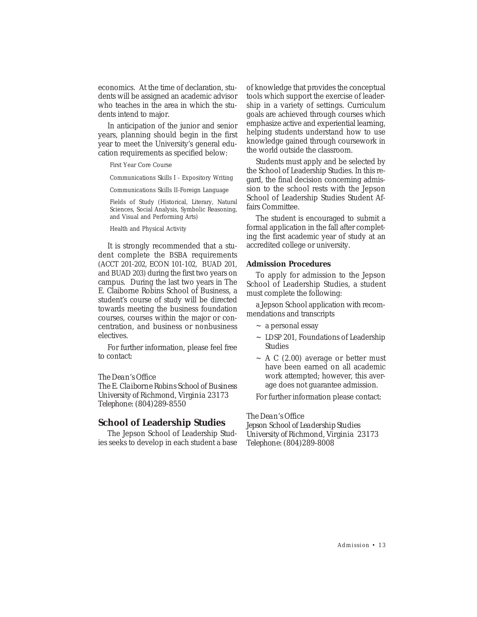economics. At the time of declaration, students will be assigned an academic advisor who teaches in the area in which the students intend to major.

In anticipation of the junior and senior years, planning should begin in the first year to meet the University's general education requirements as specified below:

First Year Core Course

Communications Skills I - Expository Writing

Communications Skills II-Foreign Language

Fields of Study (Historical, Literary, Natural Sciences, Social Analysis, Symbolic Reasoning, and Visual and Performing Arts)

Health and Physical Activity

It is strongly recommended that a student complete the BSBA requirements (ACCT 201-202, ECON 101-102, BUAD 201, and BUAD 203) during the first two years on campus. During the last two years in The E. Claiborne Robins School of Business, a student's course of study will be directed towards meeting the business foundation courses, courses within the major or concentration, and business or nonbusiness electives.

For further information, please feel free to contact:

#### *The Dean's Office*

*The E. Claiborne Robins School of Business University of Richmond, Virginia 23173 Telephone: (804)289-8550*

#### **School of Leadership Studies**

The Jepson School of Leadership Studies seeks to develop in each student a base of knowledge that provides the conceptual tools which support the exercise of leadership in a variety of settings. Curriculum goals are achieved through courses which emphasize active and experiential learning, helping students understand how to use knowledge gained through coursework in the world outside the classroom.

Students must apply and be selected by the School of Leadership Studies. In this regard, the final decision concerning admission to the school rests with the Jepson School of Leadership Studies Student Affairs Committee.

The student is encouraged to submit a formal application in the fall after completing the first academic year of study at an accredited college or university.

#### **Admission Procedures**

To apply for admission to the Jepson School of Leadership Studies, a student must complete the following:

a Jepson School application with recommendations and transcripts

- $\sim$  a personal essay
- ~ LDSP 201, Foundations of Leadership Studies
- $\sim$  A  $C$  (2.00) average or better must have been earned on all academic work attempted; however, this average does not guarantee admission.

For further information please contact:

#### *The Dean's Office*

*Jepson School of Leadership Studies University of Richmond, Virginia 23173 Telephone: (804)289-8008*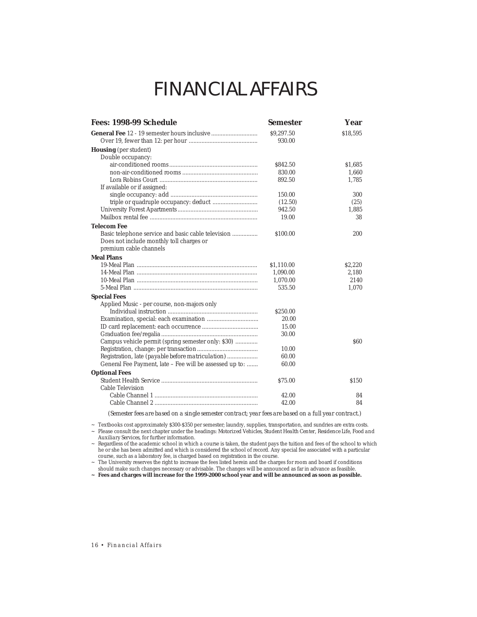# FINANCIAL AFFAIRS

| Fees: 1998-99 Schedule                                  | <b>Semester</b>      | Year       |
|---------------------------------------------------------|----------------------|------------|
|                                                         | \$9,297.50<br>930.00 | \$18,595   |
| <b>Housing</b> (per student)                            |                      |            |
| Double occupancy:                                       |                      |            |
|                                                         | \$842.50             | \$1,685    |
|                                                         | 830.00               | 1.660      |
| If available or if assigned:                            | 892.50               | 1,785      |
|                                                         | 150.00               | 300        |
|                                                         | (12.50)              | (25)       |
|                                                         | 942.50               | 1,885      |
|                                                         | 19.00                | 38         |
| Telecom Fee                                             |                      |            |
|                                                         | \$100.00             | 200        |
| Does not include monthly toll charges or                |                      |            |
| premium cable channels                                  |                      |            |
| <b>Meal Plans</b>                                       |                      |            |
|                                                         | \$1,110.00           | \$2.220    |
|                                                         | 1.090.00             | 2.180      |
|                                                         | 1,070.00             | 2140       |
|                                                         | 535.50               | 1.070      |
| <b>Special Fees</b>                                     |                      |            |
| Applied Music - per course, non-majors only             |                      |            |
|                                                         | \$250.00             |            |
|                                                         | 20.00                |            |
|                                                         | 15.00                |            |
|                                                         | 30.00                |            |
| Campus vehicle permit (spring semester only: \$30)      |                      | <b>S60</b> |
|                                                         | 10.00                |            |
|                                                         | 60.00                |            |
| General Fee Payment, late – Fee will be assessed up to: | 60.00                |            |
| <b>Optional Fees</b>                                    |                      |            |
| Cable Television                                        | \$75.00              | \$150      |
|                                                         | 42.00                | 84         |
|                                                         | 42.00                | 84         |
|                                                         |                      |            |

*(Semester fees are based on a single semester contract; year fees are based on a full year contract.)*

 $\sim$  Textbooks cost approximately \$300-\$350 per semester; laundry, supplies, transportation, and sundries are extra costs. ~ Please consult the next chapter under the headings: *Motorized Vehicles, Student Health Center, Residence Life, Food and*

*Auxiliary Services*, for further information.

 $\sim$  Regardless of the academic school in which a course is taken, the student pays the tuition and fees of the school to which he or she has been admitted and which is considered the school of record. Any special fee associated with a particular course, such as a laboratory fee, is charged based on registration in the course.

 $\sim$  The University reserves the right to increase the fees listed herein and the charges for room and board if conditions should make such changes necessary or advisable. The changes will be announced as far in advance as feasible.

**~ Fees and charges will increase for the 1999-2000 school year and will be announced as soon as possible.**

*16 • Financial Affairs*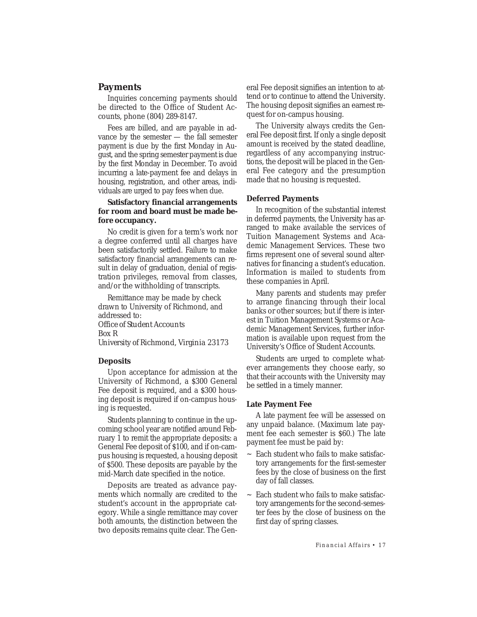#### **Payments**

Inquiries concerning payments should be directed to the Office of Student Accounts, phone (804) 289-8147.

Fees are billed, and are payable in advance by the semester — the fall semester payment is due by the first Monday in August, and the spring semester payment is due by the first Monday in December. To avoid incurring a late-payment fee and delays in housing, registration, and other areas, individuals are urged to pay fees when due.

#### **Satisfactory financial arrangements for room and board must be made before occupancy.**

No credit is given for a term's work nor a degree conferred until all charges have been satisfactorily settled. Failure to make satisfactory financial arrangements can result in delay of graduation, denial of registration privileges, removal from classes, and/or the withholding of transcripts.

Remittance may be made by check drawn to University of Richmond, and addressed to: *Office of Student Accounts Box R*

*University of Richmond, Virginia 23173*

#### **Deposits**

Upon acceptance for admission at the University of Richmond, a \$300 General Fee deposit is required, and a \$300 housing deposit is required if on-campus housing is requested.

Students planning to continue in the upcoming school year are notified around February 1 to remit the appropriate deposits: a General Fee deposit of \$100, and if on-campus housing is requested, a housing deposit of \$500. These deposits are payable by the mid-March date specified in the notice.

Deposits are treated as advance payments which normally are credited to the student's account in the appropriate category. While a single remittance may cover both amounts, the distinction between the two deposits remains quite clear. The General Fee deposit signifies an intention to attend or to continue to attend the University. The housing deposit signifies an earnest request for on-campus housing.

The University always credits the General Fee deposit first. If only a single deposit amount is received by the stated deadline, regardless of any accompanying instructions, the deposit will be placed in the General Fee category and the presumption made that no housing is requested.

#### **Deferred Payments**

In recognition of the substantial interest in deferred payments, the University has arranged to make available the services of Tuition Management Systems and Academic Management Services. These two firms represent one of several sound alternatives for financing a student's education. Information is mailed to students from these companies in April.

Many parents and students may prefer to arrange financing through their local banks or other sources; but if there is interest in Tuition Management Systems or Academic Management Services, further information is available upon request from the University's Office of Student Accounts.

Students are urged to complete whatever arrangements they choose early, so that their accounts with the University may be settled in a timely manner.

#### **Late Payment Fee**

A late payment fee will be assessed on any unpaid balance. (Maximum late payment fee each semester is \$60.) The late payment fee must be paid by:

- $\sim$  Each student who fails to make satisfactory arrangements for the first-semester fees by the close of business on the first day of fall classes.
- Each student who fails to make satisfactory arrangements for the second-semester fees by the close of business on the first day of spring classes.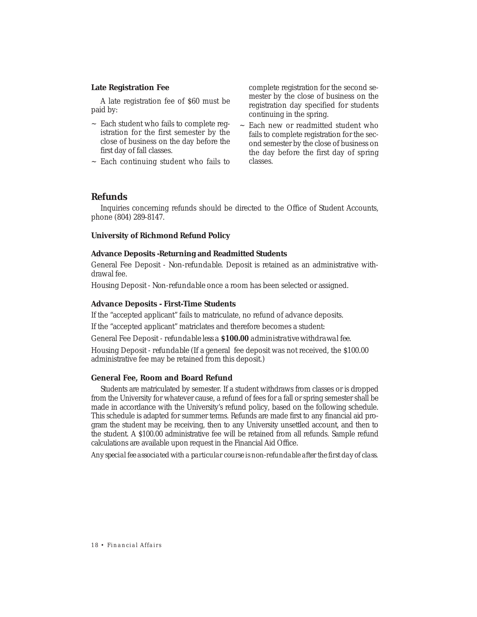#### **Late Registration Fee**

A late registration fee of \$60 must be paid by:

- ~ Each student who fails to complete registration for the first semester by the close of business on the day before the first day of fall classes.
- ~ Each continuing student who fails to

complete registration for the second semester by the close of business on the registration day specified for students continuing in the spring.

Each new or readmitted student who fails to complete registration for the second semester by the close of business on the day before the first day of spring classes.

#### **Refunds**

Inquiries concerning refunds should be directed to the Office of Student Accounts, phone (804) 289-8147.

#### **University of Richmond Refund Policy**

#### **Advance Deposits -Returning and Readmitted Students**

General Fee Deposit - *Non-refundable*. Deposit is retained as an administrative withdrawal fee.

Housing Deposit - *Non-refundable* once a room has been selected or assigned.

#### **Advance Deposits - First-Time Students**

If the "accepted applicant" fails to matriculate, no refund of advance deposits.

If the "accepted applicant" matriclates and therefore becomes a student:

General Fee Deposit - *refundable less a \$100.00 administrative withdrawal fee*.

Housing Deposit - *refundable* (If a general fee deposit was not received, the \$100.00 administrative fee may be retained from this deposit.)

#### **General Fee, Room and Board Refund**

Students are matriculated by semester. If a student withdraws from classes or is dropped from the University for whatever cause, a refund of fees for a fall or spring semester shall be made in accordance with the University's refund policy, based on the following schedule. This schedule is adapted for summer terms. Refunds are made first to any financial aid program the student may be receiving, then to any University unsettled account, and then to the student. A \$100.00 administrative fee will be retained from all refunds. Sample refund calculations are available upon request in the Financial Aid Office.

*Any special fee associated with a particular course is non-refundable after the first day of class.*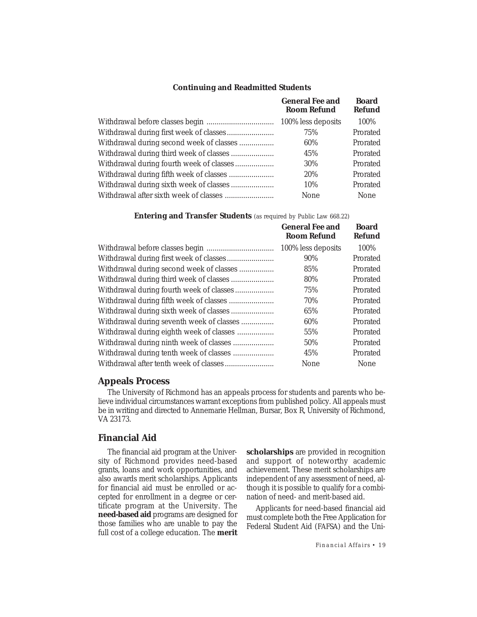#### **Continuing and Readmitted Students**

|                                          | <b>General Fee and</b><br><b>Room Refund</b> | <b>Board</b><br><b>Refund</b> |
|------------------------------------------|----------------------------------------------|-------------------------------|
|                                          | 100% less deposits                           | 100\%                         |
|                                          | 75%                                          | Prorated                      |
| Withdrawal during second week of classes | 60%                                          | Prorated                      |
|                                          | 45%                                          | Prorated                      |
| Withdrawal during fourth week of classes | 30%                                          | Prorated                      |
|                                          | 20%                                          | Prorated                      |
|                                          | 10%                                          | Prorated                      |
| Withdrawal after sixth week of classes   | None                                         | None                          |

**Entering and Transfer Students** (as required by Public Law 668.22)

|                                           | <b>General Fee and</b><br><b>Room Refund</b> | <b>Board</b><br><b>Refund</b> |
|-------------------------------------------|----------------------------------------------|-------------------------------|
|                                           | 100% less deposits                           | 100\%                         |
|                                           | 90%                                          | Prorated                      |
| Withdrawal during second week of classes  | 85%                                          | Prorated                      |
| Withdrawal during third week of classes   | 80%                                          | Prorated                      |
| Withdrawal during fourth week of classes  | 75%                                          | Prorated                      |
|                                           | 70%                                          | Prorated                      |
|                                           | 65%                                          | Prorated                      |
| Withdrawal during seventh week of classes | 60%                                          | Prorated                      |
| Withdrawal during eighth week of classes  | 55%                                          | Prorated                      |
| Withdrawal during ninth week of classes   | 50%                                          | Prorated                      |
| Withdrawal during tenth week of classes   | 45%                                          | Prorated                      |
|                                           | None                                         | None                          |

#### **Appeals Process**

The University of Richmond has an appeals process for students and parents who believe individual circumstances warrant exceptions from published policy. All appeals must be in writing and directed to Annemarie Hellman, Bursar, Box R, University of Richmond, VA 23173.

#### **Financial Aid**

The financial aid program at the University of Richmond provides need-based grants, loans and work opportunities, and also awards merit scholarships. Applicants for financial aid must be enrolled or accepted for enrollment in a degree or certificate program at the University. The **need-based aid** programs are designed for those families who are unable to pay the full cost of a college education. The **merit** **scholarships** are provided in recognition and support of noteworthy academic achievement. These merit scholarships are independent of any assessment of need, although it is possible to qualify for a combination of need- and merit-based aid.

Applicants for need-based financial aid must complete both the Free Application for Federal Student Aid (FAFSA) and the Uni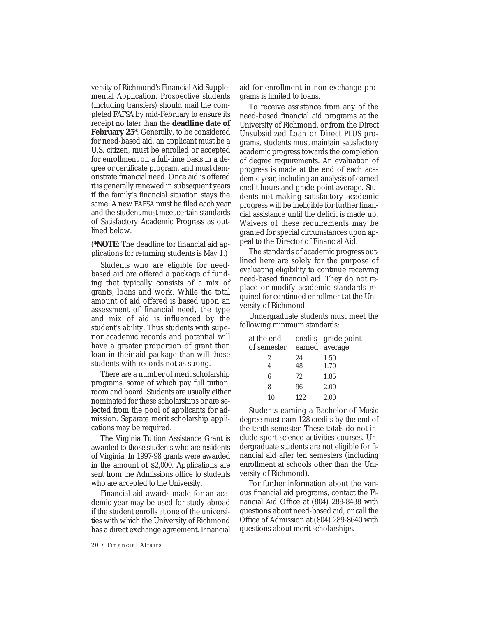versity of Richmond's Financial Aid Supplemental Application. Prospective students (including transfers) should mail the completed FAFSA by mid-February to ensure its receipt no later than the **deadline date of February 25\***. Generally, to be considered for need-based aid, an applicant must be a U.S. citizen, must be enrolled or accepted for enrollment on a full-time basis in a degree or certificate program, and must demonstrate financial need. Once aid is offered it is generally renewed in subsequent years if the family's financial situation stays the same. A new FAFSA must be filed each year and the student must meet certain standards of Satisfactory Academic Progress as outlined below.

(**\*NOTE:** The deadline for financial aid applications for returning students is May 1.)

Students who are eligible for needbased aid are offered a package of funding that typically consists of a mix of grants, loans and work. While the total amount of aid offered is based upon an assessment of financial need, the type and mix of aid is influenced by the student's ability. Thus students with superior academic records and potential will have a greater proportion of grant than loan in their aid package than will those students with records not as strong.

There are a number of merit scholarship programs, some of which pay full tuition, room and board. Students are usually either nominated for these scholarships or are selected from the pool of applicants for admission. Separate merit scholarship applications may be required.

The Virginia Tuition Assistance Grant is awarded to those students who are residents of Virginia. In 1997-98 grants were awarded in the amount of \$2,000. Applications are sent from the Admissions office to students who are accepted to the University.

Financial aid awards made for an academic year may be used for study abroad if the student enrolls at one of the universities with which the University of Richmond has a direct exchange agreement. Financial

*20 • Financial Affairs*

aid for enrollment in non-exchange programs is limited to loans.

To receive assistance from any of the need-based financial aid programs at the University of Richmond, or from the Direct Unsubsidized Loan or Direct PLUS programs, students must maintain satisfactory academic progress towards the completion of degree requirements. An evaluation of progress is made at the end of each academic year, including an analysis of earned credit hours and grade point average. Students not making satisfactory academic progress will be ineligible for further financial assistance until the deficit is made up. Waivers of these requirements may be granted for special circumstances upon appeal to the Director of Financial Aid.

The standards of academic progress outlined here are solely for the purpose of evaluating eligibility to continue receiving need-based financial aid. They do not replace or modify academic standards required for continued enrollment at the University of Richmond.

Undergraduate students must meet the following minimum standards:

| at the end                 |     | credits grade point |
|----------------------------|-----|---------------------|
| of semester earned average |     |                     |
| 2                          | 24  | 1.50                |
|                            | 48  | 1.70                |
| 6                          | 72  | 1.85                |
| 8                          | 96  | 2.00                |
| 10                         | 122 | 2.00                |
|                            |     |                     |

Students earning a Bachelor of Music degree must earn 128 credits by the end of the tenth semester. These totals do not include sport science activities courses. Undergraduate students are not eligible for financial aid after ten semesters (including enrollment at schools other than the University of Richmond).

For further information about the various financial aid programs, contact the Financial Aid Office at (804) 289-8438 with questions about need-based aid, or call the Office of Admission at (804) 289-8640 with questions about merit scholarships.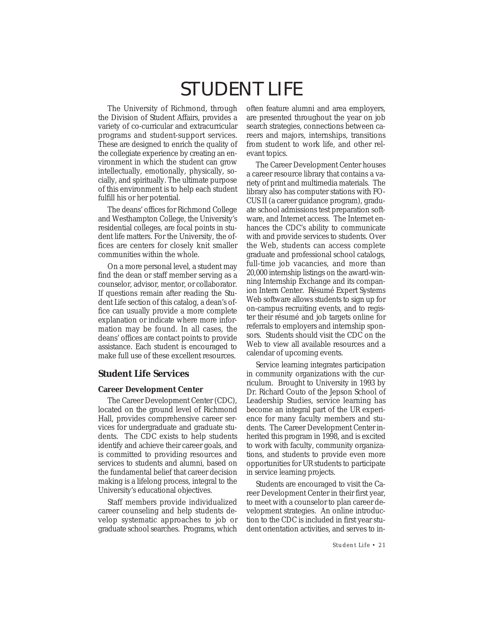# STUDENT LIFE

The University of Richmond, through the Division of Student Affairs, provides a variety of co-curricular and extracurricular programs and student-support services. These are designed to enrich the quality of the collegiate experience by creating an environment in which the student can grow intellectually, emotionally, physically, socially, and spiritually. The ultimate purpose of this environment is to help each student fulfill his or her potential.

The deans' offices for Richmond College and Westhampton College, the University's residential colleges, are focal points in student life matters. For the University, the offices are centers for closely knit smaller communities within the whole.

On a more personal level, a student may find the dean or staff member serving as a counselor, advisor, mentor, or collaborator. If questions remain after reading the Student Life section of this catalog, a dean's office can usually provide a more complete explanation or indicate where more information may be found. In all cases, the deans' offices are contact points to provide assistance. Each student is encouraged to make full use of these excellent resources.

#### **Student Life Services**

#### **Career Development Center**

The Career Development Center (CDC), located on the ground level of Richmond Hall, provides comprehensive career services for undergraduate and graduate students. The CDC exists to help students identify and achieve their career goals, and is committed to providing resources and services to students and alumni, based on the fundamental belief that career decision making is a lifelong process, integral to the University's educational objectives.

Staff members provide individualized career counseling and help students develop systematic approaches to job or graduate school searches. Programs, which often feature alumni and area employers, are presented throughout the year on job search strategies, connections between careers and majors, internships, transitions from student to work life, and other relevant topics.

The Career Development Center houses a career resource library that contains a variety of print and multimedia materials. The library also has computer stations with FO-CUS II (a career guidance program), graduate school admissions test preparation software, and Internet access. The Internet enhances the CDC's ability to communicate with and provide services to students. Over the Web, students can access complete graduate and professional school catalogs, full-time job vacancies, and more than 20,000 internship listings on the award-winning Internship Exchange and its companion Intern Center. Résumé Expert Systems Web software allows students to sign up for on-campus recruiting events, and to register their résumé and job targets online for referrals to employers and internship sponsors. Students should visit the CDC on the Web to view all available resources and a calendar of upcoming events.

Service learning integrates participation in community organizations with the curriculum. Brought to University in 1993 by Dr. Richard Couto of the Jepson School of Leadership Studies, service learning has become an integral part of the UR experience for many faculty members and students. The Career Development Center inherited this program in 1998, and is excited to work with faculty, community organizations, and students to provide even more opportunities for UR students to participate in service learning projects.

Students are encouraged to visit the Career Development Center in their first year, to meet with a counselor to plan career development strategies. An online introduction to the CDC is included in first year student orientation activities, and serves to in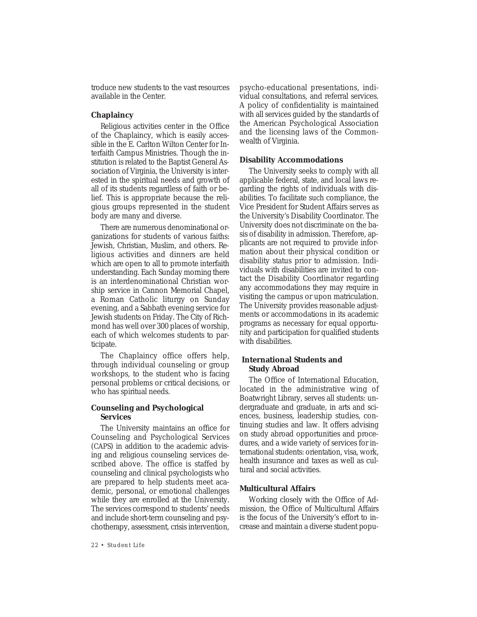troduce new students to the vast resources available in the Center.

#### **Chaplaincy**

Religious activities center in the Office of the Chaplaincy, which is easily accessible in the E. Carlton Wilton Center for Interfaith Campus Ministries. Though the institution is related to the Baptist General Association of Virginia, the University is interested in the spiritual needs and growth of all of its students regardless of faith or belief. This is appropriate because the religious groups represented in the student body are many and diverse.

There are numerous denominational organizations for students of various faiths: Jewish, Christian, Muslim, and others. Religious activities and dinners are held which are open to all to promote interfaith understanding. Each Sunday morning there is an interdenominational Christian worship service in Cannon Memorial Chapel, a Roman Catholic liturgy on Sunday evening, and a Sabbath evening service for Jewish students on Friday. The City of Richmond has well over 300 places of worship, each of which welcomes students to participate.

The Chaplaincy office offers help, through individual counseling or group workshops, to the student who is facing personal problems or critical decisions, or who has spiritual needs.

#### **Counseling and Psychological Services**

The University maintains an office for Counseling and Psychological Services (CAPS) in addition to the academic advising and religious counseling services described above. The office is staffed by counseling and clinical psychologists who are prepared to help students meet academic, personal, or emotional challenges while they are enrolled at the University. The services correspond to students' needs and include short-term counseling and psychotherapy, assessment, crisis intervention,

*22 • Student Life*

psycho-educational presentations, individual consultations, and referral services. A policy of confidentiality is maintained with all services guided by the standards of the American Psychological Association and the licensing laws of the Commonwealth of Virginia.

#### **Disability Accommodations**

The University seeks to comply with all applicable federal, state, and local laws regarding the rights of individuals with disabilities. To facilitate such compliance, the Vice President for Student Affairs serves as the University's Disability Coordinator. The University does not discriminate on the basis of disability in admission. Therefore, applicants are not required to provide information about their physical condition or disability status prior to admission. Individuals with disabilities are invited to contact the Disability Coordinator regarding any accommodations they may require in visiting the campus or upon matriculation. The University provides reasonable adjustments or accommodations in its academic programs as necessary for equal opportunity and participation for qualified students with disabilities.

#### **International Students and Study Abroad**

The Office of International Education, located in the administrative wing of Boatwright Library, serves all students: undergraduate and graduate, in arts and sciences, business, leadership studies, continuing studies and law. It offers advising on study abroad opportunities and procedures, and a wide variety of services for international students: orientation, visa, work, health insurance and taxes as well as cultural and social activities.

#### **Multicultural Affairs**

Working closely with the Office of Admission, the Office of Multicultural Affairs is the focus of the University's effort to increase and maintain a diverse student popu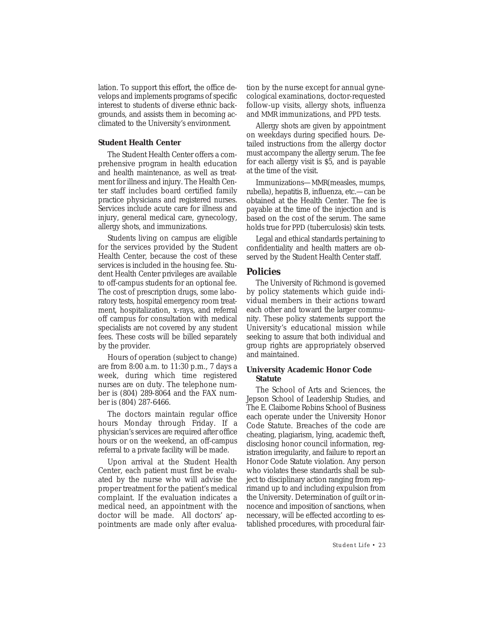lation. To support this effort, the office develops and implements programs of specific interest to students of diverse ethnic backgrounds, and assists them in becoming acclimated to the University's environment.

#### **Student Health Center**

The Student Health Center offers a comprehensive program in health education and health maintenance, as well as treatment for illness and injury. The Health Center staff includes board certified family practice physicians and registered nurses. Services include acute care for illness and injury, general medical care, gynecology, allergy shots, and immunizations.

Students living on campus are eligible for the services provided by the Student Health Center, because the cost of these services is included in the housing fee. Student Health Center privileges are available to off-campus students for an optional fee. The cost of prescription drugs, some laboratory tests, hospital emergency room treatment, hospitalization, x-rays, and referral off campus for consultation with medical specialists are not covered by any student fees. These costs will be billed separately by the provider.

Hours of operation (subject to change) are from 8:00 a.m. to 11:30 p.m., 7 days a week, during which time registered nurses are on duty. The telephone number is (804) 289-8064 and the FAX number is (804) 287-6466.

The doctors maintain regular office hours Monday through Friday. If a physician's services are required after office hours or on the weekend, an off-campus referral to a private facility will be made.

Upon arrival at the Student Health Center, each patient must first be evaluated by the nurse who will advise the proper treatment for the patient's medical complaint. If the evaluation indicates a medical need, an appointment with the doctor will be made. All doctors' appointments are made only after evaluation by the nurse except for annual gynecological examinations, doctor-requested follow-up visits, allergy shots, influenza and MMR immunizations, and PPD tests.

Allergy shots are given by appointment on weekdays during specified hours. Detailed instructions from the allergy doctor must accompany the allergy serum. The fee for each allergy visit is \$5, and is payable at the time of the visit.

Immunizations—MMR(measles, mumps, rubella), hepatitis B, influenza, etc.—can be obtained at the Health Center. The fee is payable at the time of the injection and is based on the cost of the serum. The same holds true for PPD (tuberculosis) skin tests.

Legal and ethical standards pertaining to confidentiality and health matters are observed by the Student Health Center staff.

#### **Policies**

The University of Richmond is governed by policy statements which guide individual members in their actions toward each other and toward the larger community. These policy statements support the University's educational mission while seeking to assure that both individual and group rights are appropriately observed and maintained.

#### **University Academic Honor Code Statute**

The School of Arts and Sciences, the Jepson School of Leadership Studies, and The E. Claiborne Robins School of Business each operate under the University Honor Code Statute. Breaches of the code are cheating, plagiarism, lying, academic theft, disclosing honor council information, registration irregularity, and failure to report an Honor Code Statute violation. Any person who violates these standards shall be subject to disciplinary action ranging from reprimand up to and including expulsion from the University. Determination of guilt or innocence and imposition of sanctions, when necessary, will be effected according to established procedures, with procedural fair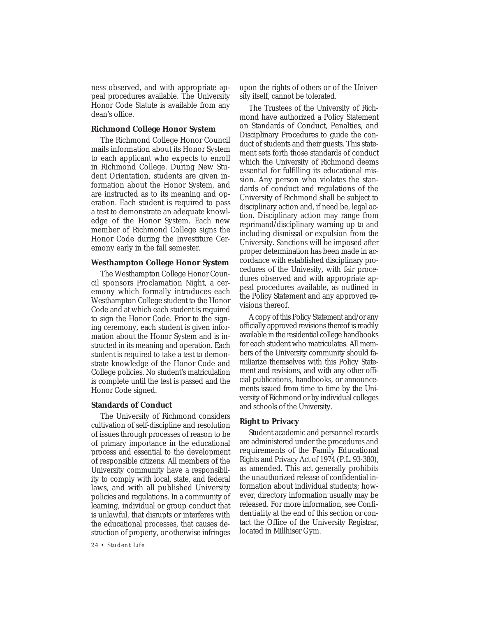ness observed, and with appropriate appeal procedures available. The University Honor Code Statute is available from any dean's office.

#### **Richmond College Honor System**

The Richmond College Honor Council mails information about its Honor System to each applicant who expects to enroll in Richmond College. During New Student Orientation, students are given information about the Honor System, and are instructed as to its meaning and operation. Each student is required to pass a test to demonstrate an adequate knowledge of the Honor System. Each new member of Richmond College signs the Honor Code during the Investiture Ceremony early in the fall semester.

#### **Westhampton College Honor System**

The Westhampton College Honor Council sponsors Proclamation Night, a ceremony which formally introduces each Westhampton College student to the Honor Code and at which each student is required to sign the Honor Code. Prior to the signing ceremony, each student is given information about the Honor System and is instructed in its meaning and operation. Each student is required to take a test to demonstrate knowledge of the Honor Code and College policies. No student's matriculation is complete until the test is passed and the Honor Code signed.

#### **Standards of Conduct**

The University of Richmond considers cultivation of self-discipline and resolution of issues through processes of reason to be of primary importance in the educational process and essential to the development of responsible citizens. All members of the University community have a responsibility to comply with local, state, and federal laws, and with all published University policies and regulations. In a community of learning, individual or group conduct that is unlawful, that disrupts or interferes with the educational processes, that causes destruction of property, or otherwise infringes

*24 • Student Life*

upon the rights of others or of the University itself, cannot be tolerated.

The Trustees of the University of Richmond have authorized a Policy Statement on Standards of Conduct, Penalties, and Disciplinary Procedures to guide the conduct of students and their guests. This statement sets forth those standards of conduct which the University of Richmond deems essential for fulfilling its educational mission. Any person who violates the standards of conduct and regulations of the University of Richmond shall be subject to disciplinary action and, if need be, legal action. Disciplinary action may range from reprimand/disciplinary warning up to and including dismissal or expulsion from the University. Sanctions will be imposed after proper determination has been made in accordance with established disciplinary procedures of the Univesity, with fair procedures observed and with appropriate appeal procedures available, as outlined in the Policy Statement and any approved revisions thereof.

A copy of this Policy Statement and/or any officially approved revisions thereof is readily available in the residential college handbooks for each student who matriculates. All members of the University community should familiarize themselves with this Policy Statement and revisions, and with any other official publications, handbooks, or announcements issued from time to time by the University of Richmond or by individual colleges and schools of the University.

#### **Right to Privacy**

Student academic and personnel records are administered under the procedures and requirements of the Family Educational Rights and Privacy Act of 1974 (P.L. 93-380), as amended. This act generally prohibits the unauthorized release of confidential information about individual students; however, directory information usually may be released. For more information, see *Confidentiality* at the end of this section or contact the Office of the University Registrar, located in Millhiser Gym.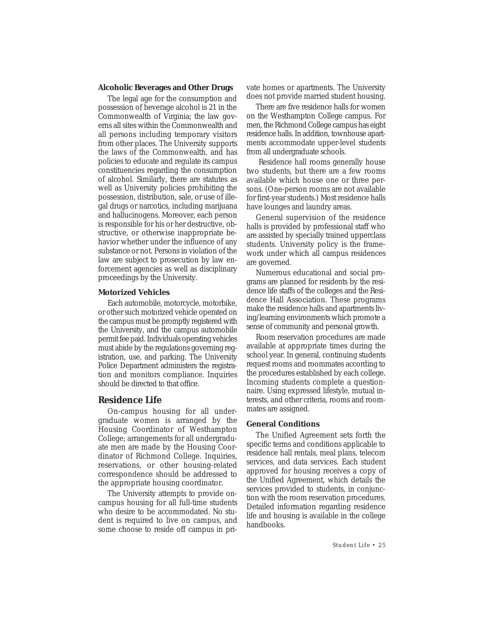#### **Alcoholic Beverages and Other Drugs**

The legal age for the consumption and possession of beverage alcohol is 21 in the Commonwealth of Virginia; the law governs all sites within the Commonwealth and all persons including temporary visitors from other places. The University supports the laws of the Commonwealth, and has policies to educate and regulate its campus constituencies regarding the consumption of alcohol. Similarly, there are statutes as well as University policies prohibiting the possession, distribution, sale, or use of illegal drugs or narcotics, including marijuana and hallucinogens. Moreover, each person is responsible for his or her destructive, obstructive, or otherwise inappropriate behavior whether under the influence of any substance or not. Persons in violation of the law are subject to prosecution by law enforcement agencies as well as disciplinary proceedings by the University.

#### **Motorized Vehicles**

Each automobile, motorcycle, motorbike, or other such motorized vehicle operated on the campus must be promptly registered with the University, and the campus automobile permit fee paid. Individuals operating vehicles must abide by the regulations governing registration, use, and parking. The University Police Department administers the registration and monitors compliance. Inquiries should be directed to that office.

#### **Residence Life**

On-campus housing for all undergraduate women is arranged by the Housing Coordinator of Westhampton College; arrangements for all undergraduate men are made by the Housing Coordinator of Richmond College. Inquiries, reservations, or other housing-related correspondence should be addressed to the appropriate housing coordinator.

The University attempts to provide oncampus housing for all full-time students who desire to be accommodated. No student is required to live on campus, and some choose to reside off campus in private homes or apartments. The University does not provide married student housing.

There are five residence halls for women on the Westhampton College campus. For men, the Richmond College campus has eight residence halls. In addition, townhouse apartments accommodate upper-level students from all undergraduate schools.

 Residence hall rooms generally house two students, but there are a few rooms available which house one or three persons. (One-person rooms are not available for first-year students.) Most residence halls have lounges and laundry areas.

General supervision of the residence halls is provided by professional staff who are assisted by specially trained upperclass students. University policy is the framework under which all campus residences are governed.

Numerous educational and social programs are planned for residents by the residence life staffs of the colleges and the Residence Hall Association. These programs make the residence halls and apartments living/learning environments which promote a sense of community and personal growth.

Room reservation procedures are made available at appropriate times during the school year. In general, continuing students request rooms and roommates according to the procedures established by each college. Incoming students complete a questionnaire. Using expressed lifestyle, mutual interests, and other criteria, rooms and roommates are assigned.

#### **General Conditions**

The Unified Agreement sets forth the specific terms and conditions applicable to residence hall rentals, meal plans, telecom services, and data services. Each student approved for housing receives a copy of the Unified Agreement, which details the services provided to students, in conjunction with the room reservation procedures. Detailed information regarding residence life and housing is available in the college handbooks.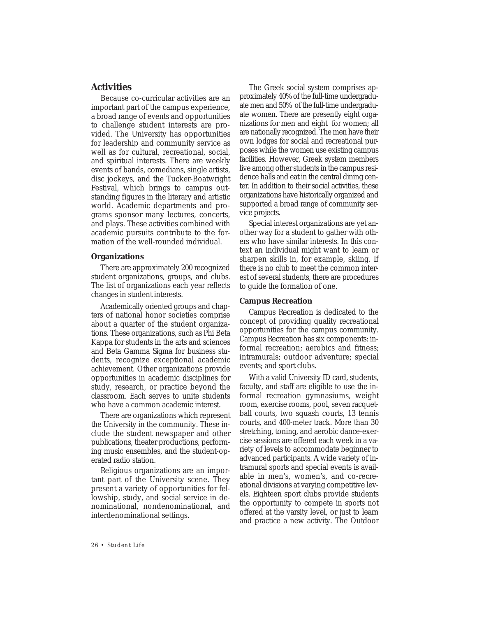#### **Activities**

Because co-curricular activities are an important part of the campus experience, a broad range of events and opportunities to challenge student interests are provided. The University has opportunities for leadership and community service as well as for cultural, recreational, social, and spiritual interests. There are weekly events of bands, comedians, single artists, disc jockeys, and the Tucker-Boatwright Festival, which brings to campus outstanding figures in the literary and artistic world. Academic departments and programs sponsor many lectures, concerts, and plays. These activities combined with academic pursuits contribute to the formation of the well-rounded individual.

#### **Organizations**

There are approximately 200 recognized student organizations, groups, and clubs. The list of organizations each year reflects changes in student interests.

Academically oriented groups and chapters of national honor societies comprise about a quarter of the student organizations. These organizations, such as Phi Beta Kappa for students in the arts and sciences and Beta Gamma Sigma for business students, recognize exceptional academic achievement. Other organizations provide opportunities in academic disciplines for study, research, or practice beyond the classroom. Each serves to unite students who have a common academic interest.

There are organizations which represent the University in the community. These include the student newspaper and other publications, theater productions, performing music ensembles, and the student-operated radio station.

Religious organizations are an important part of the University scene. They present a variety of opportunities for fellowship, study, and social service in denominational, nondenominational, and interdenominational settings.

The Greek social system comprises approximately 40% of the full-time undergraduate men and 50% of the full-time undergraduate women. There are presently eight organizations for men and eight for women; all are nationally recognized. The men have their own lodges for social and recreational purposes while the women use existing campus facilities. However, Greek system members live among other students in the campus residence halls and eat in the central dining center. In addition to their social activities, these organizations have historically organized and supported a broad range of community service projects.

Special interest organizations are yet another way for a student to gather with others who have similar interests. In this context an individual might want to learn or sharpen skills in, for example, skiing. If there is no club to meet the common interest of several students, there are procedures to guide the formation of one.

#### **Campus Recreation**

Campus Recreation is dedicated to the concept of providing quality recreational opportunities for the campus community. Campus Recreation has six components: informal recreation; aerobics and fitness; intramurals; outdoor adventure; special events; and sport clubs.

With a valid University ID card, students, faculty, and staff are eligible to use the informal recreation gymnasiums, weight room, exercise rooms, pool, seven racquetball courts, two squash courts, 13 tennis courts, and 400-meter track. More than 30 stretching, toning, and aerobic dance-exercise sessions are offered each week in a variety of levels to accommodate beginner to advanced participants. A wide variety of intramural sports and special events is available in men's, women's, and co-recreational divisions at varying competitive levels. Eighteen sport clubs provide students the opportunity to compete in sports not offered at the varsity level, or just to learn and practice a new activity. The Outdoor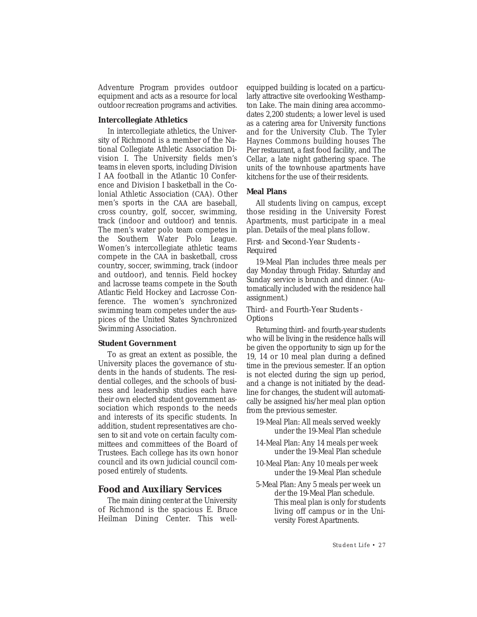Adventure Program provides outdoor equipment and acts as a resource for local outdoor recreation programs and activities.

#### **Intercollegiate Athletics**

In intercollegiate athletics, the University of Richmond is a member of the National Collegiate Athletic Association Division I. The University fields men's teams in eleven sports, including Division I AA football in the Atlantic 10 Conference and Division I basketball in the Colonial Athletic Association (CAA). Other men's sports in the CAA are baseball, cross country, golf, soccer, swimming, track (indoor and outdoor) and tennis. The men's water polo team competes in the Southern Water Polo League. Women's intercollegiate athletic teams compete in the CAA in basketball, cross country, soccer, swimming, track (indoor and outdoor), and tennis. Field hockey and lacrosse teams compete in the South Atlantic Field Hockey and Lacrosse Conference. The women's synchronized swimming team competes under the auspices of the United States Synchronized Swimming Association.

#### **Student Government**

To as great an extent as possible, the University places the governance of students in the hands of students. The residential colleges, and the schools of business and leadership studies each have their own elected student government association which responds to the needs and interests of its specific students. In addition, student representatives are chosen to sit and vote on certain faculty committees and committees of the Board of Trustees. Each college has its own honor council and its own judicial council composed entirely of students.

#### **Food and Auxiliary Services**

The main dining center at the University of Richmond is the spacious E. Bruce Heilman Dining Center. This wellequipped building is located on a particularly attractive site overlooking Westhampton Lake. The main dining area accommodates 2,200 students; a lower level is used as a catering area for University functions and for the University Club. The Tyler Haynes Commons building houses The Pier restaurant, a fast food facility, and The Cellar, a late night gathering space. The units of the townhouse apartments have kitchens for the use of their residents.

#### **Meal Plans**

All students living on campus, except those residing in the University Forest Apartments, must participate in a meal plan. Details of the meal plans follow.

#### *First- and Second-Year Students - Required*

19-Meal Plan includes three meals per day Monday through Friday. Saturday and Sunday service is brunch and dinner. (Automatically included with the residence hall assignment.)

#### *Third- and Fourth-Year Students - Options*

Returning third- and fourth-year students who will be living in the residence halls will be given the opportunity to sign up for the 19, 14 or 10 meal plan during a defined time in the previous semester. If an option is not elected during the sign up period, and a change is not initiated by the deadline for changes, the student will automatically be assigned his/her meal plan option from the previous semester.

- 19-Meal Plan: All meals served weekly under the 19-Meal Plan schedule
- 14-Meal Plan: Any 14 meals per week under the 19-Meal Plan schedule
- 10-Meal Plan: Any 10 meals per week under the 19-Meal Plan schedule
- 5-Meal Plan: Any 5 meals per week un der the 19-Meal Plan schedule. This meal plan is only for students living off campus or in the University Forest Apartments.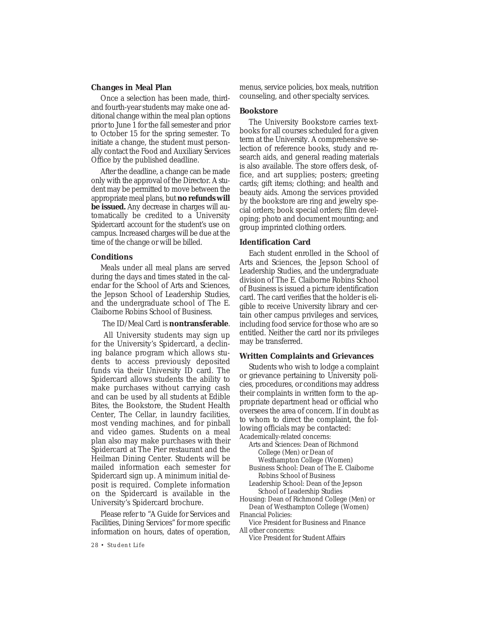#### **Changes in Meal Plan**

Once a selection has been made, thirdand fourth-year students may make one additional change within the meal plan options prior to June 1 for the fall semester and prior to October 15 for the spring semester. To initiate a change, the student must personally contact the Food and Auxiliary Services Office by the published deadline.

After the deadline, a change can be made only with the approval of the Director. A student may be permitted to move between the appropriate meal plans, but **no refunds will be issued.** Any decrease in charges will automatically be credited to a University Spidercard account for the student's use on campus. Increased charges will be due at the time of the change or will be billed.

#### **Conditions**

Meals under all meal plans are served during the days and times stated in the calendar for the School of Arts and Sciences, the Jepson School of Leadership Studies, and the undergraduate school of The E. Claiborne Robins School of Business.

#### The ID/Meal Card is **nontransferable**.

 All University students may sign up for the University's Spidercard, a declining balance program which allows students to access previously deposited funds via their University ID card. The Spidercard allows students the ability to make purchases without carrying cash and can be used by all students at Edible Bites, the Bookstore, the Student Health Center, The Cellar, in laundry facilities, most vending machines, and for pinball and video games. Students on a meal plan also may make purchases with their Spidercard at The Pier restaurant and the Heilman Dining Center. Students will be mailed information each semester for Spidercard sign up. A minimum initial deposit is required. Complete information on the Spidercard is available in the University's Spidercard brochure.

Please refer to "A Guide for Services and Facilities, Dining Services" for more specific information on hours, dates of operation,

menus, service policies, box meals, nutrition counseling, and other specialty services.

#### **Bookstore**

The University Bookstore carries textbooks for all courses scheduled for a given term at the University. A comprehensive selection of reference books, study and research aids, and general reading materials is also available. The store offers desk, office, and art supplies; posters; greeting cards; gift items; clothing; and health and beauty aids. Among the services provided by the bookstore are ring and jewelry special orders; book special orders; film developing; photo and document mounting; and group imprinted clothing orders.

#### **Identification Card**

Each student enrolled in the School of Arts and Sciences, the Jepson School of Leadership Studies, and the undergraduate division of The E. Claiborne Robins School of Business is issued a picture identification card. The card verifies that the holder is eligible to receive University library and certain other campus privileges and services, including food service for those who are so entitled. Neither the card nor its privileges may be transferred.

#### **Written Complaints and Grievances**

Students who wish to lodge a complaint or grievance pertaining to University policies, procedures, or conditions may address their complaints in written form to the appropriate department head or official who oversees the area of concern. If in doubt as to whom to direct the complaint, the following officials may be contacted: Academically-related concerns:

Arts and Sciences: Dean of Richmond College (Men) or Dean of Westhampton College (Women) Business School: Dean of The E. Claiborne Robins School of Business Leadership School: Dean of the Jepson School of Leadership Studies Housing: Dean of Richmond College (Men) or

Dean of Westhampton College (Women) Financial Policies:

Vice President for Business and Finance All other concerns:

Vice President for Student Affairs

*28 • Student Life*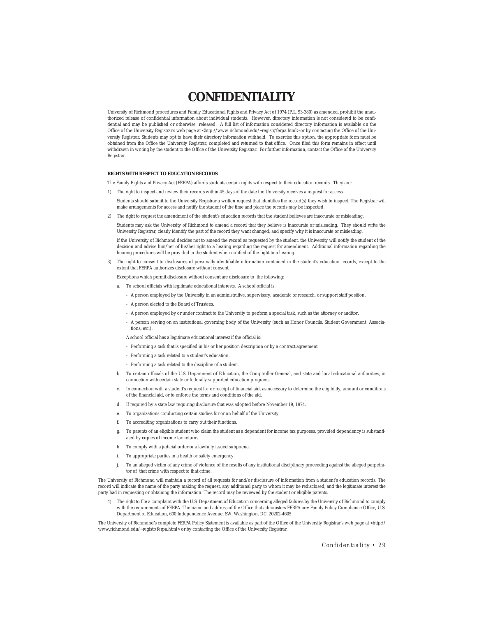#### **CONFIDENTIALITY**

University of Richmond procedures and Family Educational Rights and Privacy Act of 1974 (P.L. 93-380) as amended, prohibit the unauthorized release of confidential information about individual students. However, directory information is not considered to be confidential and may be published or otherwise released. A full list of information considered directory information is available on the Office of the University Registrar's web page at <http://www.richmond.edu/~registr/ferpa.html> or by contacting the Office of the University Registrar. Students may opt to have their directory information withheld. To exercise this option, the appropriate form must be obtained from the Office the University Registrar, completed and returned to that office. Once filed this form remains in effect until withdrawn in writing by the student to the Office of the University Registrar. For further information, contact the Office of the University Registrar.

#### **RIGHTS WITH RESPECT TO EDUCATION RECORDS**

The Family Rights and Privacy Act (FERPA) affords students certain rights with respect to their education records. They are:

1) The right to inspect and review their records within 45 days of the date the University receives a request for access.

Students should submit to the University Registrar a written request that identifies the record(s) they wish to inspect. The Registrar will make arrangements for access and notify the student of the time and place the records may be inspected.

2) The right to request the amendment of the student's education records that the student believes are inaccurate or misleading.

Students may ask the University of Richmond to amend a record that they believe is inaccurate or misleading. They should write the University Registrar, clearly identify the part of the record they want changed, and specify why it is inaccurate or misleading.

If the University of Richmond decides not to amend the record as requested by the student, the University will notify the student of the decision and advise him/her of his/her right to a hearing regarding the request for amendment. Additional information regarding the hearing procedures will be provided to the student when notified of the right to a hearing.

3) The right to consent to disclosures of personally identifiable information contained in the student's education records, except to the extent that FERPA authorizes disclosure without consent.

Exceptions which permit disclosure without consent are disclosure to the following:

- a. To school officials with legitimate educational interests. A school official is:
	- A person employed by the University in an administrative, supervisory, academic or research, or support staff position.
	- A person elected to the Board of Trustees.
	- A person employed by or under contract to the University to perform a special task, such as the attorney or auditor.
	- A person serving on an institutional governing body of the University (such as Honor Councils, Student Government Associations, etc.).
	- A school official has a legitimate educational interest if the official is:
	- Performing a task that is specified in his or her position description or by a contract agreement.
	- Performing a task related to a student's education.
	- Performing a task related to the discipline of a student.
- b. To certain officials of the U.S. Department of Education, the Comptroller General, and state and local educational authorities, in connection with certain state or federally supported education programs.
- c. In connection with a student's request for or receipt of financial aid, as necessary to determine the eligibility, amount or conditions of the financial aid, or to enforce the terms and conditions of the aid.
- d. If required by a state law requiring disclosure that was adopted before November 19, 1974.
- e. To organizations conducting certain studies for or on behalf of the University.
- f. To accrediting organizations to carry out their functions.
- g. To parents of an eligible student who claim the student as a dependent for income tax purposes, provided dependency is substantiated by copies of income tax returns.
- h. To comply with a judicial order or a lawfully issued subpoena.
- i. To appropriate parties in a health or safety emergency.
- j. To an alleged victim of any crime of violence of the results of any institutional disciplinary proceeding against the alleged perpetrator of that crime with respect to that crime.

The University of Richmond will maintain a record of all requests for and/or disclosure of information from a student's education records. The record will indicate the name of the party making the request, any additional party to whom it may be redisclosed, and the legitimate interest the party had in requesting or obtaining the information. The record may be reviewed by the student or eligible parents.

4) The right to file a complaint with the U.S. Department of Education concerning alleged failures by the University of Richmond to comply with the requirements of FERPA. The name and address of the Office that administers FERPA are: Family Policy Compliance Office, U.S. Department of Education, 600 Independence Avenue, SW, Washington, DC 20202-4605

The University of Richmond's complete FERPA Policy Statement is available as part of the Office of the University Registrar's web page at <http:// www.richmond.edu/~registr/ferpa.html> or by contacting the Office of the University Registrar.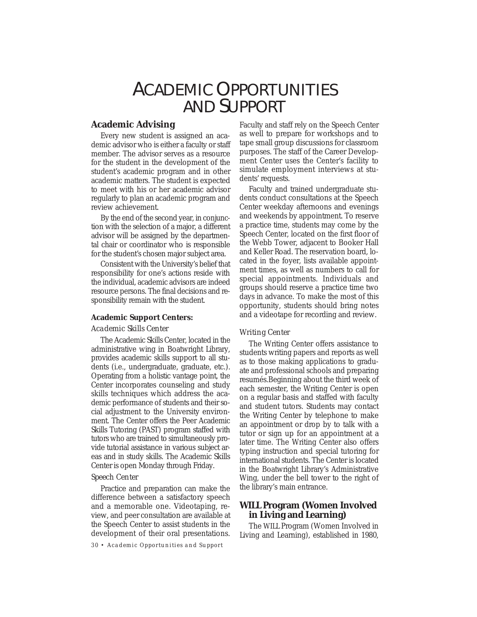### ACADEMIC OPPORTUNITIES AND SUPPORT

#### **Academic Advising**

Every new student is assigned an academic advisor who is either a faculty or staff member. The advisor serves as a resource for the student in the development of the student's academic program and in other academic matters. The student is expected to meet with his or her academic advisor regularly to plan an academic program and review achievement.

By the end of the second year, in conjunction with the selection of a major, a different advisor will be assigned by the departmental chair or coordinator who is responsible for the student's chosen major subject area.

Consistent with the University's belief that responsibility for one's actions reside with the individual, academic advisors are indeed resource persons. The final decisions and responsibility remain with the student.

#### **Academic Support Centers:**

#### *Academic Skills Center*

The Academic Skills Center, located in the administrative wing in Boatwright Library, provides academic skills support to all students (i.e., undergraduate, graduate, etc.). Operating from a holistic vantage point, the Center incorporates counseling and study skills techniques which address the academic performance of students and their social adjustment to the University environment. The Center offers the Peer Academic Skills Tutoring (PAST) program staffed with tutors who are trained to simultaneously provide tutorial assistance in various subject areas and in study skills. The Academic Skills Center is open Monday through Friday.

#### *Speech Center*

Practice and preparation can make the difference between a satisfactory speech and a memorable one. Videotaping, review, and peer consultation are available at the Speech Center to assist students in the development of their oral presentations.

*30 • Academic Opportunities and Support*

Faculty and staff rely on the Speech Center as well to prepare for workshops and to tape small group discussions for classroom purposes. The staff of the Career Development Center uses the Center's facility to simulate employment interviews at students' requests.

Faculty and trained undergraduate students conduct consultations at the Speech Center weekday afternoons and evenings and weekends by appointment. To reserve a practice time, students may come by the Speech Center, located on the first floor of the Webb Tower, adjacent to Booker Hall and Keller Road. The reservation board, located in the foyer, lists available appointment times, as well as numbers to call for special appointments. Individuals and groups should reserve a practice time two days in advance. To make the most of this opportunity, students should bring notes and a videotape for recording and review.

#### *Writing Center*

The Writing Center offers assistance to students writing papers and reports as well as to those making applications to graduate and professional schools and preparing resumés.Beginning about the third week of each semester, the Writing Center is open on a regular basis and staffed with faculty and student tutors. Students may contact the Writing Center by telephone to make an appointment or drop by to talk with a tutor or sign up for an appointment at a later time. The Writing Center also offers typing instruction and special tutoring for international students. The Center is located in the Boatwright Library's Administrative Wing, under the bell tower to the right of the library's main entrance.

## **WILL Program (Women Involved in Living and Learning)**

The WILL Program (Women Involved in Living and Learning), established in 1980,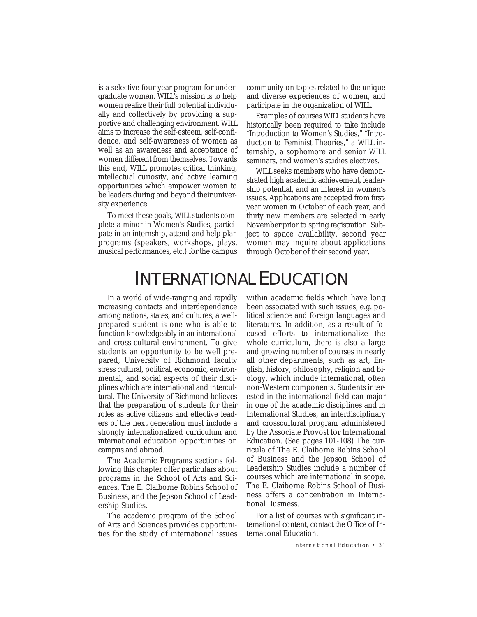is a selective four-year program for undergraduate women. WILL's mission is to help women realize their full potential individually and collectively by providing a supportive and challenging environment. WILL aims to increase the self-esteem, self-confidence, and self-awareness of women as well as an awareness and acceptance of women different from themselves. Towards this end, WILL promotes critical thinking, intellectual curiosity, and active learning opportunities which empower women to be leaders during and beyond their university experience.

To meet these goals, WILL students complete a minor in Women's Studies, participate in an internship, attend and help plan programs (speakers, workshops, plays, musical performances, etc.) for the campus community on topics related to the unique and diverse experiences of women, and participate in the organization of WILL.

Examples of courses WILL students have historically been required to take include "Introduction to Women's Studies," "Introduction to Feminist Theories," a WILL internship, a sophomore and senior WILL seminars, and women's studies electives.

WILL seeks members who have demonstrated high academic achievement, leadership potential, and an interest in women's issues. Applications are accepted from firstyear women in October of each year, and thirty new members are selected in early November prior to spring registration. Subject to space availability, second year women may inquire about applications through October of their second year.

### INTERNATIONAL EDUCATION

In a world of wide-ranging and rapidly increasing contacts and interdependence among nations, states, and cultures, a wellprepared student is one who is able to function knowledgeably in an international and cross-cultural environment. To give students an opportunity to be well prepared, University of Richmond faculty stress cultural, political, economic, environmental, and social aspects of their disciplines which are international and intercultural. The University of Richmond believes that the preparation of students for their roles as active citizens and effective leaders of the next generation must include a strongly internationalized curriculum and international education opportunities on campus and abroad.

The Academic Programs sections following this chapter offer particulars about programs in the School of Arts and Sciences, The E. Claiborne Robins School of Business, and the Jepson School of Leadership Studies.

The academic program of the School of Arts and Sciences provides opportunities for the study of international issues within academic fields which have long been associated with such issues, e.g. political science and foreign languages and literatures. In addition, as a result of focused efforts to internationalize the whole curriculum, there is also a large and growing number of courses in nearly all other departments, such as art, English, history, philosophy, religion and biology, which include international, often non-Western components. Students interested in the international field can major in one of the academic disciplines and in International Studies, an interdisciplinary and crosscultural program administered by the Associate Provost for International Education. (See pages 101-108) The curricula of The E. Claiborne Robins School of Business and the Jepson School of Leadership Studies include a number of courses which are international in scope. The E. Claiborne Robins School of Business offers a concentration in International Business.

For a list of courses with significant international content, contact the Office of International Education.

*International Education • 31*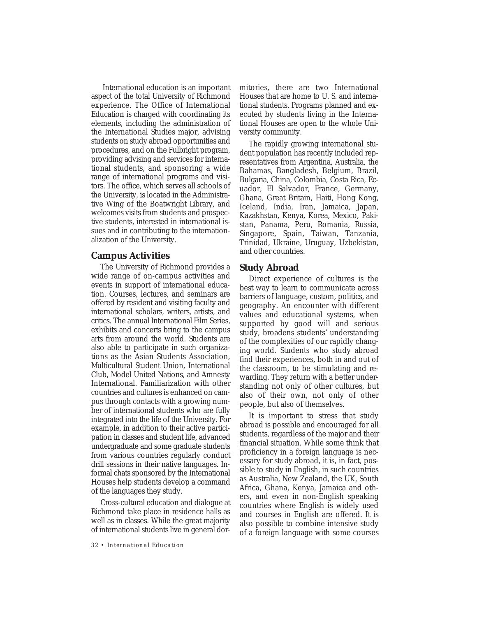International education is an important aspect of the total University of Richmond experience. The Office of International Education is charged with coordinating its elements, including the administration of the International Studies major, advising students on study abroad opportunities and procedures, and on the Fulbright program, providing advising and services for international students, and sponsoring a wide range of international programs and visitors. The office, which serves all schools of the University, is located in the Administrative Wing of the Boatwright Library, and welcomes visits from students and prospective students, interested in international issues and in contributing to the internationalization of the University.

#### **Campus Activities**

The University of Richmond provides a wide range of on-campus activities and events in support of international education. Courses, lectures, and seminars are offered by resident and visiting faculty and international scholars, writers, artists, and critics. The annual International Film Series, exhibits and concerts bring to the campus arts from around the world. Students are also able to participate in such organizations as the Asian Students Association, Multicultural Student Union, International Club, Model United Nations, and Amnesty International. Familiarization with other countries and cultures is enhanced on campus through contacts with a growing number of international students who are fully integrated into the life of the University. For example, in addition to their active participation in classes and student life, advanced undergraduate and some graduate students from various countries regularly conduct drill sessions in their native languages. Informal chats sponsored by the International Houses help students develop a command of the languages they study.

Cross-cultural education and dialogue at Richmond take place in residence halls as well as in classes. While the great majority of international students live in general dor-

*32 • International Education*

mitories, there are two International Houses that are home to U. S. and international students. Programs planned and executed by students living in the International Houses are open to the whole University community.

The rapidly growing international student population has recently included representatives from Argentina, Australia, the Bahamas, Bangladesh, Belgium, Brazil, Bulgaria, China, Colombia, Costa Rica, Ecuador, El Salvador, France, Germany, Ghana, Great Britain, Haiti, Hong Kong, Iceland, India, Iran, Jamaica, Japan, Kazakhstan, Kenya, Korea, Mexico, Pakistan, Panama, Peru, Romania, Russia, Singapore, Spain, Taiwan, Tanzania, Trinidad, Ukraine, Uruguay, Uzbekistan, and other countries.

#### **Study Abroad**

Direct experience of cultures is the best way to learn to communicate across barriers of language, custom, politics, and geography. An encounter with different values and educational systems, when supported by good will and serious study, broadens students' understanding of the complexities of our rapidly changing world. Students who study abroad find their experiences, both in and out of the classroom, to be stimulating and rewarding. They return with a better understanding not only of other cultures, but also of their own, not only of other people, but also of themselves.

It is important to stress that study abroad is possible and encouraged for all students, regardless of the major and their financial situation. While some think that proficiency in a foreign language is necessary for study abroad, it is, in fact, possible to study in English, in such countries as Australia, New Zealand, the UK, South Africa, Ghana, Kenya, Jamaica and others, and even in non-English speaking countries where English is widely used and courses in English are offered. It is also possible to combine intensive study of a foreign language with some courses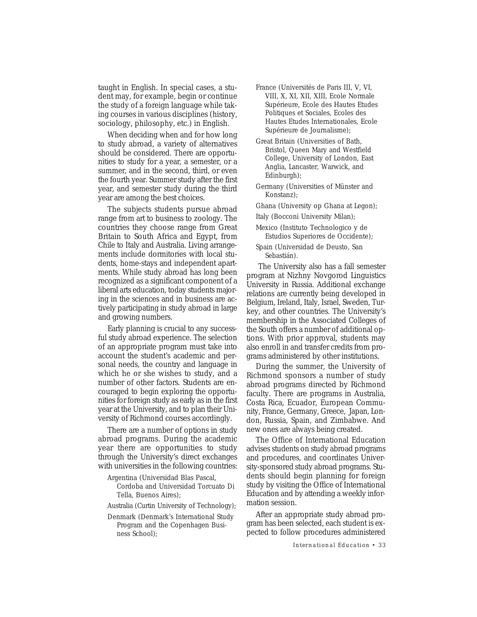taught in English. In special cases, a student may, for example, begin or continue the study of a foreign language while taking courses in various disciplines (history, sociology, philosophy, etc.) in English.

When deciding when and for how long to study abroad, a variety of alternatives should be considered. There are opportunities to study for a year, a semester, or a summer, and in the second, third, or even the fourth year. Summer study after the first year, and semester study during the third year are among the best choices.

The subjects students pursue abroad range from art to business to zoology. The countries they choose range from Great Britain to South Africa and Egypt, from Chile to Italy and Australia. Living arrangements include dormitories with local students, home-stays and independent apartments. While study abroad has long been recognized as a significant component of a liberal arts education, today students majoring in the sciences and in business are actively participating in study abroad in large and growing numbers.

Early planning is crucial to any successful study abroad experience. The selection of an appropriate program must take into account the student's academic and personal needs, the country and language in which he or she wishes to study, and a number of other factors. Students are encouraged to begin exploring the opportunities for foreign study as early as in the first year at the University, and to plan their University of Richmond courses accordingly.

There are a number of options in study abroad programs. During the academic year there are opportunities to study through the University's direct exchanges with universities in the following countries:

Argentina (Universidad Blas Pascal, Cordoba and Universidad Torcuato Di Tella, Buenos Aires);

Australia (Curtin University of Technology);

Denmark (Denmark's International Study Program and the Copenhagen Business School);

- France (Universités de Paris III, V, VI, VIII, X, XI, XII, XIII, Ecole Normale Supérieure, Ecole des Hautes Etudes Politiques et Sociales, Ecoles des Hautes Etudes Internationales, Ecole Supérieure de Journalisme);
- Great Britain (Universities of Bath, Bristol, Queen Mary and Westfield College, University of London, East Anglia, Lancaster, Warwick, and Edinburgh);
- Germany (Universities of Münster and Konstanz);
- Ghana (University op Ghana at Legon);
- Italy (Bocconi University Milan);
- Mexico (Instituto Technologico y de Estudios Superiores de Occidente);
- Spain (Universidad de Deusto, San Sebastián).

 The University also has a fall semester program at Nizhny Novgorod Linguistics University in Russia. Additional exchange relations are currently being developed in Belgium, Ireland, Italy, Israel, Sweden, Turkey, and other countries. The University's membership in the Associated Colleges of the South offers a number of additional options. With prior approval, students may also enroll in and transfer credits from programs administered by other institutions.

During the summer, the University of Richmond sponsors a number of study abroad programs directed by Richmond faculty. There are programs in Australia, Costa Rica, Ecuador, European Community, France, Germany, Greece, Japan, London, Russia, Spain, and Zimbabwe. And new ones are always being created.

The Office of International Education advises students on study abroad programs and procedures, and coordinates University-sponsored study abroad programs. Students should begin planning for foreign study by visiting the Office of International Education and by attending a weekly information session.

After an appropriate study abroad program has been selected, each student is expected to follow procedures administered

*International Education • 33*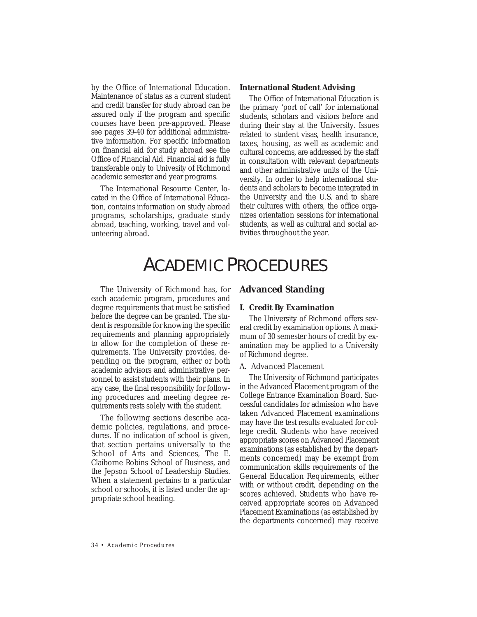by the Office of International Education. Maintenance of status as a current student and credit transfer for study abroad can be assured only if the program and specific courses have been pre-approved. Please see pages 39-40 for additional administrative information. For specific information on financial aid for study abroad see the Office of Financial Aid. Financial aid is fully transferable only to Univesity of Richmond academic semester and year programs.

The International Resource Center, located in the Office of International Education, contains information on study abroad programs, scholarships, graduate study abroad, teaching, working, travel and volunteering abroad.

#### **International Student Advising**

The Office of International Education is the primary 'port of call' for international students, scholars and visitors before and during their stay at the University. Issues related to student visas, health insurance, taxes, housing, as well as academic and cultural concerns, are addressed by the staff in consultation with relevant departments and other administrative units of the University. In order to help international students and scholars to become integrated in the University and the U.S. and to share their cultures with others, the office organizes orientation sessions for international students, as well as cultural and social activities throughout the year.

### ACADEMIC PROCEDURES

The University of Richmond has, for each academic program, procedures and degree requirements that must be satisfied before the degree can be granted. The student is responsible for knowing the specific requirements and planning appropriately to allow for the completion of these requirements. The University provides, depending on the program, either or both academic advisors and administrative personnel to assist students with their plans. In any case, the final responsibility for following procedures and meeting degree requirements rests solely with the student.

The following sections describe academic policies, regulations, and procedures. If no indication of school is given, that section pertains universally to the School of Arts and Sciences, The E. Claiborne Robins School of Business, and the Jepson School of Leadership Studies. When a statement pertains to a particular school or schools, it is listed under the appropriate school heading.

#### **Advanced Standing**

#### **I. Credit By Examination**

The University of Richmond offers several credit by examination options. A maximum of 30 semester hours of credit by examination may be applied to a University of Richmond degree.

#### *A. Advanced Placement*

The University of Richmond participates in the Advanced Placement program of the College Entrance Examination Board. Successful candidates for admission who have taken Advanced Placement examinations may have the test results evaluated for college credit. Students who have received appropriate scores on Advanced Placement examinations (as established by the departments concerned) may be exempt from communication skills requirements of the General Education Requirements, either with or without credit, depending on the scores achieved. Students who have received appropriate scores on Advanced Placement Examinations (as established by the departments concerned) may receive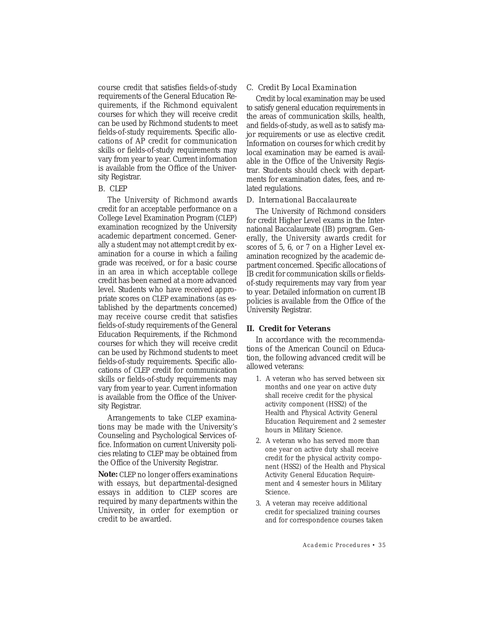course credit that satisfies fields-of-study requirements of the General Education Requirements, if the Richmond equivalent courses for which they will receive credit can be used by Richmond students to meet fields-of-study requirements. Specific allocations of AP credit for communication skills or fields-of-study requirements may vary from year to year. Current information is available from the Office of the University Registrar.

#### *B. CLEP*

The University of Richmond awards credit for an acceptable performance on a College Level Examination Program (CLEP) examination recognized by the University academic department concerned. Generally a student may not attempt credit by examination for a course in which a failing grade was received, or for a basic course in an area in which acceptable college credit has been earned at a more advanced level. Students who have received appropriate scores on CLEP examinations (as established by the departments concerned) may receive course credit that satisfies fields-of-study requirements of the General Education Requirements, if the Richmond courses for which they will receive credit can be used by Richmond students to meet fields-of-study requirements. Specific allocations of CLEP credit for communication skills or fields-of-study requirements may vary from year to year. Current information is available from the Office of the University Registrar.

Arrangements to take CLEP examinations may be made with the University's Counseling and Psychological Services office. Information on current University policies relating to CLEP may be obtained from the Office of the University Registrar.

**Note:** CLEP no longer offers examinations with essays, but departmental-designed essays in addition to CLEP scores are required by many departments within the University, in order for exemption or credit to be awarded.

#### *C. Credit By Local Examination*

Credit by local examination may be used to satisfy general education requirements in the areas of communication skills, health, and fields-of-study, as well as to satisfy major requirements or use as elective credit. Information on courses for which credit by local examination may be earned is available in the Office of the University Registrar. Students should check with departments for examination dates, fees, and related regulations.

#### *D. International Baccalaureate*

The University of Richmond considers for credit Higher Level exams in the International Baccalaureate (IB) program. Generally, the University awards credit for scores of 5, 6, or 7 on a Higher Level examination recognized by the academic department concerned. Specific allocations of IB credit for communication skills or fieldsof-study requirements may vary from year to year. Detailed information on current IB policies is available from the Office of the University Registrar.

#### **II. Credit for Veterans**

In accordance with the recommendations of the American Council on Education, the following advanced credit will be allowed veterans:

- 1. A veteran who has served between six months and one year on active duty shall receive credit for the physical activity component (HSS2) of the Health and Physical Activity General Education Requirement and 2 semester hours in Military Science.
- 2. A veteran who has served more than one year on active duty shall receive credit for the physical activity component (HSS2) of the Health and Physical Activity General Education Requirement and 4 semester hours in Military Science.
- 3. A veteran may receive additional credit for specialized training courses and for correspondence courses taken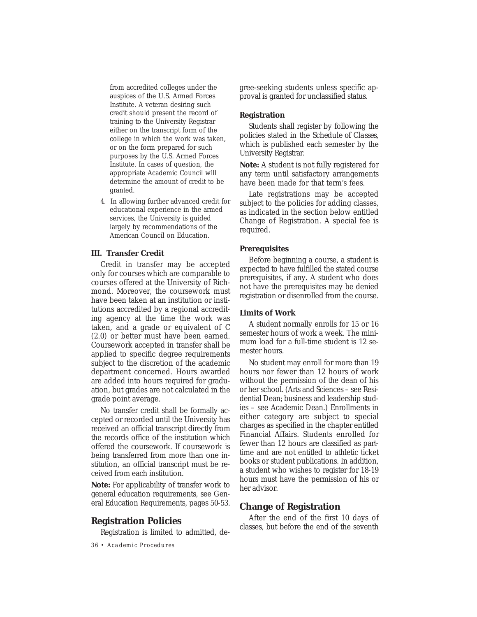from accredited colleges under the auspices of the U.S. Armed Forces Institute. A veteran desiring such credit should present the record of training to the University Registrar either on the transcript form of the college in which the work was taken, or on the form prepared for such purposes by the U.S. Armed Forces Institute. In cases of question, the appropriate Academic Council will determine the amount of credit to be granted.

4. In allowing further advanced credit for educational experience in the armed services, the University is guided largely by recommendations of the American Council on Education.

#### **III. Transfer Credit**

Credit in transfer may be accepted only for courses which are comparable to courses offered at the University of Richmond. Moreover, the coursework must have been taken at an institution or institutions accredited by a regional accrediting agency at the time the work was taken, and a grade or equivalent of *C* (2.0) or better must have been earned. Coursework accepted in transfer shall be applied to specific degree requirements subject to the discretion of the academic department concerned. Hours awarded are added into hours required for graduation, but grades are not calculated in the grade point average.

No transfer credit shall be formally accepted or recorded until the University has received an official transcript directly from the records office of the institution which offered the coursework. If coursework is being transferred from more than one institution, an official transcript must be received from each institution.

**Note:** For applicability of transfer work to general education requirements, see General Education Requirements, pages 50-53.

#### **Registration Policies**

Registration is limited to admitted, de-

*36 • Academic Procedures*

gree-seeking students unless specific approval is granted for unclassified status.

#### **Registration**

Students shall register by following the policies stated in the *Schedule of Classes*, which is published each semester by the University Registrar.

**Note:** A student is not fully registered for any term until satisfactory arrangements have been made for that term's fees.

Late registrations may be accepted subject to the policies for adding classes, as indicated in the section below entitled Change of Registration. A special fee is required.

#### **Prerequisites**

Before beginning a course, a student is expected to have fulfilled the stated course prerequisites, if any. A student who does not have the prerequisites may be denied registration or disenrolled from the course.

#### **Limits of Work**

A student normally enrolls for 15 or 16 semester hours of work a week. The minimum load for a full-time student is 12 semester hours.

No student may enroll for more than 19 hours nor fewer than 12 hours of work without the permission of the dean of his or her school. (Arts and Sciences – see Residential Dean; business and leadership studies – see Academic Dean.) Enrollments in either category are subject to special charges as specified in the chapter entitled Financial Affairs. Students enrolled for fewer than 12 hours are classified as parttime and are not entitled to athletic ticket books or student publications. In addition, a student who wishes to register for 18-19 hours must have the permission of his or her advisor.

#### **Change of Registration**

After the end of the first 10 days of classes, but before the end of the seventh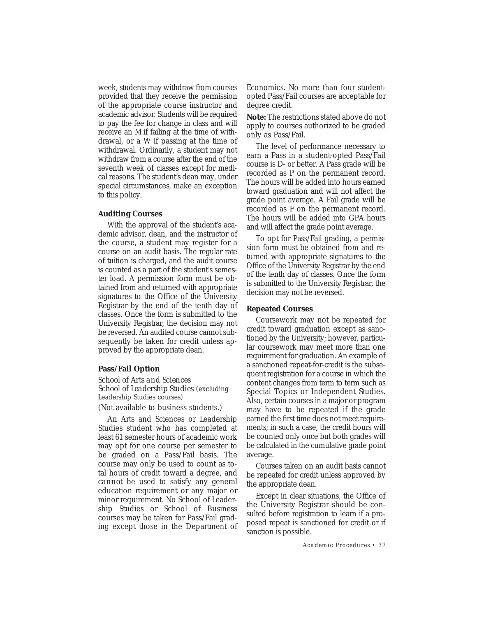week, students may withdraw from courses provided that they receive the permission of the appropriate course instructor and academic advisor. Students will be required to pay the fee for change in class and will receive an *M* if failing at the time of withdrawal, or a *W* if passing at the time of withdrawal. Ordinarily, a student may not withdraw from a course after the end of the seventh week of classes except for medical reasons. The student's dean may, under special circumstances, make an exception to this policy.

### **Auditing Courses**

With the approval of the student's academic advisor, dean, and the instructor of the course, a student may register for a course on an audit basis. The regular rate of tuition is charged, and the audit course is counted as a part of the student's semester load. A permission form must be obtained from and returned with appropriate signatures to the Office of the University Registrar by the end of the tenth day of classes. Once the form is submitted to the University Registrar, the decision may not be reversed. An audited course cannot subsequently be taken for credit unless approved by the appropriate dean.

# **Pass/Fail Option**

# *School of Arts and Sciences School of Leadership Studies* (excluding Leadership Studies courses)

(Not available to business students.)

An Arts and Sciences or Leadership Studies student who has completed at least 61 semester hours of academic work may opt for one course per semester to be graded on a Pass/Fail basis. The course may only be used to count as total hours of credit toward a degree, and *cannot* be used to satisfy any general education requirement or any major or minor requirement. No School of Leadership Studies or School of Business courses may be taken for Pass/Fail grading except those in the Department of Economics. No more than four studentopted Pass/Fail courses are acceptable for degree credit.

**Note:** The restrictions stated above do not apply to courses authorized to be graded only as Pass/Fail.

The level of performance necessary to earn a Pass in a student-opted Pass/Fail course is *D*- or better. A Pass grade will be recorded as *P* on the permanent record. The hours will be added into hours earned toward graduation and will not affect the grade point average. A Fail grade will be recorded as *F* on the permanent record. The hours will be added into GPA hours and will affect the grade point average.

To opt for Pass/Fail grading, a permission form must be obtained from and returned with appropriate signatures to the Office of the University Registrar by the end of the tenth day of classes. Once the form is submitted to the University Registrar, the decision may not be reversed.

### **Repeated Courses**

Coursework may not be repeated for credit toward graduation except as sanctioned by the University; however, particular coursework may meet more than one requirement for graduation. An example of a sanctioned repeat-for-credit is the subsequent registration for a course in which the content changes from term to term such as Special Topics or Independent Studies. Also, certain courses in a major or program may have to be repeated if the grade earned the first time does not meet requirements; in such a case, the credit hours will be counted only once but both grades will be calculated in the cumulative grade point average.

Courses taken on an audit basis cannot be repeated for credit unless approved by the appropriate dean.

Except in clear situations, the Office of the University Registrar should be consulted before registration to learn if a proposed repeat is sanctioned for credit or if sanction is possible.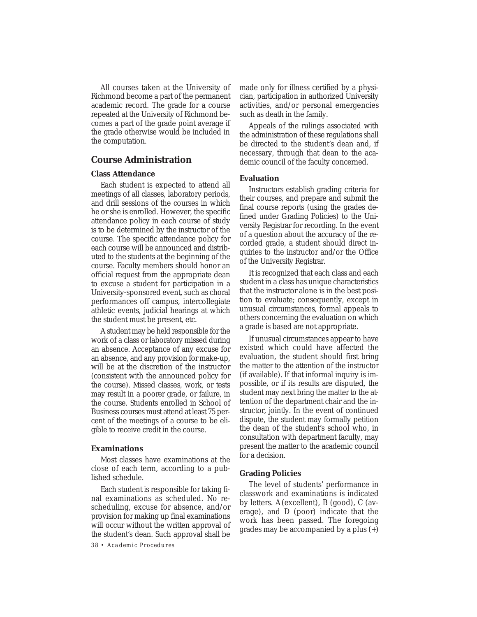All courses taken at the University of Richmond become a part of the permanent academic record. The grade for a course repeated at the University of Richmond becomes a part of the grade point average if the grade otherwise would be included in the computation.

# **Course Administration**

# **Class Attendance**

Each student is expected to attend all meetings of all classes, laboratory periods, and drill sessions of the courses in which he or she is enrolled. However, the specific attendance policy in each course of study is to be determined by the instructor of the course. The specific attendance policy for each course will be announced and distributed to the students at the beginning of the course. Faculty members should honor an official request from the appropriate dean to excuse a student for participation in a University-sponsored event, such as choral performances off campus, intercollegiate athletic events, judicial hearings at which the student must be present, etc.

A student may be held responsible for the work of a class or laboratory missed during an absence. Acceptance of any excuse for an absence, and any provision for make-up, will be at the discretion of the instructor (consistent with the announced policy for the course). Missed classes, work, or tests may result in a poorer grade, or failure, in the course. Students enrolled in School of Business courses must attend at least 75 percent of the meetings of a course to be eligible to receive credit in the course.

# **Examinations**

Most classes have examinations at the close of each term, according to a published schedule.

Each student is responsible for taking final examinations as scheduled. No rescheduling, excuse for absence, and/or provision for making up final examinations will occur without the written approval of the student's dean. Such approval shall be

*38 • Academic Procedures*

made only for illness certified by a physician, participation in authorized University activities, and/or personal emergencies such as death in the family.

Appeals of the rulings associated with the administration of these regulations shall be directed to the student's dean and, if necessary, through that dean to the academic council of the faculty concerned.

### **Evaluation**

Instructors establish grading criteria for their courses, and prepare and submit the final course reports (using the grades defined under Grading Policies) to the University Registrar for recording. In the event of a question about the accuracy of the recorded grade, a student should direct inquiries to the instructor and/or the Office of the University Registrar.

It is recognized that each class and each student in a class has unique characteristics that the instructor alone is in the best position to evaluate; consequently, except in unusual circumstances, formal appeals to others concerning the evaluation on which a grade is based are not appropriate.

If unusual circumstances appear to have existed which could have affected the evaluation, the student should first bring the matter to the attention of the instructor (if available). If that informal inquiry is impossible, or if its results are disputed, the student may next bring the matter to the attention of the department chair and the instructor, jointly. In the event of continued dispute, the student may formally petition the dean of the student's school who, in consultation with department faculty, may present the matter to the academic council for a decision.

# **Grading Policies**

The level of students' performance in classwork and examinations is indicated by letters. *A* (excellent), *B* (good), *C* (average), and *D* (poor) indicate that the work has been passed. The foregoing grades may be accompanied by a plus (+)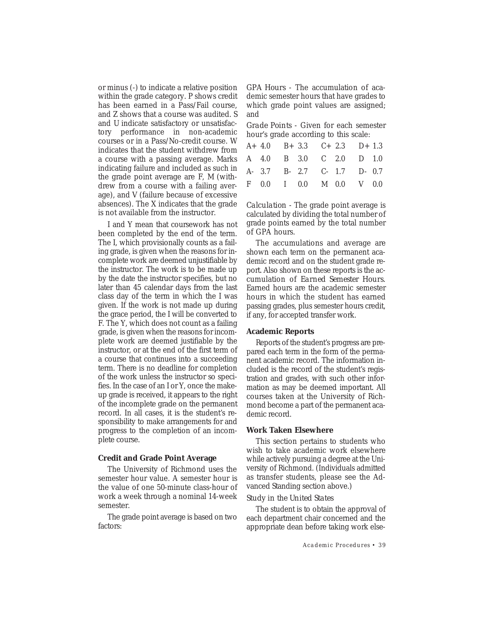or minus (-) to indicate a relative position within the grade category. *P* shows credit has been earned in a Pass/Fail course, and *Z* shows that a course was audited. *S* and *U* indicate satisfactory or unsatisfactory performance in non-academic courses or in a Pass/No-credit course. *W* indicates that the student withdrew from a course with a passing average. Marks indicating failure and included as such in the grade point average are *F*, *M* (withdrew from a course with a failing average), and *V* (failure because of excessive absences). The *X* indicates that the grade is not available from the instructor.

*I* and *Y* mean that coursework has not been completed by the end of the term. The *I*, which provisionally counts as a failing grade, is given when the reasons for incomplete work are deemed unjustifiable by the instructor. The work is to be made up by the date the instructor specifies, but no later than 45 calendar days from the last class day of the term in which the *I* was given. If the work is not made up during the grace period, the *I* will be converted to *F*. The *Y*, which does not count as a failing grade, is given when the reasons for incomplete work are deemed justifiable by the instructor, or at the end of the first term of a course that continues into a succeeding term. There is no deadline for completion of the work unless the instructor so specifies. In the case of an *I* or *Y*, once the makeup grade is received, it appears to the right of the incomplete grade on the permanent record. In all cases, it is the student's responsibility to make arrangements for and progress to the completion of an incomplete course.

### **Credit and Grade Point Average**

The University of Richmond uses the semester hour value. A semester hour is the value of one 50-minute class-hour of work a week through a nominal 14-week semester.

The grade point average is based on two factors:

*GPA Hours* - The accumulation of academic semester hours that have grades to which grade point values are assigned; and

*Grade Points* - Given for each semester hour's grade according to this scale:

|  |  | A+ 4.0 B+ 3.3 C+ 2.3 D+ 1.3 |  |
|--|--|-----------------------------|--|
|  |  | A 4.0 B 3.0 C 2.0 D 1.0     |  |
|  |  | A- 3.7 B- 2.7 C- 1.7 D- 0.7 |  |
|  |  | F 0.0 I 0.0 M 0.0 V 0.0     |  |

*Calculation* - The grade point average is calculated by dividing the total number of grade points earned by the total number of GPA hours.

The accumulations and average are shown each term on the permanent academic record and on the student grade report. Also shown on these reports is the accumulation of *Earned Semester Hours.* Earned hours are the academic semester hours in which the student has earned passing grades, plus semester hours credit, if any, for accepted transfer work.

### **Academic Reports**

Reports of the student's progress are prepared each term in the form of the permanent academic record. The information included is the record of the student's registration and grades, with such other information as may be deemed important. All courses taken at the University of Richmond become a part of the permanent academic record.

### **Work Taken Elsewhere**

This section pertains to students who wish to take academic work elsewhere while actively pursuing a degree at the University of Richmond. (Individuals admitted as transfer students, please see the Advanced Standing section above.)

#### *Study in the United States*

The student is to obtain the approval of each department chair concerned and the appropriate dean before taking work else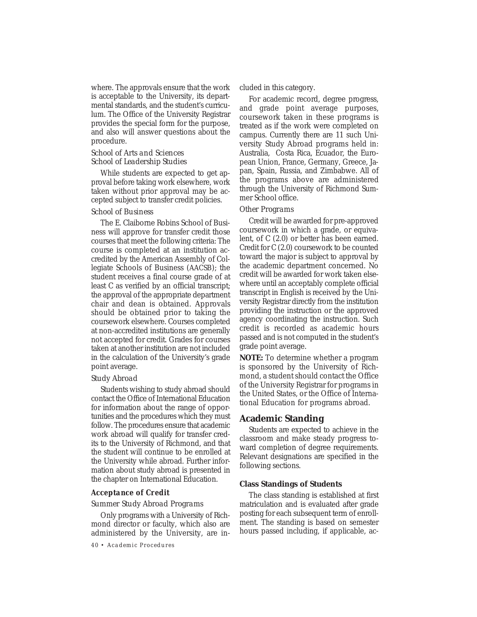where. The approvals ensure that the work is acceptable to the University, its departmental standards, and the student's curriculum. The Office of the University Registrar provides the special form for the purpose, and also will answer questions about the procedure.

# *School of Arts and Sciences School of Leadership Studies*

While students are expected to get approval before taking work elsewhere, work taken without prior approval may be accepted subject to transfer credit policies.

# *School of Business*

The E. Claiborne Robins School of Business will approve for transfer credit those courses that meet the following criteria: The course is completed at an institution accredited by the American Assembly of Collegiate Schools of Business (AACSB); the student receives a final course grade of at least *C* as verified by an official transcript; the approval of the appropriate department chair and dean is obtained. Approvals should be obtained prior to taking the coursework elsewhere. Courses completed at non-accredited institutions are generally not accepted for credit. Grades for courses taken at another institution are not included in the calculation of the University's grade point average.

### *Study Abroad*

Students wishing to study abroad should contact the Office of International Education for information about the range of opportunities and the procedures which they must follow. The procedures ensure that academic work abroad will qualify for transfer credits to the University of Richmond, and that the student will continue to be enrolled at the University while abroad. Further information about study abroad is presented in the chapter on International Education.

# *Acceptance of Credit*

### *Summer Study Abroad Programs*

Only programs with a University of Richmond director or faculty, which also are administered by the University, are in-

*40 • Academic Procedures*

cluded in this category.

For academic record, degree progress, and grade point average purposes, coursework taken in these programs is treated as if the work were completed on campus. Currently there are 11 such University Study Abroad programs held in: Australia, Costa Rica, Ecuador, the European Union, France, Germany, Greece, Japan, Spain, Russia, and Zimbabwe. All of the programs above are administered through the University of Richmond Summer School office.

### *Other Programs*

Credit will be awarded for pre-approved coursework in which a grade, or equivalent, of *C* (2.0) or better has been earned. Credit for *C* (2.0) coursework to be counted toward the major is subject to approval by the academic department concerned. No credit will be awarded for work taken elsewhere until an acceptably complete official transcript in English is received by the University Registrar directly from the institution providing the instruction or the approved agency coordinating the instruction. Such credit is recorded as academic hours passed and is not computed in the student's grade point average.

**NOTE:** To determine whether a program is sponsored by the University of Richmond, a student should contact the Office of the University Registrar for programs in the United States, or the Office of International Education for programs abroad.

# **Academic Standing**

Students are expected to achieve in the classroom and make steady progress toward completion of degree requirements. Relevant designations are specified in the following sections.

# **Class Standings of Students**

The class standing is established at first matriculation and is evaluated after grade posting for each subsequent term of enrollment. The standing is based on semester hours passed including, if applicable, ac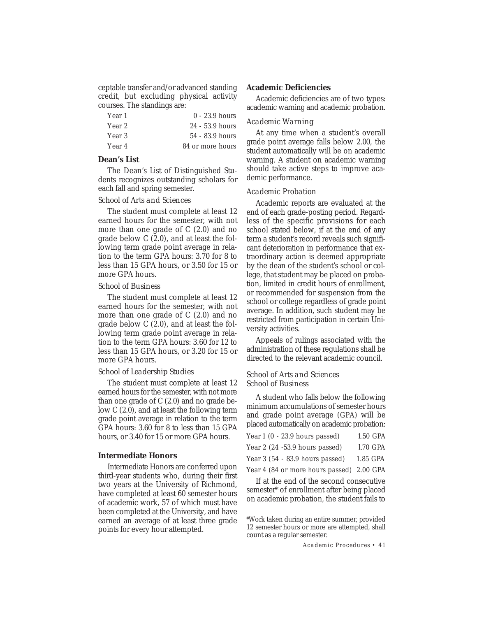ceptable transfer and/or advanced standing credit, but excluding physical activity courses. The standings are:

| Year 1 | $0 - 23.9$ hours  |
|--------|-------------------|
| Year 2 | $24 - 53.9$ hours |
| Year 3 | $54 - 83.9$ hours |
| Year 4 | 84 or more hours  |

### **Dean's List**

The Dean's List of Distinguished Students recognizes outstanding scholars for each fall and spring semester.

#### *School of Arts and Sciences*

The student must complete at least 12 earned hours for the semester, with not more than one grade of *C* (2.0) and no grade below *C* (2.0), and at least the following term grade point average in relation to the term GPA hours: 3.70 for 8 to less than 15 GPA hours, or 3.50 for 15 or more GPA hours.

### *School of Business*

The student must complete at least 12 earned hours for the semester, with not more than one grade of *C* (2.0) and no grade below *C* (2.0), and at least the following term grade point average in relation to the term GPA hours: 3.60 for 12 to less than 15 GPA hours, or 3.20 for 15 or more GPA hours.

### *School of Leadership Studies*

The student must complete at least 12 earned hours for the semester, with not more than one grade of *C* (2.0) and no grade below *C* (2.0), and at least the following term grade point average in relation to the term GPA hours: 3.60 for 8 to less than 15 GPA hours, or 3.40 for 15 or more GPA hours.

# **Intermediate Honors**

Intermediate Honors are conferred upon third-year students who, during their first two years at the University of Richmond, have completed at least 60 semester hours of academic work, 57 of which must have been completed at the University, and have earned an average of at least three grade points for every hour attempted.

### **Academic Deficiencies**

Academic deficiencies are of two types: academic warning and academic probation.

### *Academic Warning*

At any time when a student's overall grade point average falls below 2.00, the student automatically will be on academic warning. A student on academic warning should take active steps to improve academic performance.

# *Academic Probation*

Academic reports are evaluated at the end of each grade-posting period. Regardless of the specific provisions for each school stated below, if at the end of any term a student's record reveals such significant deterioration in performance that extraordinary action is deemed appropriate by the dean of the student's school or college, that student may be placed on probation, limited in credit hours of enrollment, or recommended for suspension from the school or college regardless of grade point average. In addition, such student may be restricted from participation in certain University activities.

Appeals of rulings associated with the administration of these regulations shall be directed to the relevant academic council.

# *School of Arts and Sciences School of Business*

A student who falls below the following minimum accumulations of semester hours and grade point average (GPA) will be placed automatically on academic probation:

| Year $1$ (0 - 23.9 hours passed) | 1.50 GPA   |
|----------------------------------|------------|
| Year $2(24 - 53.9$ hours passed) | $1.70$ GPA |
| Year 3 (54 - 83.9 hours passed)  | 1.85 GPA   |

Year 4 (84 or more hours passed) 2.00 GPA

If at the end of the second consecutive semester\* of enrollment after being placed on academic probation, the student fails to

\*Work taken during an entire summer, provided 12 semester hours or more are attempted, shall count as a regular semester.

*Academic Procedures • 41*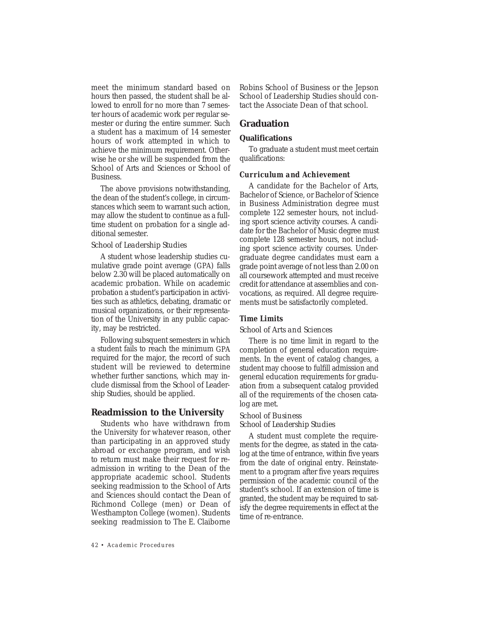meet the minimum standard based on hours then passed, the student shall be allowed to enroll for no more than 7 semester hours of academic work per regular semester or during the entire summer. Such a student has a maximum of 14 semester hours of work attempted in which to achieve the minimum requirement. Otherwise he or she will be suspended from the School of Arts and Sciences or School of Business.

The above provisions notwithstanding, the dean of the student's college, in circumstances which seem to warrant such action, may allow the student to continue as a fulltime student on probation for a single additional semester.

### *School of Leadership Studies*

A student whose leadership studies cumulative grade point average (GPA) falls below 2.30 will be placed automatically on academic probation. While on academic probation a student's participation in activities such as athletics, debating, dramatic or musical organizations, or their representation of the University in any public capacity, may be restricted.

Following subsquent semesters in which a student fails to reach the minimum GPA required for the major, the record of such student will be reviewed to determine whether further sanctions, which may include dismissal from the School of Leadership Studies, should be applied.

# **Readmission to the University**

Students who have withdrawn from the University for whatever reason, other than participating in an approved study abroad or exchange program, and wish to return must make their request for readmission in writing to the Dean of the appropriate academic school. Students seeking readmission to the School of Arts and Sciences should contact the Dean of Richmond College (men) or Dean of Westhampton College (women). Students seeking readmission to The E. Claiborne

Robins School of Business or the Jepson School of Leadership Studies should contact the Associate Dean of that school.

# **Graduation**

# **Qualifications**

To graduate a student must meet certain qualifications:

### *Curriculum and Achievement*

A candidate for the Bachelor of Arts, Bachelor of Science, or Bachelor of Science in Business Administration degree must complete 122 semester hours, not including sport science activity courses. A candidate for the Bachelor of Music degree must complete 128 semester hours, not including sport science activity courses. Undergraduate degree candidates must earn a grade point average of not less than 2.00 on all coursework attempted and must receive credit for attendance at assemblies and convocations, as required. All degree requirements must be satisfactorily completed.

### *Time Limits*

# *School of Arts and Sciences*

There is no time limit in regard to the completion of general education requirements. In the event of catalog changes, a student may choose to fulfill admission and general education requirements for graduation from a subsequent catalog provided all of the requirements of the chosen catalog are met.

# *School of Business School of Leadership Studies*

A student must complete the requirements for the degree, as stated in the catalog at the time of entrance, within five years from the date of original entry. Reinstatement to a program after five years requires permission of the academic council of the student's school. If an extension of time is granted, the student may be required to satisfy the degree requirements in effect at the time of re-entrance.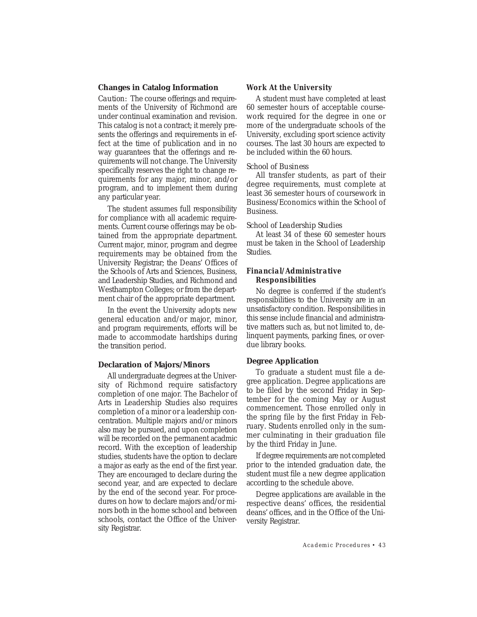### **Changes in Catalog Information**

*Caution:* The course offerings and requirements of the University of Richmond are under continual examination and revision. This catalog is not a contract; it merely presents the offerings and requirements in effect at the time of publication and in no way guarantees that the offerings and requirements will not change. The University specifically reserves the right to change requirements for any major, minor, and/or program, and to implement them during any particular year.

The student assumes full responsibility for compliance with all academic requirements. Current course offerings may be obtained from the appropriate department. Current major, minor, program and degree requirements may be obtained from the University Registrar; the Deans' Offices of the Schools of Arts and Sciences, Business, and Leadership Studies, and Richmond and Westhampton Colleges; or from the department chair of the appropriate department.

In the event the University adopts new general education and/or major, minor, and program requirements, efforts will be made to accommodate hardships during the transition period.

### **Declaration of Majors/Minors**

All undergraduate degrees at the University of Richmond require satisfactory completion of one major. The Bachelor of Arts in Leadership Studies also requires completion of a minor or a leadership concentration. Multiple majors and/or minors also may be pursued, and upon completion will be recorded on the permanent acadmic record. With the exception of leadership studies, students have the option to declare a major as early as the end of the first year. They are encouraged to declare during the second year, and are expected to declare by the end of the second year. For procedures on how to declare majors and/or minors both in the home school and between schools, contact the Office of the University Registrar.

### *Work At the University*

A student must have completed at least 60 semester hours of acceptable coursework required for the degree in one or more of the undergraduate schools of the University, excluding sport science activity courses. The last 30 hours are expected to be included within the 60 hours.

### *School of Business*

All transfer students, as part of their degree requirements, must complete at least 36 semester hours of coursework in Business/Economics within the School of Business.

### *School of Leadership Studies*

At least 34 of these 60 semester hours must be taken in the School of Leadership Studies.

# *Financial/Administrative Responsibilities*

No degree is conferred if the student's responsibilities to the University are in an unsatisfactory condition. Responsibilities in this sense include financial and administrative matters such as, but not limited to, delinquent payments, parking fines, or overdue library books.

### **Degree Application**

To graduate a student must file a degree application. Degree applications are to be filed by the second Friday in September for the coming May or August commencement. Those enrolled only in the spring file by the first Friday in February. Students enrolled only in the summer culminating in their graduation file by the third Friday in June.

If degree requirements are not completed prior to the intended graduation date, the student must file a new degree application according to the schedule above.

Degree applications are available in the respective deans' offices, the residential deans' offices, and in the Office of the University Registrar.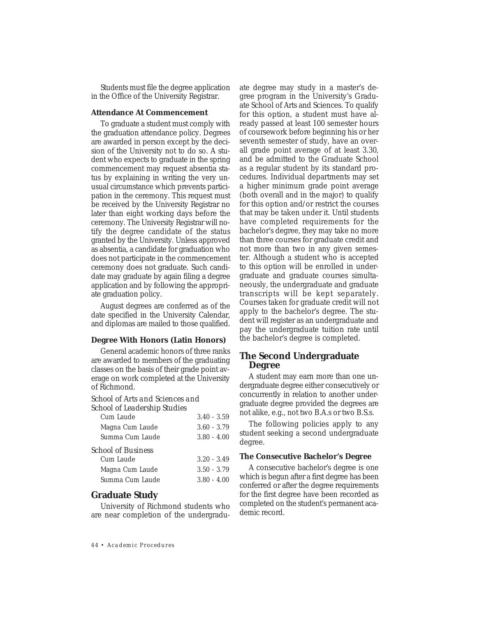Students must file the degree application in the Office of the University Registrar.

### **Attendance At Commencement**

To graduate a student must comply with the graduation attendance policy. Degrees are awarded in person except by the decision of the University not to do so. A student who expects to graduate in the spring commencement may request absentia status by explaining in writing the very unusual circumstance which prevents participation in the ceremony. This request must be received by the University Registrar no later than eight working days before the ceremony. The University Registrar will notify the degree candidate of the status granted by the University. Unless approved as absentia, a candidate for graduation who does not participate in the commencement ceremony does not graduate. Such candidate may graduate by again filing a degree application and by following the appropriate graduation policy.

August degrees are conferred as of the date specified in the University Calendar, and diplomas are mailed to those qualified.

### **Degree With Honors (Latin Honors)**

General academic honors of three ranks are awarded to members of the graduating classes on the basis of their grade point average on work completed at the University of Richmond.

### *School of Arts and Sciences and School of Leadership Studies*

| Cum Laude                 | $3.40 - 3.59$ |
|---------------------------|---------------|
| Magna Cum Laude           | $3.60 - 3.79$ |
| Summa Cum Laude           | $3.80 - 4.00$ |
| <b>School of Business</b> |               |
| Cum Laude                 | $3.20 - 3.49$ |
| Magna Cum Laude           | $3.50 - 3.79$ |
| Summa Cum Laude           | $3.80 - 4.00$ |

# **Graduate Study**

University of Richmond students who are near completion of the undergraduate degree may study in a master's degree program in the University's Graduate School of Arts and Sciences. To qualify for this option, a student must have already passed at least 100 semester hours of coursework before beginning his or her seventh semester of study, have an overall grade point average of at least 3.30, and be admitted to the Graduate School as a regular student by its standard procedures. Individual departments may set a higher minimum grade point average (both overall and in the major) to qualify for this option and/or restrict the courses that may be taken under it. Until students have completed requirements for the bachelor's degree, they may take no more than three courses for graduate credit and not more than two in any given semester. Although a student who is accepted to this option will be enrolled in undergraduate and graduate courses simultaneously, the undergraduate and graduate transcripts will be kept separately. Courses taken for graduate credit will not apply to the bachelor's degree. The student will register as an undergraduate and pay the undergraduate tuition rate until the bachelor's degree is completed.

# **The Second Undergraduate Degree**

A student may earn more than one undergraduate degree either consecutively or concurrently in relation to another undergraduate degree provided the degrees are not alike, e.g., not two B.A.s or two B.S.s.

The following policies apply to any student seeking a second undergraduate degree.

### **The Consecutive Bachelor's Degree**

A consecutive bachelor's degree is one which is begun after a first degree has been conferred or after the degree requirements for the first degree have been recorded as completed on the student's permanent academic record.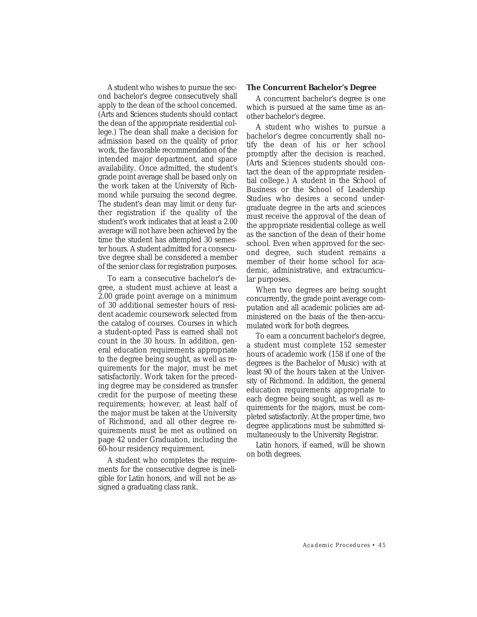A student who wishes to pursue the second bachelor's degree consecutively shall apply to the dean of the school concerned. (Arts and Sciences students should contact the dean of the appropriate residential college.) The dean shall make a decision for admission based on the quality of prior work, the favorable recommendation of the intended major department, and space availability. Once admitted, the student's grade point average shall be based only on the work taken at the University of Richmond while pursuing the second degree. The student's dean may limit or deny further registration if the quality of the student's work indicates that at least a 2.00 average will not have been achieved by the time the student has attempted 30 semester hours. A student admitted for a consecutive degree shall be considered a member of the senior class for registration purposes.

To earn a consecutive bachelor's degree, a student must achieve at least a 2.00 grade point average on a minimum of 30 additional semester hours of resident academic coursework selected from the catalog of courses. Courses in which a student-opted Pass is earned shall not count in the 30 hours. In addition, general education requirements appropriate to the degree being sought, as well as requirements for the major, must be met satisfactorily. Work taken for the preceding degree may be considered as transfer credit for the purpose of meeting these requirements; however, at least half of the major must be taken at the University of Richmond, and all other degree requirements must be met as outlined on page 42 under Graduation, including the 60-hour residency requirement.

A student who completes the requirements for the consecutive degree is ineligible for Latin honors, and will not be assigned a graduating class rank.

### **The Concurrent Bachelor's Degree**

A concurrent bachelor's degree is one which is pursued at the same time as another bachelor's degree.

A student who wishes to pursue a bachelor's degree concurrently shall notify the dean of his or her school promptly after the decision is reached. (Arts and Sciences students should contact the dean of the appropriate residential college.) A student in the School of Business or the School of Leadership Studies who desires a second undergraduate degree in the arts and sciences must receive the approval of the dean of the appropriate residential college as well as the sanction of the dean of their home school. Even when approved for the second degree, such student remains a member of their home school for academic, administrative, and extracurricular purposes.

When two degrees are being sought concurrently, the grade point average computation and all academic policies are administered on the basis of the then-accumulated work for both degrees.

To earn a concurrent bachelor's degree, a student must complete 152 semester hours of academic work (158 if one of the degrees is the Bachelor of Music) with at least 90 of the hours taken at the University of Richmond. In addition, the general education requirements appropriate to each degree being sought, as well as requirements for the majors, must be completed satisfactorily. At the proper time, two degree applications must be submitted simultaneously to the University Registrar.

Latin honors, if earned, will be shown on both degrees.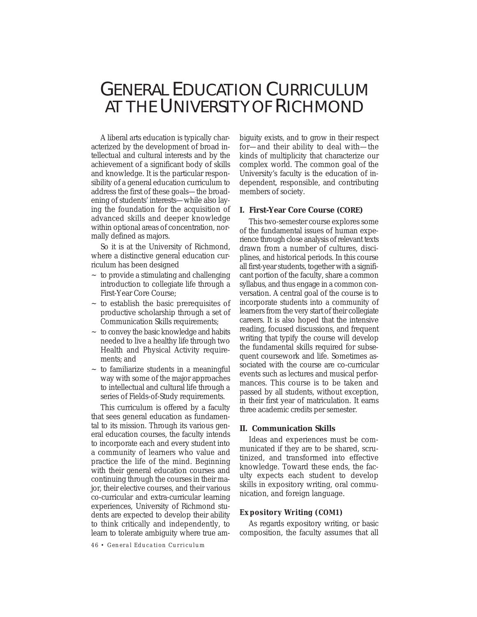# GENERAL EDUCATION CURRICULUM AT THE UNIVERSITY OF RICHMOND

A liberal arts education is typically characterized by the development of broad intellectual and cultural interests and by the achievement of a significant body of skills and knowledge. It is the particular responsibility of a general education curriculum to address the first of these goals—the broadening of students' interests—while also laying the foundation for the acquisition of advanced skills and deeper knowledge within optional areas of concentration, normally defined as majors.

So it is at the University of Richmond, where a distinctive general education curriculum has been designed

- $\sim$  to provide a stimulating and challenging introduction to collegiate life through a First-Year Core Course;
- ~ to establish the basic prerequisites of productive scholarship through a set of Communication Skills requirements;
- ~ to convey the basic knowledge and habits needed to live a healthy life through two Health and Physical Activity requirements; and
- $\sim$  to familiarize students in a meaningful way with some of the major approaches to intellectual and cultural life through a series of Fields-of-Study requirements.

This curriculum is offered by a faculty that sees general education as fundamental to its mission. Through its various general education courses, the faculty intends to incorporate each and every student into a community of learners who value and practice the life of the mind. Beginning with their general education courses and continuing through the courses in their major, their elective courses, and their various co-curricular and extra-curricular learning experiences, University of Richmond students are expected to develop their ability to think critically and independently, to learn to tolerate ambiguity where true am-

biguity exists, and to grow in their respect for—and their ability to deal with—the kinds of multiplicity that characterize our complex world. The common goal of the University's faculty is the education of independent, responsible, and contributing members of society.

# **I. First-Year Core Course (CORE)**

This two-semester course explores some of the fundamental issues of human experience through close analysis of relevant texts drawn from a number of cultures, disciplines, and historical periods. In this course all first-year students, together with a significant portion of the faculty, share a common syllabus, and thus engage in a common conversation. A central goal of the course is to incorporate students into a community of learners from the very start of their collegiate careers. It is also hoped that the intensive reading, focused discussions, and frequent writing that typify the course will develop the fundamental skills required for subsequent coursework and life. Sometimes associated with the course are co-curricular events such as lectures and musical performances. This course is to be taken and passed by all students, without exception, in their first year of matriculation. It earns three academic credits per semester.

# **II. Communication Skills**

Ideas and experiences must be communicated if they are to be shared, scrutinized, and transformed into effective knowledge. Toward these ends, the faculty expects each student to develop skills in expository writing, oral communication, and foreign language.

### *Expository Writing (COM1)*

As regards expository writing, or basic composition, the faculty assumes that all

*46 • General Education Curriculum*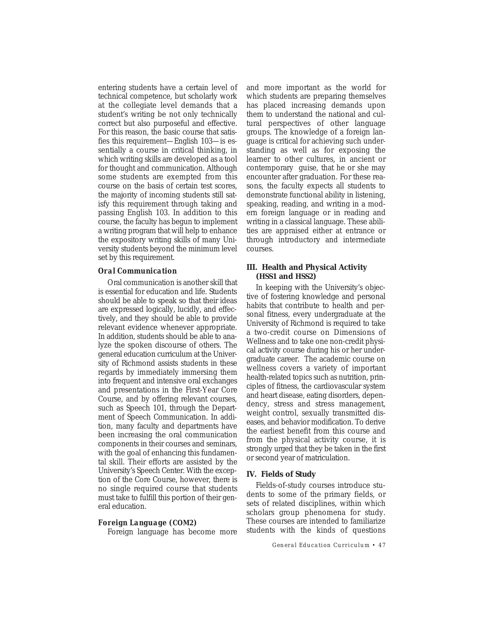entering students have a certain level of technical competence, but scholarly work at the collegiate level demands that a student's writing be not only technically correct but also purposeful and effective. For this reason, the basic course that satisfies this requirement—English 103—is essentially a course in critical thinking, in which writing skills are developed as a tool for thought and communication. Although some students are exempted from this course on the basis of certain test scores, the majority of incoming students still satisfy this requirement through taking and passing English 103. In addition to this course, the faculty has begun to implement a writing program that will help to enhance the expository writing skills of many University students beyond the minimum level set by this requirement.

### *Oral Communication*

Oral communication is another skill that is essential for education and life. Students should be able to speak so that their ideas are expressed logically, lucidly, and effectively, and they should be able to provide relevant evidence whenever appropriate. In addition, students should be able to analyze the spoken discourse of others. The general education curriculum at the University of Richmond assists students in these regards by immediately immersing them into frequent and intensive oral exchanges and presentations in the First-Year Core Course, and by offering relevant courses, such as Speech 101, through the Department of Speech Communication. In addition, many faculty and departments have been increasing the oral communication components in their courses and seminars, with the goal of enhancing this fundamental skill. Their efforts are assisted by the University's Speech Center. With the exception of the Core Course, however, there is no single required course that students must take to fulfill this portion of their general education.

# *Foreign Language (COM2)*

Foreign language has become more

and more important as the world for which students are preparing themselves has placed increasing demands upon them to understand the national and cultural perspectives of other language groups. The knowledge of a foreign language is critical for achieving such understanding as well as for exposing the learner to other cultures, in ancient or contemporary guise, that he or she may encounter after graduation. For these reasons, the faculty expects all students to demonstrate functional ability in listening, speaking, reading, and writing in a modern foreign language or in reading and writing in a classical language. These abilities are appraised either at entrance or through introductory and intermediate courses.

# **III. Health and Physical Activity (HSS1 and HSS2)**

In keeping with the University's objective of fostering knowledge and personal habits that contribute to health and personal fitness, every undergraduate at the University of Richmond is required to take a two-credit course on Dimensions of Wellness and to take one non-credit physical activity course during his or her undergraduate career. The academic course on wellness covers a variety of important health-related topics such as nutrition, principles of fitness, the cardiovascular system and heart disease, eating disorders, dependency, stress and stress management, weight control, sexually transmitted diseases, and behavior modification. To derive the earliest benefit from this course and from the physical activity course, it is strongly urged that they be taken in the first or second year of matriculation.

### **IV. Fields of Study**

Fields-of-study courses introduce students to some of the primary fields, or sets of related disciplines, within which scholars group phenomena for study. These courses are intended to familiarize students with the kinds of questions

*General Education Curriculum • 47*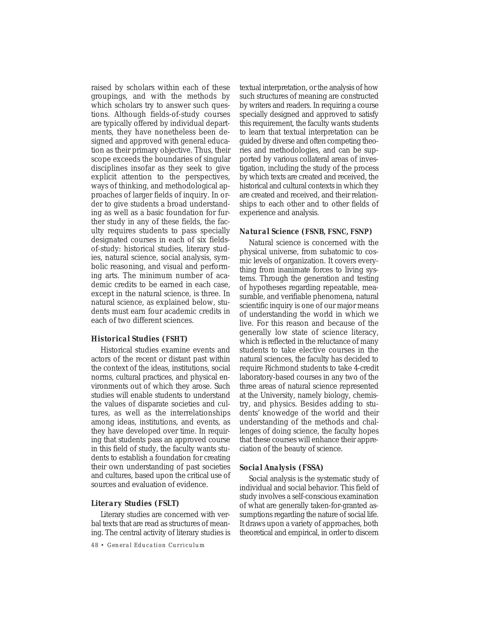raised by scholars within each of these groupings, and with the methods by which scholars try to answer such questions. Although fields-of-study courses are typically offered by individual departments, they have nonetheless been designed and approved with general education as their primary objective. Thus, their scope exceeds the boundaries of singular disciplines insofar as they seek to give explicit attention to the perspectives, ways of thinking, and methodological approaches of larger fields of inquiry. In order to give students a broad understanding as well as a basic foundation for further study in any of these fields, the faculty requires students to pass specially designated courses in each of six fieldsof-study: historical studies, literary studies, natural science, social analysis, symbolic reasoning, and visual and performing arts. The minimum number of academic credits to be earned in each case, except in the natural science, is three. In natural science, as explained below, students must earn four academic credits in each of two different sciences.

### *Historical Studies (FSHT)*

Historical studies examine events and actors of the recent or distant past within the context of the ideas, institutions, social norms, cultural practices, and physical environments out of which they arose. Such studies will enable students to understand the values of disparate societies and cultures, as well as the interrelationships among ideas, institutions, and events, as they have developed over time. In requiring that students pass an approved course in this field of study, the faculty wants students to establish a foundation for creating their own understanding of past societies and cultures, based upon the critical use of sources and evaluation of evidence.

### *Literary Studies (FSLT)*

Literary studies are concerned with verbal texts that are read as structures of meaning. The central activity of literary studies is

*48 • General Education Curriculum*

textual interpretation, or the analysis of how such structures of meaning are constructed by writers and readers. In requiring a course specially designed and approved to satisfy this requirement, the faculty wants students to learn that textual interpretation can be guided by diverse and often competing theories and methodologies, and can be supported by various collateral areas of investigation, including the study of the process by which texts are created and received, the historical and cultural contexts in which they are created and received, and their relationships to each other and to other fields of experience and analysis.

### *Natural Science (FSNB, FSNC, FSNP)*

Natural science is concerned with the physical universe, from subatomic to cosmic levels of organization. It covers everything from inanimate forces to living systems. Through the generation and testing of hypotheses regarding repeatable, measurable, and verifiable phenomena, natural scientific inquiry is one of our major means of understanding the world in which we live. For this reason and because of the generally low state of science literacy, which is reflected in the reluctance of many students to take elective courses in the natural sciences, the faculty has decided to require Richmond students to take 4-credit laboratory-based courses in any two of the three areas of natural science represented at the University, namely biology, chemistry, and physics. Besides adding to students' knowedge of the world and their understanding of the methods and challenges of doing science, the faculty hopes that these courses will enhance their appreciation of the beauty of science.

### *Social Analysis (FSSA)*

Social analysis is the systematic study of individual and social behavior. This field of study involves a self-conscious examination of what are generally taken-for-granted assumptions regarding the nature of social life. It draws upon a variety of approaches, both theoretical and empirical, in order to discern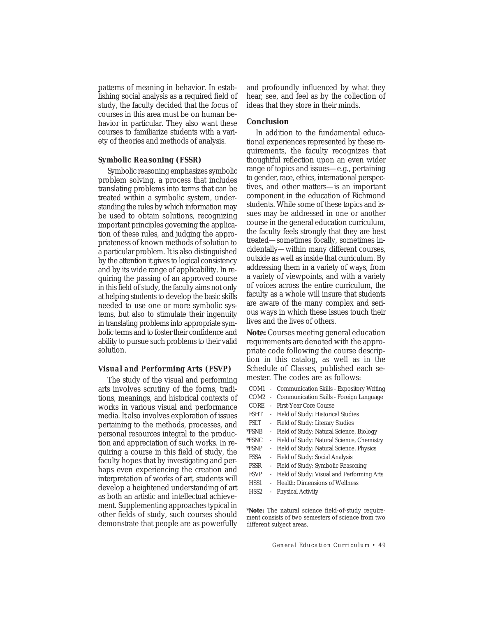patterns of meaning in behavior. In establishing social analysis as a required field of study, the faculty decided that the focus of courses in this area must be on human behavior in particular. They also want these courses to familiarize students with a variety of theories and methods of analysis.

### *Symbolic Reasoning (FSSR)*

Symbolic reasoning emphasizes symbolic problem solving, a process that includes translating problems into terms that can be treated within a symbolic system, understanding the rules by which information may be used to obtain solutions, recognizing important principles governing the application of these rules, and judging the appropriateness of known methods of solution to a particular problem. It is also distinguished by the attention it gives to logical consistency and by its wide range of applicability. In requiring the passing of an approved course in this field of study, the faculty aims not only at helping students to develop the basic skills needed to use one or more symbolic systems, but also to stimulate their ingenuity in translating problems into appropriate symbolic terms and to foster their confidence and ability to pursue such problems to their valid solution.

# *Visual and Performing Arts (FSVP)*

The study of the visual and performing arts involves scrutiny of the forms, traditions, meanings, and historical contexts of works in various visual and performance media. It also involves exploration of issues pertaining to the methods, processes, and personal resources integral to the production and appreciation of such works. In requiring a course in this field of study, the faculty hopes that by investigating and perhaps even experiencing the creation and interpretation of works of art, students will develop a heightened understanding of art as both an artistic and intellectual achievement. Supplementing approaches typical in other fields of study, such courses should demonstrate that people are as powerfully

and profoundly influenced by what they hear, see, and feel as by the collection of ideas that they store in their minds.

# **Conclusion**

In addition to the fundamental educational experiences represented by these requirements, the faculty recognizes that thoughtful reflection upon an even wider range of topics and issues—e.g., pertaining to gender, race, ethics, international perspectives, and other matters—is an important component in the education of Richmond students. While some of these topics and issues may be addressed in one or another course in the general education curriculum, the faculty feels strongly that they are best treated—sometimes focally, sometimes incidentally—within many different courses, outside as well as inside that curriculum. By addressing them in a variety of ways, from a variety of viewpoints, and with a variety of voices across the entire curriculum, the faculty as a whole will insure that students are aware of the many complex and serious ways in which these issues touch their lives and the lives of others.

**Note:** Courses meeting general education requirements are denoted with the appropriate code following the course description in this catalog, as well as in the Schedule of Classes, published each semester. The codes are as follows:

- COM1 Communication Skills Expository Writing
- COM2 Communication Skills Foreign Language
- CORE First-Year Core Course
- FSHT Field of Study: Historical Studies
- FSLT Field of Study: Literary Studies
- \*FSNB Field of Study: Natural Science, Biology
- \*FSNC Field of Study: Natural Science, Chemistry
- \*FSNP Field of Study: Natural Science, Physics
- FSSA Field of Study: Social Analysis
- FSSR Field of Study: Symbolic Reasoning
- FSVP Field of Study: Visual and Performing Arts
- HSS1 Health: Dimensions of Wellness
- HSS2 Physical Activity

**\*Note:** The natural science field-of-study requirement consists of two semesters of science from two different subject areas.

*General Education Curriculum • 49*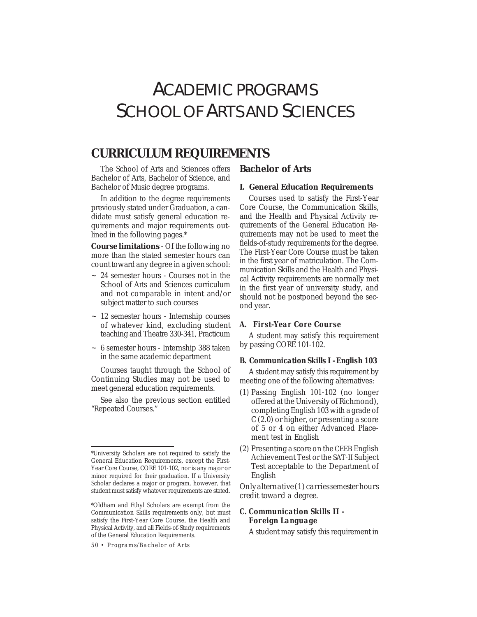# ACADEMIC PROGRAMS SCHOOLOF ARTS AND SCIENCES

# **CURRICULUM REQUIREMENTS**

The School of Arts and Sciences offers Bachelor of Arts, Bachelor of Science, and Bachelor of Music degree programs.

In addition to the degree requirements previously stated under Graduation, a candidate must satisfy general education requirements and major requirements outlined in the following pages.\*

**Course limitations** - Of the following no more than the stated semester hours can count toward any degree in a given school:

- $\sim$  24 semester hours Courses not in the School of Arts and Sciences curriculum and not comparable in intent and/or subject matter to such courses
- ~ 12 semester hours Internship courses of whatever kind, excluding student teaching and Theatre 330-341, Practicum
- ~ 6 semester hours Internship 388 taken in the same academic department

Courses taught through the School of Continuing Studies may not be used to meet general education requirements.

See also the previous section entitled "Repeated Courses."

# **Bachelor of Arts**

### **I. General Education Requirements**

Courses used to satisfy the First-Year Core Course, the Communication Skills, and the Health and Physical Activity requirements of the General Education Requirements may not be used to meet the fields-of-study requirements for the degree. The First-Year Core Course must be taken in the first year of matriculation. The Communication Skills and the Health and Physical Activity requirements are normally met in the first year of university study, and should not be postponed beyond the second year.

### *A. First-Year Core Course*

A student may satisfy this requirement by passing CORE 101-102.

### *B. Communication Skills I - English 103*

A student may satisfy this requirement by meeting one of the following alternatives:

- (1) Passing English 101-102 (no longer offered at the University of Richmond), completing English 103 with a grade of *C* (2.0) or higher, or presenting a score of 5 or 4 on either Advanced Placement test in English
- (2) Presenting a score on the CEEB English Achievement Test or the SAT-II Subject Test acceptable to the Department of English

*Only alternative (1) carries semester hours credit toward a degree.*

# *C. Communication Skills II - Foreign Language*

A student may satisfy this requirement in

<sup>\*</sup>University Scholars are not required to satisfy the General Education Requirements, except the First-Year Core Course, CORE 101-102, nor is any major or minor required for their graduation. If a University Scholar declares a major or program, however, that student must satisfy whatever requirements are stated.

<sup>\*</sup>Oldham and Ethyl Scholars are exempt from the Communication Skills requirements only, but must satisfy the First-Year Core Course, the Health and Physical Activity, and all Fields-of-Study requirements of the General Education Requirements.

*<sup>50 •</sup> Programs/Bachelor of Arts*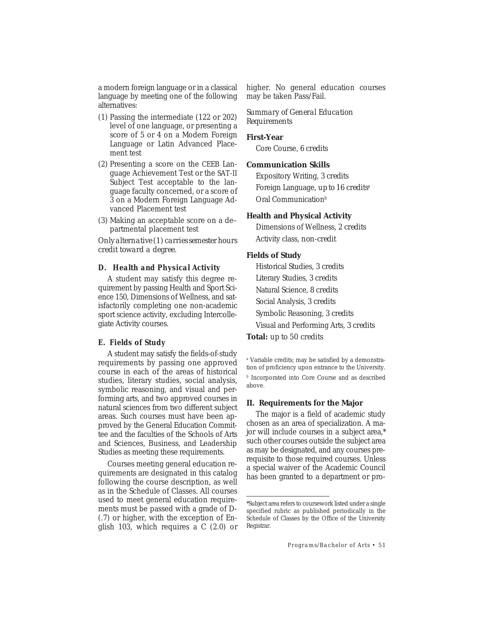a modern foreign language or in a classical language by meeting one of the following alternatives:

- (1) Passing the intermediate (122 or 202) level of one language, or presenting a score of 5 or 4 on a Modern Foreign Language or Latin Advanced Placement test
- (2) Presenting a score on the CEEB Language Achievement Test or the SAT-II Subject Test acceptable to the language faculty concerned, or a score of 3 on a Modern Foreign Language Advanced Placement test
- (3) Making an acceptable score on a de– partmental placement test

*Only alternative (1) carries semester hours credit toward a degree.*

# *D. Health and Physical Activity*

A student may satisfy this degree requirement by passing Health and Sport Science 150, Dimensions of Wellness, and satisfactorily completing one non-academic sport science activity, excluding Intercollegiate Activity courses.

### *E. Fields of Study*

A student may satisfy the fields-of-study requirements by passing one approved course in each of the areas of historical studies, literary studies, social analysis, symbolic reasoning, and visual and performing arts, and two approved courses in natural sciences from two different subject areas. Such courses must have been approved by the General Education Committee and the faculties of the Schools of Arts and Sciences, Business, and Leadership Studies as meeting these requirements.

Courses meeting general education requirements are designated in this catalog following the course description, as well as in the Schedule of Classes. All courses used to meet general education requirements must be passed with a grade of *D-* (.7) or higher, with the exception of English 103, which requires a *C* (2.0) or higher. No general education courses may be taken Pass/Fail.

*Summary of General Education Requirements*

# **First-Year**

Core Course, *6 credits*

### **Communication Skills**

Expository Writing, *3 credits* Foreign Language, *up to 16 credits*<sup>a</sup> Oral Communication<sup>b</sup>

#### **Health and Physical Activity**

Dimensions of Wellness, *2 credits* Activity class, *non-credit*

### **Fields of Study**

Historical Studies, *3 credits* Literary Studies, *3 credits* Natural Science, *8 credits* Social Analysis, *3 credits* Symbolic Reasoning, *3 credits* Visual and Performing Arts, *3 credits* **Total:** *up to 50 credits*

a Variable credits; may be satisfied by a demonstration of proficiency upon entrance to the University. **b** Incorporated into Core Course and as described above.

### **II. Requirements for the Major**

The major is a field of academic study chosen as an area of specialization. A major will include courses in a subject area,\* such other courses outside the subject area as may be designated, and any courses prerequisite to those required courses. Unless a special waiver of the Academic Council has been granted to a department or pro-

<sup>\*</sup>Subject area refers to coursework listed under a single specified rubric as published periodically in the Schedule of Classes by the Office of the University Registrar.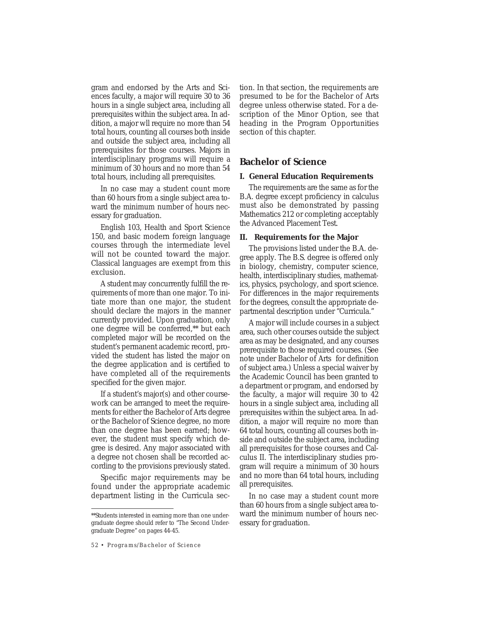gram and endorsed by the Arts and Sciences faculty, a major will require 30 to 36 hours in a single subject area, including all prerequisites within the subject area. In addition, a major wll require no more than 54 total hours, counting all courses both inside and outside the subject area, including all prerequisites for those courses. Majors in interdisciplinary programs will require a minimum of 30 hours and no more than 54 total hours, including all prerequisites.

In no case may a student count more than 60 hours from a single subject area toward the minimum number of hours necessary for graduation.

English 103, Health and Sport Science 150, and basic modern foreign language courses through the intermediate level will not be counted toward the major. Classical languages are exempt from this exclusion.

A student may concurrently fulfill the requirements of more than one major. To initiate more than one major, the student should declare the majors in the manner currently provided. Upon graduation, only one degree will be conferred,\*\* but each completed major will be recorded on the student's permanent academic record, provided the student has listed the major on the degree application and is certified to have completed all of the requirements specified for the given major.

If a student's major(s) and other coursework can be arranged to meet the requirements for either the Bachelor of Arts degree or the Bachelor of Science degree, no more than one degree has been earned; however, the student must specify which degree is desired. Any major associated with a degree not chosen shall be recorded according to the provisions previously stated.

Specific major requirements may be found under the appropriate academic department listing in the Curricula sec-

tion. In that section, the requirements are presumed to be for the Bachelor of Arts degree unless otherwise stated. For a description of the Minor Option, see that heading in the Program Opportunities section of this chapter.

# **Bachelor of Science**

### **I. General Education Requirements**

The requirements are the same as for the B.A. degree except proficiency in calculus must also be demonstrated by passing Mathematics 212 or completing acceptably the Advanced Placement Test.

### **II. Requirements for the Major**

The provisions listed under the B.A. degree apply. The B.S. degree is offered only in biology, chemistry, computer science, health, interdisciplinary studies, mathematics, physics, psychology, and sport science. For differences in the major requirements for the degrees, consult the appropriate departmental description under "Curricula."

A major will include courses in a subject area, such other courses outside the subject area as may be designated, and any courses prerequisite to those required courses. (See note under Bachelor of Arts for definition of subject area.) Unless a special waiver by the Academic Council has been granted to a department or program, and endorsed by the faculty, a major will require 30 to 42 hours in a single subject area, including all prerequisites within the subject area. In addition, a major will require no more than 64 total hours, counting all courses both inside and outside the subject area, including all prerequisites for those courses and Calculus II. The interdisciplinary studies program will require a minimum of 30 hours and no more than 64 total hours, including all prerequisites.

In no case may a student count more than 60 hours from a single subject area toward the minimum number of hours necessary for graduation.

<sup>\*\*</sup>Students interested in earning more than one undergraduate degree should refer to "The Second Undergraduate Degree" on pages 44-45.

*<sup>52 •</sup> Programs/Bachelor of Science*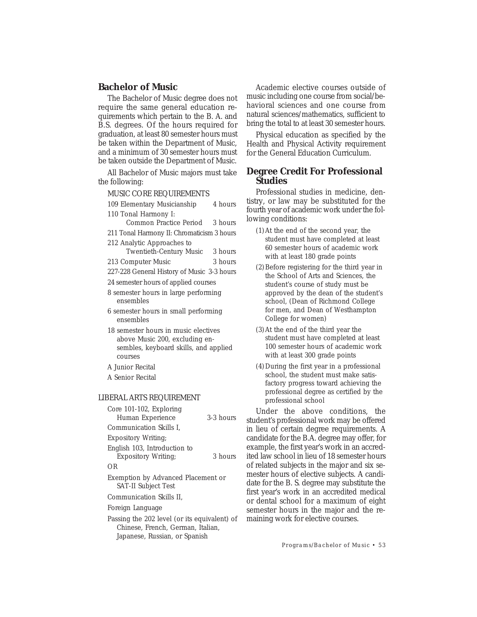# **Bachelor of Music**

The Bachelor of Music degree does not require the same general education requirements which pertain to the B. A. and B.S. degrees. Of the hours required for graduation, at least 80 semester hours must be taken within the Department of Music, and a minimum of 30 semester hours must be taken outside the Department of Music.

All Bachelor of Music majors must take the following:

MUSIC CORE REQUIREMENTS

- 109 Elementary Musicianship 4 hours 110 Tonal Harmony I:
- Common Practice Period 3 hours

211 Tonal Harmony II: Chromaticism 3 hours

- 212 Analytic Approaches to
- Twentieth-Century Music 3 hours
- 213 Computer Music 3 hours

227-228 General History of Music 3-3 hours

- 24 semester hours of applied courses
- 8 semester hours in large performing ensembles
- 6 semester hours in small performing ensembles
- 18 semester hours in music electives above Music 200, excluding ensembles, keyboard skills, and applied courses
- A Junior Recital
- A Senior Recital

# *LIBERAL ARTS REQUIREMENT*

| Core 101-102, Exploring                                   |           |
|-----------------------------------------------------------|-----------|
| Human Experience                                          | 3-3 hours |
| Communication Skills I.                                   |           |
| <b>Expository Writing:</b>                                |           |
| English 103, Introduction to                              |           |
| <b>Expository Writing:</b>                                | 3 hours   |
| OR.                                                       |           |
| Exemption by Advanced Placement or<br>SAT-II Subject Test |           |
| Communication Skills II.                                  |           |
| Foreign Language                                          |           |

Passing the 202 level (or its equivalent) of Chinese, French, German, Italian, Japanese, Russian, or Spanish

Academic elective courses outside of music including one course from social/behavioral sciences and one course from natural sciences/mathematics, sufficient to bring the total to at least 30 semester hours.

Physical education as specified by the Health and Physical Activity requirement for the General Education Curriculum.

# **Degree Credit For Professional Studies**

Professional studies in medicine, dentistry, or law may be substituted for the fourth year of academic work under the following conditions:

- (1)At the end of the second year, the student must have completed at least 60 semester hours of academic work with at least 180 grade points
- (2)Before registering for the third year in the School of Arts and Sciences, the student's course of study must be approved by the dean of the student's school, (Dean of Richmond College for men, and Dean of Westhampton College for women)
- (3)At the end of the third year the student must have completed at least 100 semester hours of academic work with at least 300 grade points
- (4)During the first year in a professional school, the student must make satisfactory progress toward achieving the professional degree as certified by the professional school

Under the above conditions, the student's professional work may be offered in lieu of certain degree requirements. A candidate for the B.A. degree may offer, for example, the first year's work in an accredited law school in lieu of 18 semester hours of related subjects in the major and six semester hours of elective subjects. A candidate for the B. S. degree may substitute the first year's work in an accredited medical or dental school for a maximum of eight semester hours in the major and the remaining work for elective courses.

*Programs/Bachelor of Music • 53*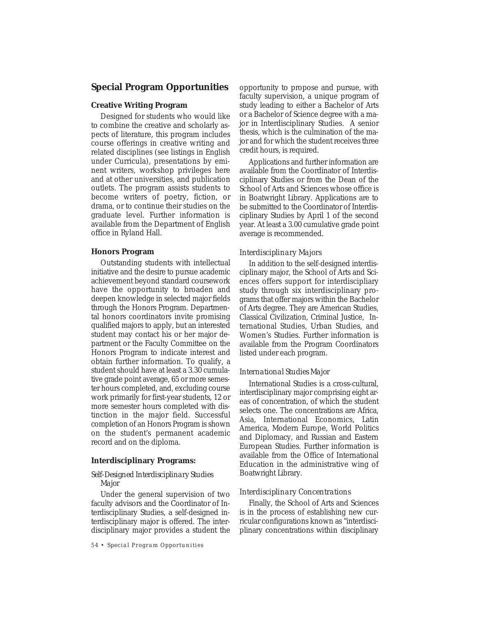# **Special Program Opportunities**

# **Creative Writing Program**

Designed for students who would like to combine the creative and scholarly aspects of literature, this program includes course offerings in creative writing and related disciplines (see listings in English under Curricula), presentations by eminent writers, workshop privileges here and at other universities, and publication outlets. The program assists students to become writers of poetry, fiction, or drama, or to continue their studies on the graduate level. Further information is available from the Department of English office in Ryland Hall.

### **Honors Program**

Outstanding students with intellectual initiative and the desire to pursue academic achievement beyond standard coursework have the opportunity to broaden and deepen knowledge in selected major fields through the Honors Program. Departmental honors coordinators invite promising qualified majors to apply, but an interested student may contact his or her major department or the Faculty Committee on the Honors Program to indicate interest and obtain further information. To qualify, a student should have at least a 3.30 cumulative grade point average, 65 or more semester hours completed, and, excluding course work primarily for first-year students, 12 or more semester hours completed with distinction in the major field. Successful completion of an Honors Program is shown on the student's permanent academic record and on the diploma.

### **Interdisciplinary Programs:**

# *Self-Designed Interdisciplinary Studies Major*

Under the general supervision of two faculty advisors and the Coordinator of Interdisciplinary Studies, a self-designed interdisciplinary major is offered. The interdisciplinary major provides a student the

*54 • Special Program Opportunities*

opportunity to propose and pursue, with faculty supervision, a unique program of study leading to either a Bachelor of Arts or a Bachelor of Science degree with a major in Interdisciplinary Studies. A senior thesis, which is the culmination of the major and for which the student receives three credit hours, is required.

Applications and further information are available from the Coordinator of Interdisciplinary Studies or from the Dean of the School of Arts and Sciences whose office is in Boatwright Library. Applications are to be submitted to the Coordinator of Interdisciplinary Studies by April 1 of the second year. At least a 3.00 cumulative grade point average is recommended.

### *Interdisciplinary Majors*

In addition to the self-designed interdisciplinary major, the School of Arts and Sciences offers support for interdiscipliary study through six interdisciplinary programs that offer majors within the Bachelor of Arts degree. They are American Studies, Classical Civilization, Criminal Justice, International Studies, Urban Studies, and Women's Studies. Further information is available from the Program Coordinators listed under each program.

#### *International Studies Major*

International Studies is a cross-cultural, interdisciplinary major comprising eight areas of concentration, of which the student selects one. The concentrations are Africa, Asia, International Economics, Latin America, Modern Europe, World Politics and Diplomacy, and Russian and Eastern European Studies. Further information is available from the Office of International Education in the administrative wing of Boatwright Library.

### *Interdisciplinary Concentrations*

Finally, the School of Arts and Sciences is in the process of establishing new curricular configurations known as "interdisciplinary concentrations *within* disciplinary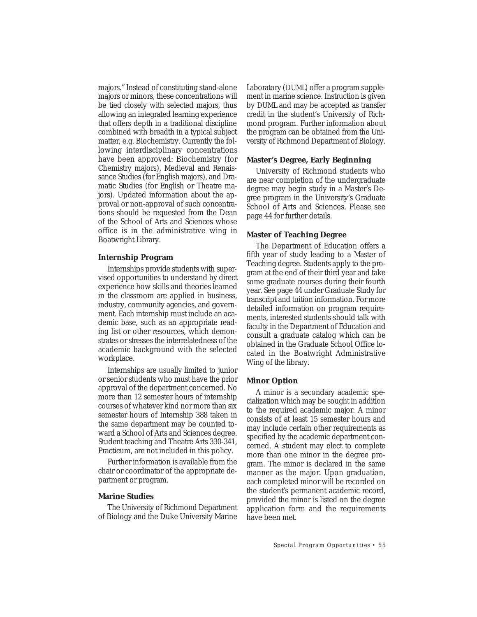majors." Instead of constituting stand-alone majors or minors, these concentrations will be tied closely with selected majors, thus allowing an integrated learning experience that offers depth in a traditional discipline combined with breadth in a typical subject matter, e.g. Biochemistry. Currently the following interdisciplinary concentrations have been approved: Biochemistry (for Chemistry majors), Medieval and Renaissance Studies (for English majors), and Dramatic Studies (for English or Theatre majors). Updated information about the approval or non-approval of such concentrations should be requested from the Dean of the School of Arts and Sciences whose office is in the administrative wing in Boatwright Library.

### **Internship Program**

Internships provide students with supervised opportunities to understand by direct experience how skills and theories learned in the classroom are applied in business, industry, community agencies, and government. Each internship must include an academic base, such as an appropriate reading list or other resources, which demonstrates or stresses the interrelatedness of the academic background with the selected workplace.

Internships are usually limited to junior or senior students who must have the prior approval of the department concerned. No more than 12 semester hours of internship courses of whatever kind nor more than six semester hours of Internship 388 taken in the same department may be counted toward a School of Arts and Sciences degree. Student teaching and Theatre Arts 330-341, Practicum, are not included in this policy.

Further information is available from the chair or coordinator of the appropriate department or program.

# **Marine Studies**

The University of Richmond Department of Biology and the Duke University Marine Laboratory (DUML) offer a program supplement in marine science. Instruction is given by DUML and may be accepted as transfer credit in the student's University of Richmond program. Further information about the program can be obtained from the University of Richmond Department of Biology.

### **Master's Degree, Early Beginning**

University of Richmond students who are near completion of the undergraduate degree may begin study in a Master's Degree program in the University's Graduate School of Arts and Sciences. Please see page 44 for further details.

### **Master of Teaching Degree**

The Department of Education offers a fifth year of study leading to a Master of Teaching degree. Students apply to the program at the end of their third year and take some graduate courses during their fourth year. See page 44 under Graduate Study for transcript and tuition information. For more detailed information on program requirements, interested students should talk with faculty in the Department of Education and consult a graduate catalog which can be obtained in the Graduate School Office located in the Boatwright Administrative Wing of the library.

#### **Minor Option**

A minor is a secondary academic specialization which may be sought in addition to the required academic major. A minor consists of at least 15 semester hours and may include certain other requirements as specified by the academic department concerned. A student may elect to complete more than one minor in the degree program. The minor is declared in the same manner as the major. Upon graduation, each completed minor will be recorded on the student's permanent academic record, provided the minor is listed on the degree application form and the requirements have been met.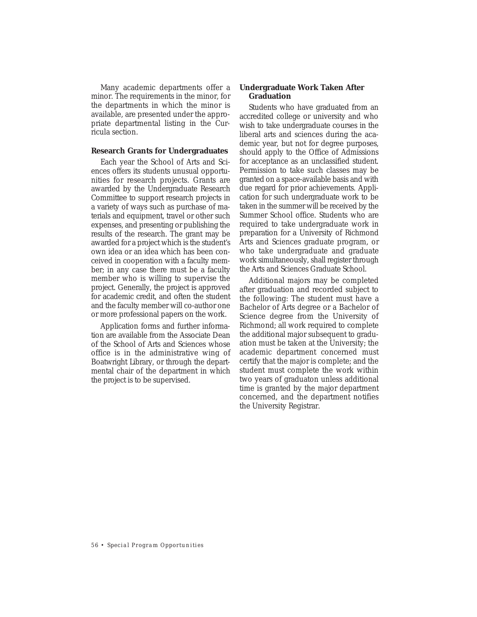Many academic departments offer a minor. The requirements in the minor, for the departments in which the minor is available, are presented under the appropriate departmental listing in the Curricula section.

# **Research Grants for Undergraduates**

Each year the School of Arts and Sciences offers its students unusual opportunities for research projects. Grants are awarded by the Undergraduate Research Committee to support research projects in a variety of ways such as purchase of materials and equipment, travel or other such expenses, and presenting or publishing the results of the research. The grant may be awarded for a project which is the student's own idea or an idea which has been conceived in cooperation with a faculty member; in any case there must be a faculty member who is willing to supervise the project. Generally, the project is approved for academic credit, and often the student and the faculty member will co-author one or more professional papers on the work.

Application forms and further information are available from the Associate Dean of the School of Arts and Sciences whose office is in the administrative wing of Boatwright Library, or through the departmental chair of the department in which the project is to be supervised.

# **Undergraduate Work Taken After Graduation**

Students who have graduated from an accredited college or university and who wish to take undergraduate courses in the liberal arts and sciences during the academic year, but not for degree purposes, should apply to the Office of Admissions for acceptance as an unclassified student. Permission to take such classes may be granted on a space-available basis and with due regard for prior achievements. Application for such undergraduate work to be taken in the summer will be received by the Summer School office. Students who are required to take undergraduate work in preparation for a University of Richmond Arts and Sciences graduate program, or who take undergraduate and graduate work simultaneously, shall register through the Arts and Sciences Graduate School.

Additional majors may be completed after graduation and recorded subject to the following: The student must have a Bachelor of Arts degree or a Bachelor of Science degree from the University of Richmond; all work required to complete the additional major subsequent to graduation must be taken at the University; the academic department concerned must certify that the major is complete; and the student must complete the work within two years of graduaton unless additional time is granted by the major department concerned, and the department notifies the University Registrar.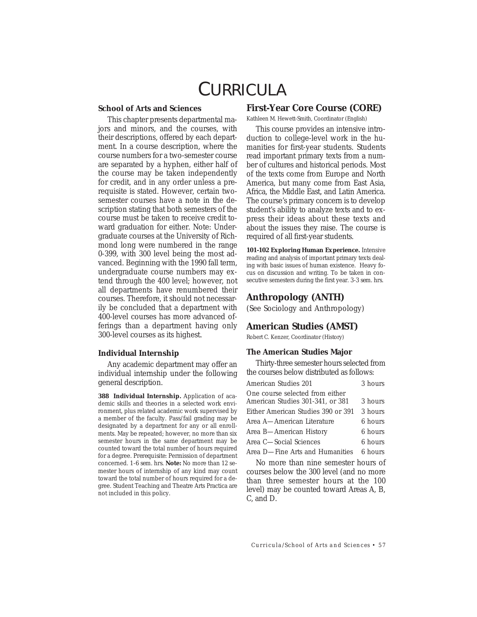# **CURRICULA**

# **School of Arts and Sciences**

This chapter presents departmental majors and minors, and the courses, with their descriptions, offered by each department. In a course description, where the course numbers for a two-semester course are separated by a hyphen, either half of the course may be taken independently for credit, and in any order unless a prerequisite is stated. However, certain twosemester courses have a note in the description stating that both semesters of the course must be taken to receive credit toward graduation for either. Note: Undergraduate courses at the University of Richmond long were numbered in the range 0-399, with 300 level being the most advanced. Beginning with the 1990 fall term, undergraduate course numbers may extend through the 400 level; however, not all departments have renumbered their courses. Therefore, it should not necessarily be concluded that a department with 400-level courses has more advanced offerings than a department having only 300-level courses as its highest.

### **Individual Internship**

Any academic department may offer an individual internship under the following general description.

**388 Individual Internship.** Application of academic skills and theories in a selected work environment, plus related academic work supervised by a member of the faculty. Pass/fail grading may be designated by a department for any or all enrollments. May be repeated; however, no more than six semester hours in the same department may be counted toward the total number of hours required for a degree. *Prerequisite:* Permission of department concerned. *1-6 sem. hrs.* **Note:** No more than 12 semester hours of internship of any kind may count toward the total number of hours required for a degree. Student Teaching and Theatre Arts Practica are not included in this policy.

# **First-Year Core Course (CORE)**

Kathleen M. Hewett-Smith, Coordinator (English)

This course provides an intensive introduction to college-level work in the humanities for first-year students. Students read important primary texts from a number of cultures and historical periods. Most of the texts come from Europe and North America, but many come from East Asia, Africa, the Middle East, and Latin America. The course's primary concern is to develop student's ability to analyze texts and to express their ideas about these texts and about the issues they raise. The course is required of all first-year students.

**101-102 Exploring Human Experience.** Intensive reading and analysis of important primary texts dealing with basic issues of human existence. Heavy focus on discussion and writing. To be taken in consecutive semesters during the first year. *3-3 sem. hrs.*

# **Anthropology (ANTH)**

(See Sociology and Anthropology)

# **American Studies (AMST)**

Robert C. Kenzer, Coordinator (History)

### **The American Studies Major**

| Thirty-three semester hours selected from<br>the courses below distributed as follows: |         |  |  |
|----------------------------------------------------------------------------------------|---------|--|--|
| American Studies 201                                                                   | 3 hours |  |  |
| One course selected from either<br>American Studies 301-341, or 381                    | 3 hours |  |  |
| Either American Studies 390 or 391                                                     | 3 hours |  |  |
| Area A—American Literature                                                             | 6 hours |  |  |
| Area B—American History                                                                | 6 hours |  |  |
| Area C—Social Sciences                                                                 | 6 hours |  |  |
| Area D—Fine Arts and Humanities                                                        | 6 hours |  |  |

No more than nine semester hours of courses below the 300 level (and no more than three semester hours at the 100 level) may be counted toward Areas A, B, C, and D.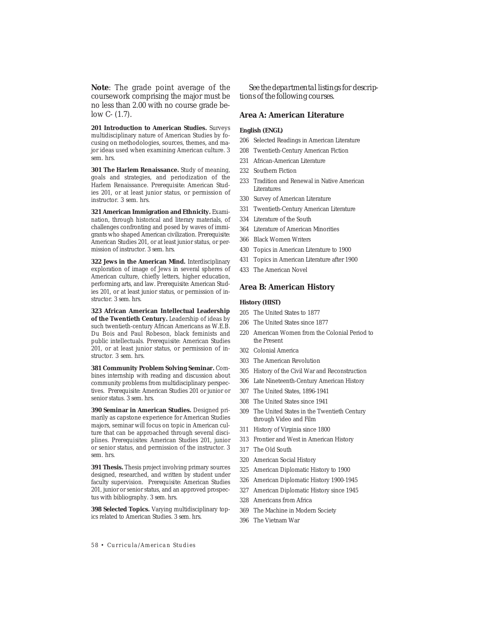**Note**: The grade point average of the coursework comprising the major must be no less than 2.00 with no course grade below *C-* (1.7).

**201 Introduction to American Studies.** Surveys multidisciplinary nature of American Studies by focusing on methodologies, sources, themes, and major ideas used when examining American culture. *3 sem. hrs.*

**301 The Harlem Renaissance.** Study of meaning, goals and strategies, and periodization of the Harlem Renaissance. *Prerequisite:* American Studies 201, or at least junior status, or permission of instructor. *3 sem. hrs.*

**321 American Immigration and Ethnicity.** Examination, through historical and literary materials, of challenges confronting and posed by waves of immigrants who shaped American civilization. *Prerequisite*: American Studies 201, or at least junior status, or permission of instructor. *3 sem. hrs.*

**322 Jews in the American Mind.** Interdisciplinary exploration of image of Jews in several spheres of American culture, chiefly letters, higher education, performing arts, and law. *Prerequisite*: American Studies 201, or at least junior status, or permission of instructor. *3 sem. hrs.*

**323 African American Intellectual Leadership of the Twentieth Century.** Leadership of ideas by such twentieth-century African Americans as W.E.B. Du Bois and Paul Robeson, black feminists and public intellectuals. *Prerequisite*: American Studies 201, or at least junior status, or permission of instructor. *3 sem. hrs.*

**381 Community Problem Solving Seminar.** Combines internship with reading and discussion about community problems from multidisciplinary perspectives. *Prerequisite*: American Studies 201 or junior or senior status. *3 sem. hrs.*

**390 Seminar in American Studies.** Designed primarily as capstone experience for American Studies majors, seminar will focus on topic in American culture that can be approached through several disciplines. *Prerequisites*: American Studies 201, junior or senior status, and permission of the instructor. *3 sem. hrs.*

**391 Thesis.** Thesis project involving primary sources designed, researched, and written by student under faculty supervision. *Prerequisite*: American Studies 201, junior or senior status, and an approved prospectus with bibliography. *3 sem. hrs.*

**398 Selected Topics.** Varying multidisciplinary topics related to American Studies. *3 sem. hrs.*

*See the departmental listings for descriptions of the following courses.*

# **Area A: American Literature**

#### **English (ENGL)**

- 206 Selected Readings in American Literature
- 208 Twentieth-Century American Fiction
- 231 African-American Literature
- 232 Southern Fiction
- 233 Tradition and Renewal in Native American Literatures
- 330 Survey of American Literature
- 331 Twentieth-Century American Literature
- 334 Literature of the South
- 364 Literature of American Minorities
- 366 Black Women Writers
- 430 Topics in American Literature to 1900
- 431 Topics in American Literature after 1900
- 433 The American Novel

### **Area B: American History**

#### **History (HIST)**

- 205 The United States to 1877
- 206 The United States since 1877
- 220 American Women from the Colonial Period to the Present
- 302 Colonial America
- 303 The American Revolution
- 305 History of the Civil War and Reconstruction
- 306 Late Nineteenth-Century American History
- 307 The United States, 1896-1941
- 308 The United States since 1941
- 309 The United States in the Twentieth Century through Video and Film
- 311 History of Virginia since 1800
- 313 Frontier and West in American History
- 317 The Old South
- 320 American Social History
- 325 American Diplomatic History to 1900
- 326 American Diplomatic History 1900-1945
- 327 American Diplomatic History since 1945
- 328 Americans from Africa
- 369 The Machine in Modern Society
- 396 The Vietnam War

*58 • Curricula/American Studies*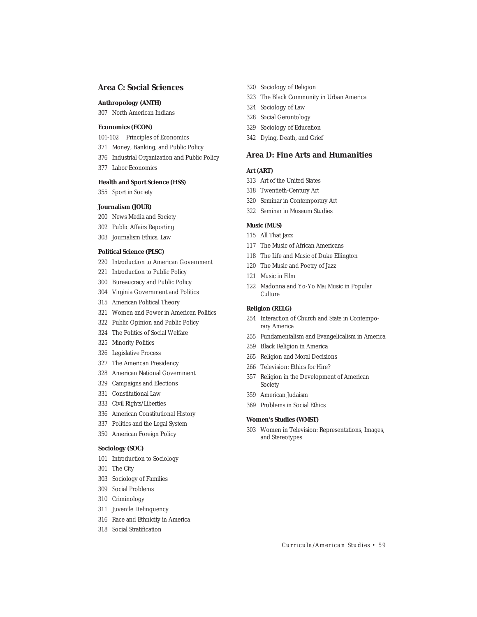# **Area C: Social Sciences**

#### **Anthropology (ANTH)**

307 North American Indians

### **Economics (ECON)**

- 101-102 Principles of Economics
- 371 Money, Banking, and Public Policy
- 376 Industrial Organization and Public Policy
- 377 Labor Economics

#### **Health and Sport Science (HSS)**

355 Sport in Society

#### **Journalism (JOUR)**

- 200 News Media and Society
- 302 Public Affairs Reporting
- 303 Journalism Ethics, Law

#### **Political Science (PLSC)**

- 220 Introduction to American Government
- 221 Introduction to Public Policy
- 300 Bureaucracy and Public Policy
- 304 Virginia Government and Politics
- 315 American Political Theory
- 321 Women and Power in American Politics
- 322 Public Opinion and Public Policy
- 324 The Politics of Social Welfare
- 325 Minority Politics
- 326 Legislative Process
- 327 The American Presidency
- 328 American National Government
- 329 Campaigns and Elections
- 331 Constitutional Law
- 333 Civil Rights/Liberties
- 336 American Constitutional History
- 337 Politics and the Legal System
- 350 American Foreign Policy

### **Sociology (SOC)**

- 101 Introduction to Sociology
- 301 The City
- 303 Sociology of Families
- 309 Social Problems
- 310 Criminology
- 311 Juvenile Delinquency
- 316 Race and Ethnicity in America
- 318 Social Stratification
- 320 Sociology of Religion
- 323 The Black Community in Urban America
- 324 Sociology of Law
- 328 Social Gerontology
- 329 Sociology of Education
- 342 Dying, Death, and Grief

# **Area D: Fine Arts and Humanities**

### **Art (ART)**

- 313 Art of the United States
- 318 Twentieth-Century Art
- 320 Seminar in Contemporary Art
- 322 Seminar in Museum Studies

#### **Music (MUS)**

- 115 All That Jazz
- 117 The Music of African Americans
- 118 The Life and Music of Duke Ellington
- 120 The Music and Poetry of Jazz
- 121 Music in Film
- 122 Madonna and Yo-Yo Ma: Music in Popular **Culture**

### **Religion (RELG)**

- 254 Interaction of Church and State in Contemporary America
- 255 Fundamentalism and Evangelicalism in America
- 259 Black Religion in America
- 265 Religion and Moral Decisions
- 266 Television: Ethics for Hire?
- 357 Religion in the Development of American Society
- 359 American Judaism
- 369 Problems in Social Ethics

### **Women's Studies (WMST)**

303 Women in Television: Representations, Images, and Stereotypes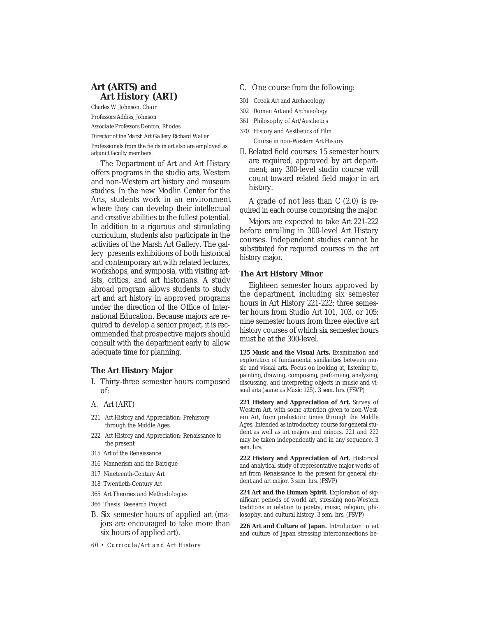# **Art (ARTS) and Art History (ART)**

Charles W. Johnson, *Chair Professors* Addiss, Johnson

*Associate Professors* Denton, Rhodes

*Director of the Marsh Art Gallery* Richard Waller

Professionals from the fields in art also are employed as adjunct faculty members.

The Department of Art and Art History offers programs in the studio arts, Western and non-Western art history and museum studies. In the new Modlin Center for the Arts, students work in an environment where they can develop their intellectual and creative abilities to the fullest potential. In addition to a rigorous and stimulating curriculum, students also participate in the activities of the Marsh Art Gallery. The gallery presents exhibitions of both historical and contemporary art with related lectures, workshops, and symposia, with visiting artists, critics, and art historians. A study abroad program allows students to study art and art history in approved programs under the direction of the Office of International Education. Because majors are required to develop a senior project, it is recommended that prospective majors should consult with the department early to allow adequate time for planning.

# **The Art History Major**

- I. Thirty-three semester hours composed of:
- A. Art (ART)
- 221 Art History and Appreciation: Prehistory through the Middle Ages
- 222 Art History and Appreciation: Renaissance to the present
- 315 Art of the Renaissance
- 316 Mannerism and the Baroque
- 317 Nineteenth-Century Art
- 318 Twentieth-Century Art
- 365 Art Theories and Methodologies
- 366 Thesis: Research Project
- B. Six semester hours of applied art (majors are encouraged to take more than six hours of applied art).
- *60 Curricula/Art and Art History*
- C. One course from the following:
- 301 Greek Art and Archaeology
- 302 Roman Art and Archaeology
- 361 Philosophy of Art/Aesthetics
- 370 History and Aesthetics of Film Course in non-Western Art History
- II. Related field courses: 15 semester hours are required, approved by art department; any 300-level studio course will count toward related field major in art history.

A grade of not less than C (2.0) is required in each course comprising the major.

Majors are expected to take Art 221-222 before enrolling in 300-level Art History courses. Independent studies cannot be substituted for required courses in the art history major.

### **The Art History Minor**

Eighteen semester hours approved by the department, including six semester hours in Art History 221-222; three semester hours from Studio Art 101, 103, or 105; nine semester hours from three elective art history courses of which six semester hours must be at the 300-level.

**125 Music and the Visual Arts.** Examination and exploration of fundamental similarities between music and visual arts. Focus on looking at, listening to, painting, drawing, composing, performing, analyzing, discussing, and interpreting objects in music and visual arts (same as Music 125). *3 sem. hrs.* (FSVP)

**221 History and Appreciation of Art.** Survey of Western Art, with some attention given to non-Western Art, from prehistoric times through the Middle Ages. Intended as introductory course for general student as well as art majors and minors. 221 and 222 may be taken independently and in any sequence. *3 sem. hrs.*

**222 History and Appreciation of Art.** Historical and analytical study of representative major works of art from Renaissance to the present for general student and art major. *3 sem. hrs.* (FSVP)

**224 Art and the Human Spirit.** Exploration of significant periods of world art, stressing non-Western traditions in relation to poetry, music, religion, philosophy, and cultural history. *3 sem. hrs.* (FSVP)

**226 Art and Culture of Japan.** Introduction to art and culture of Japan stressing interconnections be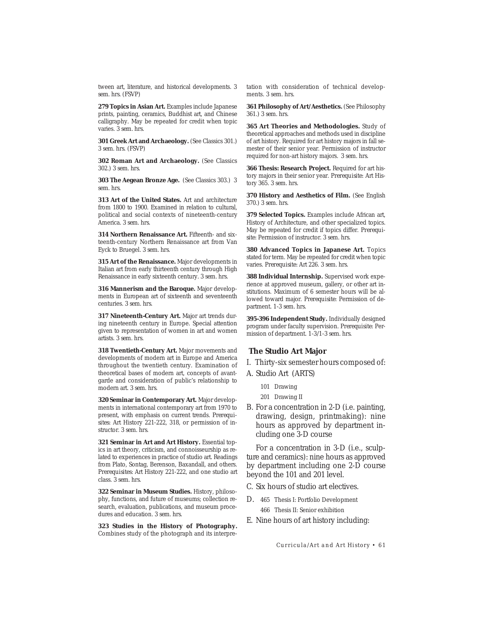tween art, literature, and historical developments. *3 sem. hrs.* (FSVP)

**279 Topics in Asian Art.** Examples include Japanese prints, painting, ceramics, Buddhist art, and Chinese calligraphy. May be repeated for credit when topic varies. *3 sem. hrs.*

**301 Greek Art and Archaeology.** (See Classics 301.) *3 sem. hrs.* (FSVP)

**302 Roman Art and Archaeology.** (See Classics 302.) *3 sem. hrs.*

**303 The Aegean Bronze Age.** (See Classics 303.) *3 sem. hrs.*

**313 Art of the United States.** Art and architecture from 1800 to 1900. Examined in relation to cultural, political and social contexts of nineteenth-century America. *3 sem. hrs.*

**314 Northern Renaissance Art.** Fifteenth- and sixteenth-century Northern Renaissance art from Van Eyck to Bruegel. *3 sem. hrs.*

**315 Art of the Renaissance.** Major developments in Italian art from early thirteenth century through High Renaissance in early sixteenth century. *3 sem. hrs.*

**316 Mannerism and the Baroque.** Major developments in European art of sixteenth and seventeenth centuries. *3 sem. hrs.*

**317 Nineteenth-Century Art.** Major art trends during nineteenth century in Europe. Special attention given to representation of women in art and women artists. *3 sem. hrs.*

**318 Twentieth-Century Art.** Major movements and developments of modern art in Europe and America throughout the twentieth century. Examination of theoretical bases of modern art, concepts of avantgarde and consideration of public's relationship to modern art. *3 sem. hrs.*

**320 Seminar in Contemporary Art.** Major developments in international contemporary art from 1970 to present, with emphasis on current trends. *Prerequisites*: Art History 221-222, 318, or permission of instructor. *3 sem. hrs.*

**321 Seminar in Art and Art History.** Essential topics in art theory, criticism, and connoisseurship as related to experiences in practice of studio art. Readings from Plato, Sontag, Berenson, Baxandall, and others. *Prerequisites*: Art History 221-222, and one studio art class. *3 sem. hrs.*

**322 Seminar in Museum Studies.** History, philosophy, functions, and future of museums; collection research, evaluation, publications, and museum procedures and education. *3 sem. hrs.*

**323 Studies in the History of Photography.** Combines study of the photograph and its interpretation with consideration of technical developments. *3 sem. hrs.*

**361 Philosophy of Art/Aesthetics.** (See Philosophy 361.) *3 sem. hrs.*

**365 Art Theories and Methodologies.** Study of theoretical approaches and methods used in discipline of art history. Required for art history majors in fall semester of their senior year. Permission of instructor required for non-art history majors. *3 sem. hrs.*

**366 Thesis: Research Project.** Required for art history majors in their senior year. *Prerequisite*: Art History 365. *3 sem. hrs.*

**370 History and Aesthetics of Film.** (See English 370.) *3 sem. hrs.*

**379 Selected Topics.** Examples include African art, History of Architecture, and other specialized topics. May be repeated for credit if topics differ. *Prerequisite*: Permission of instructor. *3 sem. hrs.*

**380 Advanced Topics in Japanese Art.** Topics stated for term. May be repeated for credit when topic varies. *Prerequisite*: Art 226. *3 sem. hrs.*

**388 Individual Internship.** Supervised work experience at approved museum, gallery, or other art institutions. Maximum of 6 semester hours will be allowed toward major. *Prerequisite*: Permission of department. *1-3 sem. hrs.*

**395-396 Independent Study.** Individually designed program under faculty supervision. *Prerequisite*: Permission of department. *1-3/1-3 sem. hrs.*

### **The Studio Art Major**

I. Thirty-six semester hours composed of:

- A. Studio Art (ARTS)
	- 101 Drawing
	- 201 Drawing II
- B. For a concentration in 2-D (i.e. painting, drawing, design, printmaking): nine hours as approved by department including one 3-D course

For a concentration in 3-D (i.e., sculpture and ceramics): nine hours as approved by department including one 2-D course beyond the 101 and 201 level.

- C. Six hours of studio art electives.
- D. 465 Thesis I: Portfolio Development 466 Thesis II: Senior exhibition
- E. Nine hours of art history including:

*Curricula/Art and Art History • 61*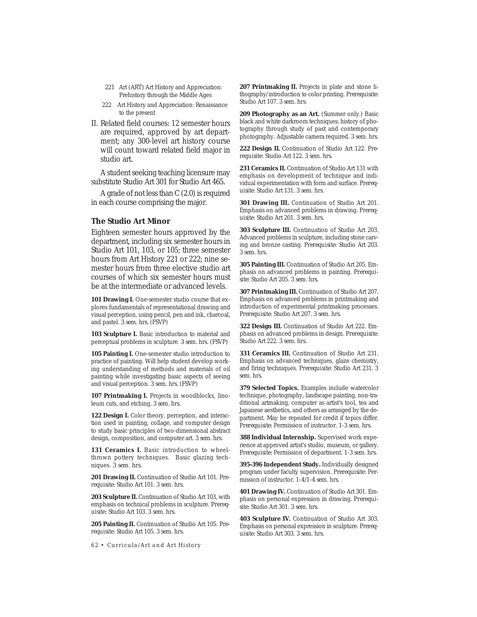- 221 Art (ART) Art History and Appreciation: Prehistory through the Middle Ages
- 222 Art History and Appreciation: Renaissance to the present
- II. Related field courses: 12 semester hours are required, approved by art department; any 300-level art history course will count toward related field major in studio art.

A student seeking teaching licensure may substitute Studio Art 301 for Studio Art 465.

A grade of not less than C (2.0) is required in each course comprising the major.

### **The Studio Art Minor**

Eighteen semester hours approved by the department, including six semester hours in Studio Art 101, 103, or 105; three semester hours from Art History 221 or 222; nine semester hours from three elective studio art courses of which six semester hours must be at the intermediate or advanced levels.

**101 Drawing I.** One-semester studio course that explores fundamentals of representational drawing and visual perception, using pencil, pen and ink, charcoal, and pastel. *3 sem. hrs.* (FSVP)

**103 Sculpture I.** Basic introduction to material and perceptual problems in sculpture. *3 sem. hrs.* (FSVP)

**105 Painting I.** One-semester studio introduction to practice of painting. Will help student develop working understanding of methods and materials of oil painting while investigating basic aspects of seeing and visual perception. *3 sem. hrs.* (FSVP)

107 Printmaking I. Projects in woodblocks, linoleum cuts, and etching. *3 sem. hrs.*

122 Design I. Color theory, perception, and interaction used in painting, collage, and computer design to study basic principles of two-dimensional abstract design, composition, and computer art. *3 sem. hrs.*

131 Ceramics I. Basic introduction to wheelthrown pottery techniques. Basic glazing techniques. *3 sem. hrs.*

**201 Drawing II.** Continuation of Studio Art 101. *Prerequisite*: Studio Art 101. *3 sem. hrs.*

**203 Sculpture II.** Continuation of Studio Art 103, with emphasis on technical problems in sculpture. *Prerequisite*: Studio Art 103. *3 sem. hrs.*

**205 Painting II.** Continuation of Studio Art 105. *Prerequisite*: Studio Art 105. *3 sem. hrs.*

*62 • Curricula/Art and Art History*

207 Printmaking II. Projects in plate and stone lithography/introduction to color printing. *Prerequisite*: Studio Art 107. *3 sem. hrs.*

**209 Photography as an Art.** (Summer only.) Basic black and white darkroom techniques; history of photography through study of past and contemporary photography. Adjustable camera required. *3 sem. hrs.*

**222 Design II.** Continuation of Studio Art 122. *Prerequisite*: Studio Art 122. *3 sem. hrs.*

**231 Ceramics II.** Continuation of Studio Art 131 with emphasis on development of technique and individual experimentation with form and surface. *Prerequisite*: Studio Art 131. *3 sem. hrs.*

**301 Drawing III.** Continuation of Studio Art 201. Emphasis on advanced problems in drawing. *Prerequisite*: Studio Art 201. *3 sem. hrs.*

**303 Sculpture III.** Continuation of Studio Art 203. Advanced problems in sculpture, including stone carving and bronze casting. *Prerequisite*: Studio Art 203. *3 sem. hrs.*

**305 Painting III.** Continuation of Studio Art 205. Emphasis on advanced problems in painting. *Prerequisite*: Studio Art 205. *3 sem. hrs.*

**307 Printmaking III.** Continuation of Studio Art 207. Emphasis on advanced problems in printmaking and introduction of experimental printmaking processes. *Prerequisite*: Studio Art 207. *3 sem. hrs.*

**322 Design III.** Continuation of Studio Art 222. Emphasis on advanced problems in design. *Prerequisite*: Studio Art 222. *3 sem. hrs.*

**331 Ceramics III.** Continuation of Studio Art 231. Emphasis on advanced techniques, glaze chemistry, and firing techniques. *Prerequisite*: Studio Art 231. *3 sem. hrs.*

**379 Selected Topics.** Examples include watercolor technique, photography, landscape painting, non-traditional artmaking, computer as artist's tool, tea and Japanese aesthetics, and others as arranged by the department. May be repeated for credit if topics differ. *Prerequisite*: Permission of instructor. *1-3 sem. hrs.*

**388 Individual Internship.** Supervised work experience at approved artist's studio, museum, or gallery. *Prerequisite*: Permission of department. *1-3 sem. hrs.*

**395-396 Independent Study.** Individually designed program under faculty supervision. *Prerequisite*: Permission of instructor. *1-4/1-4 sem. hrs.*

**401 Drawing IV.** Continuation of Studio Art 301. Emphasis on personal expression in drawing. *Prerequisite*: Studio Art 301. *3 sem. hrs.*

**403 Sculpture IV.** Continuation of Studio Art 303. Emphasis on personal expression in sculpture. *Prerequisite*: Studio Art 303. *3 sem. hrs.*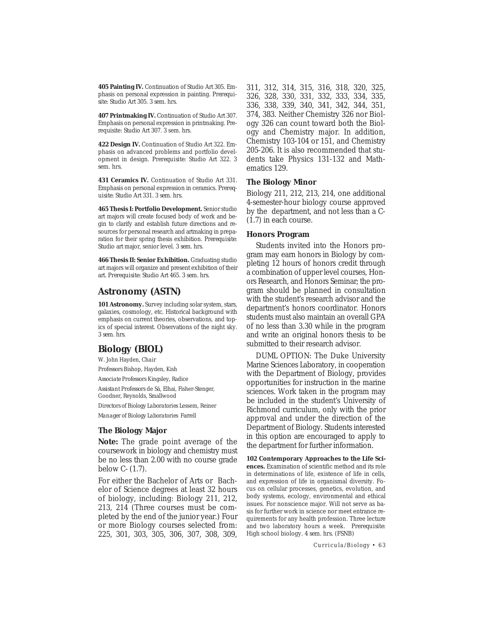**405 Painting IV.** Continuation of Studio Art 305. Emphasis on personal expression in painting. *Prerequisite*: Studio Art 305. *3 sem. hrs.*

**407 Printmaking IV.** Continuation of Studio Art 307. Emphasis on personal expression in printmaking. Prerequisite: Studio Art 307. 3 sem. hrs.

**422 Design IV.** Continuation of Studio Art 322. Emphasis on advanced problems and portfolio development in design. *Prerequisite*: Studio Art 322. *3 sem. hrs.*

**431 Ceramics IV.** Continuation of Studio Art 331. Emphasis on personal expression in ceramics. *Prerequisite*: Studio Art 331. *3 sem. hrs.*

**465 Thesis I: Portfolio Development.** Senior studio art majors will create focused body of work and begin to clarify and establish future directions and resources for personal research and artmaking in preparation for their spring thesis exhibition. *Prerequisite*: Studio art major, senior level. *3 sem. hrs.*

**466 Thesis II: Senior Exhibition.** Graduating studio art majors will organize and present exhibition of their art. *Prerequisite*: Studio Art 465. *3 sem. hrs.*

# **Astronomy (ASTN)**

**101 Astronomy.** Survey including solar system, stars, galaxies, cosmology, etc. Historical background with emphasis on current theories, observations, and topics of special interest. Observations of the night sky. *3 sem. hrs.*

# **Biology (BIOL)**

W. John Hayden, *Chair*

*Professors* Bishop, Hayden, Kish

*Associate Professors* Kingsley, Radice

*Assistant Professors* de Sá, Elhai, Fisher-Stenger, Goodner, Reynolds, Smallwood

*Directors of Biology Laboratories* Lessem, Reiner

*Manager of Biology Laboratories* Farrell

# **The Biology Major**

**Note:** The grade point average of the coursework in biology and chemistry must be no less than 2.00 with no course grade below *C-* (1.7).

For either the Bachelor of Arts or Bachelor of Science degrees at least 32 hours of biology, including: Biology 211, 212, 213, 214 (Three courses must be completed by the end of the junior year.) Four or more Biology courses selected from: 225, 301, 303, 305, 306, 307, 308, 309,

311, 312, 314, 315, 316, 318, 320, 325, 326, 328, 330, 331, 332, 333, 334, 335, 336, 338, 339, 340, 341, 342, 344, 351, 374, 383. Neither Chemistry 326 nor Biology 326 can count toward both the Biology and Chemistry major. In addition, Chemistry 103-104 or 151, and Chemistry 205-206. It is also recommended that students take Physics 131-132 and Mathematics 129.

# **The Biology Minor**

Biology 211, 212, 213, 214, one additional 4-semester-hour biology course approved by the department, and not less than a *C-* (1.7) in each course.

### **Honors Program**

Students invited into the Honors program may earn honors in Biology by completing 12 hours of honors credit through a combination of upper level courses, Honors Research, and Honors Seminar; the program should be planned in consultation with the student's research advisor and the department's honors coordinator. Honors students must also maintain an overall GPA of no less than 3.30 while in the program and write an original honors thesis to be submitted to their research advisor.

DUML OPTION: The Duke University Marine Sciences Laboratory, in cooperation with the Department of Biology, provides opportunities for instruction in the marine sciences. Work taken in the program may be included in the student's University of Richmond curriculum, only with the prior approval and under the direction of the Department of Biology. Students interested in this option are encouraged to apply to the department for further information.

**102 Contemporary Approaches to the Life Sciences.** Examination of scientific method and its role in determinations of life, existence of life in cells, and expression of life in organismal diversity. Focus on cellular processes, genetics, evolution, and body systems, ecology, environmental and ethical issues. For nonscience major. Will not serve as basis for further work in science nor meet entrance requirements for any health profession. Three lecture and two laboratory hours a week. *Prerequisite*: High school biology. *4 sem. hrs.* (FSNB)

*Curricula/Biology • 63*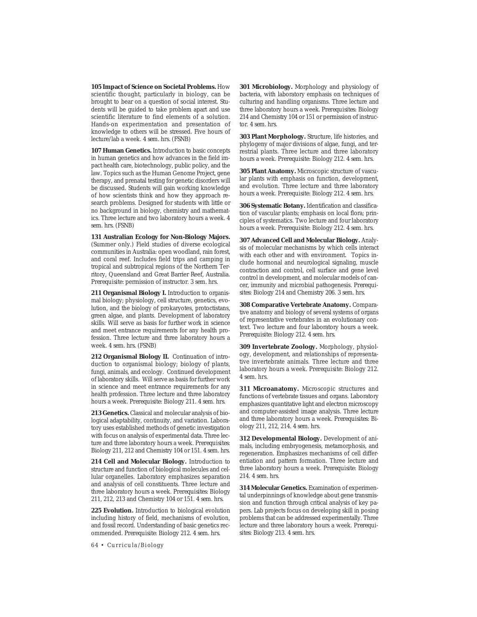**105 Impact of Science on Societal Problems.** How scientific thought, particularly in biology, can be brought to bear on a question of social interest. Students will be guided to take problem apart and use scientific literature to find elements of a solution. Hands-on experimentation and presentation of knowledge to others will be stressed. Five hours of lecture/lab a week. *4 sem. hrs.* (FSNB)

**107 Human Genetics.** Introduction to basic concepts in human genetics and how advances in the field impact health care, biotechnology, public policy, and the law. Topics such as the Human Genome Project, gene therapy, and prenatal testing for genetic disorders will be discussed. Students will gain working knowledge of how scientists think and how they approach research problems. Designed for students with little or no background in biology, chemistry and mathematics. Three lecture and two laboratory hours a week. *4 sem. hrs.* (FSNB)

**131 Australian Ecology for Non-Biology Majors.** (Summer only.) Field studies of diverse ecological communities in Australia: open woodland, rain forest, and coral reef. Includes field trips and camping in tropical and subtropical regions of the Northern Territory, Queensland and Great Barrier Reef, Australia. *Prerequisite*: permission of instructor. *3 sem. hrs.*

211 Organismal Biology I. Introduction to organismal biology; physiology, cell structure, genetics, evolution, and the biology of prokaryotes, protoctistans, green algae, and plants. Development of laboratory skills. Will serve as basis for further work in science and meet entrance requirements for any health profession. Three lecture and three laboratory hours a week. *4 sem. hrs.* (FSNB)

212 Organismal Biology II. Continuation of introduction to organismal biology; biology of plants, fungi, animals, and ecology. Continued development of laboratory skills. Will serve as basis for further work in science and meet entrance requirements for any health profession. Three lecture and three laboratory hours a week. *Prerequisite*: Biology 211. *4 sem. hrs.*

**213 Genetics.** Classical and molecular analysis of biological adaptability, continuity, and variation. Laboratory uses established methods of genetic investigation with focus on analysis of experimental data. Three lecture and three laboratory hours a week. *Prerequisites*: Biology 211, 212 and Chemistry 104 or 151. *4 sem. hrs.*

**214 Cell and Molecular Biology.** Introduction to structure and function of biological molecules and cellular organelles. Laboratory emphasizes separation and analysis of cell constituents. Three lecture and three laboratory hours a week. *Prerequisites*: Biology 211, 212, 213 and Chemistry 104 or 151. *4 sem. hrs.*

**225 Evolution.** Introduction to biological evolution including history of field, mechanisms of evolution, and fossil record. Understanding of basic genetics recommended. *Prerequisite*: Biology 212. *4 sem. hrs.*

*64 • Curricula/Biology*

**301 Microbiology.** Morphology and physiology of bacteria, with laboratory emphasis on techniques of culturing and handling organisms. Three lecture and three laboratory hours a week. *Prerequisites*: Biology 214 and Chemistry 104 or 151 or permission of instructor. *4 sem. hrs.*

**303 Plant Morphology.** Structure, life histories, and phylogeny of major divisions of algae, fungi, and terrestrial plants. Three lecture and three laboratory hours a week. *Prerequisite*: Biology 212. *4 sem. hrs.*

**305 Plant Anatomy.** Microscopic structure of vascular plants with emphasis on function, development, and evolution. Three lecture and three laboratory hours a week. *Prerequisite*: Biology 212. *4 sem. hrs.*

**306 Systematic Botany.** Identification and classification of vascular plants; emphasis on local flora; principles of systematics. Two lecture and four laboratory hours a week. *Prerequisite*: Biology 212. *4 sem. hrs.*

**307 Advanced Cell and Molecular Biology.** Analysis of molecular mechanisms by which cells interact with each other and with environment. Topics include hormonal and neurological signaling, muscle contraction and control, cell surface and gene level control in development, and molecular models of cancer, immunity and microbial pathogenesis. *Prerequisites*: Biology 214 and Chemistry 206. *3 sem. hrs.*

**308 Comparative Vertebrate Anatomy.** Comparative anatomy and biology of several systems of organs of representative vertebrates in an evolutionary context. Two lecture and four laboratory hours a week. *Prerequisite*: Biology 212. *4 sem. hrs.*

**309 Invertebrate Zoology.** Morphology, physiology, development, and relationships of representative invertebrate animals. Three lecture and three laboratory hours a week. *Prerequisite*: Biology 212. *4 sem. hrs.*

**311 Microanatomy.** Microscopic structures and functions of vertebrate tissues and organs. Laboratory emphasizes quantitative light and electron microscopy and computer-assisted image analysis. Three lecture and three laboratory hours a week. *Prerequisites*: Biology 211, 212, 214. *4 sem. hrs.*

**312 Developmental Biology.** Development of animals, including embryogenesis, metamorphosis, and regeneration. Emphasizes mechanisms of cell differentiation and pattern formation. Three lecture and three laboratory hours a week. *Prerequisite*: Biology 214. *4 sem. hrs.*

**314 Molecular Genetics.** Examination of experimental underpinnings of knowledge about gene transmission and function through critical analysis of key papers. Lab projects focus on developing skill in posing problems that can be addressed experimentally. Three lecture and three laboratory hours a week. *Prerequisites*: Biology 213. *4 sem. hrs.*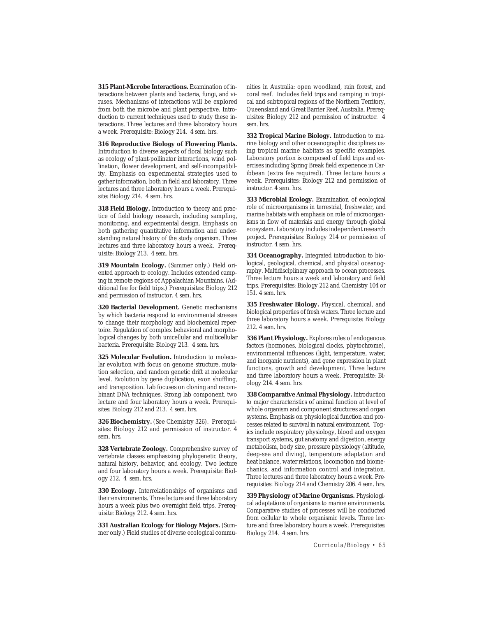**315 Plant-Microbe Interactions.** Examination of interactions between plants and bacteria, fungi, and viruses. Mechanisms of interactions will be explored from both the microbe and plant perspective. Introduction to current techniques used to study these interactions. Three lectures and three laboratory hours a week. *Prerequisite*: Biology 214. *4 sem. hrs.*

**316 Reproductive Biology of Flowering Plants.** Introduction to diverse aspects of floral biology such as ecology of plant-pollinator interactions, wind pollination, flower development, and self-incompatibility. Emphasis on experimental strategies used to gather information, both in field and laboratory. Three lectures and three laboratory hours a week. *Prerequisite*: Biology 214. *4 sem. hrs.*

**318 Field Biology.** Introduction to theory and practice of field biology research, including sampling, monitoring, and experimental design. Emphasis on both gathering quantitative information and understanding natural history of the study organism. Three lectures and three laboratory hours a week. *Prerequisite*: Biology 213. *4 sem. hrs.*

**319 Mountain Ecology.** (Summer only.) Field oriented approach to ecology. Includes extended camping in remote regions of Appalachian Mountains. (Additional fee for field trips.) *Prerequisites*: Biology 212 and permission of instructor. *4 sem. hrs.*

**320 Bacterial Development.** Genetic mechanisms by which bacteria respond to environmental stresses to change their morphology and biochemical repertoire. Regulation of complex behavioral and morphological changes by both unicellular and multicellular bacteria. *Prerequisite*: Biology 213. *4 sem. hrs.*

**325 Molecular Evolution.** Introduction to molecular evolution with focus on genome structure, mutation selection, and random genetic drift at molecular level. Evolution by gene duplication, exon shuffling, and transposition. Lab focuses on cloning and recombinant DNA techniques. Strong lab component, two lecture and four laboratory hours a week. *Prerequisites*: Biology 212 and 213. *4 sem. hrs.*

**326 Biochemistry.** (See Chemistry 326). *Prerequisites*: Biology 212 and permission of instructor. *4 sem. hrs.*

**328 Vertebrate Zoology.** Comprehensive survey of vertebrate classes emphasizing phylogenetic theory, natural history, behavior, and ecology. Two lecture and four laboratory hours a week. *Prerequisite*: Biology 212. *4 sem. hrs.*

**330 Ecology.** Interrelationships of organisms and their environments. Three lecture and three laboratory hours a week plus two overnight field trips. *Prerequisite*: Biology 212. *4 sem. hrs.*

**331 Australian Ecology for Biology Majors.** (Summer only.) Field studies of diverse ecological communities in Australia: open woodland, rain forest, and coral reef. Includes field trips and camping in tropical and subtropical regions of the Northern Territory, Queensland and Great Barrier Reef, Australia. *Prerequisites*: Biology 212 and permission of instructor. *4 sem. hrs.*

**332 Tropical Marine Biology.** Introduction to marine biology and other oceanographic disciplines using tropical marine habitats as specific examples. Laboratory portion is composed of field trips and exercises including Spring Break field experience in Caribbean (extra fee required). Three lecture hours a week. *Prerequisites*: Biology 212 and permission of instructor. *4 sem. hrs.*

**333 Microbial Ecology.** Examination of ecological role of microorganisms in terrestrial, freshwater, and marine habitats with emphasis on role of microorganisms in flow of materials and energy through global ecosystem. Laboratory includes independent research project. *Prerequisites*: Biology 214 or permission of instructor. *4 sem. hrs.*

**334 Oceanography.** Integrated introduction to biological, geological, chemical, and physical oceanography. Multidisciplinary approach to ocean processes. Three lecture hours a week and laboratory and field trips. *Prerequisites*: Biology 212 and Chemistry 104 or 151. *4 sem. hrs.*

**335 Freshwater Biology.** Physical, chemical, and biological properties of fresh waters. Three lecture and three laboratory hours a week. *Prerequisite*: Biology 212. *4 sem. hrs.*

**336 Plant Physiology.** Explores roles of endogenous factors (hormones, biological clocks, phytochrome), environmental influences (light, temperature, water, and inorganic nutrients), and gene expression in plant functions, growth and development. Three lecture and three laboratory hours a week. *Prerequisite*: Biology 214. *4 sem. hrs.*

**338 Comparative Animal Physiology.** Introduction to major characteristics of animal function at level of whole organism and component structures and organ systems. Emphasis on physiological function and processes related to survival in natural environment. Topics include respiratory physiology, blood and oxygen transport systems, gut anatomy and digestion, energy metabolism, body size, pressure physiology (altitude, deep-sea and diving), temperature adaptation and heat balance, water relations, locomotion and biomechanics, and information control and integration. Three lectures and three laboratory hours a week. *Prerequisites*: Biology 214 and Chemistry 206. *4 sem. hrs.*

**339 Physiology of Marine Organisms.** Physiological adaptations of organisms to marine environments. Comparative studies of processes will be conducted from cellular to whole organismic levels. Three lecture and three laboratory hours a week. *Prerequisites*: Biology 214. *4 sem. hrs.*

*Curricula/Biology • 65*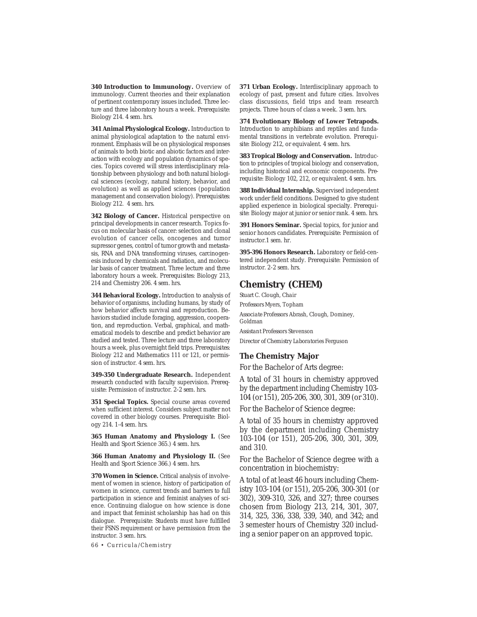**340 Introduction to Immunology.** Overview of immunology. Current theories and their explanation of pertinent contemporary issues included. Three lecture and three laboratory hours a week. *Prerequisite*: Biology 214. *4 sem. hrs.*

**341 Animal Physiological Ecology.** Introduction to animal physiological adaptation to the natural environment. Emphasis will be on physiological responses of animals to both biotic and abiotic factors and interaction with ecology and population dynamics of species. Topics covered will stress interdisciplinary relationship between physiology and both natural biological sciences (ecology, natural history, behavior, and evolution) as well as applied sciences (population management and conservation biology). *Prerequisites*: Biology 212. *4 sem. hrs.*

**342 Biology of Cancer.** Historical perspective on principal developments in cancer research. Topics focus on molecular basis of cancer: selection and clonal evolution of cancer cells, oncogenes and tumor supressor genes, control of tumor growth and metastasis, RNA and DNA transforming viruses, carcinogenesis induced by chemicals and radiation, and molecular basis of cancer treatment. Three lecture and three laboratory hours a week. *Prerequisites*: Biology 213, 214 and Chemistry 206. *4 sem. hrs.*

**344 Behavioral Ecology.** Introduction to analysis of behavior of organisms, including humans, by study of how behavior affects survival and reproduction. Behaviors studied include foraging, aggression, cooperation, and reproduction. Verbal, graphical, and mathematical models to describe and predict behavior are studied and tested. Three lecture and three laboratory hours a week, plus overnight field trips. *Prerequisites*: Biology 212 and Mathematics 111 or 121, or permission of instructor. *4 sem. hrs.*

**349-350 Undergraduate Research.** Independent research conducted with faculty supervision. *Prerequisite*: Permission of instructor. *2-2 sem. hrs.*

**351 Special Topics.** Special course areas covered when sufficient interest. Considers subject matter not covered in other biology courses. *Prerequisite*: Biology 214. *1-4 sem. hrs.*

**365 Human Anatomy and Physiology I.** (See Health and Sport Science 365.) *4 sem. hrs.*

**366 Human Anatomy and Physiology II.** (See Health and Sport Science 366.) *4 sem. hrs.*

**370 Women in Science.** Critical analysis of involvement of women in science, history of participation of women in science, current trends and barriers to full participation in science and feminist analyses of science. Continuing dialogue on how science is done and impact that feminist scholarship has had on this dialogue. *Prerequisite*: Students must have fulfilled their FSNS requirement or have permission from the instructor. *3 sem. hrs.*

*66 • Curricula/Chemistry*

**371 Urban Ecology.** Interdisciplinary approach to ecology of past, present and future cities. Involves class discussions, field trips and team research projects. Three hours of class a week. *3 sem. hrs.*

**374 Evolutionary Biology of Lower Tetrapods.** Introduction to amphibians and reptiles and fundamental transitions in vertebrate evolution. *Prerequisite*: Biology 212, or equivalent. *4 sem. hrs.*

**383 Tropical Biology and Conservation.** Introduction to principles of tropical biology and conservation, including historical and economic components. *Prerequisite*: Biology 102, 212, or equivalent. *4 sem. hrs.*

**388 Individual Internship.** Supervised independent work under field conditions. Designed to give student applied experience in biological specialty. *Prerequisite*: Biology major at junior or senior rank. *4 sem. hrs.*

**391 Honors Seminar.** Special topics, for junior and senior honors candidates. *Prerequisite*: Permission of instructor.*1 sem. hr.*

**395-396 Honors Research.** Laboratory or field-centered independent study. *Prerequisite*: Permission of instructor. *2-2 sem. hrs.*

# **Chemistry (CHEM)**

Stuart C. Clough, *Chair*

*Professors* Myers, Topham

*Associate Professors* Abrash, Clough, Dominey, Goldman

*Assistant Professors* Stevenson

*Director of Chemistry Laboratories* Ferguson

### **The Chemistry Major**

For the Bachelor of Arts degree:

A total of 31 hours in chemistry approved by the department including Chemistry 103- 104 (or 151), 205-206, 300, 301, 309 (or 310).

For the Bachelor of Science degree:

A total of 35 hours in chemistry approved by the department including Chemistry 103-104 (or 151), 205-206, 300, 301, 309, and 310.

For the Bachelor of Science degree with a concentration in biochemistry:

A total of at least 46 hours including Chemistry 103-104 (or 151), 205-206, 300-301 (or 302), 309-310, 326, and 327; three courses chosen from Biology 213, 214, 301, 307, 314, 325, 336, 338, 339, 340, and 342; and 3 semester hours of Chemistry 320 including a senior paper on an approved topic.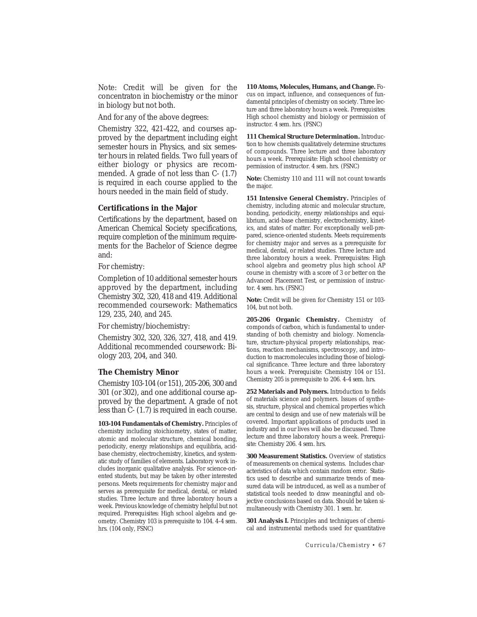Note: Credit will be given for the concentraton in biochemistry or the minor in biology but not both.

And for any of the above degrees:

Chemistry 322, 421-422, and courses approved by the department including eight semester hours in Physics, and six semester hours in related fields. Two full years of either biology or physics are recommended. A grade of not less than *C-* (1.7) is required in each course applied to the hours needed in the main field of study.

### **Certifications in the Major**

Certifications by the department, based on American Chemical Society specifications, require completion of the minimum requirements for the Bachelor of Science degree and:

For chemistry:

Completion of 10 additional semester hours approved by the department, including Chemistry 302, 320, 418 and 419. Additional recommended coursework: Mathematics 129, 235, 240, and 245.

For chemistry/biochemistry:

Chemistry 302, 320, 326, 327, 418, and 419. Additional recommended coursework: Biology 203, 204, and 340.

# **The Chemistry Minor**

Chemistry 103-104 (or 151), 205-206, 300 and 301 (or 302), and one additional course approved by the department. A grade of not less than *C-* (1.7) is required in each course.

**103-104 Fundamentals of Chemistry.** Principles of chemistry including stoichiometry, states of matter, atomic and molecular structure, chemical bonding, periodicity, energy relationships and equilibria, acidbase chemistry, electrochemistry, kinetics, and systematic study of families of elements. Laboratory work includes inorganic qualitative analysis. For science-oriented students, but may be taken by other interested persons. Meets requirements for chemistry major and serves as prerequisite for medical, dental, or related studies. Three lecture and three laboratory hours a week. Previous knowledge of chemistry helpful but not required. *Prerequisites*: High school algebra and geometry. Chemistry 103 is prerequisite to 104. *4-4 sem. hrs.* (104 only, FSNC)

**110 Atoms, Molecules, Humans, and Change.** Focus on impact, influence, and consequences of fundamental principles of chemistry on society. Three lecture and three laboratory hours a week. *Prerequisites*: High school chemistry and biology or permission of instructor. *4 sem. hrs.* (FSNC)

**111 Chemical Structure Determination.** Introduction to how chemists qualitatively determine structures of compounds. Three lecture and three laboratory hours a week. *Prerequisite*: High school chemistry or permission of instructor. *4 sem. hrs.* (FSNC)

**Note:** Chemistry 110 and 111 will not count towards the major.

**151 Intensive General Chemistry.** Principles of chemistry, including atomic and molecular structure, bonding, periodicity, energy relationships and equilibrium, acid-base chemistry, electrochemistry, kinetics, and states of matter. For exceptionally well-prepared, science-oriented students. Meets requirements for chemistry major and serves as a prerequisite for medical, dental, or related studies. Three lecture and three laboratory hours a week. *Prerequisites*: High school algebra and geometry plus high school AP course in chemistry with a score of 3 or better on the Advanced Placement Test, or permission of instructor. *4 sem. hrs.* (FSNC)

**Note:** Credit will be given for Chemistry 151 or 103- 104, but not both.

**205-206 Organic Chemistry.** Chemistry of componds of carbon, which is fundamental to understanding of both chemistry and biology. Nomenclature, structure-physical property relationships, reactions, reaction mechanisms, spectroscopy, and introduction to macromolecules including those of biological significance. Three lecture and three laboratory hours a week. *Prerequisite*: Chemistry 104 or 151. Chemistry 205 is prerequisite to 206. *4-4 sem. hrs.*

**252 Materials and Polymers.** Introduction to fields of materials science and polymers. Issues of synthesis, structure, physical and chemical properties which are central to design and use of new materials will be covered. Important applications of products used in industry and in our lives will also be discussed. Three lecture and three laboratory hours a week. *Prerequisite*: Chemistry 206. *4 sem. hrs.*

**300 Measurement Statistics.** Overview of statistics of measurements on chemical systems. Includes characteristics of data which contain random error. Statistics used to describe and summarize trends of measured data will be introduced, as well as a number of statistical tools needed to draw meaningful and objective conclusions based on data. Should be taken simultaneously with Chemistry 301. *1 sem. hr.*

**301 Analysis I.** Principles and techniques of chemical and instrumental methods used for quantitative

*Curricula/Chemistry • 67*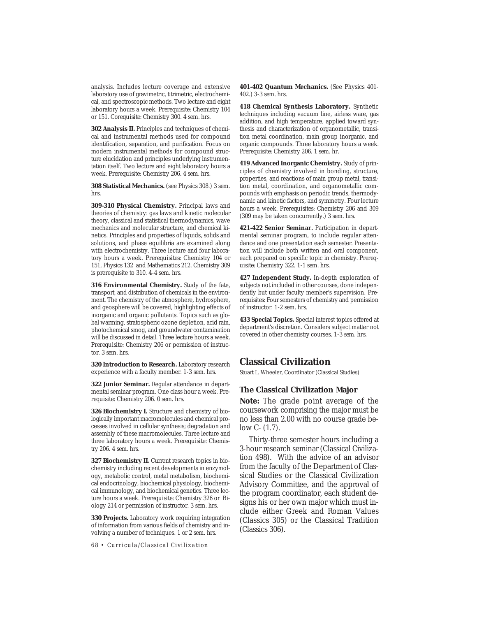analysis. Includes lecture coverage and extensive laboratory use of gravimetric, titrimetric, electrochemical, and spectroscopic methods. Two lecture and eight laboratory hours a week. *Prerequisite*: Chemistry 104 or 151. *Corequisite:* Chemistry 300. *4 sem. hrs.*

**302 Analysis II.** Principles and techniques of chemical and instrumental methods used for compound identification, separation, and purification. Focus on modern instrumental methods for compound structure elucidation and principles underlying instrumentation itself. Two lecture and eight laboratory hours a week. *Prerequisite*: Chemistry 206. *4 sem. hrs.*

**308 Statistical Mechanics.** (see Physics 308.) *3 sem. hrs.*

**309-310 Physical Chemistry.** Principal laws and theories of chemistry: gas laws and kinetic molecular theory, classical and statistical thermodynamics, wave mechanics and molecular structure, and chemical kinetics. Principles and properties of liquids, solids and solutions, and phase equilibria are examined along with electrochemistry. Three lecture and four laboratory hours a week. *Prerequisites*: Chemistry 104 or 151, Physics 132 and Mathematics 212. Chemistry 309 is prerequisite to 310. *4-4 sem. hrs.*

**316 Environmental Chemistry.** Study of the fate, transport, and distribution of chemicals in the environment. The chemistry of the atmosphere, hydrosphere, and geosphere will be covered, highlighting effects of inorganic and organic pollutants. Topics such as global warming, stratospheric ozone depletion, acid rain, photochemical smog, and groundwater contamination will be discussed in detail. Three lecture hours a week. *Prerequisite*: Chemistry 206 or permission of instructor. *3 sem. hrs.*

**320 Introduction to Research.** Laboratory research experience with a faculty member. *1-3 sem. hrs.*

**322 Junior Seminar.** Regular attendance in departmental seminar program. One class hour a week. *Prerequisite*: Chemistry 206. *0 sem. hrs.*

**326 Biochemistry I.** Structure and chemistry of biologically important macromolecules and chemical processes involved in cellular synthesis; degradation and assembly of these macromolecules. Three lecture and three laboratory hours a week. *Prerequisite*: Chemistry 206. *4 sem. hrs.*

**327 Biochemistry II.** Current research topics in biochemistry including recent developments in enzymology, metabolic control, metal metabolism, biochemical endocrinology, biochemical physiology, biochemical immunology, and biochemical genetics. Three lecture hours a week. *Prerequisite*: Chemistry 326 or Biology 214 or permission of instructor. *3 sem. hrs.*

**330 Projects.** Laboratory work requiring integration of information from various fields of chemistry and involving a number of techniques. *1 or 2 sem. hrs.*

*68 • Curricula/Classical Civilization*

**401-402 Quantum Mechanics.** (See Physics 401- 402.) *3-3 sem. hrs.*

**418 Chemical Synthesis Laboratory.** Synthetic techniques including vacuum line, airless ware, gas addition, and high temperature, applied toward synthesis and characterization of organometallic, transition metal coordination, main group inorganic, and organic compounds. Three laboratory hours a week. *Prerequisite*: Chemistry 206. *1 sem. hr.*

**419 Advanced Inorganic Chemistry.** Study of principles of chemistry involved in bonding, structure, properties, and reactions of main group metal, transition metal, coordination, and organometallic compounds with emphasis on periodic trends, thermodynamic and kinetic factors, and symmetry. Four lecture hours a week. *Prerequisites*: Chemistry 206 and 309 (309 may be taken concurrently.) *3 sem. hrs.*

**421-422 Senior Seminar.** Participation in departmental seminar program, to include regular attendance and one presentation each semester. Presentation will include both written and oral component, each prepared on specific topic in chemistry. *Prerequisite:* Chemistry 322. *1-1 sem. hrs.*

**427 Independent Study.** In-depth exploration of subjects not included in other courses, done independently but under faculty member's supervision. *Prerequisites*: Four semesters of chemistry and permission of instructor. *1-2 sem. hrs.*

**433 Special Topics.** Special interest topics offered at department's discretion. Considers subject matter not covered in other chemistry courses. *1-3 sem. hrs.*

# **Classical Civilization**

Stuart L. Wheeler, Coordinator (Classical Studies)

### **The Classical Civilization Major**

**Note:** The grade point average of the coursework comprising the major must be no less than 2.00 with no course grade below *C-* (1.7).

Thirty-three semester hours including a 3-hour research seminar (Classical Civilization 498). With the advice of an advisor from the faculty of the Department of Classical Studies or the Classical Civilization Advisory Committee, and the approval of the program coordinator, each student designs his or her own major which must include either Greek and Roman Values (Classics 305) or the Classical Tradition (Classics 306).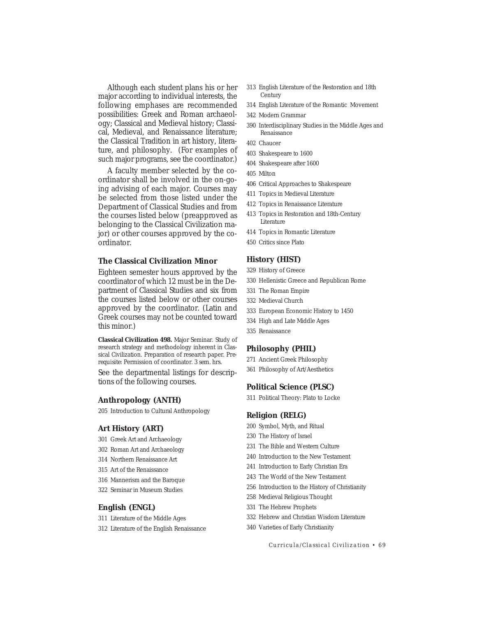Although each student plans his or her major according to individual interests, the following emphases are recommended possibilities: Greek and Roman archaeology; Classical and Medieval history; Classical, Medieval, and Renaissance literature; the Classical Tradition in art history, literature, and philosophy. (For examples of such major programs, see the coordinator.)

A faculty member selected by the coordinator shall be involved in the on-going advising of each major. Courses may be selected from those listed under the Department of Classical Studies and from the courses listed below (preapproved as belonging to the Classical Civilization major) or other courses approved by the coordinator.

# **The Classical Civilization Minor**

Eighteen semester hours approved by the coordinator of which 12 must be in the Department of Classical Studies and six from the courses listed below or other courses approved by the coordinator. (Latin and Greek courses may not be counted toward this minor.)

**Classical Civilization 498.** Major Seminar. Study of research strategy and methodology inherent in Classical Civilization. Preparation of research paper. *Prerequisite*: Permission of coordinator. *3 sem. hrs.* See the departmental listings for descriptions of the following courses.

### **Anthropology (ANTH)**

205 Introduction to Cultural Anthropology

# **Art History (ART)**

- 301 Greek Art and Archaeology
- 302 Roman Art and Archaeology
- 314 Northern Renaissance Art
- 315 Art of the Renaissance
- 316 Mannerism and the Baroque
- 322 Seminar in Museum Studies

# **English (ENGL)**

- 311 Literature of the Middle Ages
- 312 Literature of the English Renaissance
- 313 English Literature of the Restoration and 18th Century
- 314 English Literature of the Romantic Movement
- 342 Modern Grammar
- 390 Interdisciplinary Studies in the Middle Ages and Renaissance
- 402 Chaucer
- 403 Shakespeare to 1600
- 404 Shakespeare after 1600
- 405 Milton
- 406 Critical Approaches to Shakespeare
- 411 Topics in Medieval Literature
- 412 Topics in Renaissance Literature
- 413 Topics in Restoration and 18th-Century Literature
- 414 Topics in Romantic Literature
- 450 Critics since Plato

### **History (HIST)**

- 329 History of Greece
- 330 Hellenistic Greece and Republican Rome
- 331 The Roman Empire
- 332 Medieval Church
- 333 European Economic History to 1450
- 334 High and Late Middle Ages
- 335 Renaissance

### **Philosophy (PHIL)**

- 271 Ancient Greek Philosophy
- 361 Philosophy of Art/Aesthetics

### **Political Science (PLSC)**

311 Political Theory: Plato to Locke

### **Religion (RELG)**

- 200 Symbol, Myth, and Ritual
- 230 The History of Israel
- 231 The Bible and Western Culture
- 240 Introduction to the New Testament
- 241 Introduction to Early Christian Era
- 243 The World of the New Testament
- 256 Introduction to the History of Christianity
- 258 Medieval Religious Thought
- 331 The Hebrew Prophets
- 332 Hebrew and Christian Wisdom Literature
- 340 Varieties of Early Christianity

*Curricula/Classical Civilization • 69*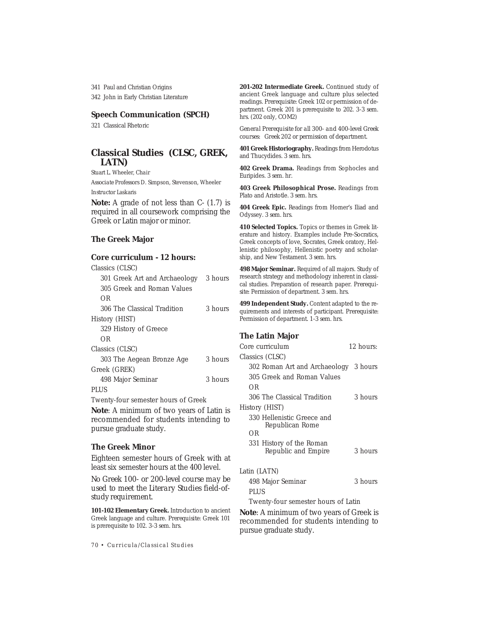341 Paul and Christian Origins 342 John in Early Christian Literature

### **Speech Communication (SPCH)**

321 Classical Rhetoric

# **Classical Studies (CLSC, GREK, LATN)**

Stuart L. Wheeler, *Chair Associate Professors* D. Simpson, Stevenson, Wheeler *Instructor* Laskaris

**Note:** A grade of not less than *C-* (1.7) is required in all coursework comprising the Greek or Latin major or minor.

# **The Greek Major**

# **Core curriculum - 12 hours:**

| Classics (CLSC)               |         |
|-------------------------------|---------|
| 301 Greek Art and Archaeology | 3 hours |
| 305 Greek and Roman Values    |         |
| OR.                           |         |
| 306 The Classical Tradition   | 3 hours |
| History (HIST)                |         |
| 329 History of Greece         |         |
| OR.                           |         |
| Classics (CLSC)               |         |
| 303 The Aegean Bronze Age     | 3 hours |
| Greek (GREK)                  |         |
| 498 Major Seminar             | 3 hours |
| PLUS                          |         |

Twenty-four semester hours of Greek

**Note**: A minimum of two years of Latin is recommended for students intending to pursue graduate study.

# **The Greek Minor**

Eighteen semester hours of Greek with at least six semester hours at the 400 level.

*No Greek 100- or 200-level course may be used to meet the Literary Studies field-ofstudy requirement.*

**101-102 Elementary Greek.** Introduction to ancient Greek language and culture. *Prerequisite*: Greek 101 is prerequisite to 102. *3-3 sem. hrs.*

*70 • Curricula/Classical Studies*

201-202 Intermediate Greek. Continued study of ancient Greek language and culture plus selected readings. *Prerequisite*: Greek 102 or permission of department. Greek 201 is prerequisite to 202. *3-3 sem. hrs.* (202 only, COM2)

*General Prerequisite for all 300- and 400-level Greek courses: Greek 202 or permission of department.*

**401 Greek Historiography.** Readings from Herodotus and Thucydides. *3 sem. hrs.*

**402 Greek Drama.** Readings from Sophocles and Euripides. *3 sem. hr.*

**403 Greek Philosophical Prose.** Readings from Plato and Aristotle. *3 sem. hrs.*

**404 Greek Epic.** Readings from Homer's Iliad and Odyssey. *3 sem. hrs.*

**410 Selected Topics.** Topics or themes in Greek literature and history. Examples include Pre-Socratics, Greek concepts of love, Socrates, Greek oratory, Hellenistic philosophy, Hellenistic poetry and scholarship, and New Testament. *3 sem. hrs.*

**498 Major Seminar.** Required of all majors. Study of research strategy and methodology inherent in classical studies. Preparation of research paper. *Prerequisite*: Permission of department. *3 sem. hrs.*

**499 Independent Study.** Content adapted to the requirements and interests of participant. *Prerequisite*: Permission of department. *1-3 sem. hrs.*

# **The Latin Major**

| Core curriculum                                 | $12 \text{ hours}$ |
|-------------------------------------------------|--------------------|
| Classics (CLSC)                                 |                    |
| 302 Roman Art and Archaeology 3 hours           |                    |
| 305 Greek and Roman Values                      |                    |
| OR.                                             |                    |
| 306 The Classical Tradition                     | 3 hours            |
| History (HIST)                                  |                    |
| 330 Hellenistic Greece and<br>Republican Rome   |                    |
| OR.                                             |                    |
| 331 History of the Roman<br>Republic and Empire | 3 hours            |
|                                                 |                    |

# Latin (LATN)

|              | 498 Major Seminar |  |                                           | 3 hours |
|--------------|-------------------|--|-------------------------------------------|---------|
| <b>PLUS</b>  |                   |  |                                           |         |
| $\mathbf{m}$ |                   |  | $\mathcal{C}$ $\mathcal{T}$ $\mathcal{T}$ |         |

Twenty-four semester hours of Latin

**Note**: A minimum of two years of Greek is recommended for students intending to pursue graduate study.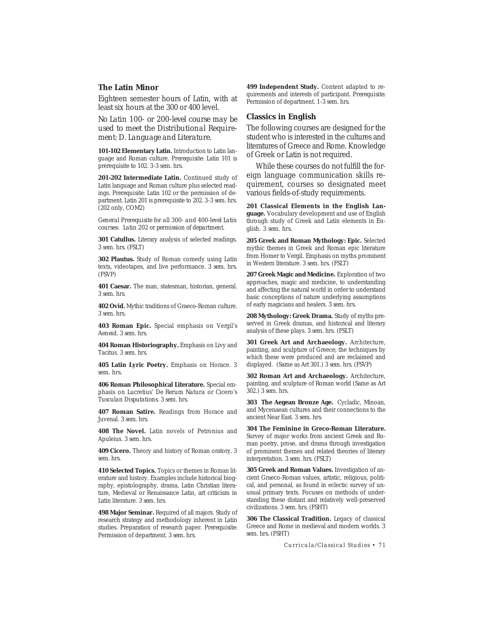# **The Latin Minor**

Eighteen semester hours of Latin, with at least six hours at the 300 or 400 level.

*No Latin 100- or 200-level course may be used to meet the Distributional Requirement: D. Language and Literature.*

101-102 Elementary Latin. Introduction to Latin language and Roman culture. *Prerequisite*: Latin 101 is prerequisite to 102. *3-3 sem. hrs.*

**201-202 Intermediate Latin.** Continued study of Latin language and Roman culture plus selected readings. *Prerequisite*: Latin 102 or the permission of department. Latin 201 is prerequisite to 202. *3-3 sem. hrs.* (202 only, COM2)

*General Prerequisite for all 300- and 400-level Latin courses: Latin 202 or permission of department.*

**301 Catullus.** Literary analysis of selected readings. *3 sem. hrs.* (FSLT)

**302 Plautus.** Study of Roman comedy using Latin texts, videotapes, and live performance. *3 sem. hrs.* (FSVP)

**401 Caesar.** The man, statesman, historian, general. *3 sem. hrs.*

**402 Ovid.** Mythic traditions of Graeco-Roman culture. *3 sem. hrs.*

**403 Roman Epic.** Special emphasis on Vergil's *Aeneid*. *3 sem. hrs.*

**404 Roman Historiography.** Emphasis on Livy and Tacitus. *3 sem. hrs.*

**405 Latin Lyric Poetry.** Emphasis on Horace. *3 sem. hrs.*

**406 Roman Philosophical Literature.** Special emphasis on Lucretius' *De Rerum Natura* or Cicero's *Tusculan Disputations*. *3 sem. hrs.*

**407 Roman Satire.** Readings from Horace and Juvenal. *3 sem. hrs.*

**408 The Novel.** Latin novels of Petronius and Apuleius. *3 sem. hrs.*

**409 Cicero.** Theory and history of Roman oratory. *3 sem. hrs.*

**410 Selected Topics.** Topics or themes in Roman literature and history. Examples include historical biography, epistolography, drama, Latin Christian literature, Medieval or Renaissance Latin, art criticism in Latin literature. *3 sem. hrs.*

**498 Major Seminar.** Required of all majors. Study of research strategy and methodology inherent in Latin studies. Preparation of research paper. *Prerequisite*: Permission of department. *3 sem. hrs.*

**499 Independent Study.** Content adapted to requirements and interests of participant. *Prerequisite*: Permission of department. *1-3 sem. hrs.*

### **Classics in English**

The following courses are designed for the student who is interested in the cultures and literatures of Greece and Rome. Knowledge of Greek or Latin is not required.

While these courses do not fulfill the foreign language communication skills requirement, courses so designated meet various fields-of-study requirements.

**201 Classical Elements in the English Language.** Vocabulary development and use of English through study of Greek and Latin elements in English. *3 sem. hrs.*

**205 Greek and Roman Mythology: Epic.** Selected mythic themes in Greek and Roman epic literature from Homer to Vergil. Emphasis on myths prominent in Western literature. *3 sem. hrs.* (FSLT)

**207 Greek Magic and Medicine.** Exploration of two approaches, magic and medicine, to understanding and affecting the natural world in order to understand basic conceptions of nature underlying assumptions of early magicians and healers. *3 sem. hrs.*

**208 Mythology: Greek Drama.** Study of myths preserved in Greek dramas, and historical and literary analysis of these plays. *3 sem. hrs.* (FSLT)

**301 Greek Art and Archaeology.** Architecture, painting, and sculpture of Greece; the techniques by which these were produced and are reclaimed and displayed. (Same as Art 301.) *3 sem. hrs.* (FSVP)

**302 Roman Art and Archaeology.** Architecture, painting, and sculpture of Roman world (Same as Art 302.) *3 sem. hrs.*

**303 The Aegean Bronze Age.** Cycladic, Minoan, and Mycenaean cultures and their connections to the ancient Near East. *3 sem. hrs.*

**304 The Feminine in Greco-Roman Literature.** Survey of major works from ancient Greek and Roman poetry, prose, and drama through investigation of prominent themes and related theories of literary interpretation. *3 sem. hrs.* (FSLT)

**305 Greek and Roman Values.** Investigation of ancient Graeco-Roman values, artistic, religious, political, and personal, as found in eclectic survey of unusual primary texts. Focuses on methods of understanding these distant and relatively well-preserved civilizations. *3 sem. hrs.* (FSHT)

**306 The Classical Tradition.** Legacy of classical Greece and Rome in medieval and modern worlds. *3 sem. hrs.* (FSHT)

*Curricula/Classical Studies • 71*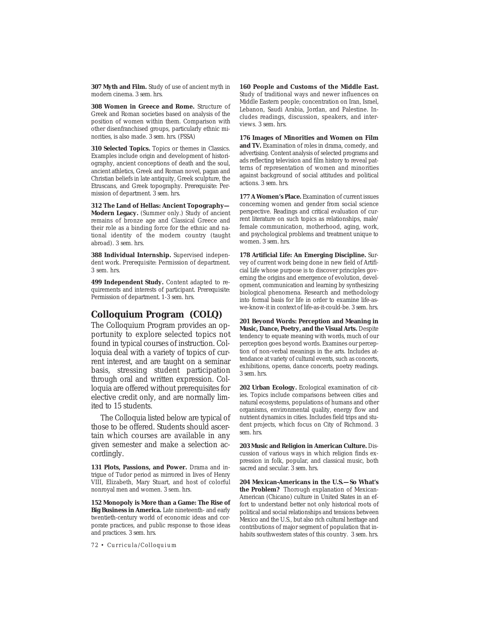**307 Myth and Film.** Study of use of ancient myth in modern cinema. *3 sem. hrs.*

**308 Women in Greece and Rome.** Structure of Greek and Roman societies based on analysis of the position of women within them. Comparison with other disenfranchised groups, particularly ethnic minorities, is also made. *3 sem. hrs.* (FSSA)

**310 Selected Topics.** Topics or themes in Classics. Examples include origin and development of historiography, ancient conceptions of death and the soul, ancient athletics, Greek and Roman novel, pagan and Christian beliefs in late antiquity, Greek sculpture, the Etruscans, and Greek topography. *Prerequisite*: Permission of department. *3 sem. hrs.*

**312 The Land of Hellas: Ancient Topography— Modern Legacy.** (Summer only.) Study of ancient remains of bronze age and Classical Greece and their role as a binding force for the ethnic and national identity of the modern country (taught abroad). *3 sem. hrs.*

**388 Individual Internship.** Supervised independent work. *Prerequisite:* Permission of department. *3 sem. hrs.*

**499 Independent Study.** Content adapted to requirements and interests of participant. *Prerequisite*: Permission of department. *1-3 sem. hrs.*

# **Colloquium Program (COLQ)**

The Colloquium Program provides an opportunity to explore selected topics not found in typical courses of instruction. Colloquia deal with a variety of topics of current interest, and are taught on a seminar basis, stressing student participation through oral and written expression. Colloquia are offered without prerequisites for elective credit only, and are normally limited to 15 students.

The Colloquia listed below are typical of those to be offered. Students should ascertain which courses are available in any given semester and make a selection accordingly.

**131 Plots, Passions, and Power.** Drama and intrigue of Tudor period as mirrored in lives of Henry VIII, Elizabeth, Mary Stuart, and host of colorful nonroyal men and women. 3 sem. hrs.

**152 Monopoly is More than a Game: The Rise of Big Business in America.** Late nineteenth- and early twentieth-century world of economic ideas and corporate practices, and public response to those ideas and practices. *3 sem. hrs.*

*72 • Curricula/Colloquium*

**160 People and Customs of the Middle East.** Study of traditional ways and newer influences on Middle Eastern people; concentration on Iran, Israel, Lebanon, Saudi Arabia, Jordan, and Palestine. Includes readings, discussion, speakers, and interviews. *3 sem. hrs.*

**176 Images of Minorities and Women on Film and TV.** Examination of roles in drama, comedy, and advertising. Content analysis of selected programs and ads reflecting television and film history to reveal patterns of representation of women and minorities against background of social attitudes and political actions. *3 sem. hrs.*

**177 A Women's Place.** Examination of current issues concerning women and gender from social science perspective. Readings and critical evaluation of current literature on such topics as relationships, male/ female communication, motherhood, aging, work, and psychological problems and treatment unique to women. *3 sem. hrs.*

**178 Artificial Life: An Emerging Discipline.** Survey of current work being done in new field of Artificial Life whose purpose is to discover principles governing the origins and emergence of evolution, development, communication and learning by synthesizing biological phenomena. Research and methodology into formal basis for life in order to examine life-aswe-know-it in context of life-as-it-could-be. *3 sem. hrs.*

**201 Beyond Words: Perception and Meaning in Music, Dance, Poetry, and the Visual Arts.** Despite tendency to equate meaning with words, much of our perception goes beyond words. Examines our perception of non-verbal meanings in the arts. Includes attendance at variety of cultural events, such as concerts, exhibitions, operas, dance concerts, poetry readings. *3 sem. hrs.*

**202 Urban Ecology.** Ecological examination of cities. Topics include comparisons between cities and natural ecosystems, populations of humans and other organisms, environmental quality, energy flow and nutrient dynamics in cities. Includes field trips and student projects, which focus on City of Richmond. *3 sem. hrs.*

**203 Music and Religion in American Culture.** Discussion of various ways in which religion finds expression in folk, popular, and classical music, both sacred and secular. *3 sem. hrs.*

**204 Mexican-Americans in the U.S.—So What's the Problem?** Thorough explanation of Mexican-American (Chicano) culture in United States in an effort to understand better not only historical roots of political and social relationships and tensions between Mexico and the U.S., but also rich cultural heritage and contributions of major segment of population that inhabits southwestern states of this country. *3 sem. hrs.*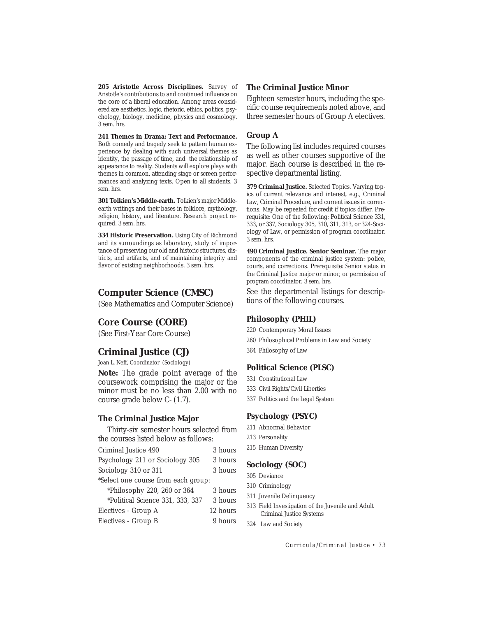**205 Aristotle Across Disciplines.** Survey of Aristotle's contributions to and continued influence on the core of a liberal education. Among areas considered are aesthetics, logic, rhetoric, ethics, politics, psychology, biology, medicine, physics and cosmology. *3 sem. hrs.*

**241 Themes in Drama: Text and Performance.** Both comedy and tragedy seek to pattern human experience by dealing with such universal themes as identity, the passage of time, and the relationship of appearance to reality. Students will explore plays with themes in common, attending stage or screen performances and analyzing texts. Open to all students. *3 sem. hrs.*

**301 Tolkien's Middle-earth.** Tolkien's major Middleearth writings and their bases in folklore, mythology, religion, history, and literature. Research project required. *3 sem. hrs.*

**334 Historic Preservation.** Using City of Richmond and its surroundings as laboratory, study of importance of preserving our old and historic structures, districts, and artifacts, and of maintaining integrity and flavor of existing neighborhoods. *3 sem. hrs.*

# **Computer Science (CMSC)**

(See Mathematics and Computer Science)

# **Core Course (CORE)**

(See First-Year Core Course)

# **Criminal Justice (CJ)**

Joan L. Neff, Coordinator (Sociology)

**Note:** The grade point average of the coursework comprising the major or the minor must be no less than 2.00 with no course grade below *C-* (1.7).

#### **The Criminal Justice Major**

Thirty-six semester hours selected from the courses listed below as follows:

| Criminal Justice 490                | 3 hours  |
|-------------------------------------|----------|
| Psychology 211 or Sociology 305     | 3 hours  |
| Sociology 310 or 311                | 3 hours  |
| *Select one course from each group: |          |
| *Philosophy 220, 260 or $364$       | 3 hours  |
| *Political Science 331, 333, 337    | 3 hours  |
| Electives - Group A                 | 12 hours |
| Electives - Group B                 | 9 hours  |
|                                     |          |

# **The Criminal Justice Minor**

Eighteen semester hours, including the specific course requirements noted above, and three semester hours of Group A electives.

# **Group A**

The following list includes required courses as well as other courses supportive of the major. Each course is described in the respective departmental listing.

**379 Criminal Justice.** Selected Topics. Varying topics of current relevance and interest, e.g., Criminal Law, Criminal Procedure, and current issues in corrections. May be repeated for credit if topics differ. *Prerequisite*: One of the following: Political Science 331, 333, or 337, Sociology 305, 310, 311, 313, or 324-Sociology of Law, or permission of program coordinator. *3 sem. hrs.*

**490 Criminal Justice. Senior Seminar.** The major components of the criminal justice system: police, courts, and corrections. *Prerequisite*: Senior status in the Criminal Justice major or minor, or permission of program coordinator. *3 sem. hrs.*

See the departmental listings for descriptions of the following courses.

# **Philosophy (PHIL)**

220 Contemporary Moral Issues

- 260 Philosophical Problems in Law and Society
- 364 Philosophy of Law

# **Political Science (PLSC)**

- 331 Constitutional Law
- 333 Civil Rights/Civil Liberties
- 337 Politics and the Legal System

# **Psychology (PSYC)**

- 211 Abnormal Behavior
- 213 Personality
- 215 Human Diversity

# **Sociology (SOC)**

- 305 Deviance
- 310 Criminology
- 311 Juvenile Delinquency
- 313 Field Investigation of the Juvenile and Adult Criminal Justice Systems
- 324 Law and Society

*Curricula/Criminal Justice • 73*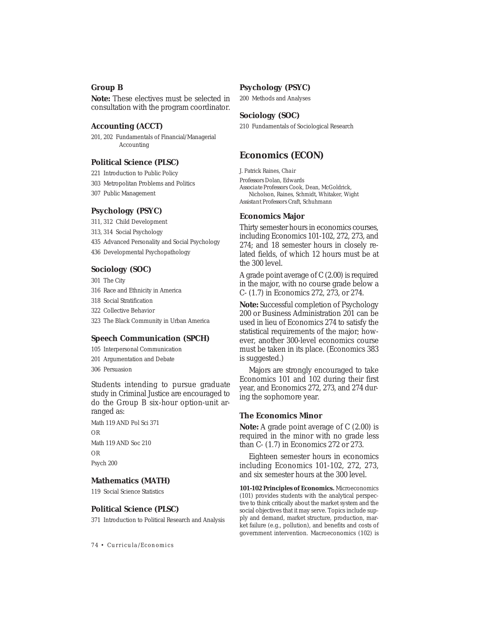# **Group B**

**Note:** These electives must be selected in consultation with the program coordinator.

# **Accounting (ACCT)**

201, 202 Fundamentals of Financial/Managerial Accounting

#### **Political Science (PLSC)**

221 Introduction to Public Policy

- 303 Metropolitan Problems and Politics
- 307 Public Management

#### **Psychology (PSYC)**

311, 312 Child Development

313, 314 Social Psychology

435 Advanced Personality and Social Psychology

436 Developmental Psychopathology

# **Sociology (SOC)**

301 The City

- 316 Race and Ethnicity in America
- 318 Social Stratification

322 Collective Behavior

323 The Black Community in Urban America

# **Speech Communication (SPCH)**

105 Interpersonal Communication

201 Argumentation and Debate

306 Persuasion

Students intending to pursue graduate study in Criminal Justice are encouraged to do the Group B six-hour option-unit arranged as:

Math 119 AND Pol Sci 371 OR Math 119 AND Soc 210 OR Psych 200

#### **Mathematics (MATH)**

119 Social Science Statistics

### **Political Science (PLSC)**

371 Introduction to Political Research and Analysis

*74 • Curricula/Economics*

# **Psychology (PSYC)**

200 Methods and Analyses

#### **Sociology (SOC)**

210 Fundamentals of Sociological Research

# **Economics (ECON)**

J. Patrick Raines, *Chair*

*Professors* Dolan, Edwards *Associate Professors* Cook, Dean, McGoldrick, Nicholson, Raines, Schmidt, Whitaker, Wight *Assistant Professors* Craft, Schuhmann

#### **Economics Major**

Thirty semester hours in economics courses, including Economics 101-102, 272, 273, and 274; and 18 semester hours in closely related fields, of which 12 hours must be at the 300 level.

A grade point average of *C* (2.00) is required in the major, with no course grade below a *C-* (1.7) in Economics 272, 273, or 274.

**Note:** Successful completion of Psychology 200 or Business Administration 201 can be used in lieu of Economics 274 to satisfy the statistical requirements of the major; however, another 300-level economics course must be taken in its place. (Economics 383 is suggested.)

Majors are strongly encouraged to take Economics 101 and 102 during their first year, and Economics 272, 273, and 274 during the sophomore year.

# **The Economics Minor**

**Note:** A grade point average of *C* (2.00) is required in the minor with no grade less than *C-* (1.7) in Economics 272 or 273.

Eighteen semester hours in economics including Economics 101-102, 272, 273, and six semester hours at the 300 level.

**101-102 Principles of Economics.** Microeconomics (101) provides students with the analytical perspective to think critically about the market system and the social objectives that it may serve. Topics include supply and demand, market structure, production, market failure (e.g., pollution), and benefits and costs of government intervention. Macroeconomics (102) is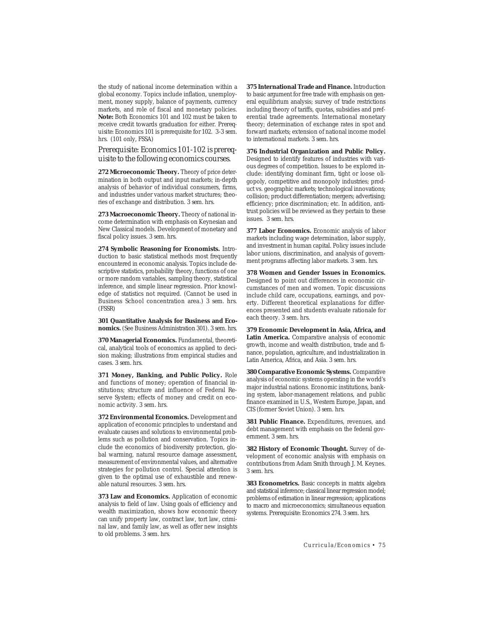the study of national income determination within a global economy. Topics include inflation, unemployment, money supply, balance of payments, currency markets, and role of fiscal and monetary policies. **Note:** Both Economics 101 and 102 must be taken to receive credit towards graduation for either. *Prerequisite:* Economics 101 is prerequisite for 102. *3-3 sem. hrs.* (101 only, FSSA)

*Prerequisite: Economics 101-102 is prerequisite to the following economics courses.*

**272 Microeconomic Theory.** Theory of price determination in both output and input markets; in-depth analysis of behavior of individual consumers, firms, and industries under various market structures; theories of exchange and distribution. *3 sem. hrs.*

**273 Macroeconomic Theory.** Theory of national income determination with emphasis on Keynesian and New Classical models. Development of monetary and fiscal policy issues. *3 sem. hrs.*

**274 Symbolic Reasoning for Economists.** Introduction to basic statistical methods most frequently encountered in economic analysis. Topics include descriptive statistics, probability theory, functions of one or more random variables, sampling theory, statistical inference, and simple linear regression. Prior knowledge of statistics not required. (Cannot be used in Business School concentration area.) *3 sem. hrs.* (FSSR)

**301 Quantitative Analysis for Business and Economics.** (See Business Administration 301). *3 sem. hrs.*

**370 Managerial Economics.** Fundamental, theoretical, analytical tools of economics as applied to decision making; illustrations from empirical studies and cases. *3 sem. hrs.*

**371 Money, Banking, and Public Policy.** Role and functions of money; operation of financial institutions; structure and influence of Federal Reserve System; effects of money and credit on economic activity. *3 sem. hrs.*

**372 Environmental Economics.** Development and application of economic principles to understand and evaluate causes and solutions to environmental problems such as pollution and conservation. Topics include the economics of biodiversity protection, global warming, natural resource damage assessment, measurement of environmental values, and alternative strategies for pollution control. Special attention is given to the optimal use of exhaustible and renewable natural resources. *3 sem. hrs.*

**373 Law and Economics.** Application of economic analysis to field of law. Using goals of efficiency and wealth maximization, shows how economic theory can unify property law, contract law, tort law, criminal law, and family law, as well as offer new insights to old problems. *3 sem. hrs.*

**375 International Trade and Finance.** Introduction to basic argument for free trade with emphasis on general equilibrium analysis; survey of trade restrictions including theory of tariffs, quotas, subsidies and preferential trade agreements. International monetary theory; determination of exchange rates in spot and forward markets; extension of national income model to international markets. *3 sem. hrs.*

**376 Industrial Organization and Public Policy.** Designed to identify features of industries with various degrees of competition. Issues to be explored include: identifying dominant firm, tight or loose oligopoly, competitive and monopoly industries; product vs. geographic markets; technological innovations; collision; product differentiation; mergers; advertising; efficiency; price discrimination; etc. In addition, antitrust policies will be reviewed as they pertain to these issues. *3 sem. hrs.*

**377 Labor Economics.** Economic analysis of labor markets including wage determination, labor supply, and investment in human capital. Policy issues include labor unions, discrimination, and analysis of government programs affecting labor markets. *3 sem. hrs.*

**378 Women and Gender Issues in Economics.** Designed to point out differences in economic circumstances of men and women. Topic discussions include child care, occupations, earnings, and poverty. Different theoretical explanations for differences presented and students evaluate rationale for each theory. *3 sem. hrs.*

**379 Economic Development in Asia, Africa, and Latin America.** Comparative analysis of economic growth, income and wealth distribution, trade and finance, population, agriculture, and industrialization in Latin America, Africa, and Asia. *3 sem. hrs.*

**380 Comparative Economic Systems.** Comparative analysis of economic systems operating in the world's major industrial nations. Economic institutions, banking system, labor-management relations, and public finance examined in U.S., Western Europe, Japan, and CIS (former Soviet Union). *3 sem. hrs.*

**381 Public Finance.** Expenditures, revenues, and debt management with emphasis on the federal government. *3 sem. hrs.*

**382 History of Economic Thought.** Survey of development of economic analysis with emphasis on contributions from Adam Smith through J. M. Keynes. *3 sem. hrs.*

**383 Econometrics.** Basic concepts in matrix algebra and statistical inference; classical linear regression model; problems of estimation in linear regression; applications to macro and microeconomics; simultaneous equation systems. *Prerequisite*: Economics 274. *3 sem. hrs.*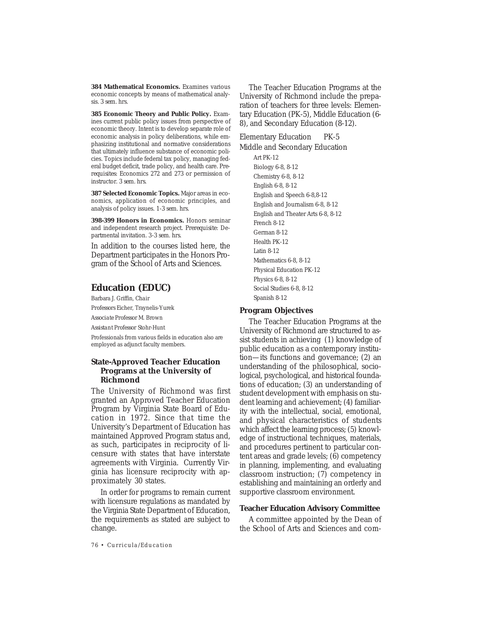**384 Mathematical Economics.** Examines various economic concepts by means of mathematical analysis. *3 sem. hrs.*

**385 Economic Theory and Public Policy.** Examines current public policy issues from perspective of economic theory. Intent is to develop separate role of economic analysis in policy deliberations, while emphasizing institutional and normative considerations that ultimately influence substance of economic policies. Topics include federal tax policy, managing federal budget deficit, trade policy, and health care. *Prerequisites*: Economics 272 and 273 or permission of instructor. *3 sem. hrs.*

**387 Selected Economic Topics.** Major areas in economics, application of economic principles, and analysis of policy issues. *1-3 sem. hrs.*

**398-399 Honors in Economics.** Honors seminar and independent research project. *Prerequisite*: Departmental invitation. *3-3 sem. hrs.*

In addition to the courses listed here, the Department participates in the Honors Program of the School of Arts and Sciences.

# **Education (EDUC)**

Barbara J. Griffin, *Chair*

*Professors* Eicher, Traynelis-Yurek

*Associate Professor* M. Brown

*Assistant Professor* Stohr-Hunt

Professionals from various fields in education also are employed as adjunct faculty members.

# **State-Approved Teacher Education Programs at the University of Richmond**

The University of Richmond was first granted an Approved Teacher Education Program by Virginia State Board of Education in 1972. Since that time the University's Department of Education has maintained Approved Program status and, as such, participates in reciprocity of licensure with states that have interstate agreements with Virginia. Currently Virginia has licensure reciprocity with approximately 30 states.

In order for programs to remain current with licensure regulations as mandated by the Virginia State Department of Education, the requirements as stated are subject to change.

The Teacher Education Programs at the University of Richmond include the preparation of teachers for three levels: Elementary Education (PK-5), Middle Education (6- 8), and Secondary Education (8-12).

Elementary Education PK-5 Middle and Secondary Education

> Art PK-12 Biology 6-8, 8-12 Chemistry 6-8, 8-12 English 6-8, 8-12 English and Speech 6-8,8-12 English and Journalism 6-8, 8-12 English and Theater Arts 6-8, 8-12 French 8-12 German 8-12 Health PK-12 Latin 8-12 Mathematics 6-8, 8-12 Physical Education PK-12 Physics 6-8, 8-12 Social Studies 6-8, 8-12 Spanish 8-12

#### **Program Objectives**

The Teacher Education Programs at the University of Richmond are structured to assist students in achieving (1) knowledge of public education as a contemporary institution—its functions and governance; (2) an understanding of the philosophical, sociological, psychological, and historical foundations of education; (3) an understanding of student development with emphasis on student learning and achievement; (4) familiarity with the intellectual, social, emotional, and physical characteristics of students which affect the learning process; (5) knowledge of instructional techniques, materials, and procedures pertinent to particular content areas and grade levels; (6) competency in planning, implementing, and evaluating classroom instruction; (7) competency in establishing and maintaining an orderly and supportive classroom environment.

# **Teacher Education Advisory Committee**

A committee appointed by the Dean of the School of Arts and Sciences and com-

*76 • Curricula/Education*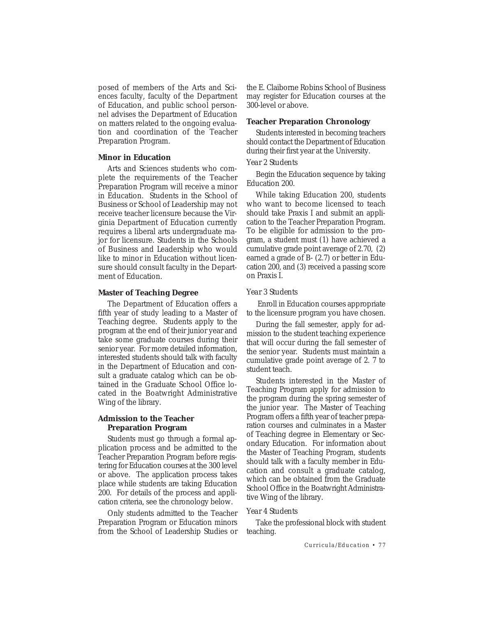posed of members of the Arts and Sciences faculty, faculty of the Department of Education, and public school personnel advises the Department of Education on matters related to the ongoing evaluation and coordination of the Teacher Preparation Program.

#### **Minor in Education**

Arts and Sciences students who complete the requirements of the Teacher Preparation Program will receive a minor in Education. Students in the School of Business or School of Leadership may not receive teacher licensure because the Virginia Department of Education currently requires a liberal arts undergraduate major for licensure. Students in the Schools of Business and Leadership who would like to minor in Education without licensure should consult faculty in the Department of Education.

# **Master of Teaching Degree**

The Department of Education offers a fifth year of study leading to a Master of Teaching degree. Students apply to the program at the end of their junior year and take some graduate courses during their senior year. For more detailed information, interested students should talk with faculty in the Department of Education and consult a graduate catalog which can be obtained in the Graduate School Office located in the Boatwright Administrative Wing of the library.

# **Admission to the Teacher Preparation Program**

Students must go through a formal application process and be admitted to the Teacher Preparation Program before registering for Education courses at the 300 level or above. The application process takes place while students are taking Education 200. For details of the process and application criteria, see the chronology below.

Only students admitted to the Teacher Preparation Program or Education minors from the School of Leadership Studies or the E. Claiborne Robins School of Business may register for Education courses at the 300-level or above.

# **Teacher Preparation Chronology**

Students interested in becoming teachers should contact the Department of Education during their first year at the University.

# *Year 2 Students*

Begin the Education sequence by taking Education 200.

While taking Education 200, students who want to become licensed to teach should take Praxis I and submit an application to the Teacher Preparation Program. To be eligible for admission to the program, a student must (1) have achieved a cumulative grade point average of 2.70, (2) earned a grade of B- (2.7) or better in Education 200, and (3) received a passing score on Praxis I.

# *Year 3 Students*

 Enroll in Education courses appropriate to the licensure program you have chosen.

During the fall semester, apply for admission to the student teaching experience that will occur during the fall semester of the senior year. Students must maintain a cumulative grade point average of 2. 7 to student teach.

Students interested in the Master of Teaching Program apply for admission to the program during the spring semester of the junior year. The Master of Teaching Program offers a fifth year of teacher preparation courses and culminates in a Master of Teaching degree in Elementary or Secondary Education. For information about the Master of Teaching Program, students should talk with a faculty member in Education and consult a graduate catalog, which can be obtained from the Graduate School Office in the Boatwright Administrative Wing of the library.

#### *Year 4 Students*

Take the professional block with student teaching.

*Curricula/Education • 77*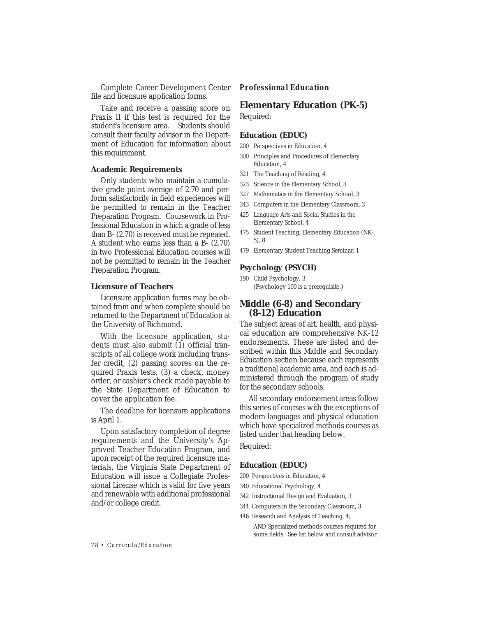Complete Career Development Center file and licensure application forms.

Take and receive a passing score on Praxis II if this test is required for the student's licensure area. Students should consult their faculty advisor in the Department of Education for information about this requirement.

# **Academic Requirements**

Only students who maintain a cumulative grade point average of 2.70 and perform satisfactorily in field experiences will be permitted to remain in the Teacher Preparation Program. Coursework in Professional Education in which a grade of less than *B-* (2.70) is received must be repeated. A student who earns less than a *B-* (2.70) in two Professional Education courses will not be permitted to remain in the Teacher Preparation Program.

# **Licensure of Teachers**

Licensure application forms may be obtained from and when complete should be returned to the Department of Education at the University of Richmond.

With the licensure application, students must also submit (1) official transcripts of all college work including transfer credit, (2) passing scores on the required Praxis tests, (3) a check, money order, or cashier's check made payable to the State Department of Education to cover the application fee.

The deadline for licensure applications is April 1.

Upon satisfactory completion of degree requirements and the University's Approved Teacher Education Program, and upon receipt of the required licensure materials, the Virginia State Department of Education will issue a Collegiate Professional License which is valid for five years and renewable with additional professional and/or college credit.

#### *Professional Education*

# **Elementary Education (PK-5)**

Required:

#### **Education (EDUC)**

- 200 Perspectives in Education, 4
- 300 Principles and Procedures of Elementary Education, 4
- 321 The Teaching of Reading, 4
- 323 Science in the Elementary School, 3
- 327 Mathematics in the Elementary School, 3
- 343 Computers in the Elementary Classroom, 3
- 425 Language Arts and Social Studies in the Elementary School, 4
- 475 Student Teaching, Elementary Education (NK-5), 8
- 479 Elementary Student Teaching Seminar, 1

# **Psychology (PSYCH)**

190 Child Psychology, 3 (Psychology 100 is a prerequisite.)

# **Middle (6-8) and Secondary (8-12) Education**

The subject areas of art, health, and physical education are comprehensive NK-12 endorsements. These are listed and described within this Middle and Secondary Education section because each represents a traditional academic area, and each is administered through the program of study for the secondary schools.

All secondary endorsement areas follow this series of courses with the exceptions of modern languages and physical education which have specialized methods courses as listed under that heading below.

Required:

#### **Education (EDUC)**

200 Perspectives in Education, 4

- 340 Educational Psychology, 4
- 342 Instructional Design and Evaluation, 3
- 344 Computers in the Secondary Classroom, 3
- 446 Research and Analysis of Teaching, 4; AND Specialized methods courses required for
	- some fields. See list below and consult advisor.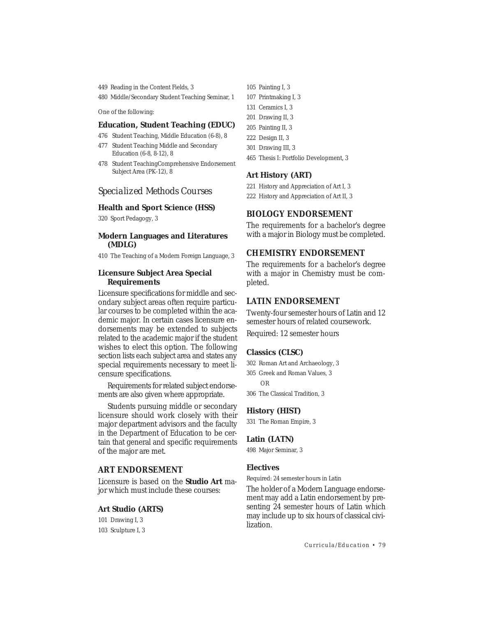449 Reading in the Content Fields, 3

480 Middle/Secondary Student Teaching Seminar, 1

One of the following:

#### **Education, Student Teaching (EDUC)**

- 476 Student Teaching, Middle Education (6-8), 8
- 477 Student Teaching Middle and Secondary Education (6-8, 8-12), 8
- 478 Student TeachingComprehensive Endorsement Subject Area (PK-12), 8

# *Specialized Methods Courses*

#### **Health and Sport Science (HSS)**

320 Sport Pedagogy, 3

# **Modern Languages and Literatures (MDLG)**

410 The Teaching of a Modern Foreign Language, 3

# **Licensure Subject Area Special Requirements**

Licensure specifications for middle and secondary subject areas often require particular courses to be completed within the academic major. In certain cases licensure endorsements may be extended to subjects related to the academic major if the student wishes to elect this option. The following section lists each subject area and states any special requirements necessary to meet licensure specifications.

Requirements for related subject endorsements are also given where appropriate.

Students pursuing middle or secondary licensure should work closely with their major department advisors and the faculty in the Department of Education to be certain that general and specific requirements of the major are met.

# *ART ENDORSEMENT*

Licensure is based on the **Studio Art** major which must include these courses:

# **Art Studio (ARTS)**

101 Drawing I, 3 103 Sculpture I, 3

- 105 Painting I, 3
- 107 Printmaking I, 3
- 131 Ceramics I, 3
- 201 Drawing II, 3
- 205 Painting II, 3
- 222 Design II, 3
- 301 Drawing III, 3
- 465 Thesis I: Portfolio Development, 3

# **Art History (ART)**

221 History and Appreciation of Art I, 3

222 History and Appreciation of Art II, 3

# *BIOLOGY ENDORSEMENT*

The requirements for a bachelor's degree with a major in Biology must be completed.

# *CHEMISTRY ENDORSEMENT*

The requirements for a bachelor's degree with a major in Chemistry must be completed.

#### *LATIN ENDORSEMENT*

Twenty-four semester hours of Latin and 12 semester hours of related coursework.

Required: 12 semester hours

#### **Classics (CLSC)**

302 Roman Art and Archaeology, 3

305 Greek and Roman Values, 3 OR

306 The Classical Tradition, 3

# **History (HIST)**

331 The Roman Empire, 3

#### **Latin (LATN)**

498 Major Seminar, 3

# **Electives**

Required: 24 semester hours in Latin

The holder of a Modern Language endorsement may add a Latin endorsement by presenting 24 semester hours of Latin which may include up to six hours of classical civilization.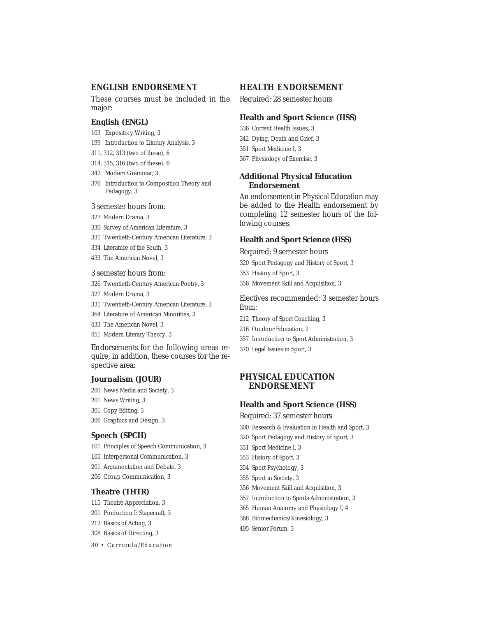# *ENGLISH ENDORSEMENT*

These courses must be included in the major:

# **English (ENGL)**

- 103 Expository Writing, 3
- 199 Introduction to Literary Analysis, 3
- 311, 312, 313 (two of these), 6
- 314, 315, 316 (two of these), 6
- 342 Modern Grammar, 3
- 376 Introduction to Composition Theory and Pedagogy, 3

#### 3 semester hours from:

- 327 Modern Drama, 3
- 330 Survey of American Literature, 3
- 331 Twentieth-Century American Literature, 3
- 334 Literature of the South, 3
- 433 The American Novel, 3

#### 3 semester hours from:

- 326 Twentieth-Century American Poetry, 3
- 327 Modern Drama, 3
- 331 Twentieth-Century American Literature, 3
- 364 Literature of American Minorities, 3
- 433 The American Novel, 3
- 451 Modern Literary Theory, 3

*Endorsements* for the following areas require, in addition, these courses for the respective area:

#### **Journalism (JOUR)**

- 200 News Media and Society, 3
- 201 News Writing, 3
- 301 Copy Editing, 3
- 306 Graphics and Design, 3

#### **Speech (SPCH)**

- 101 Principles of Speech Communication, 3
- 105 Interpersonal Communication, 3
- 201 Argumentation and Debate, 3
- 206 Group Communication, 3

# **Theatre (THTR)**

- 115 Theatre Appreciation, 3
- 201 Production I: Stagecraft, 3
- 212 Basics of Acting, 3
- 308 Basics of Directing, 3
- *80 Curricula/Education*

# *HEALTH ENDORSEMENT*

Required: 28 semester hours

# **Health and Sport Science (HSS)**

- 336 Current Health Issues, 3
- 342 Dying, Death and Grief, 3
- 351 Sport Medicine I, 3
- 367 Physiology of Exercise, 3

# **Additional Physical Education Endorsement**

An endorsement in Physical Education may be added to the Health endorsement by completing 12 semester hours of the following courses:

# **Health and Sport Science (HSS)**

- Required: 9 semester hours
- 320 Sport Pedagogy and History of Sport, 3
- 353 History of Sport, 3
- 356 Movement Skill and Acquisition, 3

# Electives recommended: 3 semester hours from:

- 212 Theory of Sport Coaching, 3
- 216 Outdoor Education, 2
- 357 Introduction to Sport Administration, 3
- 370 Legal Issues in Sport, 3

# *PHYSICAL EDUCATION ENDORSEMENT*

# **Health and Sport Science (HSS)**

Required: 37 semester hours

- 300 Research & Evaluation in Health and Sport, 3
- 320 Sport Pedagogy and History of Sport, 3
- 351 Sport Medicine I, 3
- 353 History of Sport, 3
- 354 Sport Psychology, 3
- 355 Sport in Society, 3
- 356 Movement Skill and Acquisition, 3
- 357 Introduction to Sports Administration, 3
- 365 Human Anatomy and Physiology I, 4
- 368 Biomechanics/Kinesiology, 3
- 495 Senior Forum, 3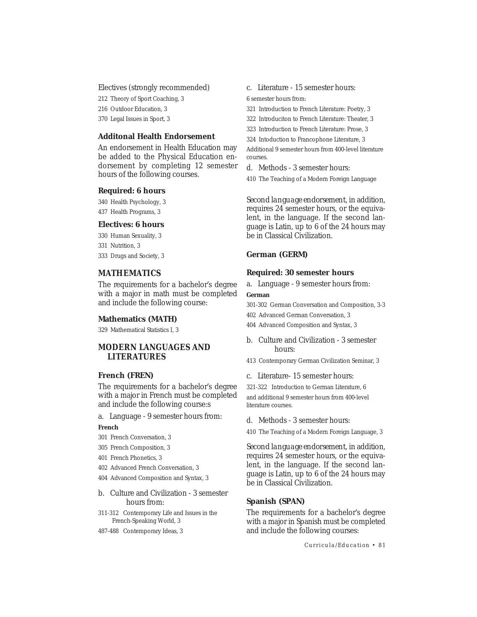Electives (strongly recommended)

212 Theory of Sport Coaching, 3

216 Outdoor Education, 3

370 Legal Issues in Sport, 3

# **Additonal Health Endorsement**

An endorsement in Health Education may be added to the Physical Education endorsement by completing 12 semester hours of the following courses.

#### **Required: 6 hours**

340 Health Psychology, 3

437 Health Programs, 3

# **Electives: 6 hours**

330 Human Sexuality, 3

331 Nutrition, 3

333 Drugs and Society, 3

# *MATHEMATICS*

The requirements for a bachelor's degree with a major in math must be completed and include the following course:

#### **Mathematics (MATH)**

329 Mathematical Statistics I, 3

# *MODERN LANGUAGES AND LITERATURES*

# **French (FREN)**

The requirements for a bachelor's degree with a major in French must be completed and include the following course:s

a. Language - 9 semester hours from:

#### **French**

- 301 French Conversation, 3
- 305 French Composition, 3
- 401 French Phonetics, 3
- 402 Advanced French Conversation, 3
- 404 Advanced Composition and Syntax, 3
- b. Culture and Civilization 3 semester hours from:
- 311-312 Contemporary Life and Issues in the French-Speaking World, 3
- 487-488 Contemporary Ideas, 3

c. Literature - 15 semester hours:

6 semester hours from:

- 321 Introduction to French Literature: Poetry, 3
- 322 Introduciton to French Literature: Theater, 3
- 323 Introduction to French Literature: Prose, 3
- 324 Intoduction to Francophone Literature, 3

Additional 9 semester hours from 400-level literature courses.

d. Methods - 3 semester hours:

410 The Teaching of a Modern Foreign Language

*Second language endorsement*, in addition, requires 24 semester hours, or the equivalent, in the language. If the second language is Latin, up to 6 of the 24 hours may be in Classical Civilization.

# **German (GERM)**

#### **Required: 30 semester hours**

a. Language - 9 semester hours from:

# **German**

301-302 German Conversation and Composition, 3-3

402 Advanced German Conversation, 3

- 404 Advanced Composition and Syntax, 3
- b. Culture and Civilization 3 semester hours:
- 413 Contemporary German Civilization Seminar, 3
- c. Literature- 15 semester hours:
- 321-322 Introduction to German Literature, 6

and additional 9 semester hours from 400-level literature courses.

d. Methods - 3 semester hours:

410 The Teaching of a Modern Foreign Language, 3

*Second language endorsement*, in addition, requires 24 semester hours, or the equivalent, in the language. If the second language is Latin, up to 6 of the 24 hours may be in Classical Civilization.

#### **Spanish (SPAN)**

The requirements for a bachelor's degree with a major in Spanish must be completed and include the following courses:

*Curricula/Education • 81*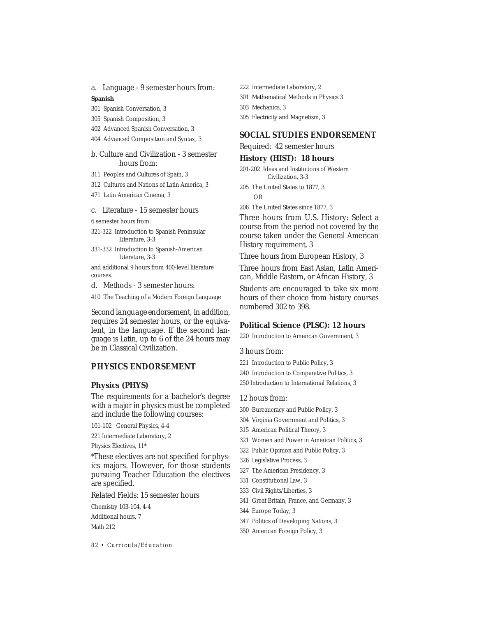a. Language - 9 semester hours from:

# **Spanish**

- 301 Spanish Conversation, 3
- 305 Spanish Composition, 3
- 402 Advanced Spanish Conversation, 3
- 404 Advanced Composition and Syntax, 3

#### b. Culture and Civilization - 3 semester hours from:

- 311 Peoples and Cultures of Spain, 3
- 312 Cultures and Nations of Latin America, 3
- 471 Latin American Cinema, 3

#### c. Literature - 15 semester hours

6 semester hours from:

321-322 Introduction to Spanish Peninsular Literature, 3-3

331-332 Introduction to Spanish-American Literature, 3-3

and additional 9 hours from 400-level literature courses.

d. Methods - 3 semester hours:

410 The Teaching of a Modern Foreign Language

*Second language endorsement,* in addition, requires 24 semester hours, or the equivalent, in the language. If the second language is Latin, up to 6 of the 24 hours may be in Classical Civilization.

# *PHYSICS ENDORSEMENT*

# **Physics (PHYS)**

The requirements for a bachelor's degree with a major in physics must be completed and include the following courses:

101-102 General Physics, 4-4

221 Intermediate Laboratory, 2

Physics Electives, 11\*

\*These electives are not specified for physics majors. However, for those students pursuing Teacher Education the electives are specified.

Related Fields: 15 semester hours

Chemistry 103-104, 4-4

Additional hours, 7

Math 212

*82 • Curricula/Education*

- 222 Intermediate Laboratory, 2
- 301 Mathematical Methods in Physics 3

303 Mechanics, 3

305 Electricity and Magnetism, 3

#### *SOCIAL STUDIES ENDORSEMENT*

Required: 42 semester hours

#### **History (HIST): 18 hours**

201-202 Ideas and Institutions of Western Civilization, 3-3

205 The United States to 1877, 3 OR

206 The United States since 1877, 3

Three hours from U.S. History: Select a course from the period not covered by the course taken under the General American History requirement, 3

Three hours from European History, 3

Three hours from East Asian, Latin American, Middle Eastern, or African History, 3

Students are encouraged to take six more hours of their choice from history courses numbered 302 to 398.

# **Political Science (PLSC): 12 hours**

220 Introduction to American Government, 3

3 hours from:

- 221 Introduction to Public Policy, 3
- 240 Introduction to Comparative Politics, 3
- 250 Introduction to International Relations, 3

12 hours from:

- 300 Bureaucracy and Public Policy, 3
- 304 Virginia Government and Politics, 3
- 315 American Political Theory, 3
- 321 Women and Power in American Politics, 3
- 322 Public Opinion and Public Policy, 3
- 326 Legislative Process, 3
- 327 The American Presidency, 3
- 331 Constitutional Law, 3
- 333 Civil Rights/Liberties, 3
- 341 Great Britain, France, and Germany, 3
- 344 Europe Today, 3
- 347 Politics of Developing Nations, 3
- 350 American Foreign Policy, 3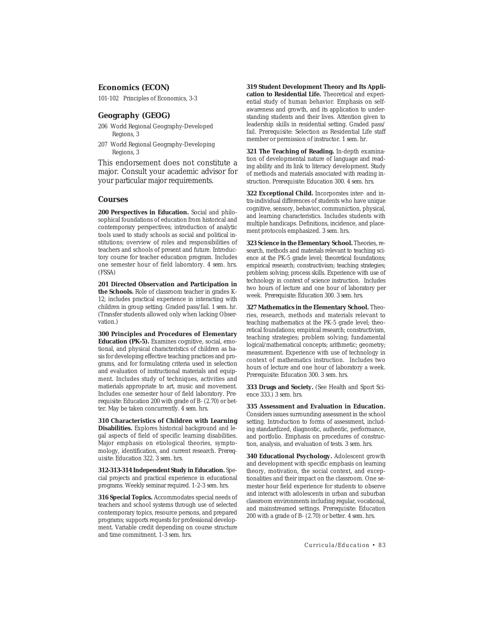#### **Economics (ECON)**

101-102 Principles of Economics, 3-3

# **Geography (GEOG)**

- 206 World Regional Geography-Developed Regions, 3
- 207 World Regional Geography-Developing Regions, 3

This endorsement does not constitute a major. Consult your academic advisor for your particular major requirements.

#### **Courses**

**200 Perspectives in Education.** Social and philosophical foundations of education from historical and contemporary perspectives; introduction of analytic tools used to study schools as social and political institutions; overview of roles and responsibilities of teachers and schools of present and future. Introductory course for teacher education program. Includes one semester hour of field laboratory. *4 sem. hrs.* (FSSA)

**201 Directed Observation and Participation in the Schools.** Role of classroom teacher in grades K-12; includes practical experience in interacting with children in group setting. Graded pass/fail. *1 sem. hr.* (Transfer students allowed only when lacking Observation.)

**300 Principles and Procedures of Elementary Education (PK-5).** Examines cognitive, social, emotional, and physical characteristics of children as basis for developing effective teaching practices and programs, and for formulating criteria used in selection and evaluation of instructional materials and equipment. Includes study of techniques, activities and matierials appropriate to art, music and movement. Includes one semester hour of field laboratory. *Prerequisite*: Education 200 with grade of B- (2.70) or better. May be taken concurrently. *4 sem. hrs.*

**310 Characteristics of Children with Learning Disabilities.** Explores historical background and legal aspects of field of specific learning disabilities. Major emphasis on etiological theories, symptomology, identification, and current research. *Prerequisite*: Education 322. *3 sem. hrs.*

**312-313-314 Independent Study in Education.** Special projects and practical experience in educational programs. Weekly seminar required. *1-2-3 sem. hrs.*

**316 Special Topics.** Accommodates special needs of teachers and school systems through use of selected contemporary topics, resource persons, and prepared programs; supports requests for professional development. Variable credit depending on course structure and time commitment. *1-3 sem. hrs.*

**319 Student Development Theory and Its Application to Residential Life.** Theoretical and experiential study of human behavior. Emphasis on selfawareness and growth, and its application to understanding students and their lives. Attention given to leadership skills in residential setting. Graded pass/ fail. *Prerequisite*: Selection as Residential Life staff member or permission of instructor. *1 sem. hr.*

**321 The Teaching of Reading.** In-depth examination of developmental nature of language and reading ability and its link to literacy development. Study of methods and materials associated with reading instruction. *Prerequisite*: Education 300. *4 sem. hrs.*

**322 Exceptional Child.** Incorporates inter- and intra-individual differences of students who have unique cognitive, sensory, behavior, communiction, physical, and learning characteristics. Includes students with multiple handicaps. Definitions, incidence, and placement protocols emphasized. *3 sem. hrs.*

**323 Science in the Elementary School.** Theories, research, methods and materials relevant to teaching science at the PK-5 grade level; theoretical foundations; empirical research; constructivism; teaching strategies; problem solving; process skills. Experience with use of technology in context of science instruction. Includes two hours of lecture and one hour of laboratory per week. *Prerequisite:* Education 300. *3 sem. hrs.*

**327 Mathematics in the Elementary School.** Theories, research, methods and materials relevant to teaching mathematics at the PK-5 grade level; theoretical foundations; empirical research; constructivism, teaching strategies; problem solving; fundamental logical/mathematical concepts; arithmetic; geometry; measurement. Experience with use of technology in context of mathematics instruction. Includes two hours of lecture and one hour of laboratory a week. *Prerequisite:* Education 300. *3 sem. hrs.*

333 Drugs and Society. (See Health and Sport Science 333.) *3 sem. hrs.*

**335 Assessment and Evaluation in Education.** Considers issues surrounding assessment in the school setting. Introduction to forms of assessment, including standardized, diagnostic, authentic, performance, and portfolio. Emphasis on procedures of construction, analysis, and evaluation of tests. *3 sem. hrs.*

**340 Educational Psychology.** Adolescent growth and development with specific emphasis on learning theory, motivation, the social context, and exceptionalities and their impact on the classroom. One semester hour field experience for students to observe and interact with adolescents in urban and suburban classroom environments including regular, vocational, and mainstreamed settings. *Prerequisite*: Education 200 with a grade of B- (2.70) or better. *4 sem. hrs.*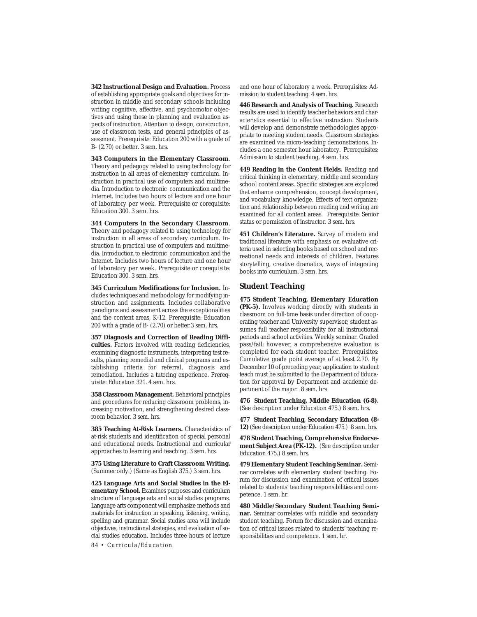**342 Instructional Design and Evaluation.** Process of establishing appropriate goals and objectives for instruction in middle and secondary schools including writing cognitive, affective, and psychomotor objectives and using these in planning and evaluation aspects of instruction. Attention to design, construction, use of classroom tests, and general principles of assessment. *Prerequisite*: Education 200 with a grade of B- (2.70) or better. *3 sem. hrs.*

#### **343 Computers in the Elementary Classroom**.

Theory and pedagogy related to using technology for instruction in all areas of elementary curriculum. Instruction in practical use of computers and multimedia. Introduction to electronic communication and the Internet. Includes two hours of lecture and one hour of laboratory per week. *Prerequisite or corequisite*: Education 300. *3 sem. hrs*.

#### **344 Computers in the Secondary Classroom**.

Theory and pedagogy related to using technology for instruction in all areas of secondary curriculum. Instruction in practical use of computers and multimedia. Introduction to electronic communication and the Internet. Includes two hours of lecture and one hour of laboratory per week. *Prerequisite or corequisite*: Education 300. *3 sem. hrs*.

**345 Curriculum Modifications for Inclusion.** Includes techniques and methodology for modifying instruction and assignments. Includes collaborative paradigms and assessment across the exceptionalities and the content areas, K-12. *Prerequisite*: Education 200 with a grade of B- (2.70) or better.*3 sem. hrs.*

**357 Diagnosis and Correction of Reading Diffi**culties. Factors involved with reading deficiencies, examining diagnostic instruments, interpreting test results, planning remedial and clinical programs and establishing criteria for referral, diagnosis and remediation. Includes a tutoring experience. *Prerequisite*: Education 321. *4 sem. hrs.*

**358 Classroom Management.** Behavioral principles and procedures for reducing classroom problems, increasing motivation, and strengthening desired classroom behavior. *3 sem. hrs.*

**385 Teaching At-Risk Learners.** Characteristics of at-risk students and identification of special personal and educational needs. Instructional and curricular approaches to learning and teaching. *3 sem. hrs.*

**375 Using Literature to Craft Classroom Writing.** (Summer only.) (Same as English 375.) *3 sem. hrs.*

**425 Language Arts and Social Studies in the Elementary School.** Examines purposes and curriculum structure of language arts and social studies programs. Language arts component will emphasize methods and materials for instruction in speaking, listening, writing, spelling and grammar. Social studies area will include objectives, instructional strategies, and evaluation of social studies education. Includes three hours of lecture

*84 • Curricula/Education*

and one hour of laboratory a week. *Prerequisites*: Admission to student teaching. *4 sem. hrs.*

**446 Research and Analysis of Teaching.** Research results are used to identify teacher behaviors and characteristics essential to effective instruction. Students will develop and demonstrate methodologies appropriate to meeting student needs. Classroom strategies are examined via micro-teaching demonstrations. Includes a one semester hour laboratory. *Prerequisites*: Admission to student teaching. *4 sem. hrs.*

**449 Reading in the Content Fields.** Reading and critical thinking in elementary, middle and secondary school content areas. Specific strategies are explored that enhance comprehension, concept development, and vocabulary knowledge. Effects of text organization and relationship between reading and writing are examined for all content areas. *Prerequisite:* Senior status or permission of instructor. *3 sem. hrs.*

**451 Children's Literature.** Survey of modern and traditional literature with emphasis on evaluative criteria used in selecting books based on school and recreational needs and interests of children. Features storytelling, creative dramatics, ways of integrating books into curriculum. *3 sem. hrs.*

#### **Student Teaching**

**475 Student Teaching, Elementary Education (PK-5).** Involves working directly with students in classroom on full-time basis under direction of cooperating teacher and University supervisor; student assumes full teacher responsibility for all instructional periods and school activities. Weekly seminar. Graded pass/fail; however, a comprehensive evaluation is completed for each student teacher. *Prerequisites*: Cumulative grade point average of at least 2.70. By December 10 of preceding year, application to student teach must be submitted to the Department of Education for approval by Department and academic department of the major. *8 sem. hrs*

**476 Student Teaching, Middle Education (6-8).** (See description under Education 475.) *8 sem. hrs.*

**477 Student Teaching, Secondary Education (8- 12)** (See description under Education 475.) *8 sem. hrs.*

**478 Student Teaching, Comprehensive Endorsement Subject Area (PK-12).** (See description under Education 475.) *8 sem. hrs.*

**479 Elementary Student Teaching Seminar.** Seminar correlates with elementary student teaching. Forum for discussion and examination of critical issues related to students' teaching responsibilities and competence. *1 sem. hr.*

**480 Middle/Secondary Student Teaching Seminar.** Seminar correlates with middle and secondary student teaching. Forum for discussion and examination of critical issues related to students' teaching responsibilities and competence. *1 sem. hr.*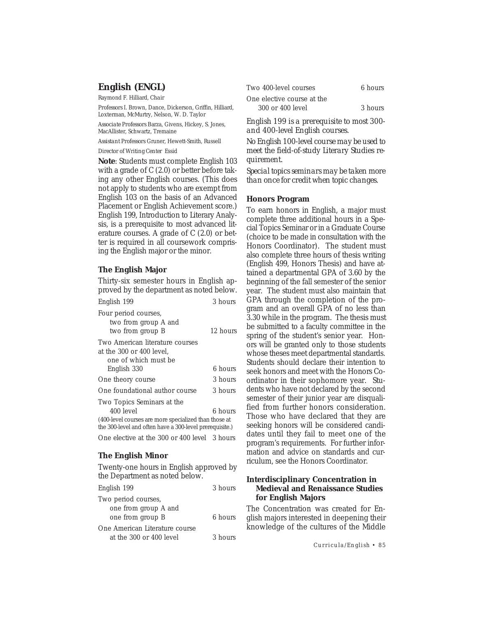# **English (ENGL)**

Raymond F. Hilliard, *Chair*

*Professors* I. Brown, Dance, Dickerson, Griffin, Hilliard, Loxterman, McMurtry, Nelson, W. D. Taylor

*Associate Professors* Barza, Givens, Hickey, S. Jones, MacAllister, Schwartz, Tremaine

*Assistant Professors* Gruner, Hewett-Smith, Russell *Director of Writing Center* Essid

**Note**: Students must complete English 103 with a grade of *C* (2.0) or better before taking any other English courses. (This does not apply to students who are exempt from English 103 on the basis of an Advanced Placement or English Achievement score.) English 199, Introduction to Literary Analysis, is a prerequisite to most advanced literature courses. A grade of *C* (2.0) or better is required in all coursework comprising the English major or the minor.

# **The English Major**

Thirty-six semester hours in English approved by the department as noted below.

| English 199                                             | 3 hours  |
|---------------------------------------------------------|----------|
| Four period courses,                                    |          |
| two from group A and                                    |          |
| two from group B                                        | 12 hours |
| Two American literature courses                         |          |
| at the 300 or 400 level,                                |          |
| one of which must be                                    |          |
| English 330                                             | 6 hours  |
| One theory course                                       | 3 hours  |
| One foundational author course                          | 3 hours  |
| Two Topics Seminars at the                              |          |
| $400$ level                                             | 6 hours  |
| (400-level courses are more specialized than those at   |          |
| the 300-level and often have a 300-level prerequisite.) |          |
| One elective at the 300 or 400 level 3 hours            |          |

# **The English Minor**

Twenty-one hours in English approved by the Department as noted below. English 199 3 hours Two period courses, one from group A and one from group B 6 hours

| . .                            |         |
|--------------------------------|---------|
| One American Literature course |         |
| at the 300 or 400 level        | 3 hours |
|                                |         |

| Two 400-level courses      | 6 hours |
|----------------------------|---------|
| One elective course at the |         |
| 300 or 400 level           | 3 hours |
|                            |         |

*English 199 is a prerequisite to most 300 and 400-level English courses.*

*No English 100-level course may be used to meet the field-of-study Literary Studies requirement.*

*Special topics seminars may be taken more than once for credit when topic changes.*

#### **Honors Program**

To earn honors in English, a major must complete three additional hours in a Special Topics Seminar or in a Graduate Course (choice to be made in consultation with the Honors Coordinator). The student must also complete three hours of thesis writing (English 499, Honors Thesis) and have attained a departmental GPA of 3.60 by the beginning of the fall semester of the senior year. The student must also maintain that GPA through the completion of the program and an overall GPA of no less than 3.30 while in the program. The thesis must be submitted to a faculty committee in the spring of the student's senior year. Honors will be granted only to those students whose theses meet departmental standards. Students should declare their intention to seek honors and meet with the Honors Coordinator in their sophomore year. Students who have not declared by the second semester of their junior year are disqualified from further honors consideration. Those who have declared that they are seeking honors will be considered candidates until they fail to meet one of the program's requirements. For further information and advice on standards and curriculum, see the Honors Coordinator.

# **Interdisciplinary Concentration in Medieval and Renaissance Studies for English Majors**

The Concentration was created for English majors interested in deepening their knowledge of the cultures of the Middle

*Curricula/English • 85*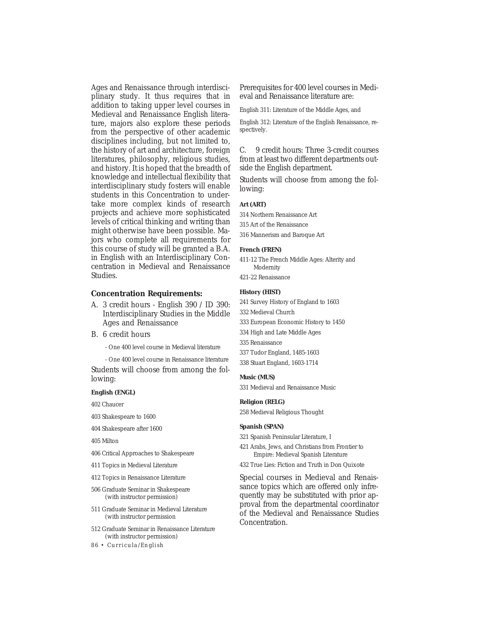Ages and Renaissance through interdisciplinary study. It thus requires that in addition to taking upper level courses in Medieval and Renaissance English literature, majors also explore these periods from the perspective of other academic disciplines including, but not limited to, the history of art and architecture, foreign literatures, philosophy, religious studies, and history. It is hoped that the breadth of knowledge and intellectual flexibility that interdisciplinary study fosters will enable students in this Concentration to undertake more complex kinds of research projects and achieve more sophisticated levels of critical thinking and writing than might otherwise have been possible. Majors who complete all requirements for this course of study will be granted a B.A. in English with an Interdisciplinary Concentration in Medieval and Renaissance Studies.

#### **Concentration Requirements:**

- A. 3 credit hours English 390 / ID 390: Interdisciplinary Studies in the Middle Ages and Renaissance
- B. 6 credit hours
	- One 400 level course in Medieval literature
	- One 400 level course in Renaissance literature

Students will choose from among the following:

#### **English (ENGL)**

402 Chaucer

403 Shakespeare to 1600

404 Shakespeare after 1600

405 Milton

- 406 Critical Approaches to Shakespeare
- 411 Topics in Medieval Literature
- 412 Topics in Renaissance Literature
- 506 Graduate Seminar in Shakespeare (with instructor permission)
- 511 Graduate Seminar in Medieval Literature (with instructor permission
- 512 Graduate Seminar in Renaissance Literature (with instructor permission)
- *86 Curricula/English*

Prerequisites for 400 level courses in Medieval and Renaissance literature are:

English 311: Literature of the Middle Ages, and

English 312: Literature of the English Renaissance, respectively.

C. 9 credit hours: Three 3-credit courses from at least two different departments outside the English department.

Students will choose from among the following:

# **Art (ART)**

314 Northern Renaissance Art

315 Art of the Renaissance

316 Mannerism and Baroque Art

#### **French (FREN)**

411-12 The French Middle Ages: Alterity and Modernity

421-22 Renaissance

# **History (HIST)**

- 241 Survey History of England to 1603
- 332 Medieval Church
- 333 European Economic History to 1450
- 334 High and Late Middle Ages
- 335 Renaissance
- 337 Tudor England, 1485-1603
- 338 Stuart England, 1603-1714

#### **Music (MUS)**

331 Medieval and Renaissance Music

#### **Religion (RELG)**

258 Medieval Religious Thought

#### **Spanish (SPAN)**

- 321 Spanish Peninsular Literature, I
- 421 Arabs, Jews, and Christians from Frontier to Empire: Medieval Spanish Literature
- 432 True Lies: Fiction and Truth in *Don Quixote*

Special courses in Medieval and Renaissance topics which are offered only infrequently may be substituted with prior approval from the departmental coordinator of the Medieval and Renaissance Studies Concentration.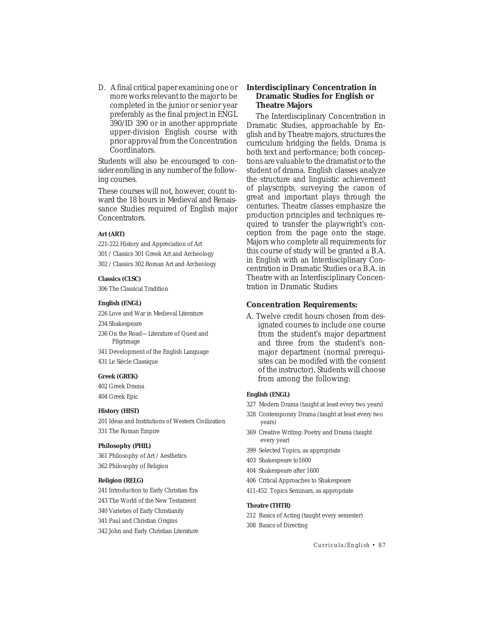D. A final critical paper examining one or more works relevant to the major to be completed in the junior or senior year preferably as the final project in ENGL 390/ID 390 or in another appropriate upper-division English course with prior approval from the Concentration Coordinators.

Students will also be encouraged to consider enrolling in any number of the following courses.

These courses will not, however, count toward the 18 hours in Medieval and Renaissance Studies required of English major Concentrators.

#### **Art (ART)**

221-222 History and Appreciation of Art

301 / Classics 301 Greek Art and Archeology

302 / Classics 302 Roman Art and Archeology

#### **Classics (CLSC)**

306 The Classical Tradition

#### **English (ENGL)**

226 Love and War in Medieval Literature

- 234 Shakespeare
- 236 On the Road—Literature of Quest and Pilgrimage
- 341 Development of the English Language
- 431 Le Siècle Classique

# **Greek (GREK)**

402 Greek Drama 404 Greek Epic

#### **History (HIST)**

201 Ideas and Institutions of Western Civilization 331 The Roman Empire

#### **Philosophy (PHIL)**

361 Philosophy of Art / Aesthetics 362 Philosophy of Religion

#### **Religion (RELG)**

241 Introduction to Early Christian Era

- 243 The World of the New Testament
- 340 Varieties of Early Christianity
- 341 Paul and Christian Origins
- 342 John and Early Christian Literature

# **Interdisciplinary Concentration in Dramatic Studies for English or Theatre Majors**

The Interdisciplinary Concentration in Dramatic Studies, approachable by English and by Theatre majors, structures the curriculum bridging the fields. Drama is both text and performance; both conceptions are valuable to the dramatist or to the student of drama. English classes analyze the structure and linguistic achievement of playscripts, surveying the canon of great and important plays through the centuries. Theatre classes emphasize the production principles and techniques required to transfer the playwright's conception from the page onto the stage. Majors who complete all requirements for this course of study will be granted a B.A. in English with an Interdisciplinary Concentration in Dramatic Studies or a B.A. in Theatre with an Interdisciplinary Concentration in Dramatic Studies

#### **Concentration Requirements:**

A. Twelve credit hours chosen from designated courses to include one course from the student's major department and three from the student's nonmajor department (normal prerequisites can be modifed with the consent of the instructor). Students will choose from among the following:

#### **English (ENGL)**

- 327 Modern Drama (taught at least every two years)
- 328 Contemporary Drama (taught at least every two years)
- 369 Creative Writing: Poetry and Drama (taught every year)
- 399 Selected Topics, as appropriate
- 403 Shakespeare to1600
- 404 Shakespeare after 1600
- 406 Critical Approaches to Shakespeare
- 411-452 Topics Seminars, as appropriate

#### **Theatre (THTR)**

- 212 Basics of Acting (taught every semester)
- 308 Basics of Directing

*Curricula/English • 87*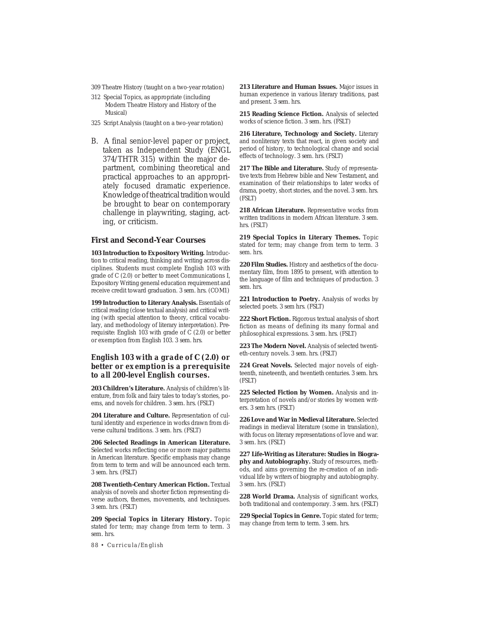309 Theatre History (taught on a two-year rotation)

- 312 Special Topics, as appropriate (including Modern Theatre History and History of the Musical)
- 325 Script Analysis (taught on a two-year rotation)
- B. A final senior-level paper or project, taken as Independent Study (ENGL 374/THTR 315) within the major department, combining theoretical and practical approaches to an appropriately focused dramatic experience. Knowledge of theatrical tradition would be brought to bear on contemporary challenge in playwriting, staging, acting, or criticism.

#### **First and Second-Year Courses**

**103 Introduction to Expository Writing.** Introduction to critical reading, thinking and writing across disciplines. Students must complete English 103 with grade of *C* (2.0) or better to meet Communications I, Expository Writing general education requirement and receive credit toward graduation. *3 sem. hrs.* (COM1)

**199 Introduction to Literary Analysis.** Essentials of critical reading (close textual analysis) and critical writing (with special attention to theory, critical vocabulary, and methodology of literary interpretation). *Prerequisite*: English 103 with grade of C (2.0) or better or exemption from English 103. *3 sem. hrs.*

# *English 103 with a grade of* **C** *(2.0) or better or exemption is a prerequisite to all 200-level English courses.*

**203 Children's Literature.** Analysis of children's literature, from folk and fairy tales to today's stories, poems, and novels for children. *3 sem. hrs.* (FSLT)

**204 Literature and Culture.** Representation of cultural identity and experience in works drawn from diverse cultural traditions. *3 sem. hrs.* (FSLT)

**206 Selected Readings in American Literature.** Selected works reflecting one or more major patterns in American literature. Specific emphasis may change from term to term and will be announced each term. *3 sem. hrs.* (FSLT)

**208 Twentieth-Century American Fiction.** Textual analysis of novels and shorter fiction representing diverse authors, themes, movements, and techniques. *3 sem. hrs.* (FSLT)

**209 Special Topics in Literary History.** Topic stated for term; may change from term to term. *3 sem. hrs.*

*88 • Curricula/English*

**213 Literature and Human Issues.** Major issues in human experience in various literary traditions, past and present. *3 sem. hrs.*

**215 Reading Science Fiction.** Analysis of selected works of science fiction. *3 sem. hrs.* (FSLT)

**216 Literature, Technology and Society.** Literary and nonliterary texts that react, in given society and period of history, to technological change and social effects of technology. *3 sem. hrs.* (FSLT)

217 The Bible and Literature. Study of representative texts from Hebrew bible and New Testament, and examination of their relationships to later works of drama, poetry, short stories, and the novel. *3 sem. hrs.* (FSLT)

**218 African Literature.** Representative works from written traditions in modern African literature. *3 sem. hrs.* (FSLT)

**219 Special Topics in Literary Themes.** Topic stated for term; may change from term to term. *3 sem. hrs.*

**220 Film Studies.** History and aesthetics of the documentary film, from 1895 to present, with attention to the language of film and techniques of production. *3 sem. hrs.*

**221 Introduction to Poetry.** Analysis of works by selected poets. *3 sem hrs.* (FSLT)

**222 Short Fiction.** Rigorous textual analysis of short fiction as means of defining its many formal and philosophical expressions. *3 sem. hrs.* (FSLT)

**223 The Modern Novel.** Analysis of selected twentieth-century novels. *3 sem. hrs.* (FSLT)

**224 Great Novels.** Selected major novels of eighteenth, nineteenth, and twentieth centuries. *3 sem. hrs.* (FSLT)

**225 Selected Fiction by Women.** Analysis and interpretation of novels and/or stories by women writers. *3 sem hrs.* (FSLT)

**226 Love and War in Medieval Literature.** Selected readings in medieval literature (some in translation), with focus on literary representations of love and war. *3 sem. hrs.* (FSLT)

**227 Life-Writing as Literature: Studies in Biography and Autobiography.** Study of resources, methods, and aims governing the re-creation of an individual life by writers of biography and autobiography. *3 sem. hrs.* (FSLT)

228 World Drama. Analysis of significant works, both traditional and contemporary. *3 sem. hrs.* (FSLT)

229 Special Topics in Genre. Topic stated for term; may change from term to term. *3 sem. hrs.*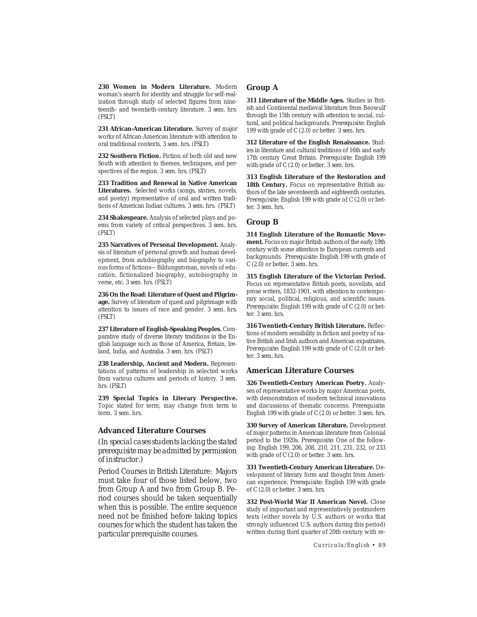**230 Women in Modern Literature.** Modern woman's search for identity and struggle for self-realization through study of selected figures from nineteenth- and twentieth-century literature. *3 sem. hrs.* (FSLT)

**231 African-American Literature.** Survey of major works of African-American literature with attention to oral traditional contexts. *3 sem. hrs.* (FSLT)

**232 Southern Fiction.** Fiction of both old and new South with attention to themes, techniques, and perspectives of the region. *3 sem. hrs.* (FSLT)

**233 Tradition and Renewal in Native American Literatures.** Selected works (songs, stories, novels, and poetry) representative of oral and written traditions of American Indian cultures. *3 sem. hrs.* (FSLT)

**234 Shakespeare.** Analysis of selected plays and poems from variety of critical perspectives. *3 sem. hrs.* (FSLT)

**235 Narratives of Personal Development.** Analysis of literature of personal growth and human development, from autobiography and biography to various forms of fictions—Bildungsroman, novels of education, fictionalized biography, autobiography in verse, etc. *3 sem. hrs.* (FSLT)

**236 On the Road: Literature of Quest and Pilgrimage.** Survey of literature of quest and pilgrimage with attention to issues of race and gender. *3 sem. hrs.* (FSLT)

**237 Literature of English-Speaking Peoples.** Comparative study of diverse literary traditions in the English language such as those of America, Britain, Ireland, India, and Australia. *3 sem. hrs.* (FSLT)

**238 Leadership, Ancient and Modern.** Representations of patterns of leadership in selected works from various cultures and periods of history. *3 sem. hrs.* (FSLT)

**239 Special Topics in Literary Perspective.** Topic stated for term; may change from term to term. *3 sem. hrs.*

#### **Advanced Literature Courses**

*(In special cases students lacking the stated prerequisite may be admitted by permission of instructor.)*

Period Courses in British Literature: Majors must take four of those listed below, two from Group A and two from Group B. Period courses should be taken sequentially when this is possible. The entire sequence need not be finished before taking topics courses for which the student has taken the particular prerequisite courses.

# **Group A**

**311 Literature of the Middle Ages.** Studies in British and Continental medieval literature from Beowulf through the 15th century with attention to social, cultural, and political backgrounds. *Prerequisite*: English 199 with grade of *C* (2.0) or better. *3 sem. hrs.*

**312 Literature of the English Renaissance.** Studies in literature and cultural traditions of 16th and early 17th century Great Britain. *Prerequisite*: English 199 with grade of *C* (2.0) or better. *3 sem. hrs.*

**313 English Literature of the Restoration and** 18th Century. Focus on representative British authors of the late seventeenth and eighteenth centuries. *Prerequisite*: English 199 with grade of *C* (2.0) or better. *3 sem. hrs.*

#### **Group B**

**314 English Literature of the Romantic Movement.** Focus on major British authors of the early 19th century with some attention to European currents and backgrounds. *Prerequisite*: English 199 with grade of *C* (2.0) or better. *3 sem. hrs.*

**315 English Literature of the Victorian Period.** Focus on representative British poets, novelists, and prose writers, 1832-1901, with attention to contemporary social, political, religious, and scientific issues. *Prerequisite*: English 199 with grade of *C* (2.0) or better. *3 sem. hrs.*

**316 Twentieth-Century British Literature.** Reflections of modern sensibility in fiction and poetry of native British and Irish authors and American expatriates. *Prerequisite*: English 199 with grade of *C* (2.0) or better. *3 sem. hrs.*

#### **American Literature Courses**

**326 Twentieth-Century American Poetry.** Analyses of representative works by major American poets, with demonstration of modern technical innovations and discussions of thematic concerns. *Prerequisite*: English 199 with grade of *C* (2.0) or better. *3 sem. hrs.*

**330 Survey of American Literature.** Development of major patterns in American literature from Colonial period to the 1920s. *Prerequisite*: One of the following: English 199, 206, 208, 210, 211, 231, 232, or 233 with grade of *C* (2.0) or better. *3 sem. hrs.*

**331 Twentieth-Century American Literature.** Development of literary form and thought from American experience. *Prerequisite*: English 199 with grade of *C* (2.0) or better. *3 sem. hrs.*

**332 Post-World War II American Novel.** Close study of important and representatively postmodern texts (either novels by U.S. authors or works that strongly influenced U.S. authors during this period) written during third quarter of 20th century with re-

*Curricula/English • 89*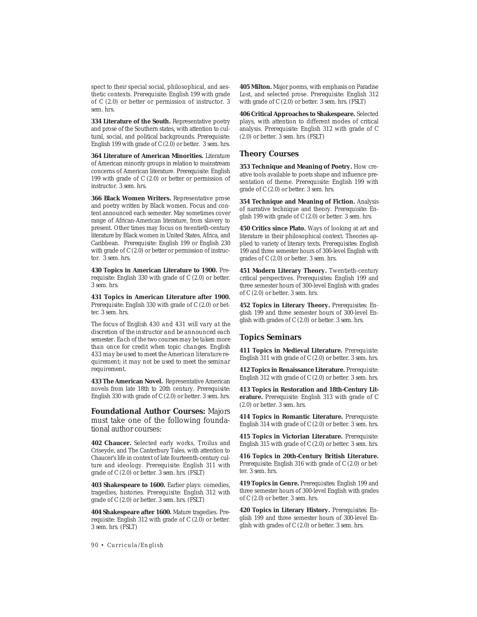spect to their special social, philosophical, and aesthetic contexts. *Prerequisite*: English 199 with grade of *C* (2.0) or better or permission of instructor. *3 sem. hrs.*

**334 Literature of the South.** Representative poetry and prose of the Southern states, with attention to cultural, social, and political backgrounds. *Prerequisite*: English 199 with grade of *C* (2.0) or better. *3 sem. hrs.*

**364 Literature of American Minorities.** Literature of American minority groups in relation to mainstream concerns of American literature. *Prerequisite*: English 199 with grade of *C* (2.0) or better or permission of instructor. *3 sem. hrs.*

**366 Black Women Writers.** Representative prose and poetry written by Black women. Focus and content announced each semester. May sometimes cover range of African-American literature, from slavery to present. Other times may focus on twentieth-century literature by Black women in United States, Africa, and Caribbean. *Prerequisite*: English 199 or English 230 with grade of  $C(2.0)$  or better or permission of instructor. *3 sem. hrs.*

**430 Topics in American Literature to 1900.** *Prerequisite*: English 330 with grade of *C* (2.0) or better. *3 sem. hrs.*

**431 Topics in American Literature after 1900.** *Prerequisite*: English 330 with grade of *C* (2.0) or better. *3 sem. hrs.*

*The focus of English 430 and 431 will vary at the discretion of the instructor and be announced each semester. Each of the two courses may be taken more than once for credit when topic changes. English 433 may be used to meet the American literature requirement; it may not be used to meet the seminar requirement.*

**433 The American Novel.** Representative American novels from late 18th to 20th century. *Prerequisite*: English 330 with grade of *C* (2.0) or better. *3 sem. hrs.*

**Foundational Author Courses:** Majors must take one of the following foundational author courses:

**402 Chaucer.** Selected early works, Troilus and Criseyde, and The Canterbury Tales, with attention to Chaucer's life in context of late fourteenth-century culture and ideology. *Prerequisite*: English 311 with grade of *C* (2.0) or better. *3 sem. hrs.* (FSLT)

**403 Shakespeare to 1600.** Earlier plays: comedies, tragedies, histories. *Prerequisite*: English 312 with grade of *C* (2.0) or better. *3 sem. hrs.* (FSLT)

**404 Shakespeare after 1600.** Mature tragedies. *Prerequisite*: English 312 with grade of *C* (2.0) or better. *3 sem. hrs.* (FSLT)

**405 Milton.** Major poems, with emphasis on Paradise Lost, and selected prose. *Prerequisite*: English 312 with grade of *C* (2.0) or better. *3 sem. hrs.* (FSLT)

**406 Critical Approaches to Shakespeare.** Selected plays, with attention to different modes of critical analysis. *Prerequisite*: English 312 with grade of *C*  $(2.0)$  or better.  $\overline{3}$  *sem. hrs.* (FSLT)

#### **Theory Courses**

**353 Technique and Meaning of Poetry.** How creative tools available to poets shape and influence presentation of theme. *Prerequisite*: English 199 with grade of *C* (2.0) or better. *3 sem. hrs.*

**354 Technique and Meaning of Fiction.** Analysis of narrative technique and theory. *Prerequisite*: English 199 with grade of *C* (2.0) or better. *3 sem. hrs.*

**450 Critics since Plato.** Ways of looking at art and literature in their philosophical context. Theories applied to variety of literary texts. *Prerequisites*: English 199 and three semester hours of 300-level English with grades of *C* (2.0) or better. *3 sem. hrs.*

**451 Modern Literary Theory.** Twentieth-century critical perspectives. *Prerequisites*: English 199 and three semester hours of 300-level English with grades of *C* (2.0) or better. *3 sem. hrs.*

**452 Topics in Literary Theory.** *Prerequisites*: English 199 and three semester hours of 300-level English with grades of *C* (2.0) or better. *3 sem. hrs.*

#### **Topics Seminars**

**411 Topics in Medieval Literature.** *Prerequisite*: English 311 with grade of *C* (2.0) or better. *3 sem. hrs.*

**412 Topics in Renaissance Literature.** *Prerequisite*: English 312 with grade of *C* (2.0) or better. *3 sem. hrs.*

**413 Topics in Restoration and 18th-Century Literature.** *Prerequisite*: English 313 with grade of *C* (2.0) or better. *3 sem. hrs.*

**414 Topics in Romantic Literature.** *Prerequisite*: English 314 with grade of *C* (2.0) or better. *3 sem. hrs.*

**415 Topics in Victorian Literature.** *Prerequisite*: English 315 with grade of *C* (2.0) or better. *3 sem. hrs.*

**416 Topics in 20th-Century British Literature.** *Prerequisite*: English 316 with grade of *C* (2.0) or better. *3 sem. hrs.*

**419 Topics in Genre.** *Prerequisites*: English 199 and three semester hours of 300-level English with grades of *C* (2.0) or better. *3 sem. hrs.*

**420 Topics in Literary History.** *Prerequisites*: English 199 and three semester hours of 300-level English with grades of *C* (2.0) or better. *3 sem. hrs.*

*90 • Curricula/English*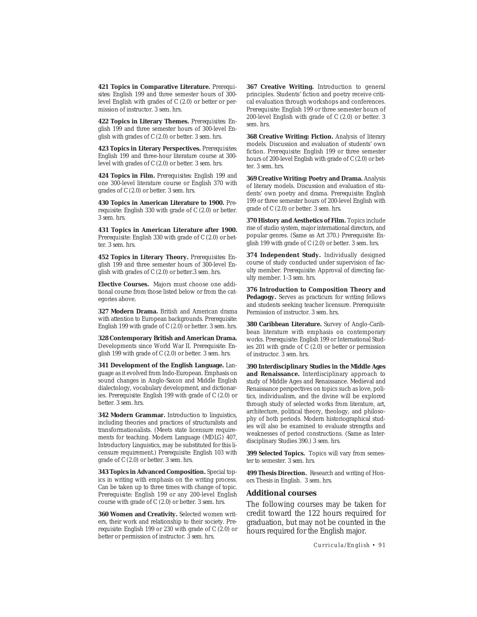**421 Topics in Comparative Literature.** *Prerequisites*: English 199 and three semester hours of 300 level English with grades of *C* (2.0) or better or permission of instructor. *3 sem. hrs.*

**422 Topics in Literary Themes.** *Prerequisites*: English 199 and three semester hours of 300-level English with grades of *C* (2.0) or better. *3 sem. hrs.*

**423 Topics in Literary Perspectives.** *Prerequisites*: English 199 and three-hour literature course at 300 level with grades of *C* (2.0) or better. *3 sem. hrs.*

**424 Topics in Film.** *Prerequisites*: English 199 and one 300-level literature course or English 370 with grades of *C* (2.0) or better. *3 sem. hrs.*

**430 Topics in American Literature to 1900.** *Prerequisite*: English 330 with grade of *C* (2.0) or better. *3 sem. hrs.*

**431 Topics in American Literature after 1900.** *Prerequisite*: English 330 with grade of *C* (2.0) or better. *3 sem. hrs.*

**452 Topics in Literary Theory.** *Prerequisites*: English 199 and three semester hours of 300-level English with grades of *C* (2.0) or better.*3 sem. hrs.*

**Elective Courses.** Majors must choose one additional course from those listed below or from the categories above.

**327 Modern Drama.** British and American drama with attention to European backgrounds. *Prerequisite*: English 199 with grade of *C* (2.0) or better. *3 sem. hrs.*

**328 Contemporary British and American Drama.** Developments since World War II. *Prerequisite*: English 199 with grade of *C* (2.0) or better. *3 sem. hrs.*

**341 Development of the English Language.** Language as it evolved from Indo-European. Emphasis on sound changes in Anglo-Saxon and Middle English dialectology, vocabulary development, and dictionaries. *Prerequisite*: English 199 with grade of *C* (2.0) or better. *3 sem. hrs.*

**342 Modern Grammar.** Introduction to linguistics, including theories and practices of structuralists and transformationalists. (Meets state licensure requirements for teaching. Modern Language (MDLG) 407, Introductory Linguistics, may be substituted for this licensure requirement.) *Prerequisite*: English 103 with grade of *C* (2.0) or better. *3 sem. hrs.*

**343 Topics in Advanced Composition.** Special topics in writing with emphasis on the writing process. Can be taken up to three times with change of topic. *Prerequisite*: English 199 or any 200-level English course with grade of *C* (2.0) or better. *3 sem. hrs.*

**360 Women and Creativity.** Selected women writers, their work and relationship to their society. *Prerequisite*: English 199 or 230 with grade of *C* (2.0) or better or permission of instructor. *3 sem. hrs.*

**367 Creative Writing.** Introduction to general principles. Students' fiction and poetry receive critical evaluation through workshops and conferences. *Prerequisite*: English 199 or three semester hours of 200-level English with grade of *C* (2.0) or better. *3 sem. hrs.*

**368 Creative Writing: Fiction.** Analysis of literary models. Discussion and evaluation of students' own fiction. *Prerequisite*: English 199 or three semester hours of 200-level English with grade of *C* (2.0) or better. *3 sem. hrs.*

**369 Creative Writing: Poetry and Drama.** Analysis of literary models. Discussion and evaluation of students' own poetry and drama. *Prerequisite*: English 199 or three semester hours of 200-level English with grade of *C* (2.0) or better. *3 sem. hrs.*

**370 History and Aesthetics of Film.** Topics include rise of studio system, major international directors, and popular genres. (Same as Art 370.) *Prerequisite*: English 199 with grade of *C* (2.0) or better. *3 sem. hrs.*

**374 Independent Study.** Individually designed course of study conducted under supervision of faculty member. *Prerequisite*: Approval of directing faculty member. *1-3 sem. hrs.*

**376 Introduction to Composition Theory and** Pedagogy. Serves as practicum for writing fellows and students seeking teacher licensure. *Prerequisite*: Permission of instructor. *3 sem. hrs.*

**380 Caribbean Literature.** Survey of Anglo-Caribbean literature with emphasis on contemporary works. *Prerequisite*: English 199 or International Studies 201 with grade of *C* (2.0) or better or permission of instructor. *3 sem. hrs.*

**390 Interdisciplinary Studies in the Middle Ages and Renaissance.** Interdisciplinary approach to study of Middle Ages and Renaissance. Medieval and Renaissance perspectives on topics such as love, politics, individualism, and the divine will be explored through study of selected works from literature, art, architecture, political theory, theology, and philosophy of both periods. Modern historiographical studies will also be examined to evaluate strengths and weaknesses of period constructions. (Same as Interdisciplinary Studies 390.) *3 sem. hrs.*

**399 Selected Topics.** Topics will vary from semester to semester. *3 sem. hrs.*

**499 Thesis Direction.** Research and writing of Honors Thesis in English. *3 sem. hrs.*

#### **Additional courses**

The following courses may be taken for credit toward the 122 hours required for graduation, but may not be counted in the hours required for the English major.

*Curricula/English • 91*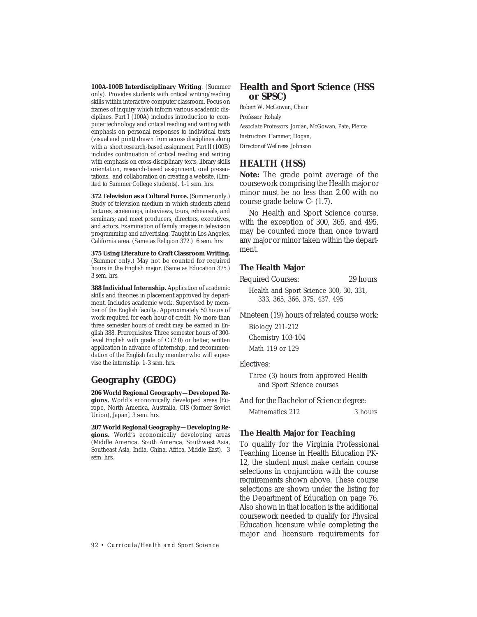**100A-100B Interdisciplinary Writing**. (Summer only). Provides students with critical writing/reading skills within interactive computer classroom. Focus on frames of inquiry which inform various academic disciplines. Part I (100A) includes introduction to computer technology and critical reading and writing with emphasis on personal responses to individual texts (visual and print) drawn from across disciplines along with a short research-based assignment. Part II (100B) includes continuation of critical reading and writing with emphasis on cross-disciplinary texts, library skills orientation, research-based assignment, oral presentations, and collaboration on creating a website. (Limited to Summer College students). *1-1 sem. hrs.*

**372 Television as a Cultural Force.** (Summer only.) Study of television medium in which students attend lectures, screenings, interviews, tours, rehearsals, and seminars; and meet producers, directors, executives, and actors. Examination of family images in television programming and advertising. Taught in Los Angeles, California area. (Same as Religion 372.) *6 sem. hrs.*

**375 Using Literature to Craft Classroom Writing.** (Summer only.) May not be counted for required hours in the English major. (Same as Education 375.) *3 sem. hrs.*

**388 Individual Internship.** Application of academic skills and theories in placement approved by department. Includes academic work. Supervised by member of the English faculty. Approximately 50 hours of work required for each hour of credit. No more than three semester hours of credit may be earned in English 388. *Prerequisites*: Three semester hours of 300 level English with grade of *C* (2.0) or better, written application in advance of internship, and recommendation of the English faculty member who will supervise the internship. *1-3 sem. hrs.*

# **Geography (GEOG)**

**206 World Regional Geography—Developed Regions.** World's economically developed areas [Europe, North America, Australia, CIS (former Soviet Union), Japan]. *3 sem. hrs.*

**207 World Regional Geography—Developing Regions.** World's economically developing areas (Middle America, South America, Southwest Asia, Southeast Asia, India, China, Africa, Middle East). *3 sem. hrs.*

*92 • Curricula/Health and Sport Science*

# **Health and Sport Science (HSS or SPSC)**

Robert W. McGowan, *Chair Professor* Rohaly *Associate Professors* Jordan, McGowan, Pate, Pierce *Instructors* Hammer, Hogan, *Director of Wellness* Johnson

# *HEALTH (HSS)*

**Note:** The grade point average of the coursework comprising the Health major or minor must be no less than 2.00 with no course grade below *C-* (1.7).

No Health and Sport Science course, with the exception of 300, 365, and 495, may be counted more than once toward any major or minor taken within the department.

# **The Health Major**

Required Courses: 29 hours

Health and Sport Science 300, 30, 331, 333, 365, 366, 375, 437, 495

Nineteen (19) hours of related course work:

Biology 211-212 Chemistry 103-104 Math 119 or 129

#### Electives:

Three (3) hours from approved Health and Sport Science courses

*And for the Bachelor of Science degree:*

Mathematics 212 3 hours

# **The Health Major for Teaching**

To qualify for the Virginia Professional Teaching License in Health Education PK-12, the student must make certain course selections in conjunction with the course requirements shown above. These course selections are shown under the listing for the Department of Education on page 76. Also shown in that location is the additional coursework needed to qualify for Physical Education licensure while completing the major and licensure requirements for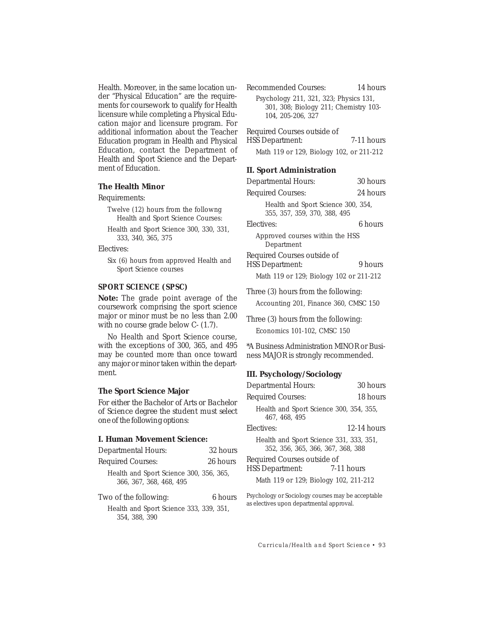Health. Moreover, in the same location under "Physical Education" are the requirements for coursework to qualify for Health licensure while completing a Physical Education major and licensure program. For additional information about the Teacher Education program in Health and Physical Education, contact the Department of Health and Sport Science and the Department of Education.

#### **The Health Minor**

Requirements:

- Twelve (12) hours from the followng Health and Sport Science Courses:
- Health and Sport Science 300, 330, 331, 333, 340, 365, 375

Electives:

Six (6) hours from approved Health and Sport Science courses

# *SPORT SCIENCE (SPSC)*

**Note:** The grade point average of the coursework comprising the sport science major or minor must be no less than 2.00 with no course grade below *C-* (1.7).

No Health and Sport Science course, with the exceptions of 300, 365, and 495 may be counted more than once toward any major or minor taken within the department.

#### **The Sport Science Major**

*For either the Bachelor of Arts or Bachelor of Science degree the student must select one of the following options:*

# **I. Human Movement Science:**

| Departmental Hours:                                                | 32 hours |
|--------------------------------------------------------------------|----------|
| <b>Required Courses:</b>                                           | 26 hours |
| Health and Sport Science 300, 356, 365,<br>366, 367, 368, 468, 495 |          |
| Two of the following:                                              | 6 hours  |
| Health and Sport Science 333, 339, 351,                            |          |

354, 388, 390

| Recommended Courses:                   | 14 hours |
|----------------------------------------|----------|
| Psychology 211, 321, 323; Physics 131, |          |
| 301, 308; Biology 211; Chemistry 103-  |          |
| 104, 205-206, 327                      |          |
|                                        |          |

| Required Courses outside of |
|-----------------------------|
|-----------------------------|

| <b>HSS</b> Department:                                                                    | $7-11$ hours |
|-------------------------------------------------------------------------------------------|--------------|
| the control of the control of the control of the control of the control of the control of |              |

Math 119 or 129, Biology 102, or 211-212

# **II. Sport Administration**

| Departmental Hours:                                                | 30 hours |
|--------------------------------------------------------------------|----------|
| Required Courses:                                                  | 24 hours |
| Health and Sport Science 300, 354,<br>355, 357, 359, 370, 388, 495 |          |
| Electives:                                                         | 6 hours  |
| Approved courses within the HSS<br>Department                      |          |
| Required Courses outside of                                        |          |
| <b>HSS Department:</b>                                             | 9 hours  |
| Math 119 or 129; Biology 102 or 211-212                            |          |

Three (3) hours from the following: Accounting 201, Finance 360, CMSC 150

Three (3) hours from the following: Economics 101-102, CMSC 150

*\**A Business Administration MINOR or Business MAJOR is strongly recommended.

# **III. Psychology/Sociology**

| Departmental Hours:                                                          | 30 hours      |
|------------------------------------------------------------------------------|---------------|
| <b>Required Courses:</b>                                                     | 18 hours      |
| Health and Sport Science 300, 354, 355,<br>467.468.495                       |               |
| Electives:                                                                   | $12-14$ hours |
| Health and Sport Science 331, 333, 351,<br>352, 356, 365, 366, 367, 368, 388 |               |
| Required Courses outside of                                                  |               |
| <b>HSS Department:</b>                                                       | $7-11$ hours  |
| Math 119 or 129; Biology 102, 211-212                                        |               |
|                                                                              |               |

Psychology or Sociology courses may be acceptable as electives upon departmental approval.

*Curricula/Health and Sport Science • 93*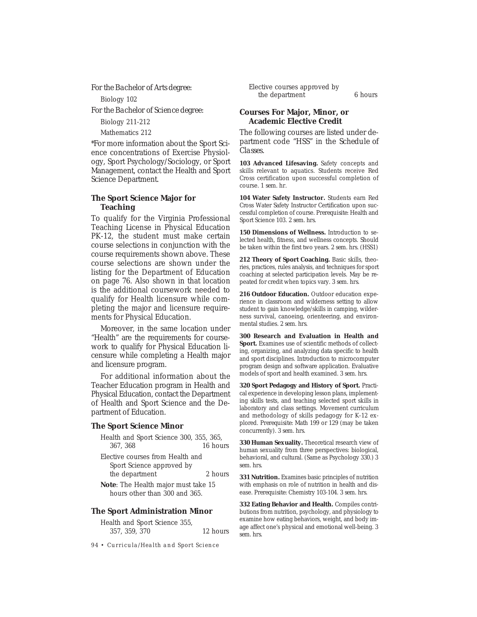*For the Bachelor of Arts degree:*

Biology 102 *For the Bachelor of Science degree:* Biology 211-212

Mathematics 212

\*For more information about the Sport Science concentrations of Exercise Physiology, Sport Psychology/Sociology, or Sport Management, contact the Health and Sport Science Department.

# **The Sport Science Major for Teaching**

To qualify for the Virginia Professional Teaching License in Physical Education PK-12, the student must make certain course selections in conjunction with the course requirements shown above. These course selections are shown under the listing for the Department of Education on page 76. Also shown in that location is the additional coursework needed to qualify for Health licensure while completing the major and licensure requirements for Physical Education.

Moreover, in the same location under "Health" are the requirements for coursework to qualify for Physical Education licensure while completing a Health major and licensure program.

For additional information about the Teacher Education program in Health and Physical Education, contact the Department of Health and Sport Science and the Department of Education.

#### **The Sport Science Minor**

- Health and Sport Science 300, 355, 365, 367, 368 16 hours Elective courses from Health and Sport Science approved by
- the department 2 hours **Note**: The Health major must take 15
- hours other than 300 and 365.

# **The Sport Administration Minor**

| Health and Sport Science 355, |          |
|-------------------------------|----------|
| 357, 359, 370                 | 12 hours |

*94 • Curricula/Health and Sport Science*

Elective courses approved by the department 6 hours

# **Courses For Major, Minor, or Academic Elective Credit**

The following courses are listed under department code "HSS" in the *Schedule of Classes.*

**103 Advanced Lifesaving.** Safety concepts and skills relevant to aquatics. Students receive Red Cross certification upon successful completion of course. *1 sem. hr.*

**104 Water Safety Instructor.** Students earn Red Cross Water Safety Instructor Certification upon successful completion of course. *Prerequisite*: Health and Sport Science 103. *2 sem. hrs.*

**150 Dimensions of Wellness.** Introduction to selected health, fitness, and wellness concepts. Should be taken within the first two years. *2 sem. hrs.* (HSS1)

**212 Theory of Sport Coaching.** Basic skills, theories, practices, rules analysis, and techniques for sport coaching at selected participation levels. May be repeated for credit when topics vary. *3 sem. hrs.*

216 Outdoor Education. Outdoor education experience in classroom and wilderness setting to allow student to gain knowledge/skills in camping, wilderness survival, canoeing, orienteering, and environmental studies. *2 sem. hrs.*

**300 Research and Evaluation in Health and Sport.** Examines use of scientific methods of collecting, organizing, and analyzing data specific to health and sport disciplines. Introduction to microcomputer program design and software application. Evaluative models of sport and health examined. *3 sem. hrs.*

**320 Sport Pedagogy and History of Sport.** Practical experience in developing lesson plans, implementing skills tests, and teaching selected sport skills in laboratory and class settings. Movement curriculum and methodology of skills pedagogy for K-12 explored. *Prerequisite:* Math 199 or 129 (may be taken concurrently). *3 sem. hrs.*

**330 Human Sexuality.** Theoretical research view of human sexuality from three perspectives: biological, behavioral, and cultural. (Same as Psychology 330.) *3 sem. hrs.*

**331 Nutrition.** Examines basic principles of nutrition with emphasis on role of nutrition in health and disease. *Prerequisite:* Chemistry 103-104. *3 sem. hrs.*

**332 Eating Behavior and Health.** Compiles contributions from nutrition, psychology, and physiology to examine how eating behaviors, weight, and body image affect one's physical and emotional well-being. *3 sem. hrs.*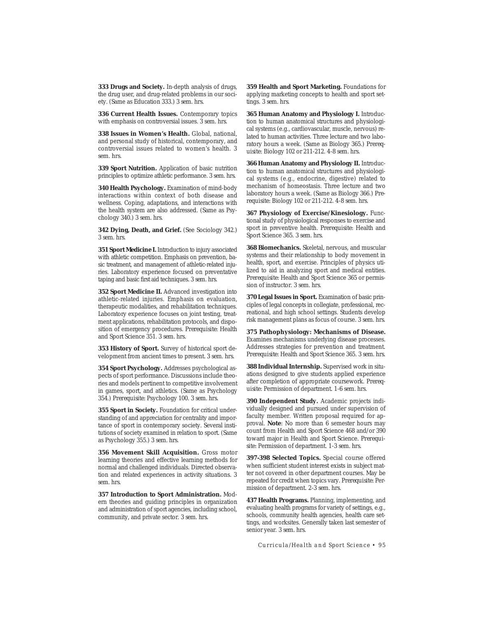**333 Drugs and Society.** In-depth analysis of drugs, the drug user, and drug-related problems in our society. (Same as Education 333.) *3 sem. hrs.*

**336 Current Health Issues.** Contemporary topics with emphasis on controversial issues. *3 sem. hrs.*

**338 Issues in Women's Health.** Global, national, and personal study of historical, contemporary, and controversial issues related to women's health. *3 sem. hrs.*

**339 Sport Nutrition.** Application of basic nutrition principles to optimize athletic performance. *3 sem. hrs.*

**340 Health Psychology.** Examination of mind-body interactions within context of both disease and wellness. Coping, adaptations, and interactions with the health system are also addressed. (Same as Psychology 340.) *3 sem. hrs.*

**342 Dying, Death, and Grief.** (See Sociology 342.) *3 sem. hrs.*

**351 Sport Medicine I.** Introduction to injury associated with athletic competition. Emphasis on prevention, basic treatment, and management of athletic-related injuries. Laboratory experience focused on preventative taping and basic first aid techniques. *3 sem. hrs.*

**352 Sport Medicine II.** Advanced investigation into athletic-related injuries. Emphasis on evaluation, therapeutic modalities, and rehabilitation techniques. Laboratory experience focuses on joint testing, treatment applications, rehabilitation protocols, and disposition of emergency procedures. *Prerequisite*: Health and Sport Science 351. *3 sem. hrs.*

**353 History of Sport.** Survey of historical sport development from ancient times to present. *3 sem. hrs.*

**354 Sport Psychology.** Addresses psychological aspects of sport performance. Discussions include theories and models pertinent to competitive involvement in games, sport, and athletics. (Same as Psychology 354.) *Prerequisite:* Psychology 100. *3 sem. hrs.*

**355 Sport in Society.** Foundation for critical understanding of and appreciation for centrality and importance of sport in contemporary society. Several institutions of society examined in relation to sport. (Same as Psychology 355.) *3 sem. hrs.*

**356 Movement Skill Acquisition.** Gross motor learning theories and effective learning methods for normal and challenged individuals. Directed observation and related experiences in activity situations. *3 sem. hrs.*

**357 Introduction to Sport Administration.** Modern theories and guiding principles in organization and administration of sport agencies, including school, community, and private sector. *3 sem. hrs.*

**359 Health and Sport Marketing.** Foundations for applying marketing concepts to health and sport settings. *3 sem. hrs.*

**365 Human Anatomy and Physiology I.** Introduction to human anatomical structures and physiological systems (e.g., cardiovascular, muscle, nervous) related to human activities. Three lecture and two laboratory hours a week. (Same as Biology 365.) *Prerequisite*: Biology 102 or 211-212. *4-8 sem. hrs.*

**366 Human Anatomy and Physiology II.** Introduction to human anatomical structures and physiological systems (e.g., endocrine, digestive) related to mechanism of homeostasis. Three lecture and two laboratory hours a week. (Same as Biology 366.) *Prerequisite*: Biology 102 or 211-212. *4-8 sem. hrs.*

**367 Physiology of Exercise/Kinesiology.** Functional study of physiological responses to exercise and sport in preventive health. *Prerequisite*: Health and Sport Science 365. *3 sem. hrs.*

**368 Biomechanics.** Skeletal, nervous, and muscular systems and their relationship to body movement in health, sport, and exercise. Principles of physics utilized to aid in analyzing sport and medical entities. *Prerequisite:* Health and Sport Science 365 or permission of instructor. *3 sem. hrs.*

**370 Legal Issues in Sport.** Examination of basic principles of legal concepts in collegiate, professional, recreational, and high school settings. Students develop risk management plans as focus of course. *3 sem. hrs.*

**375 Pathophysiology: Mechanisms of Disease.** Examines mechanisms underlying disease processes. Addresses strategies for prevention and treatment. *Prerequisite*: Health and Sport Science 365. *3 sem. hrs.*

**388 Individual Internship.** Supervised work in situations designed to give students applied experience after completion of appropriate coursework. *Prerequisite*: Permission of department. *1-6 sem. hrs.*

**390 Independent Study.** Academic projects individually designed and pursued under supervision of faculty member. Written proposal required for approval. **Note**: No more than 6 semester hours may count from Health and Sport Science 468 and/or 390 toward major in Health and Sport Science. *Prerequisite*: Permission of department. *1-3 sem. hrs.*

**397-398 Selected Topics.** Special course offered when sufficient student interest exists in subject matter not covered in other department courses. May be repeated for credit when topics vary. *Prerequisite*: Permission of department. *2-3 sem. hrs.*

**437 Health Programs.** Planning, implementing, and evaluating health programs for variety of settings, e.g., schools, community health agencies, health care settings, and worksites. Generally taken last semester of senior year. *3 sem. hrs.*

*Curricula/Health and Sport Science • 95*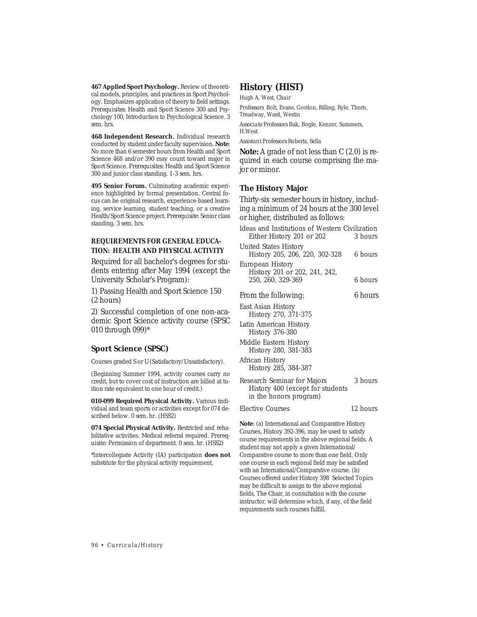**467 Applied Sport Psychology.** Review of theoretical models, principles, and practices in Sport Psychology. Emphasizes application of theory to field settings. *Prerequisites*: Health and Sport Science 300 and Psychology 100, Introduction to Psychological Science. *3 sem. hrs.*

**468 Independent Research.** Individual research conducted by student under faculty supervision. **Note**: No more than 6 semester hours from Health and Sport Science 468 and/or 390 may count toward major in Sport Science. *Prerequisites*: Health and Sport Science 300 and junior class standing. *1-3 sem. hrs.*

**495 Senior Forum.** Culminating academic experience highlighted by formal presentation. Central focus can be original research, experience-based learning, service learning, student teaching, or a creative Health/Sport Science project. *Prerequisite*: Senior class standing. *3 sem. hrs.*

# *REQUIREMENTS FOR GENERAL EDUCA-TION: HEALTH AND PHYSICAL ACTIVITY*

Required for all bachelor's degrees for students entering after May 1994 (except the University Scholar's Program):

1) Passing Health and Sport Science 150 (2 hours)

2) Successful completion of one non-academic Sport Science activity course (SPSC 010 through 099)\*

#### **Sport Science (SPSC)**

Courses graded *S* or *U* (Satisfactory/Unsatisfactory).

(Beginning Summer 1994, activity courses carry no credit, but to cover cost of instruction are billed at tuition rate equivalent to one hour of credit.)

**010-099 Required Physical Activity.** Various individual and team sports or activities except for 074 described below. *0 sem. hr.* (HSS2)

**074 Special Physical Activity.** Restricted and rehabilitative activities. Medical referral required. *Prerequisite*: Permission of department. *0 sem. hr.* (HSS2)

\*Intercollegiate Activity (IA) participation **does not** substitute for the physical activity requirement.

# **History (HIST)**

Hugh A. West, *Chair*

*Professors* Bolt, Evans, Gordon, Rilling, Ryle, Thorn, Treadway, Ward, Westin

*Associate Professors* Bak, Bogle, Kenzer, Summers, H.West

*Assistant Professors* Roberts, Sella

**Note:** A grade of not less than C (2.0) is required in each course comprising the major or minor.

#### **The History Major**

Thirty-six semester hours in history, including a minimum of 24 hours at the 300 level or higher, distributed as follows:

| Ideas and Institutions of Western Civilization<br>Either History 201 or 202               | 3 hours  |
|-------------------------------------------------------------------------------------------|----------|
| United States History<br>History 205, 206, 220, 302-328                                   | 6 hours  |
| European History<br>History 201 or 202, 241, 242,                                         |          |
| 250, 260, 329-369                                                                         | 6 hours  |
| From the following:                                                                       | 6 hours  |
| East Asian History<br>History 270, 371-375                                                |          |
| Latin American History<br><b>History 376-380</b>                                          |          |
| Middle Eastern History<br>History 280, 381-383                                            |          |
| African History<br>History 285, 384-387                                                   |          |
| Research Seminar for Majors<br>History 400 (except for students<br>in the honors program) | 3 hours  |
| Elective Courses                                                                          | 12 hours |

**Note**: (a) International and Comparative History Courses, History 392-396, may be used to satisfy course requirements in the above regional fields. A student may not apply a given International/ Comparative course to more than one field. Only one course in each regional field may be satisfied with an International/Comparative course. (b) Courses offered under History 398 Selected Topics may be difficult to assign to the above regional fields. The Chair, in consultation with the course instructor, will determine which, if any, of the field requirements such courses fulfill.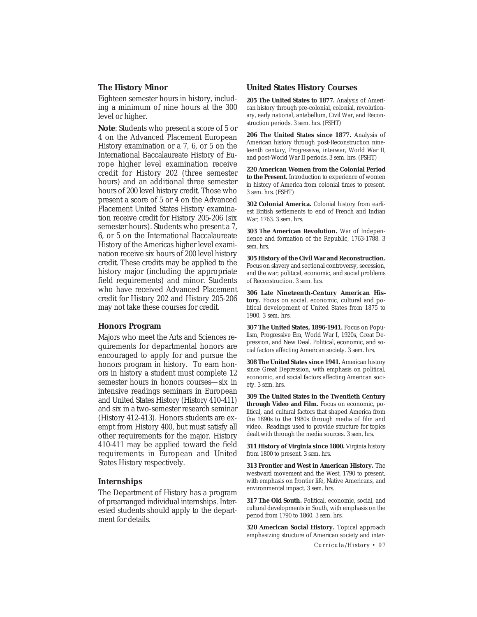# **The History Minor**

Eighteen semester hours in history, including a minimum of nine hours at the 300 level or higher.

**Note**: Students who present a score of 5 or 4 on the Advanced Placement European History examination or a 7, 6, or 5 on the International Baccalaureate History of Europe higher level examination receive credit for History 202 (three semester hours) and an additional three semester hours of 200 level history credit. Those who present a score of 5 or 4 on the Advanced Placement United States History examination receive credit for History 205-206 (six semester hours). Students who present a 7, 6, or 5 on the International Baccalaureate History of the Americas higher level examination receive six hours of 200 level history credit. These credits may be applied to the history major (including the appropriate field requirements) and minor. Students who have received Advanced Placement credit for History 202 and History 205-206 may not take these courses for credit.

# **Honors Program**

Majors who meet the Arts and Sciences requirements for departmental honors are encouraged to apply for and pursue the honors program in history. To earn honors in history a student must complete 12 semester hours in honors courses—six in intensive readings seminars in European and United States History (History 410-411) and six in a two-semester research seminar (History 412-413). Honors students are exempt from History 400, but must satisfy all other requirements for the major. History 410-411 may be applied toward the field requirements in European and United States History respectively.

# **Internships**

The Department of History has a program of prearranged individual internships. Interested students should apply to the department for details.

#### **United States History Courses**

**205 The United States to 1877.** Analysis of American history through pre-colonial, colonial, revolutionary, early national, antebellum, Civil War, and Reconstruction periods. *3 sem. hrs.* (FSHT)

**206 The United States since 1877.** Analysis of American history through post-Reconstruction nineteenth century, Progressive, interwar, World War II, and post-World War II periods. *3 sem. hrs.* (FSHT)

**220 American Women from the Colonial Period to the Present.** Introduction to experience of women in history of America from colonial times to present. *3 sem. hrs.* (FSHT)

**302 Colonial America.** Colonial history from earliest British settlements to end of French and Indian War, 1763. *3 sem. hrs.*

**303 The American Revolution.** War of Independence and formation of the Republic, 1763-1788. *3 sem. hrs.*

**305 History of the Civil War and Reconstruction.** Focus on slavery and sectional controversy, secession, and the war; political, economic, and social problems of Reconstruction. *3 sem. hrs.*

**306 Late Nineteenth-Century American History.** Focus on social, economic, cultural and political development of United States from 1875 to 1900. *3 sem. hrs.*

**307 The United States, 1896-1941.** Focus on Populism, Progressive Era, World War I, 1920s, Great Depression, and New Deal. Political, economic, and social factors affecting American society. *3 sem. hrs.*

**308 The United States since 1941.** American history since Great Depression, with emphasis on political, economic, and social factors affecting American society. *3 sem. hrs.*

**309 The United States in the Twentieth Century through Video and Film.** Focus on economic, political, and cultural factors that shaped America from the 1890s to the 1980s through media of film and video. Readings used to provide structure for topics dealt with through the media sources. *3 sem. hrs.*

**311 History of Virginia since 1800.** Virginia history from 1800 to present. *3 sem. hrs.*

**313 Frontier and West in American History.** The westward movement and the West, 1790 to present, with emphasis on frontier life, Native Americans, and environmental impact. *3 sem. hrs.*

**317 The Old South.** Political, economic, social, and cultural developments in South, with emphasis on the period from 1790 to 1860. *3 sem. hrs.*

**320 American Social History.** Topical approach emphasizing structure of American society and inter-

*Curricula/History • 97*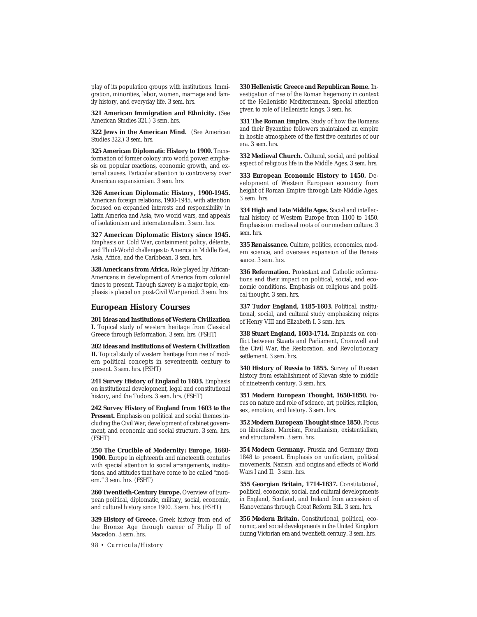play of its population groups with institutions. Immigration, minorities, labor, women, marriage and family history, and everyday life. *3 sem. hrs.*

**321 American Immigration and Ethnicity.** (See American Studies 321.) *3 sem. hrs.*

**322 Jews in the American Mind.** (See American Studies 322.) *3 sem. hrs.*

**325 American Diplomatic History to 1900.** Transformation of former colony into world power; emphasis on popular reactions, economic growth, and external causes. Particular attention to controversy over American expansionism. *3 sem. hrs.*

**326 American Diplomatic History, 1900-1945.** American foreign relations, 1900-1945, with attention focused on expanded interests and responsibility in Latin America and Asia, two world wars, and appeals of isolationism and internationalism. *3 sem. hrs.*

**327 American Diplomatic History since 1945.** Emphasis on Cold War, containment policy, détente, and Third-World challenges to America in Middle East, Asia, Africa, and the Caribbean. *3 sem. hrs.*

**328 Americans from Africa.** Role played by African-Americans in development of America from colonial times to present. Though slavery is a major topic, emphasis is placed on post-Civil War period. *3 sem. hrs.*

#### **European History Courses**

**201 Ideas and Institutions of Western Civilization I.** Topical study of western heritage from Classical Greece through Reformation. *3 sem. hrs.* (FSHT)

**202 Ideas and Institutions of Western Civilization II.** Topical study of western heritage from rise of modern political concepts in seventeenth century to present. *3 sem. hrs.* (FSHT)

**241 Survey History of England to 1603.** Emphasis on institutional development, legal and constitutional history, and the Tudors. *3 sem. hrs.* (FSHT)

**242 Survey History of England from 1603 to the Present.** Emphasis on political and social themes including the Civil War, development of cabinet government, and economic and social structure. *3 sem. hrs.* (FSHT)

**250 The Crucible of Modernity: Europe, 1660- 1900.** Europe in eighteenth and nineteenth centuries with special attention to social arrangements, institutions, and attitudes that have come to be called "modern." *3 sem. hrs.* (FSHT)

260 Twentieth-Century Europe. Overview of European political, diplomatic, military, social, economic, and cultural history since 1900. *3 sem. hrs.* (FSHT)

**329 History of Greece.** Greek history from end of the Bronze Age through career of Philip II of Macedon. *3 sem. hrs.*

*98 • Curricula/History*

**330 Hellenistic Greece and Republican Rome.** Investigation of rise of the Roman hegemony in context of the Hellenistic Mediterranean. Special attention given to role of Hellenistic kings. *3 sem. hs.*

**331 The Roman Empire.** Study of how the Romans and their Byzantine followers maintained an empire in hostile atmosphere of the first five centuries of our era. *3 sem. hrs.*

**332 Medieval Church.** Cultural, social, and political aspect of religious life in the Middle Ages. *3 sem. hrs.*

**333 European Economic History to 1450.** Development of Western European economy from height of Roman Empire through Late Middle Ages. *3 sem. hrs.*

**334 High and Late Middle Ages.** Social and intellectual history of Western Europe from 1100 to 1450. Emphasis on medieval roots of our modern culture. *3 sem. hrs.*

**335 Renaissance.** Culture, politics, economics, modern science, and overseas expansion of the Renaissance. *3 sem. hrs.*

**336 Reformation.** Protestant and Catholic reformations and their impact on political, social, and economic conditions. Emphasis on religious and political thought. *3 sem. hrs.*

**337 Tudor England, 1485-1603.** Political, institutional, social, and cultural study emphasizing reigns of Henry VIII and Elizabeth I. *3 sem. hrs.*

**338 Stuart England, 1603-1714.** Emphasis on conflict between Stuarts and Parliament, Cromwell and the Civil War, the Restoration, and Revolutionary settlement. *3 sem. hrs.*

**340 History of Russia to 1855.** Survey of Russian history from establishment of Kievan state to middle of nineteenth century. *3 sem. hrs.*

**351 Modern European Thought, 1650-1850.** Focus on nature and role of science, art, politics, religion, sex, emotion, and history. *3 sem. hrs.*

**352 Modern European Thought since 1850.** Focus on liberalism, Marxism, Freudianism, existentialism, and structuralism. *3 sem. hrs.*

**354 Modern Germany.** Prussia and Germany from 1848 to present. Emphasis on unification, political movements, Nazism, and origins and effects of World Wars I and II. *3 sem. hrs.*

**355 Georgian Britain, 1714-1837.** Constitutional, political, economic, social, and cultural developments in England, Scotland, and Ireland from accession of Hanoverians through Great Reform Bill. *3 sem. hrs.*

**356 Modern Britain.** Constitutional, political, economic, and social developments in the United Kingdom during Victorian era and twentieth century. *3 sem. hrs.*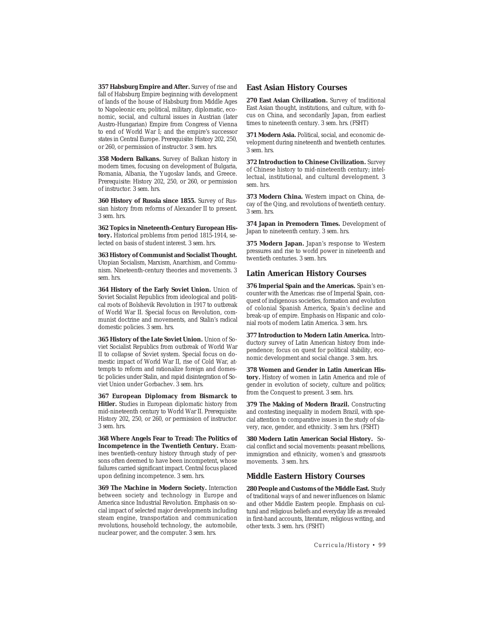**357 Habsburg Empire and After.** Survey of rise and fall of Habsburg Empire beginning with development of lands of the house of Habsburg from Middle Ages to Napoleonic era; political, military, diplomatic, economic, social, and cultural issues in Austrian (later Austro-Hungarian) Empire from Congress of Vienna to end of World War I; and the empire's successor states in Central Europe. *Prerequisite*: History 202, 250, or 260, or permission of instructor. *3 sem. hrs.*

**358 Modern Balkans.** Survey of Balkan history in modern times, focusing on development of Bulgaria, Romania, Albania, the Yugoslav lands, and Greece. *Prerequisite*: History 202, 250, or 260, or permission of instructor. *3 sem. hrs.*

**360 History of Russia since 1855.** Survey of Russian history from reforms of Alexander II to present. *3 sem. hrs.*

**362 Topics in Nineteenth-Century European History.** Historical problems from period 1815-1914, selected on basis of student interest. *3 sem. hrs.*

**363 History of Communist and Socialist Thought.** Utopian Socialism, Marxism, Anarchism, and Communism. Nineteenth-century theories and movements. *3 sem. hrs.*

**364 History of the Early Soviet Union.** Union of Soviet Socialist Republics from ideological and political roots of Bolshevik Revolution in 1917 to outbreak of World War II. Special focus on Revolution, communist doctrine and movements, and Stalin's radical domestic policies. *3 sem. hrs.*

**365 History of the Late Soviet Union.** Union of Soviet Socialist Republics from outbreak of World War II to collapse of Soviet system. Special focus on domestic impact of World War II, rise of Cold War, attempts to reform and rationalize foreign and domestic policies under Stalin, and rapid disintegration of Soviet Union under Gorbachev. *3 sem. hrs.*

**367 European Diplomacy from Bismarck to Hitler.** Studies in European diplomatic history from mid-nineteenth century to World War II. *Prerequisite*: History 202, 250, or 260, or permission of instructor. *3 sem. hrs.*

**368 Where Angels Fear to Tread: The Politics of Incompetence in the Twentieth Century.** Examines twentieth-century history through study of persons often deemed to have been incompetent, whose failures carried significant impact. Central focus placed upon defining incompetence. *3 sem. hrs.*

**369 The Machine in Modern Society.** Interaction between society and technology in Europe and America since Industrial Revolution. Emphasis on social impact of selected major developments including steam engine, transportation and communication revolutions, household technology, the automobile, nuclear power, and the computer. *3 sem. hrs.*

#### **East Asian History Courses**

270 East Asian Civilization. Survey of traditional East Asian thought, institutions, and culture, with focus on China, and secondarily Japan, from earliest times to nineteenth century. *3 sem. hrs.* (FSHT)

**371 Modern Asia.** Political, social, and economic development during nineteenth and twentieth centuries. *3 sem. hrs.*

**372 Introduction to Chinese Civilization.** Survey of Chinese history to mid-nineteenth century; intellectual, institutional, and cultural development. *3 sem. hrs.*

**373 Modern China.** Western impact on China, decay of the Qing, and revolutions of twentieth century. *3 sem. hrs.*

**374 Japan in Premodern Times.** Development of Japan to nineteenth century. *3 sem. hrs.*

**375 Modern Japan.** Japan's response to Western pressures and rise to world power in nineteenth and twentieth centuries. *3 sem. hrs.*

#### **Latin American History Courses**

**376 Imperial Spain and the Americas.** Spain's encounter with the Americas: rise of Imperial Spain, conquest of indigenous societies, formation and evolution of colonial Spanish America, Spain's decline and break-up of empire. Emphasis on Hispanic and colonial roots of modern Latin America. *3 sem. hrs.*

**377 Introduction to Modern Latin America.** Introductory survey of Latin American history from independence; focus on quest for political stability, economic development and social change. *3 sem. hrs.*

**378 Women and Gender in Latin American History.** History of women in Latin America and role of gender in evolution of society, culture and politics; from the Conquest to present. *3 sem. hrs.*

**379 The Making of Modern Brazil.** Constructing and contesting inequality in modern Brazil, with special attention to comparative issues in the study of slavery, race, gender, and ethnicity. *3 sem hrs.* (FSHT)

**380 Modern Latin American Social History.** Social conflict and social movements: peasant rebellions, immigration and ethnicity, women's and grassroots movements. *3 sem. hrs.*

#### **Middle Eastern History Courses**

**280 People and Customs of the Middle East.** Study of traditional ways of and newer influences on Islamic and other Middle Eastern people. Emphasis on cultural and religious beliefs and everyday life as revealed in first-hand accounts, literature, religious writing, and other texts. *3 sem. hrs.* (FSHT)

*Curricula/History • 99*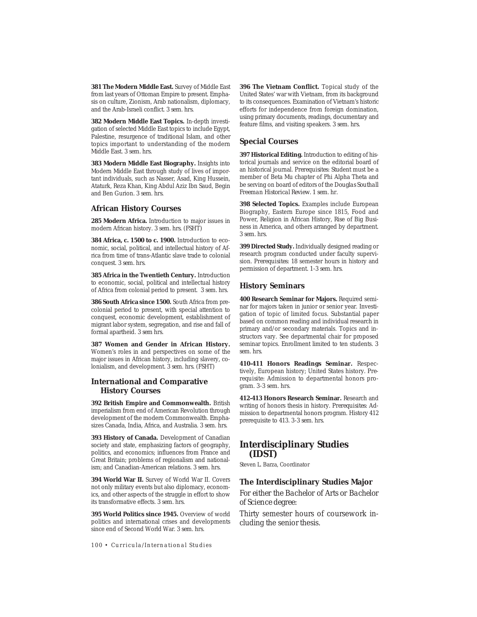**381 The Modern Middle East.** Survey of Middle East from last years of Ottoman Empire to present. Emphasis on culture, Zionism, Arab nationalism, diplomacy, and the Arab-Israeli conflict. *3 sem. hrs.*

**382 Modern Middle East Topics.** In-depth investigation of selected Middle East topics to include Egypt, Palestine, resurgence of traditional Islam, and other topics important to understanding of the modern Middle East. *3 sem. hrs.*

**383 Modern Middle East Biography.** Insights into Modern Middle East through study of lives of important individuals, such as Nasser, Asad, King Hussein, Ataturk, Reza Khan, King Abdul Aziz Ibn Saud, Begin and Ben Gurion. *3 sem. hrs.*

#### **African History Courses**

**285 Modern Africa.** Introduction to major issues in modern African history. *3 sem. hrs.* (FSHT)

**384 Africa, c. 1500 to c. 1900.** Introduction to economic, social, political, and intellectual history of Africa from time of trans-Atlantic slave trade to colonial conquest. *3 sem. hrs.*

**385 Africa in the Twentieth Century.** Introduction to economic, social, political and intellectual history of Africa from colonial period to present. *3 sem. hrs.*

**386 South Africa since 1500.** South Africa from precolonial period to present, with special attention to conquest, economic development, establishment of migrant labor system, segregation, and rise and fall of formal apartheid. *3 sem hrs.*

**387 Women and Gender in African History.** Women's roles in and perspectives on some of the major issues in African history, including slavery, colonialism, and development. *3 sem. hrs.* (FSHT)

#### **International and Comparative History Courses**

**392 British Empire and Commonwealth.** British imperialism from end of American Revolution through development of the modern Commonwealth. Emphasizes Canada, India, Africa, and Australia. *3 sem. hrs.*

**393 History of Canada.** Development of Canadian society and state, emphasizing factors of geography, politics, and economics; influences from France and Great Britain; problems of regionalism and nationalism; and Canadian-American relations. *3 sem. hrs.*

**394 World War II.** Survey of World War II. Covers not only military events but also diplomacy, economics, and other aspects of the struggle in effort to show its transformative effects. *3 sem. hrs.*

**395 World Politics since 1945.** Overview of world politics and international crises and developments since end of Second World War. *3 sem. hrs.*

*100 • Curricula/International Studies*

**396 The Vietnam Conflict.** Topical study of the United States' war with Vietnam, from its background to its consequences. Examination of Vietnam's historic efforts for independence from foreign domination, using primary documents, readings, documentary and feature films, and visiting speakers. *3 sem. hrs.*

# **Special Courses**

**397 Historical Editing.** Introduction to editing of historical journals and service on the editorial board of an historical journal. *Prerequisites*: Student must be a member of Beta Mu chapter of Phi Alpha Theta and be serving on board of editors of the *Douglas Southall Freeman Historical Review. 1 sem. hr.*

**398 Selected Topics.** Examples include European Biography, Eastern Europe since 1815, Food and Power, Religion in African History, Rise of Big Business in America, and others arranged by department. *3 sem. hrs.*

**399 Directed Study.** Individually designed reading or research program conducted under faculty supervision. *Prerequisites*: 18 semester hours in history and permission of department. *1-3 sem. hrs.*

#### **History Seminars**

**400 Research Seminar for Majors.** Required seminar for majors taken in junior or senior year. Investigation of topic of limited focus. Substantial paper based on common reading and individual research in primary and/or secondary materials. Topics and instructors vary. See departmental chair for proposed seminar topics. Enrollment limited to ten students. *3 sem. hrs.*

**410-411 Honors Readings Seminar.** Respectively, European history; United States history. *Prerequisite*: Admission to departmental honors program. *3-3 sem. hrs.*

**412-413 Honors Research Seminar.** Research and writing of honors thesis in history. *Prerequisites*: Admission to departmental honors program. History 412 prerequisite to 413. *3-3 sem. hrs.*

# **Interdisciplinary Studies (IDST)**

Steven L. Barza, Coordinator

#### **The Interdisciplinary Studies Major**

# *For either the Bachelor of Arts or Bachelor of Science degree:*

Thirty semester hours of coursework including the senior thesis.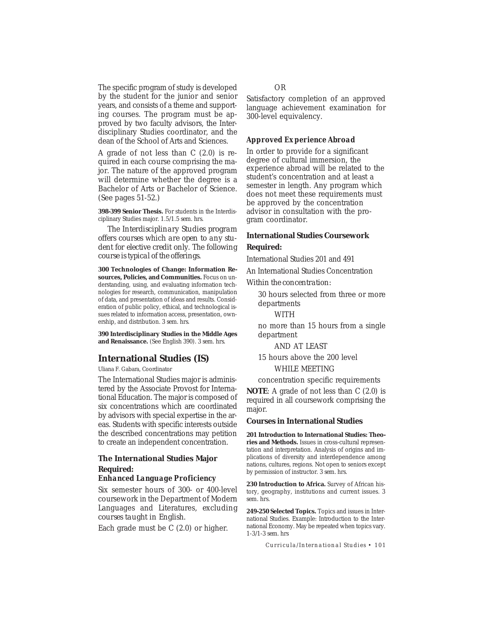The specific program of study is developed by the student for the junior and senior years, and consists of a theme and supporting courses. The program must be approved by two faculty advisors, the Interdisciplinary Studies coordinator, and the dean of the School of Arts and Sciences.

A grade of not less than *C* (2.0) is required in each course comprising the major. The nature of the approved program will determine whether the degree is a Bachelor of Arts or Bachelor of Science. (See pages 51-52.)

**398-399 Senior Thesis.** For students in the Interdisciplinary Studies major. *1.5/1.5 sem. hrs.*

*The Interdisciplinary Studies program offers courses which are open to any student for elective credit only. The following course is typical of the offerings.*

**300 Technologies of Change: Information Resources, Policies, and Communities.** Focus on understanding, using, and evaluating information technologies for research, communication, manipulation of data, and presentation of ideas and results. Consideration of public policy, ethical, and technological issues related to information access, presentation, ownership, and distribution. *3 sem. hrs.*

**390 Interdisciplinary Studies in the Middle Ages and Renaissance.** (See English 390). *3 sem. hrs.*

# **International Studies (IS)**

Uliana F. Gabara, Coordinator

The International Studies major is administered by the Associate Provost for International Education. The major is composed of six concentrations which are coordinated by advisors with special expertise in the areas. Students with specific interests outside the described concentrations may petition to create an independent concentration.

# **The International Studies Major Required:**

#### *Enhanced Language Proficiency*

Six semester hours of 300- or 400-level coursework in the Department of Modern Languages and Literatures, *excluding courses taught in English.*

Each grade must be *C* (2.0) or higher.

# OR

Satisfactory completion of an approved language achievement examination for 300-level equivalency.

# *Approved Experience Abroad*

In order to provide for a significant degree of cultural immersion, the experience abroad will be related to the student's concentration and at least a semester in length. Any program which does not meet these requirements must be approved by the concentration advisor in consultation with the program coordinator.

# **International Studies Coursework Required:**

International Studies 201 and 491

An International Studies Concentration

*Within the concentration:*

30 hours selected from three or more departments

WITH

no more than 15 hours from a single department

AND AT LEAST

15 hours above the 200 level WHILE MEETING

concentration specific requirements

**NOTE**: A grade of not less than *C* (2.0) is required in all coursework comprising the major.

#### **Courses in International Studies**

**201 Introduction to International Studies: Theories and Methods.** Issues in cross-cultural representation and interpretation. Analysis of origins and implications of diversity and interdependence among nations, cultures, regions. Not open to seniors except by permission of instructor. *3 sem. hrs.*

230 Introduction to Africa. Survey of African history, geography, institutions and current issues. *3 sem. hrs.*

**249-250 Selected Topics.** Topics and issues in International Studies. Example: Introduction to the International Economy. May be repeated when topics vary. *1-3/1-3 sem. hrs*

*Curricula/International Studies • 101*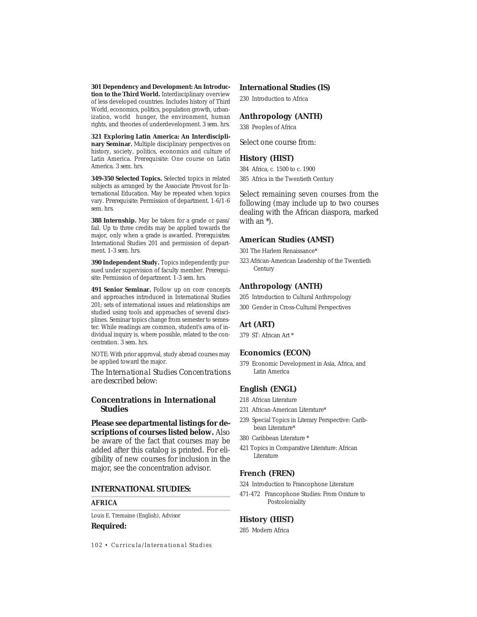**301 Dependency and Development: An Introduction to the Third World.** Interdisciplinary overview of less developed countries. Includes history of Third World, economics, politics, population growth, urbanization, world hunger, the environment, human rights, and theories of underdevelopment. *3 sem. hrs.*

**321 Exploring Latin America: An Interdisciplinary Seminar.** Multiple disciplinary perspectives on history, society, politics, economics and culture of Latin America. *Prerequisite*: One course on Latin America. *3 sem. hrs.*

**349-350 Selected Topics.** Selected topics in related subjects as arranged by the Associate Provost for International Education. May be repeated when topics vary. *Prerequisite*: Permission of department. *1-6/1-6 sem. hrs.*

**388 Internship.** May be taken for a grade or pass/ fail. Up to three credits may be applied towards the major, only when a grade is awarded. *Prerequisites*: International Studies 201 and permission of department. *1-3 sem. hrs.*

**390 Independent Study.** Topics independently pursued under supervision of faculty member. *Prerequisite*: Permission of department. *1-3 sem. hrs.*

**491 Senior Seminar.** Follow up on core concepts and approaches introduced in International Studies 201; sets of international issues and relationships are studied using tools and approaches of several disciplines. Seminar topics change from semester to semester. While readings are common, student's area of individual inquiry is, where possible, related to the concentration. *3 sem. hrs.*

NOTE: With prior approval, study abroad courses may be applied toward the major.

*The International Studies Concentrations are described below:*

# **Concentrations in International Studies**

**Please see departmental listings for descriptions of courses listed below.** Also be aware of the fact that courses may be

added after this catalog is printed. For eligibility of new courses for inclusion in the major, see the concentration advisor.

#### **INTERNATIONAL STUDIES:**

#### *AFRICA*

Louis E. Tremaine (English), *Advisor*

#### **Required:**

*102 • Curricula/International Studies*

# **International Studies (IS)**

230 Introduction to Africa

#### **Anthropology (ANTH)**

338 Peoples of Africa

Select one course from:

#### **History (HIST)**

384 Africa, c. 1500 to c. 1900 385 Africa in the Twentieth Century

Select remaining seven courses from the following (may include up to two courses dealing with the African diaspora, marked with an \*).

# **American Studies (AMST)**

301 The Harlem Renaissance\*

323 African-American Leadership of the Twentieth Century

# **Anthropology (ANTH)**

205 Introduction to Cultural Anthropology

300 Gender in Cross-Cultural Perspectives

#### **Art (ART)**

379 ST: African Art \*

#### **Economics (ECON)**

379 Economic Development in Asia, Africa, and Latin America

#### **English (ENGL)**

- 218 African Literature
- 231 African-American Literature\*
- 239 Special Topics in Literary Perspective: Caribbean Literature\*
- 380 Caribbean Literature \*
- 421 Topics in Comparative Literature: African Literature

# **French (FREN)**

- 324 Introduction to Francophone Literature
- 471-472 Francophone Studies: From Orature to Postcoloniality

#### **History (HIST)**

285 Modern Africa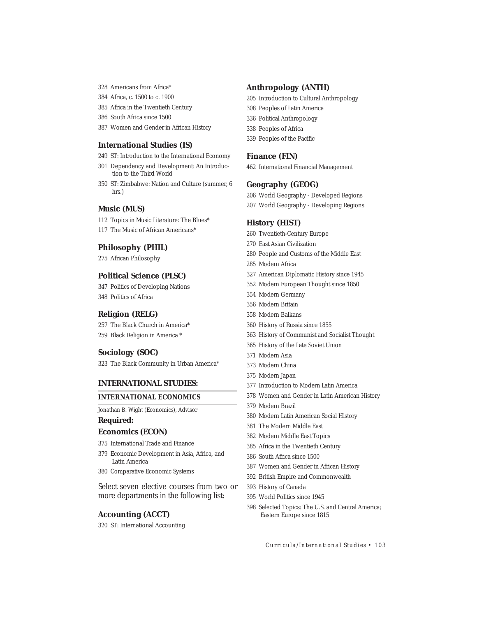- 328 Americans from Africa\*
- 384 Africa, c. 1500 to c. 1900
- 385 Africa in the Twentieth Century
- 386 South Africa since 1500
- 387 Women and Gender in African History

## **International Studies (IS)**

- 249 ST: Introduction to the International Economy
- 301 Dependency and Development: An Introduction to the Third World
- 350 ST: Zimbabwe: Nation and Culture (summer, 6 hrs.)

# **Music (MUS)**

- 112 Topics in Music Literature: The Blues\*
- 117 The Music of African Americans\*

# **Philosophy (PHIL)**

275 African Philosophy

#### **Political Science (PLSC)**

347 Politics of Developing Nations 348 Politics of Africa

#### **Religion (RELG)**

257 The Black Church in America\* 259 Black Religion in America \*

# **Sociology (SOC)**

323 The Black Community in Urban America\*

# **INTERNATIONAL STUDIES:**

# *INTERNATIONAL ECONOMICS*

Jonathan B. Wight (Economics), Advisor

# **Required:**

# **Economics (ECON)**

- 375 International Trade and Finance
- 379 Economic Development in Asia, Africa, and Latin America
- 380 Comparative Economic Systems

Select seven elective courses from two or more departments in the following list:

# **Accounting (ACCT)**

320 ST: International Accounting

#### **Anthropology (ANTH)**

- 205 Introduction to Cultural Anthropology
- 308 Peoples of Latin America
- 336 Political Anthropology
- 338 Peoples of Africa
- 339 Peoples of the Pacific

#### **Finance (FIN)**

462 International Financial Management

#### **Geography (GEOG)**

- 206 World Geography Developed Regions
- 207 World Geography Developing Regions

#### **History (HIST)**

- 260 Twentieth-Century Europe
- 270 East Asian Civilization
- 280 People and Customs of the Middle East
- 285 Modern Africa
- 327 American Diplomatic History since 1945
- 352 Modern European Thought since 1850
- 354 Modern Germany
- 356 Modern Britain
- 358 Modern Balkans
- 360 History of Russia since 1855
- 363 History of Communist and Socialist Thought
- 365 History of the Late Soviet Union
- 371 Modern Asia
- 373 Modern China
- 375 Modern Japan
- 377 Introduction to Modern Latin America
- 378 Women and Gender in Latin American History
- 379 Modern Brazil
- 380 Modern Latin American Social History
- 381 The Modern Middle East
- 382 Modern Middle East Topics
- 385 Africa in the Twentieth Century
- 386 South Africa since 1500
- 387 Women and Gender in African History
- 392 British Empire and Commonwealth
- 393 History of Canada
- 395 World Politics since 1945
- 398 Selected Topics: The U.S. and Central America; Eastern Europe since 1815

*Curricula/International Studies • 103*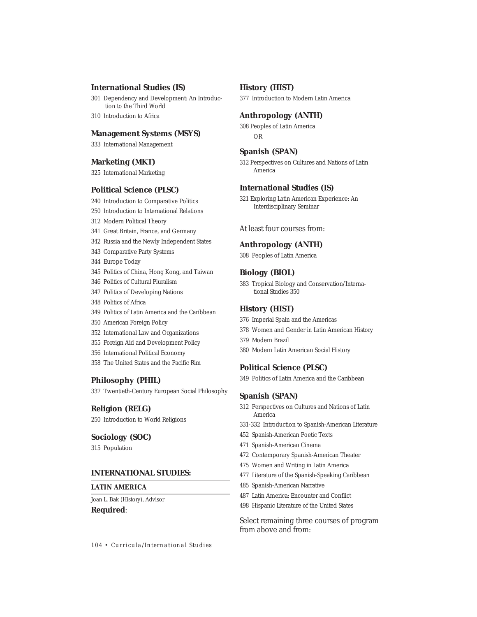#### **International Studies (IS)**

301 Dependency and Development: An Introduction to the Third World

310 Introduction to Africa

# **Management Systems (MSYS)**

333 International Management

#### **Marketing (MKT)**

325 International Marketing

#### **Political Science (PLSC)**

240 Introduction to Comparative Politics

- 250 Introduction to International Relations
- 312 Modern Political Theory
- 341 Great Britain, France, and Germany
- 342 Russia and the Newly Independent States
- 343 Comparative Party Systems
- 344 Europe Today
- 345 Politics of China, Hong Kong, and Taiwan
- 346 Politics of Cultural Pluralism
- 347 Politics of Developing Nations
- 348 Politics of Africa
- 349 Politics of Latin America and the Caribbean
- 350 American Foreign Policy
- 352 International Law and Organizations
- 355 Foreign Aid and Development Policy
- 356 International Political Economy
- 358 The United States and the Pacific Rim

# **Philosophy (PHIL)**

337 Twentieth-Century European Social Philosophy

# **Religion (RELG)**

250 Introduction to World Religions

#### **Sociology (SOC)**

315 Population

# **INTERNATIONAL STUDIES:**

#### *LATIN AMERICA*

Joan L. Bak (History), Advisor **Required**:

#### **History (HIST)**

377 Introduction to Modern Latin America

# **Anthropology (ANTH)**

308 Peoples of Latin America OR

#### **Spanish (SPAN)**

312 Perspectives on Cultures and Nations of Latin America

# **International Studies (IS)**

321 Exploring Latin American Experience: An Interdisciplinary Seminar

#### At least four courses from:

#### **Anthropology (ANTH)**

308 Peoples of Latin America

#### **Biology (BIOL)**

383 Tropical Biology and Conservation/International Studies 350

#### **History (HIST)**

- 376 Imperial Spain and the Americas
- 378 Women and Gender in Latin American History
- 379 Modern Brazil
- 380 Modern Latin American Social History

# **Political Science (PLSC)**

349 Politics of Latin America and the Caribbean

#### **Spanish (SPAN)**

- 312 Perspectives on Cultures and Nations of Latin America
- 331-332 Introduction to Spanish-American Literature
- 452 Spanish-American Poetic Texts
- 471 Spanish-American Cinema
- 472 Contemporary Spanish-American Theater
- 475 Women and Writing in Latin America
- 477 Literature of the Spanish-Speaking Caribbean
- 485 Spanish-American Narrative
- 487 Latin America: Encounter and Conflict
- 498 Hispanic Literature of the United States

Select remaining three courses of program from above and from:

*104 • Curricula/International Studies*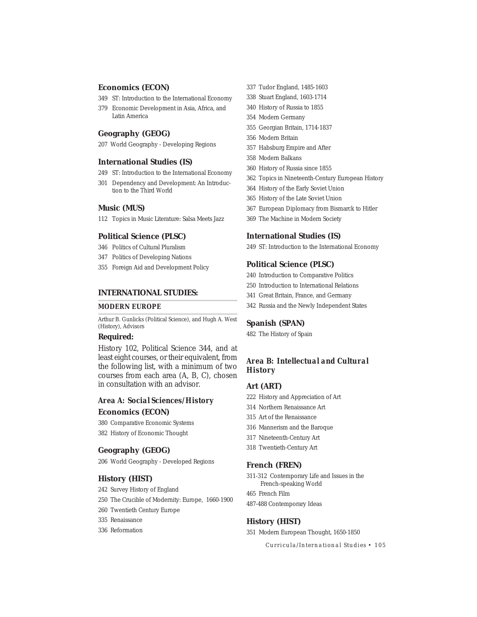# **Economics (ECON)**

- 349 ST: Introduction to the International Economy
- 379 Economic Development in Asia, Africa, and Latin America

# **Geography (GEOG)**

207 World Geography - Developing Regions

#### **International Studies (IS)**

- 249 ST: Introduction to the International Economy
- 301 Dependency and Development: An Introduction to the Third World

#### **Music (MUS)**

112 Topics in Music Literature: Salsa Meets Jazz

#### **Political Science (PLSC)**

- 346 Politics of Cultural Pluralism
- 347 Politics of Developing Nations
- 355 Foreign Aid and Development Policy

# **INTERNATIONAL STUDIES:**

#### *MODERN EUROPE*

Arthur B. Gunlicks (Political Science), and Hugh A. West (History), Advisors

# **Required:**

History 102, Political Science 344, and at least eight courses, or their equivalent, from the following list, with a minimum of two courses from each area (A, B, C), chosen in consultation with an advisor.

# *Area A: Social Sciences/History* **Economics (ECON)**

380 Comparative Economic Systems 382 History of Economic Thought

### **Geography (GEOG)**

206 World Geography - Developed Regions

#### **History (HIST)**

- 242 Survey History of England
- 250 The Crucible of Modernity: Europe, 1660-1900
- 260 Twentieth Century Europe
- 335 Renaissance
- 336 Reformation
- 337 Tudor England, 1485-1603
- 338 Stuart England, 1603-1714
- 340 History of Russia to 1855
- 354 Modern Germany
- 355 Georgian Britain, 1714-1837
- 356 Modern Britain
- 357 Habsburg Empire and After
- 358 Modern Balkans
- 360 History of Russia since 1855
- 362 Topics in Nineteenth-Century European History
- 364 History of the Early Soviet Union
- 365 History of the Late Soviet Union
- 367 European Diplomacy from Bismarck to Hitler
- 369 The Machine in Modern Society

#### **International Studies (IS)**

249 ST: Introduction to the International Economy

# **Political Science (PLSC)**

- 240 Introduction to Comparative Politics
- 250 Introduction to International Relations
- 341 Great Britain, France, and Germany
- 342 Russia and the Newly Independent States

#### **Spanish (SPAN)**

482 The History of Spain

# *Area B: Intellectual and Cultural History*

#### **Art (ART)**

- 222 History and Appreciation of Art
- 314 Northern Renaissance Art
- 315 Art of the Renaissance
- 316 Mannerism and the Baroque
- 317 Nineteenth-Century Art
- 318 Twentieth-Century Art

#### **French (FREN)**

- 311-312 Contemporary Life and Issues in the French-speaking World
- 465 French Film
- 487-488 Contemporary Ideas

#### **History (HIST)**

351 Modern European Thought, 1650-1850

*Curricula/International Studies • 105*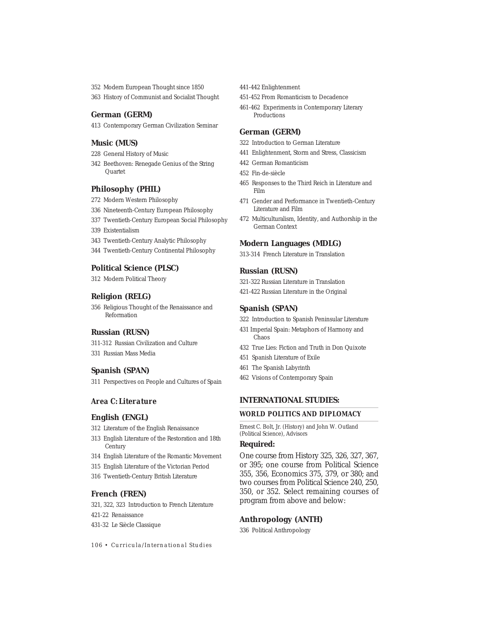352 Modern European Thought since 1850 363 History of Communist and Socialist Thought

#### **German (GERM)**

413 Contemporary German Civilization Seminar

#### **Music (MUS)**

- 228 General History of Music
- 342 Beethoven: Renegade Genius of the String Quartet

#### **Philosophy (PHIL)**

- 272 Modern Western Philosophy
- 336 Nineteenth-Century European Philosophy
- 337 Twentieth-Century European Social Philosophy
- 339 Existentialism
- 343 Twentieth-Century Analytic Philosophy
- 344 Twentieth-Century Continental Philosophy

# **Political Science (PLSC)**

312 Modern Political Theory

#### **Religion (RELG)**

356 Religious Thought of the Renaissance and Reformation

#### **Russian (RUSN)**

- 311-312 Russian Civilization and Culture
- 331 Russian Mass Media

# **Spanish (SPAN)**

311 Perspectives on People and Cultures of Spain

# *Area C: Literature*

#### **English (ENGL)**

- 312 Literature of the English Renaissance
- 313 English Literature of the Restoration and 18th Century
- 314 English Literature of the Romantic Movement
- 315 English Literature of the Victorian Period
- 316 Twentieth-Century British Literature

#### **French (FREN)**

321, 322, 323 Introduction to French Literature

421-22 Renaissance

431-32 Le Siècle Classique

*106 • Curricula/International Studies*

441-442 Enlightenment

451-452 From Romanticism to Decadence

461-462 Experiments in Contemporary Literary Productions

#### **German (GERM)**

- 322 Introduction to German Literature
- 441 Enlightenment, Storm and Stress, Classicism
- 442 German Romanticism
- 452 Fin-de-siècle
- 465 Responses to the Third Reich in Literature and Film
- 471 Gender and Performance in Twentieth-Century Literature and Film
- 472 Multiculturalism, Identity, and Authorship in the German Context

# **Modern Languages (MDLG)**

313-314 French Literature in Translation

# **Russian (RUSN)**

321-322 Russian Literature in Translation 421-422 Russian Literature in the Original

#### **Spanish (SPAN)**

322 Introduction to Spanish Peninsular Literature

- 431 Imperial Spain: Metaphors of Harmony and Chaos
- 432 True Lies: Fiction and Truth in *Don Quixote*
- 451 Spanish Literature of Exile
- 461 The Spanish Labyrinth
- 462 Visions of Contemporary Spain

#### **INTERNATIONAL STUDIES:**

# *WORLD POLITICS AND DIPLOMACY*

Ernest C. Bolt, Jr. (History) and John W. Outland (Political Science), Advisors

#### **Required:**

One course from History 325, 326, 327, 367, or 395; one course from Political Science 355, 356, Economics 375, 379, or 380; and two courses from Political Science 240, 250, 350, or 352. Select remaining courses of program from above and below:

# **Anthropology (ANTH)**

336 Political Anthropology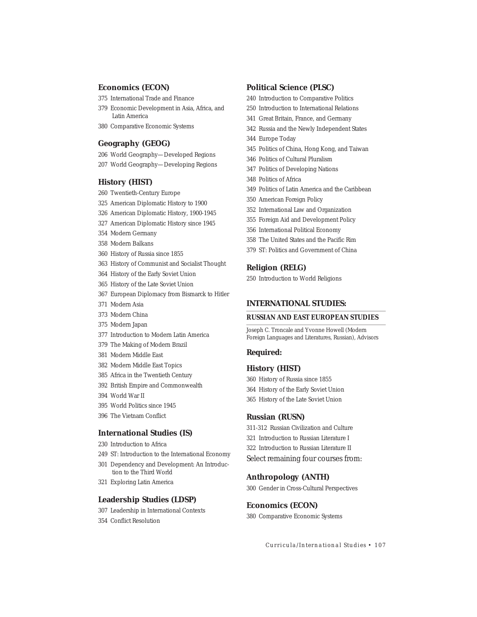# **Economics (ECON)**

- 375 International Trade and Finance
- 379 Economic Development in Asia, Africa, and Latin America
- 380 Comparative Economic Systems

# **Geography (GEOG)**

206 World Geography—Developed Regions

207 World Geography—Developing Regions

# **History (HIST)**

- 260 Twentieth-Century Europe
- 325 American Diplomatic History to 1900
- 326 American Diplomatic History, 1900-1945
- 327 American Diplomatic History since 1945
- 354 Modern Germany
- 358 Modern Balkans
- 360 History of Russia since 1855
- 363 History of Communist and Socialist Thought
- 364 History of the Early Soviet Union
- 365 History of the Late Soviet Union
- 367 European Diplomacy from Bismarck to Hitler
- 371 Modern Asia
- 373 Modern China
- 375 Modern Japan
- 377 Introduction to Modern Latin America
- 379 The Making of Modern Brazil
- 381 Modern Middle East
- 382 Modern Middle East Topics
- 385 Africa in the Twentieth Century
- 392 British Empire and Commonwealth
- 394 World War II
- 395 World Politics since 1945
- 396 The Vietnam Conflict

# **International Studies (IS)**

- 230 Introduction to Africa
- 249 ST: Introduction to the International Economy
- 301 Dependency and Development: An Introduction to the Third World
- 321 Exploring Latin America

#### **Leadership Studies (LDSP)**

- 307 Leadership in International Contexts
- 354 Conflict Resolution

#### **Political Science (PLSC)**

- 240 Introduction to Comparative Politics
- 250 Introduction to International Relations
- 341 Great Britain, France, and Germany
- 342 Russia and the Newly Independent States
- 344 Europe Today
- 345 Politics of China, Hong Kong, and Taiwan
- 346 Politics of Cultural Pluralism
- 347 Politics of Developing Nations
- 348 Politics of Africa
- 349 Politics of Latin America and the Caribbean
- 350 American Foreign Policy
- 352 International Law and Organization
- 355 Foreign Aid and Development Policy
- 356 International Political Economy
- 358 The United States and the Pacific Rim
- 379 ST: Politics and Government of China

#### **Religion (RELG)**

250 Introduction to World Religions

#### **INTERNATIONAL STUDIES:**

#### *RUSSIAN AND EAST EUROPEAN STUDIES*

Joseph C. Troncale and Yvonne Howell (Modern Foreign Languages and Literatures, Russian), Advisors

#### **Required:**

# **History (HIST)**

360 History of Russia since 1855 364 History of the Early Soviet Union 365 History of the Late Soviet Union

#### **Russian (RUSN)**

311-312 Russian Civilization and Culture 321 Introduction to Russian Literature I 322 Introduction to Russian Literature II Select remaining four courses from:

#### **Anthropology (ANTH)**

300 Gender in Cross-Cultural Perspectives

#### **Economics (ECON)**

380 Comparative Economic Systems

*Curricula/International Studies • 107*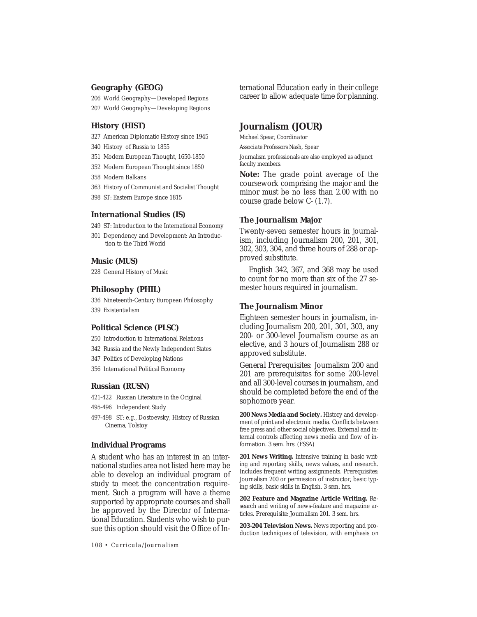# **Geography (GEOG)**

206 World Geography—Developed Regions 207 World Geography—Developing Regions

#### **History (HIST)**

327 American Diplomatic History since 1945

- 340 History of Russia to 1855
- 351 Modern European Thought, 1650-1850
- 352 Modern European Thought since 1850
- 358 Modern Balkans
- 363 History of Communist and Socialist Thought
- 398 ST: Eastern Europe since 1815

#### **International Studies (IS)**

- 249 ST: Introduction to the International Economy
- 301 Dependency and Development: An Introduction to the Third World

#### **Music (MUS)**

228 General History of Music

# **Philosophy (PHIL)**

336 Nineteenth-Century European Philosophy 339 Existentialism

#### **Political Science (PLSC)**

- 250 Introduction to International Relations
- 342 Russia and the Newly Independent States
- 347 Politics of Developing Nations
- 356 International Political Economy

#### **Russian (RUSN)**

- 421-422 Russian Literature in the Original
- 495-496 Independent Study
- 497-498 ST: e.g., Dostoevsky, History of Russian Cinema, Tolstoy

# **Individual Programs**

A student who has an interest in an international studies area not listed here may be able to develop an individual program of study to meet the concentration requirement. Such a program will have a theme supported by appropriate courses and shall be approved by the Director of International Education. Students who wish to pursue this option should visit the Office of In-

*108 • Curricula/Journalism*

ternational Education early in their college career to allow adequate time for planning.

# **Journalism (JOUR)**

Michael Spear, *Coordinator*

*Associate Professors* Nash, Spear

Journalism professionals are also employed as adjunct faculty members.

**Note:** The grade point average of the coursework comprising the major and the minor must be no less than 2.00 with no course grade below *C-* (1.7).

#### **The Journalism Major**

Twenty-seven semester hours in journalism, including Journalism 200, 201, 301, 302, 303, 304, and three hours of 288 or approved substitute.

English 342, 367, and 368 may be used to count for no more than six of the 27 semester hours required in journalism.

## **The Journalism Minor**

Eighteen semester hours in journalism, including Journalism 200, 201, 301, 303, any 200- or 300-level Journalism course as an elective, and 3 hours of Journalism 288 or approved substitute.

*General Prerequisites:* Journalism 200 and 201 are prerequisites for some 200-level and all 300-level courses in journalism, and should be completed before the end of the sophomore year.

**200 News Media and Society.** History and development of print and electronic media. Conflicts between free press and other social objectives. External and internal controls affecting news media and flow of information. *3 sem. hrs.* (FSSA)

**201 News Writing.** Intensive training in basic writing and reporting skills, news values, and research. Includes frequent writing assignments. *Prerequisites*: Journalism 200 or permission of instructor, basic typing skills, basic skills in English. *3 sem. hrs.*

**202 Feature and Magazine Article Writing.** Research and writing of news-feature and magazine articles. *Prerequisite*: Journalism 201. *3 sem. hrs.*

**203-204 Television News.** News reporting and production techniques of television, with emphasis on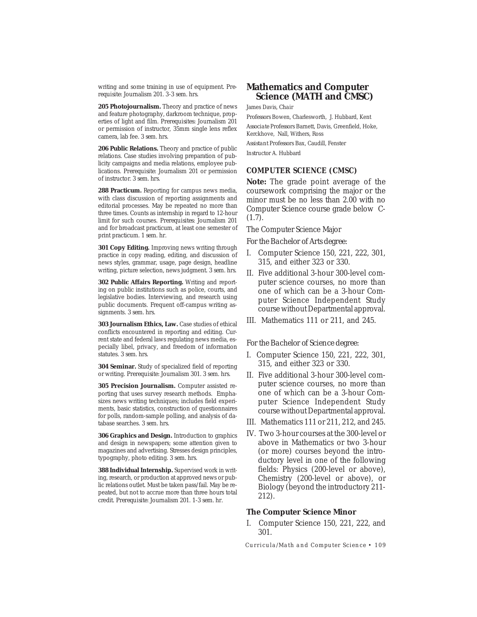writing and some training in use of equipment. *Prerequisite*: Journalism 201. *3-3 sem. hrs.*

205 Photojournalism. Theory and practice of news and feature photography, darkroom technique, properties of light and film. *Prerequisites*: Journalism 201 or permission of instructor, 35mm single lens reflex camera, lab fee. *3 sem. hrs.*

**206 Public Relations.** Theory and practice of public relations. Case studies involving preparation of publicity campaigns and media relations, employee publications. *Prerequisite*: Journalism 201 or permission of instructor. *3 sem. hrs.*

**288 Practicum.** Reporting for campus news media, with class discussion of reporting assignments and editorial processes. May be repeated no more than three times. Counts as internship in regard to 12-hour limit for such courses. *Prerequisites*: Journalism 201 and for broadcast practicum, at least one semester of print practicum. *1 sem. hr.*

**301 Copy Editing.** Improving news writing through practice in copy reading, editing, and discussion of news styles, grammar, usage, page design, headline writing, picture selection, news judgment. *3 sem. hrs.*

**302 Public Affairs Reporting.** Writing and reporting on public institutions such as police, courts, and legislative bodies. Interviewing, and research using public documents. Frequent off-campus writing assignments. *3 sem. hrs.*

**303 Journalism Ethics, Law.** Case studies of ethical conflicts encountered in reporting and editing. Current state and federal laws regulating news media, especially libel, privacy, and freedom of information statutes. *3 sem. hrs.*

**304 Seminar.** Study of specialized field of reporting or writing. *Prerequisite*: Journalism 301. *3 sem. hrs.*

**305 Precision Journalism.** Computer assisted reporting that uses survey research methods. Emphasizes news writing techniques; includes field experiments, basic statistics, construction of questionnaires for polls, random-sample polling, and analysis of database searches. *3 sem. hrs.*

**306 Graphics and Design.** Introduction to graphics and design in newspapers; some attention given to magazines and advertising. Stresses design principles, typography, photo editing. *3 sem. hrs.*

**388 Individual Internship.** Supervised work in writing, research, or production at approved news or public relations outlet. Must be taken pass/fail. May be repeated, but not to accrue more than three hours total credit. *Prerequisite*: Journalism 201. *1-3 sem. hr.*

## **Mathematics and Computer Science (MATH and CMSC)**

James Davis, *Chair*

*Professors* Bowen, Charlesworth, J. Hubbard, Kent *Associate Professors* Barnett, Davis, Greenfield, Hoke, Kerckhove, Nall, Withers, Ross

*Assistant Professors* Bax, Caudill, Fenster

*Instructor* A. Hubbard

## *COMPUTER SCIENCE (CMSC)*

**Note:** The grade point average of the coursework comprising the major or the minor must be no less than 2.00 with no Computer Science course grade below *C-* (1.7).

The Computer Science Major

*For the Bachelor of Arts degree:*

- I. Computer Science 150, 221, 222, 301, 315, and either 323 or 330.
- II. Five additional 3-hour 300-level computer science courses, no more than one of which can be a 3-hour Computer Science Independent Study course without Departmental approval.
- III. Mathematics 111 or 211, and 245.

#### *For the Bachelor of Science degree:*

- I. Computer Science 150, 221, 222, 301, 315, and either 323 or 330.
- II. Five additional 3-hour 300-level computer science courses, no more than one of which can be a 3-hour Computer Science Independent Study course without Departmental approval.
- III. Mathematics 111 or 211, 212, and 245.
- IV. Two 3-hour courses at the 300-level or above in Mathematics or two 3-hour (or more) courses beyond the introductory level in one of the following fields: Physics (200-level or above), Chemistry (200-level or above), or Biology (beyond the introductory 211- 212).

## **The Computer Science Minor**

I. Computer Science 150, 221, 222, and 301.

*Curricula/Math and Computer Science • 109*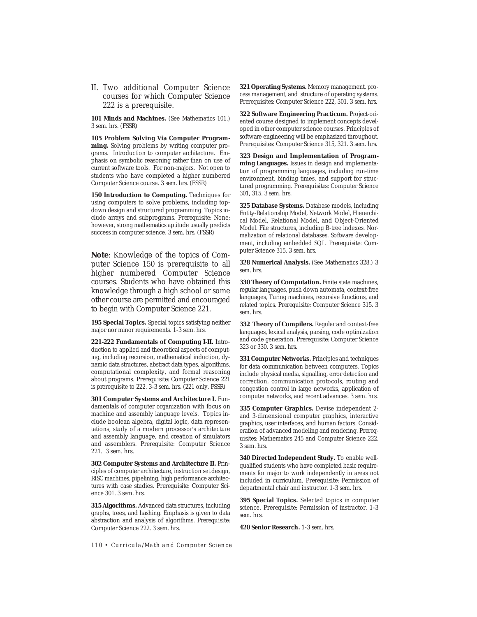II. Two additional Computer Science courses for which Computer Science 222 is a prerequisite.

**101 Minds and Machines.** (See Mathematics 101.) *3 sem. hrs.* (FSSR)

**105 Problem Solving Via Computer Programming.** Solving problems by writing computer programs. Introduction to computer architecture. Emphasis on symbolic reasoning rather than on use of current software tools. For non-majors. Not open to students who have completed a higher numbered Computer Science course. *3 sem. hrs.* (FSSR)

150 Introduction to Computing. Techniques for using computers to solve problems, including topdown design and structured programming. Topics include arrays and subprograms. *Prerequisite*: None; however, strong mathematics aptitude usually predicts success in computer science. *3 sem. hrs.* (FSSR)

**Note**: Knowledge of the topics of Computer Science 150 is prerequisite to all higher numbered Computer Science courses. Students who have obtained this knowledge through a high school or some other course are permitted and encouraged to begin with Computer Science 221.

**195 Special Topics.** Special topics satisfying neither major nor minor requirements. *1-3 sem. hrs.*

**221-222 Fundamentals of Computing I-II.** Introduction to applied and theoretical aspects of computing, including recursion, mathematical induction, dynamic data structures, abstract data types, algorithms, computational complexity, and formal reasoning about programs. *Prerequisite*: Computer Science 221 is prerequisite to 222. *3-3 sem. hrs.* (221 only, FSSR)

**301 Computer Systems and Architecture I.** Fundamentals of computer organization with focus on machine and assembly language levels. Topics include boolean algebra, digital logic, data representations, study of a modern processor's architecture and assembly language, and creation of simulators and assemblers. *Prerequisite*: Computer Science 221. *3 sem. hrs.*

**302 Computer Systems and Architecture II.** Principles of computer architecture, instruction set design, RISC machines, pipelining, high performance architectures with case studies. *Prerequisite*: Computer Science 301. *3 sem. hrs.*

**315 Algorithms.** Advanced data structures, including graphs, trees, and hashing. Emphasis is given to data abstraction and analysis of algorithms. *Prerequisite*: Computer Science 222. *3 sem. hrs.*

**321 Operating Systems.** Memory management, process management, and structure of operating systems. *Prerequisites*: Computer Science 222, 301. *3 sem. hrs.*

**322 Software Engineering Practicum.** Project-oriented course designed to implement concepts developed in other computer science courses. Principles of software engineering will be emphasized throughout. *Prerequisites*: Computer Science 315, 321. *3 sem. hrs.*

**323 Design and Implementation of Programming Languages.** Issues in design and implementation of programming languages, including run-time environment, binding times, and support for structured programming. *Prerequisites*: Computer Science 301, 315. *3 sem. hrs.*

**325 Database Systems.** Database models, including Entity-Relationship Model, Network Model, Hierarchical Model, Relational Model, and Object-Oriented Model. File structures, including B-tree indexes. Normalization of relational databases. Software development, including embedded SQL. *Prerequisite*: Computer Science 315. *3 sem. hrs.*

**328 Numerical Analysis.** (See Mathematics 328.) *3 sem. hrs.*

**330 Theory of Computation.** Finite state machines, regular languages, push down automata, context-free languages, Turing machines, recursive functions, and related topics. *Prerequisite*: Computer Science 315. *3 sem. hrs.*

**332 Theory of Compilers.** Regular and context-free languages, lexical analysis, parsing, code optimization and code generation. *Prerequisite*: Computer Science 323 or 330. *3 sem. hrs.*

**331 Computer Networks.** Principles and techniques for data communication between computers. Topics include physical media, signalling, error detection and correction, communication protocols, routing and congestion control in large networks, application of computer networks, and recent advances. *3 sem. hrs.*

**335 Computer Graphics.** Devise independent 2 and 3-dimensional computer graphics, interactive graphics, user interfaces, and human factors. Consideration of advanced modeling and rendering. *Prerequisites*: Mathematics 245 and Computer Science 222. *3 sem. hrs.*

**340 Directed Independent Study.** To enable wellqualified students who have completed basic requirements for major to work independently in areas not included in curriculum. *Prerequisite*: Permission of departmental chair and instructor. *1-3 sem. hrs.*

**395 Special Topics.** Selected topics in computer science. *Prerequisite*: Permission of instructor. *1-3 sem. hrs.*

**420 Senior Research.** *1-3 sem. hrs.*

*110 • Curricula/Math and Computer Science*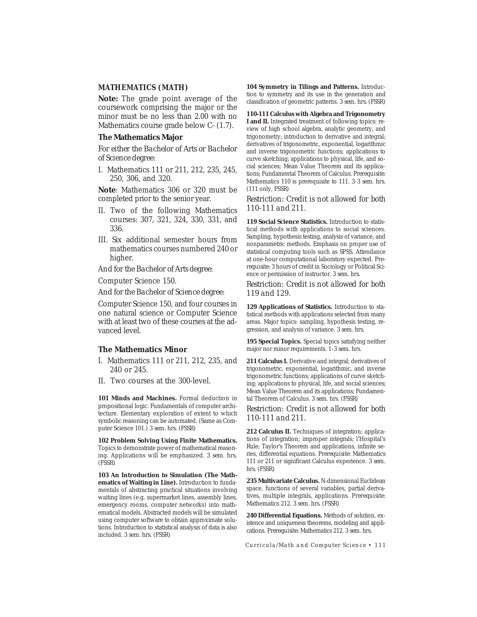## *MATHEMATICS (MATH)*

**Note:** The grade point average of the coursework comprising the major or the minor must be no less than 2.00 with no Mathematics course grade below *C-* (1.7).

## **The Mathematics Major**

*For either the Bachelor of Arts or Bachelor of Science degree:*

I. Mathematics 111 or 211, 212, 235, 245, 250, 306, and 320.

**Note**: Mathematics 306 or 320 must be completed prior to the senior year.

- II. Two of the following Mathematics courses: 307, 321, 324, 330, 331, and 336.
- III. Six additional semester hours from mathematics courses numbered 240 or higher.

A*nd for the Bachelor of Arts degree:*

Computer Science 150.

*And for the Bachelor of Science degree:*

Computer Science 150, and four courses in one natural science or Computer Science with at least two of these courses at the advanced level.

#### **The Mathematics Minor**

- I. Mathematics 111 or 211, 212, 235, and 240 or 245.
- II. Two courses at the 300-level.

**101 Minds and Machines.** Formal deduction in propositional logic. Fundamentals of computer architecture. Elementary exploration of extent to which symbolic reasoning can be automated. (Same as Computer Science 101.) *3 sem. hrs.* (FSSR)

**102 Problem Solving Using Finite Mathematics.** Topics to demonstrate power of mathematical reasoning. Applications will be emphasized. *3 sem. hrs.* (FSSR)

**103 An Introduction to Simulation (The Mathematics of Waiting in Line).** Introduction to fundamentals of abstracting practical situations involving waiting lines (e.g. supermarket lines, assembly lines, emergency rooms, computer networks) into mathematical models. Abstracted models will be simulated using computer software to obtain approximate solutions. Introduction to statistical analysis of data is also included. *3 sem. hrs.* (FSSR)

**104 Symmetry in Tilings and Patterns.** Introduction to symmetry and its use in the generation and classification of geometric patterns. *3 sem. hrs.* (FSSR)

**110-111 Calculus with Algebra and Trigonometry I and II.** Integrated treatment of following topics: review of high school algebra, analytic geometry, and trigonometry; introduction to derivative and integral; derivatives of trigonometric, exponential, logarithmic and inverse trigonometric functions; applications to curve sketching; applications to physical, life, and social sciences; Mean Value Theorem and its applications; Fundamental Theorem of Calculus. *Prerequisite*: Mathematics 110 is prerequisite to 111. *3-3 sem. hrs.* (111 only, FSSR)

*Restriction: Credit is not allowed for both 110-111 and 211.*

**119 Social Science Statistics.** Introduction to statistical methods with applications to social sciences. Sampling, hypothesis testing, analysis of variance, and nonparametric methods. Emphasis on proper use of statistical computing tools such as SPSS. Attendance at one-hour computational laboratory expected. *Prerequisite*: 3 hours of credit in Sociology or Political Science or permission of instructor. *3 sem. hrs.*

*Restriction: Credit is not allowed for both 119 and 129.*

129 Applications of Statistics. Introduction to statistical methods with applications selected from many areas. Major topics: sampling, hypothesis testing, regression, and analysis of variance. *3 sem. hrs.*

**195 Special Topics.** Special topics satisfying neither major nor minor requirements. *1-3 sem. hrs.*

211 **Calculus I.** Derivative and integral; derivatives of trigonometric, exponential, logarithmic, and inverse trigonometric functions; applications of curve sketching; applications to physical, life, and social sciences; Mean Value Theorem and its applications; Fundamental Theorem of Calculus. *3 sem. hrs.* (FSSR)

*Restriction: Credit is not allowed for both 110-111 and 211.*

**212 Calculus II.** Techniques of integration; applications of integration; improper integrals; l'Hospital's Rule; Taylor's Theorem and applications, infinite series, differential equations. *Prerequisite*: Mathematics 111 or 211 or significant Calculus experience. *3 sem. hrs.* (FSSR)

**235 Multivariate Calculus.** N-dimensional Euclidean space, functions of several variables, partial derivatives, multiple integrals, applications. *Prerequisite*: Mathematics 212. *3 sem. hrs.* (FSSR)

**240 Differential Equations.** Methods of solution, existence and uniqueness theorems, modeling and applications. *Prerequisite*: Mathematics 212. *3 sem. hrs.*

*Curricula/Math and Computer Science • 111*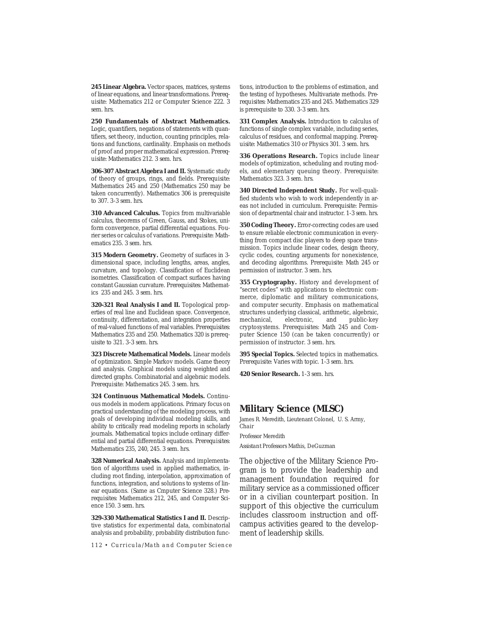**245 Linear Algebra.** Vector spaces, matrices, systems of linear equations, and linear transformations. *Prerequisite*: Mathematics 212 or Computer Science 222. *3 sem. hrs.*

**250 Fundamentals of Abstract Mathematics.** Logic, quantifiers, negations of statements with quantifiers, set theory, induction, counting principles, relations and functions, cardinality. Emphasis on methods of proof and proper mathematical expression. *Prerequisite:* Mathematics 212. *3 sem. hrs.*

**306-307 Abstract Algebra I and II.** Systematic study of theory of groups, rings, and fields. *Prerequisite*: Mathematics 245 and 250 (Mathematics 250 may be taken concurrently). Mathematics 306 is prerequisite to 307. *3-3 sem. hrs.*

**310 Advanced Calculus.** Topics from multivariable calculus, theorems of Green, Gauss, and Stokes, uniform convergence, partial differential equations. Fourier series or calculus of variations. *Prerequisite*: Mathematics 235. *3 sem. hrs.*

**315 Modern Geometry.** Geometry of surfaces in 3 dimensional space, including lengths, areas, angles, curvature, and topology. Classification of Euclidean isometries. Classification of compact surfaces having constant Gaussian curvature. *Prerequisites*: Mathematics 235 and 245. *3 sem. hrs.*

**320-321 Real Analysis I and II.** Topological properties of real line and Euclidean space. Convergence, continuity, differentiation, and integration properties of real-valued functions of real variables. *Prerequisites*: Mathematics 235 and 250. Mathematics 320 is prerequisite to 321. *3-3 sem. hrs.*

**323 Discrete Mathematical Models.** Linear models of optimization. Simple Markov models. Game theory and analysis. Graphical models using weighted and directed graphs. Combinatorial and algebraic models. *Prerequisite*: Mathematics 245. *3 sem. hrs.*

**324 Continuous Mathematical Models.** Continuous models in modern applications. Primary focus on practical understanding of the modeling process, with goals of developing individual modeling skills, and ability to critically read modeling reports in scholarly journals. Mathematical topics include ordinary differential and partial differential equations. *Prerequisites*: Mathematics 235, 240, 245. *3 sem. hrs.*

**328 Numerical Analysis.** Analysis and implementation of algorithms used in applied mathematics, including root finding, interpolation, approximation of functions, integration, and solutions to systems of linear equations. (Same as Cmputer Science 328.) *Prerequisites*: Mathematics 212, 245, and Computer Science 150. *3 sem. hrs.*

**329-330 Mathematical Statistics I and II.** Descriptive statistics for experimental data, combinatorial analysis and probability, probability distribution func-

*112 • Curricula/Math and Computer Science*

tions, introduction to the problems of estimation, and the testing of hypotheses. Multivariate methods. *Prerequisites*: Mathematics 235 and 245. Mathematics 329 is prerequisite to 330. *3-3 sem. hrs.*

**331 Complex Analysis.** Introduction to calculus of functions of single complex variable, including series, calculus of residues, and conformal mapping. *Prerequisite*: Mathematics 310 or Physics 301. *3 sem. hrs.*

**336 Operations Research.** Topics include linear models of optimization, scheduling and routing models, and elementary queuing theory. *Prerequisite*: Mathematics 323. *3 sem. hrs.*

**340 Directed Independent Study.** For well-qualified students who wish to work independently in areas not included in curriculum. *Prerequisite*: Permission of departmental chair and instructor. *1-3 sem. hrs.*

**350 Coding Theory.** Error-correcting codes are used to ensure reliable electronic communication in everything from compact disc players to deep space transmission. Topics include linear codes, design theory, cyclic codes, counting arguments for nonexistence, and decoding algorithms. *Prerequisite*: Math 245 or permission of instructor. *3 sem. hrs.*

**355 Cryptography.** History and development of "secret codes" with applications to electronic commerce, diplomatic and military communications, and computer security. Emphasis on mathematical structures underlying classical, arithmetic, algebraic, mechanical, electronic, and public-key cryptosystems. *Prerequisites*: Math 245 and Computer Science 150 (can be taken concurrently) or permission of instructor. *3 sem. hrs.*

**395 Special Topics.** Selected topics in mathematics. *Prerequisite*: Varies with topic. *1-3 sem. hrs.*

**420 Senior Research.** *1-3 sem. hrs.*

## **Military Science (MLSC)**

James R. Meredith, Lieutenant Colonel, U. S. Army, *Chair*

*Professor* Meredith *Assistant Professors* Mathis, DeGuzman

The objective of the Military Science Program is to provide the leadership and management foundation required for military service as a commissioned officer or in a civilian counterpart position. In support of this objective the curriculum includes classroom instruction and offcampus activities geared to the development of leadership skills.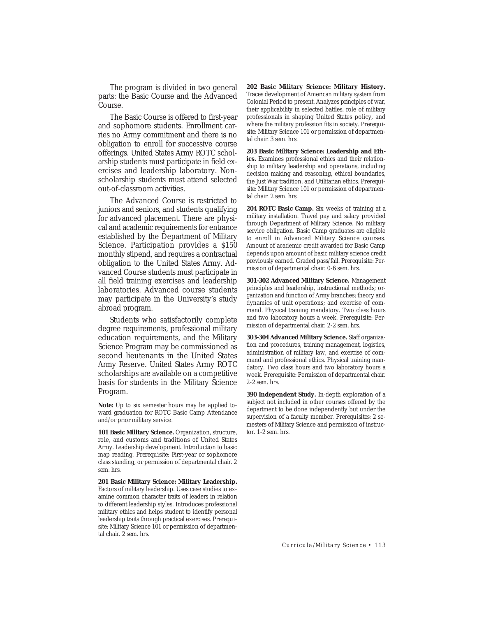The program is divided in two general parts: the Basic Course and the Advanced Course.

The Basic Course is offered to first-year and sophomore students. Enrollment carries no Army commitment and there is no obligation to enroll for successive course offerings. United States Army ROTC scholarship students must participate in field exercises and leadership laboratory. Nonscholarship students must attend selected out-of-classroom activities.

The Advanced Course is restricted to juniors and seniors, and students qualifying for advanced placement. There are physical and academic requirements for entrance established by the Department of Military Science. Participation provides a \$150 monthly stipend, and requires a contractual obligation to the United States Army. Advanced Course students must participate in all field training exercises and leadership laboratories. Advanced course students may participate in the University's study abroad program.

Students who satisfactorily complete degree requirements, professional military education requirements, and the Military Science Program may be commissioned as second lieutenants in the United States Army Reserve. United States Army ROTC scholarships are available on a competitive basis for students in the Military Science Program.

**Note:** Up to six semester hours may be applied toward graduation for ROTC Basic Camp Attendance and/or prior military service.

**101 Basic Military Science.** Organization, structure, role, and customs and traditions of United States Army. Leadership development. Introduction to basic map reading. *Prerequisite*: First-year or sophomore class standing, or permission of departmental chair. *2 sem. hrs.*

**201 Basic Military Science: Military Leadership.** Factors of military leadership. Uses case studies to examine common character traits of leaders in relation to different leadership styles. Introduces professional military ethics and helps student to identify personal leadership traits through practical exercises. *Prerequisite*: Military Science 101 or permission of departmental chair. *2 sem. hrs.*

**202 Basic Military Science: Military History.** Traces development of American military system from Colonial Period to present. Analyzes principles of war, their applicability in selected battles, role of military professionals in shaping United States policy, and where the military profession fits in society. *Prerequisite*: Military Science 101 or permission of departmental chair. *3 sem. hrs.*

**203 Basic Military Science: Leadership and Ethics.** Examines professional ethics and their relationship to military leadership and operations, including decision making and reasoning, ethical boundaries, the Just War tradition, and Utilitarian ethics. *Prerequisite*: Military Science 101 or permission of departmental chair. *2 sem. hrs.*

204 ROTC Basic Camp. Six weeks of training at a military installation. Travel pay and salary provided through Department of Military Science. No military service obligation. Basic Camp graduates are eligible to enroll in Advanced Military Science courses. Amount of academic credit awarded for Basic Camp depends upon amount of basic military science credit previously earned. Graded pass/fail. *Prerequisite*: Permission of departmental chair. *0-6 sem. hrs.*

**301-302 Advanced Military Science.** Management principles and leadership, instructional methods; organization and function of Army branches; theory and dynamics of unit operations; and exercise of command. Physical training mandatory. Two class hours and two laboratory hours a week. *Prerequisite*: Permission of departmental chair. *2-2 sem. hrs.*

**303-304 Advanced Military Science.** Staff organization and procedures, training management, logistics, administration of military law, and exercise of command and professional ethics. Physical training mandatory. Two class hours and two laboratory hours a week. *Prerequisite*: Permission of departmental chair. *2-2 sem. hrs.*

**390 Independent Study.** In-depth exploration of a subject not included in other courses offered by the department to be done independently but under the supervision of a faculty member. *Prerequisites*: 2 semesters of Military Science and permission of instructor. *1-2 sem. hrs.*

*Curricula/Military Science • 113*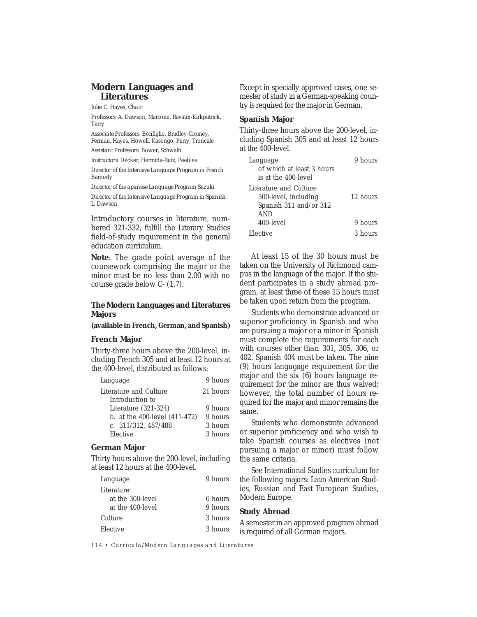## **Modern Languages and Literatures**

Julie C. Hayes, *Chair*

*Professors* A. Dawson, Marcone, Ravaux-Kirkpatrick, Terry

*Associate Professors* Bonfiglio, Bradley-Cromey, Ferman, Hayes, Howell, Kasongo, Perry, Troncale

*Assistant Professors* Bower, Schwalb

*Instructors* Decker, Hermida-Ruiz, Peebles

*Director of the Intensive Language Program in French* Baroody

*Director of the apanese Language Program* Suzuki *Director of the Intensive Language Program in Spanish* L. Dawson

Introductory courses in literature, numbered 321-332, fulfill the Literary Studies field-of-study requirement in the general education curriculum.

**Note**: The grade point average of the coursework comprising the major or the minor must be no less than 2.00 with no course grade below *C-* (1.7).

## **The Modern Languages and Literatures Majors**

#### **(available in French, German, and Spanish)**

#### **French Major**

Thirty-three hours above the 200-level, including French 305 and at least 12 hours at the 400-level, distributed as follows:

| Language                      | 9 hours  |
|-------------------------------|----------|
| Literature and Culture        | 21 hours |
| Introduction to               |          |
| Literature (321-324)          | 9 hours  |
| b. at the 400-level (411-472) | 9 hours  |
| c. 311/312, 487/488           | 3 hours  |
| Elective                      | 3 hours  |

#### **German Major**

Thirty hours above the 200-level, including at least 12 hours at the 400-level.

| 9 hours |
|---------|
|         |
| 6 hours |
| 9 hours |
| 3 hours |
| 3 hours |
|         |

Except in specially approved cases, one semester of study in a German-speaking country is required for the major in German.

## **Spanish Major**

Thirty-three hours above the 200-level, including Spanish 305 and at least 12 hours at the 400-level.

| Language<br>of which at least 3 hours<br>is at the 400-level                     | 9 hours  |
|----------------------------------------------------------------------------------|----------|
| Literature and Culture:<br>300-level, including<br>Spanish 311 and/or 312<br>AND | 12 hours |
| 400-level                                                                        | 9 hours  |
| Elective                                                                         | 3 hours  |

At least 15 of the 30 hours must be taken on the University of Richmond campus in the language of the major. If the student participates in a study abroad program, at least three of these 15 hours must be taken upon return from the program.

Students who demonstrate advanced or superior proficiency in Spanish and who are pursuing a major or a minor in Spanish must complete the requirements for each with courses *other than* 301, 305, 306, or 402. Spanish 404 must be taken. The nine (9) hours langugage requirement for the major and the six (6) hours language requirement for the minor are thus waived; however, the total number of hours required for the major and minor remains the same.

Students who demonstrate advanced or superior proficiency and who wish to take Spanish courses as electives (not pursuing a major or minor) must follow the same criteria.

See International Studies curriculum for the following majors: Latin American Studies, Russian and East European Studies, Modern Europe.

#### **Study Abroad**

A semester in an approved program abroad is required of all German majors.

*114 • Curricula/Modern Languages and Literatures*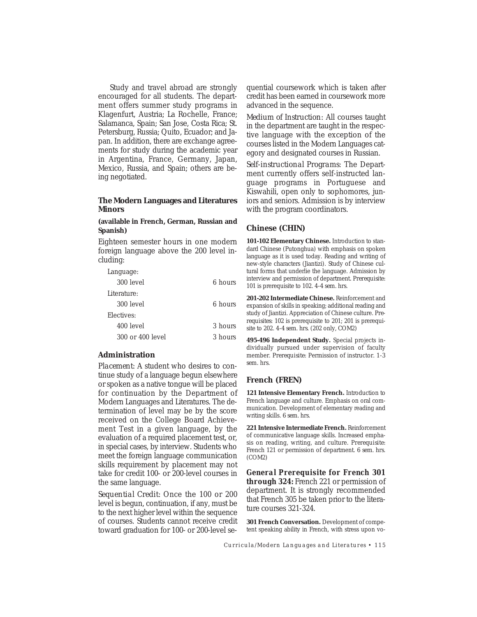Study and travel abroad are strongly encouraged for all students. The department offers summer study programs in Klagenfurt, Austria; La Rochelle, France; Salamanca, Spain; San Jose, Costa Rica; St. Petersburg, Russia; Quito, Ecuador; and Japan. In addition, there are exchange agreements for study during the academic year in Argentina, France, Germany, Japan, Mexico, Russia, and Spain; others are being negotiated.

## **The Modern Languages and Literatures Minors**

## **(available in French, German, Russian and Spanish)**

Eighteen semester hours in one modern foreign language above the 200 level including:

| Language:        |         |
|------------------|---------|
| $300$ level      | 6 hours |
| Literature:      |         |
| $300$ level      | 6 hours |
| Electives:       |         |
| $400$ level      | 3 hours |
| 300 or 400 level | 3 hours |

## **Administration**

*Placement*: A student who desires to continue study of a language begun elsewhere or spoken as a native tongue will be placed for continuation by the Department of Modern Languages and Literatures. The determination of level may be by the score received on the College Board Achievement Test in a given language, by the evaluation of a required placement test, or, in special cases, by interview. Students who meet the foreign language communication skills requirement by placement may not take for credit 100- or 200-level courses in the same language.

*Sequential Credit:* Once the 100 or 200 level is begun, continuation, if any, must be to the next higher level within the sequence of courses. Students cannot receive credit toward graduation for 100- or 200-level sequential coursework which is taken after credit has been earned in coursework more advanced in the sequence.

*Medium of Instruction:* All courses taught in the department are taught in the respective language with the exception of the courses listed in the Modern Languages category and designated courses in Russian.

*Self-instructional Programs:* The Department currently offers self-instructed language programs in Portuguese and Kiswahili, open only to sophomores, juniors and seniors. Admission is by interview with the program coordinators.

## **Chinese (CHIN)**

**101-102 Elementary Chinese.** Introduction to standard Chinese (Putonghua) with emphasis on spoken language as it is used today. Reading and writing of new-style characters (Jiantizi). Study of Chinese cultural forms that underlie the language. Admission by interview and permission of department. *Prerequisite:* 101 is prerequisite to 102. *4-4 sem. hrs.*

**201-202 Intermediate Chinese.** Reinforcement and expansion of skills in speaking; additional reading and study of Jiantizi. Appreciation of Chinese culture. *Prerequisites:* 102 is prerequisite to 201; 201 is prerequisite to 202. *4-4 sem. hrs.* (202 only, COM2)

**495-496 Independent Study.** Special projects individually pursued under supervision of faculty member. *Prerequisite*: Permission of instructor. *1-3 sem. hrs.*

## **French (FREN)**

**121 Intensive Elementary French.** Introduction to French language and culture. Emphasis on oral communication. Development of elementary reading and writing skills. *6 sem. hrs.*

**221 Intensive Intermediate French.** Reinforcement of communicative language skills. Increased emphasis on reading, writing, and culture. *Prerequisite*: French 121 or permission of department. *6 sem. hrs.* (COM2)

*General Prerequisite for French 301 through 324:* French 221 or permission of department. It is strongly recommended that French 305 be taken prior to the literature courses 321-324.

**301 French Conversation.** Development of competent speaking ability in French, with stress upon vo-

*Curricula/Modern Languages and Literatures • 115*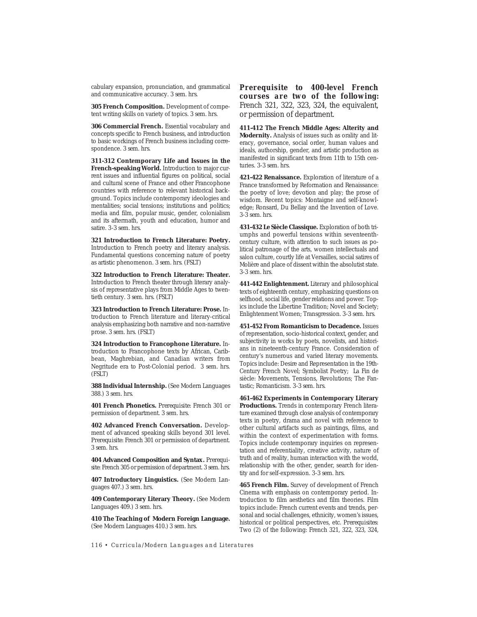cabulary expansion, pronunciation, and grammatical and communicative accuracy. *3 sem. hrs.*

**305 French Composition.** Development of competent writing skills on variety of topics. *3 sem. hrs.*

**306 Commercial French.** Essential vocabulary and concepts specific to French business, and introduction to basic workings of French business including correspondence. *3 sem. hrs.*

**311-312 Contemporary Life and Issues in the French-speaking World.** Introduction to major current issues and influential figures on political, social and cultural scene of France and other Francophone countries with reference to relevant historical background. Topics include contemporary ideologies and mentalities; social tensions; institutions and politics; media and film, popular music, gender, colonialism and its aftermath, youth and education, humor and satire. *3-3 sem. hrs.*

**321 Introduction to French Literature: Poetry.** Introduction to French poetry and literary analysis. Fundamental questions concerning nature of poetry as artistic phenomenon. *3 sem. hrs.* (FSLT)

**322 Introduction to French Literature: Theater.** Introduction to French theater through literary analysis of representative plays from Middle Ages to twentieth century. *3 sem. hrs.* (FSLT)

**323 Introduction to French Literature: Prose.** Introduction to French literature and literary-critical analysis emphasizing both narrative and non-narrative prose. *3 sem. hrs.* (FSLT)

**324 Introduction to Francophone Literature.** Introduction to Francophone texts by African, Caribbean, Maghrebian, and Canadian writers from Negritude era to Post-Colonial period. *3 sem. hrs.* (FSLT)

**388 Individual Internship.** (See Modern Languages 388.) *3 sem. hrs.*

**401 French Phonetics.** *Prerequisite*: French 301 or permission of department. *3 sem. hrs.*

**402 Advanced French Conversation.** Development of advanced speaking skills beyond 301 level. *Prerequisite*: French 301 or permission of department. *3 sem. hrs.*

**404 Advanced Composition and Syntax.** *Prerequisite*: French 305 or permission of department. *3 sem. hrs.*

**407 Introductory Linguistics.** (See Modern Languages 407.) *3 sem. hrs.*

**409 Contemporary Literary Theory.** (See Modern Languages 409.) *3 sem. hrs.*

**410 The Teaching of Modern Foreign Language.** (See Modern Languages 410.) *3 sem. hrs.*

*Prerequisite to 400-level French courses are two of the following:* French 321, 322, 323, 324, the equivalent, or permission of department.

**411-412 The French Middle Ages: Alterity and Modernity.** Analysis of issues such as orality and literacy, governance, social order, human values and ideals, authorship, gender, and artistic production as manifested in significant texts from 11th to 15th centuries. *3-3 sem. hrs.*

**421-422 Renaissance.** Exploration of literature of a France transformed by Reformation and Renaissance: the poetry of love; devotion and play; the prose of wisdom. Recent topics: Montaigne and self-knowledge; Ronsard, Du Bellay and the Invention of Love. *3-3 sem. hrs.*

**431-432 Le Siècle Classique.** Exploration of both triumphs and powerful tensions within seventeenthcentury culture, with attention to such issues as political patronage of the arts, women intellectuals and salon culture, courtly life at Versailles, social satires of Molière and place of dissent within the absolutist state. *3-3 sem. hrs.*

**441-442 Enlightenment.** Literary and philosophical texts of eighteenth century, emphasizing questions on selfhood, social life, gender relations and power. Topics include the Libertine Tradition; Novel and Society; Enlightenment Women; Transgression. *3-3 sem. hrs.*

**451-452 From Romanticism to Decadence.** Issues of representation, socio-historical context, gender, and subjectivity in works by poets, novelists, and historians in nineteenth-century France. Consideration of century's numerous and varied literary movements. Topics include: Desire and Representation in the 19th-Century French Novel; Symbolist Poetry; La Fin de siècle: Movements, Tensions, Revolutions; The Fantastic; Romanticism. *3-3 sem. hrs.*

**461-462 Experiments in Contemporary Literary Productions.** Trends in contemporary French literature examined through close analysis of contemporary texts in poetry, drama and novel with reference to other cultural artifacts such as paintings, films, and within the context of experimentation with forms. Topics include contemporary inquiries on representation and referentiality, creative activity, nature of truth and of reality, human interaction with the world, relationship with the other, gender, search for identity and for self-expression. *3-3 sem. hrs.*

**465 French Film.** Survey of development of French Cinema with emphasis on contemporary period. Introduction to film aesthetics and film theories. Film topics include: French current events and trends, personal and social challenges, ethnicity, women's issues, historical or political perspectives, etc. *Prerequisites:* Two (2) of the following: French 321, 322, 323, 324,

*116 • Curricula/Modern Languages and Literatures*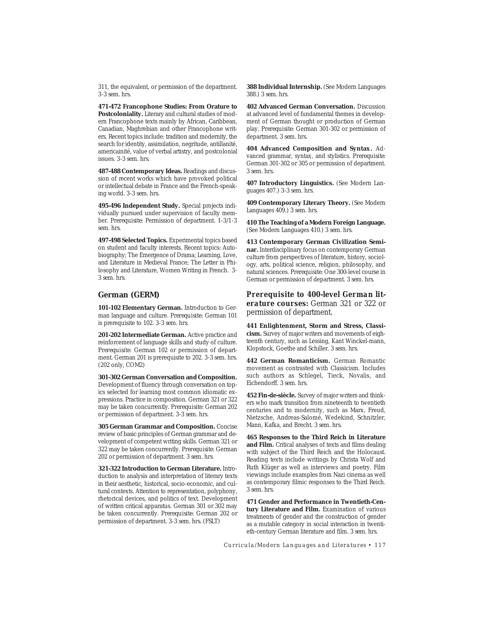311, the equivalent, or permission of the department. *3-3 sem. hrs.*

**471-472 Francophone Studies: From Orature to Postcoloniality.** Literary and cultural studies of modern Francophone texts mainly by African, Caribbean, Canadian, Maghrebian and other Francophone writers. Recent topics include: tradition and modernity, the search for identity, assimilation, negritude, antillanité, americainité, value of verbal artistry, and postcolonial issues. *3-3 sem. hrs.*

**487-488 Contemporary Ideas.** Readings and discussion of recent works which have provoked political or intellectual debate in France and the French-speaking world. *3-3 sem. hrs.*

**495-496 Independent Study.** Special projects individually pursued under supervision of faculty member. *Prerequisite*: Permission of department. *1-3/1-3 sem. hrs.*

**497-498 Selected Topics.** Experimental topics based on student and faculty interests. Recent topics: Autobiography; The Emergence of Drama; Learning, Love, and Literature in Medieval France; The Letter in Philosophy and Literature, Women Writing in French. *3- 3 sem. hrs.*

## **German (GERM)**

**101-102 Elementary German.** Introduction to German language and culture. *Prerequisite*: German 101 is prerequisite to 102. *3-3 sem. hrs.*

**201-202 Intermediate German.** Active practice and reinforcement of language skills and study of culture. *Prerequisite*: German 102 or permission of department. German 201 is prerequisite to 202. *3-3 sem. hrs.* (202 only, COM2)

**301-302 German Conversation and Composition.** Development of fluency through conversation on topics selected for learning most common idiomatic expressions. Practice in composition. German 321 or 322 may be taken concurrently. *Prerequisite*: German 202 or permission of department. *3-3 sem. hrs.*

**305 German Grammar and Composition.** Concise review of basic principles of German grammar and development of competent writing skills. German 321 or 322 may be taken concurrently. *Prerequisite*: German 202 or permission of department. *3 sem. hrs.*

**321-322 Introduction to German Literature.** Introduction to analysis and interpretation of literary texts in their aesthetic, historical, socio-economic, and cultural contexts. Attention to representation, polyphony, rhetorical devices, and politics of text. Development of written critical apparatus. German 301 or 302 may be taken concurrently. *Prerequisite*: German 202 or permission of department. *3-3 sem. hrs.* (FSLT)

388 Individual Internship. (See Modern Languages 388.) *3 sem. hrs.*

**402 Advanced German Conversation.** Discussion at advanced level of fundamental themes in development of German thought or production of German play. *Prerequisite*: German 301-302 or permission of department. *3 sem. hrs.*

**404 Advanced Composition and Syntax.** Advanced grammar, syntax, and stylistics. *Prerequisite*: German 301-302 or 305 or permission of department. *3 sem. hrs.*

**407 Introductory Linguistics.** (See Modern Languages 407.) *3-3 sem. hrs.*

**409 Contemporary Literary Theory.** (See Modern Languages 409.) *3 sem. hrs.*

**410 The Teaching of a Modern Foreign Language.** (See Modern Languages 410.) *3 sem. hrs.*

**413 Contemporary German Civilization Seminar.** Interdisciplinary focus on contemporary German culture from perspectives of literature, history, sociology, arts, political science, religion, philosophy, and natural sciences. *Prerequisite*: One 300-level course in German or permission of department. *3 sem. hrs.*

*Prerequisite to 400-level German literature courses:* German 321 or 322 or permission of department.

**441 Enlightenment, Storm and Stress, Classicism.** Survey of major writers and movements of eighteenth century, such as Lessing, Kant Winckel-mann, Klopstock, Goethe and Schiller. *3 sem. hrs.*

**442 German Romanticism.** German Romantic movement as contrasted with Classicism. Includes such authors as Schlegel, Tieck, Novalis, and Eichendorff. *3 sem. hrs.*

**452 Fin-de-siècle.** Survey of major writers and thinkers who mark transition from nineteenth to twentieth centuries and to modernity, such as Marx, Freud, Nietzsche, Andreas-Salomé, Wedekind, Schnitzler, Mann, Kafka, and Brecht. *3 sem. hrs.*

**465 Responses to the Third Reich in Literature and Film.** Critical analyses of texts and films dealing with subject of the Third Reich and the Holocaust. Reading texts include writings by Christa Wolf and Ruth Klüger as well as interviews and poetry. Film viewings include examples from Nazi cinema as well as contemporary filmic responses to the Third Reich. *3 sem. hrs.*

**471 Gender and Performance in Twentieth-Century Literature and Film.** Examination of various treatments of gender and the construction of gender as a mutable category in social interaction in twentieth-century German literature and film. *3 sem. hrs.*

*Curricula/Modern Languages and Literatures • 117*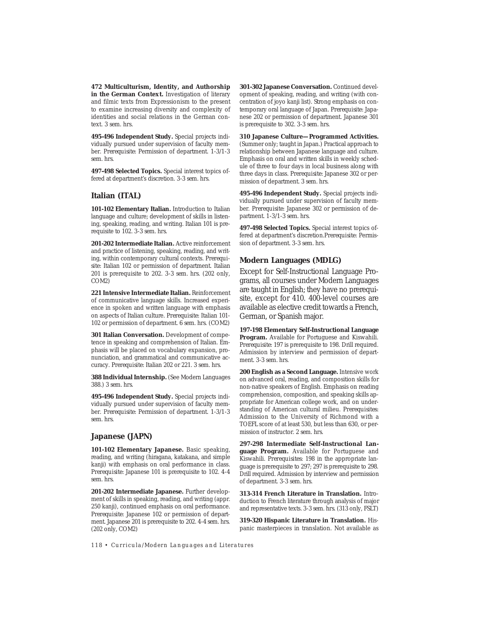**472 Multiculturism, Identity, and Authorship** in the German Context. Investigation of literary and filmic texts from Expressionism to the present to examine increasing diversity and complexity of identities and social relations in the German context. *3 sem. hrs.*

**495-496 Independent Study.** Special projects individually pursued under supervision of faculty member. *Prerequisite*: Permission of department. *1-3/1-3 sem. hrs.*

**497-498 Selected Topics.** Special interest topics offered at department's discretion. *3-3 sem. hrs.*

### **Italian (ITAL)**

**101-102 Elementary Italian.** Introduction to Italian language and culture; development of skills in listening, speaking, reading, and writing. Italian 101 is prerequisite to 102. *3-3 sem. hrs.*

**201-202 Intermediate Italian.** Active reinforcement and practice of listening, speaking, reading, and writing, within contemporary cultural contexts. *Prerequisite*: Italian 102 or permission of department. Italian 201 is prerequisite to 202. *3-3 sem. hrs.* (202 only, COM2)

**221 Intensive Intermediate Italian.** Reinforcement of communicative language skills. Increased experience in spoken and written language with emphasis on aspects of Italian culture. *Prerequisite*: Italian 101- 102 or permission of department. *6 sem. hrs.* (COM2)

**301 Italian Conversation.** Development of competence in speaking and comprehension of Italian. Emphasis will be placed on vocabulary expansion, pronunciation, and grammatical and communicative accuracy. *Prerequisite*: Italian 202 or 221. *3 sem. hrs.*

**388 Individual Internship.** (See Modern Languages 388.) *3 sem. hrs.*

**495-496 Independent Study.** Special projects individually pursued under supervision of faculty member. *Prerequisite*: Permission of department. *1-3/1-3 sem. hrs.*

### **Japanese (JAPN)**

**101-102 Elementary Japanese.** Basic speaking, reading, and writing (hiragana, katakana, and simple kanji) with emphasis on oral performance in class. *Prerequisite*: Japanese 101 is prerequisite to 102. *4-4 sem. hrs.*

201-202 Intermediate Japanese. Further development of skills in speaking, reading, and writing (appr. 250 kanji), continued emphasis on oral performance. *Prerequisite*: Japanese 102 or permission of department. Japanese 201 is prerequisite to 202. *4-4 sem. hrs.* (202 only, COM2)

**301-302 Japanese Conversation.** Continued development of speaking, reading, and writing (with concentration of joyo kanji list). Strong emphasis on contemporary oral language of Japan. *Prerequisite*: Japanese 202 or permission of department. Japanese 301 is prerequisite to 302. *3-3 sem. hrs.*

**310 Japanese Culture—Programmed Activities.** (Summer only; taught in Japan.) Practical approach to relationship between Japanese language and culture. Emphasis on oral and written skills in weekly schedule of three to four days in local business along with three days in class. *Prerequisite*: Japanese 302 or permission of department. *3 sem. hrs.*

**495-496 Independent Study.** Special projects individually pursued under supervision of faculty member. *Prerequisite*: Japanese 302 or permission of department. *1-3/1-3 sem. hrs.*

**497-498 Selected Topics.** Special interest topics offered at department's discretion.*Prerequisite*: Permission of department. *3-3 sem. hrs.*

#### **Modern Languages (MDLG)**

Except for Self-Instructional Language Programs, all courses under Modern Languages are taught in English; they have no prerequisite, except for 410. 400-level courses are available as elective credit towards a French, German, or Spanish major.

**197-198 Elementary Self-Instructional Language Program.** Available for Portuguese and Kiswahili. *Prerequisite*: 197 is prerequisite to 198. Drill required. Admission by interview and permission of department. *3-3 sem. hrs.*

**200 English as a Second Language.** Intensive work on advanced oral, reading, and composition skills for non-native speakers of English. Emphasis on reading comprehension, composition, and speaking skills appropriate for American college work, and on understanding of American cultural milieu. *Prerequisites*: Admission to the University of Richmond with a TOEFL score of at least 530, but less than 630, or permission of instructor. *2 sem. hrs.*

**297-298 Intermediate Self-Instructional Language Program.** Available for Portuguese and Kiswahili. *Prerequisites*: 198 in the appropriate language is prerequisite to 297; 297 is prerequisite to 298. Drill required. Admission by interview and permission of department. *3-3 sem. hrs.*

**313-314 French Literature in Translation.** Introduction to French literature through analysis of major and representative texts. *3-3 sem. hrs.* (313 only, FSLT)

**319-320 Hispanic Literature in Translation.** Hispanic masterpieces in translation. Not available as

*118 • Curricula/Modern Languages and Literatures*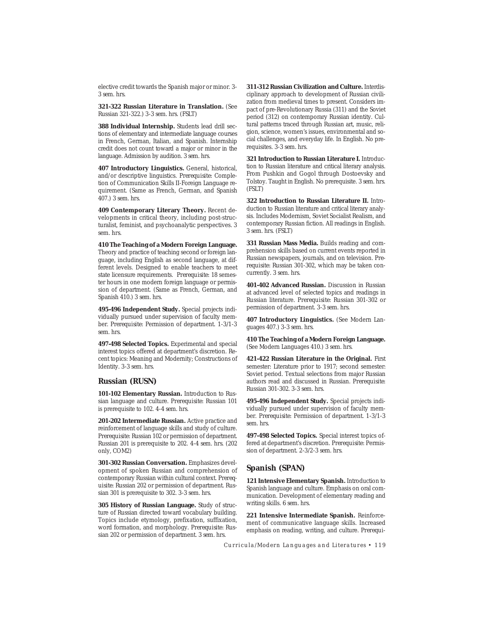elective credit towards the Spanish major or minor. *3- 3 sem. hrs.*

**321-322 Russian Literature in Translation.** (See Russian 321-322.) *3-3 sem. hrs.* (FSLT)

**388 Individual Internship.** Students lead drill sections of elementary and intermediate language courses in French, German, Italian, and Spanish. Internship credit does not count toward a major or minor in the language. Admission by audition. *3 sem. hrs.*

**407 Introductory Linguistics.** General, historical, and/or descriptive linguistics. *Prerequisite*: Completion of Communication Skills II-Foreign Language requirement. (Same as French, German, and Spanish 407.) *3 sem. hrs.*

**409 Contemporary Literary Theory.** Recent developments in critical theory, including post-structuralist, feminist, and psychoanalytic perspectives. *3 sem. hrs.*

**410 The Teaching of a Modern Foreign Language.** Theory and practice of teaching second or foreign language, including English as second language, at different levels. Designed to enable teachers to meet state licensure requirements. *Prerequisite*: 18 semester hours in one modern foreign language or permission of department. (Same as French, German, and Spanish 410.) *3 sem. hrs.*

**495-496 Independent Study.** Special projects individually pursued under supervision of faculty member. *Prerequisite*: Permission of department. *1-3/1-3 sem. hrs.*

**497-498 Selected Topics.** Experimental and special interest topics offered at department's discretion. Recent topics: Meaning and Modernity; Constructions of Identity. *3-3 sem. hrs.*

#### **Russian (RUSN)**

**101-102 Elementary Russian.** Introduction to Russian language and culture. *Prerequisite*: Russian 101 is prerequisite to 102. *4-4 sem. hrs.*

**201-202 Intermediate Russian.** Active practice and reinforcement of language skills and study of culture. *Prerequisite*: Russian 102 or permission of department. Russian 201 is prerequisite to 202. *4-4 sem. hrs.* (202 only, COM2)

**301-302 Russian Conversation.** Emphasizes development of spoken Russian and comprehension of contemporary Russian within cultural context. *Prerequisite*: Russian 202 or permission of department. Russian 301 is prerequisite to 302. *3-3 sem. hrs.*

**305 History of Russian Language.** Study of structure of Russian directed toward vocabulary building. Topics include etymology, prefixation, suffixation, word formation, and morphology. *Prerequisite*: Russian 202 or permission of department. *3 sem. hrs.*

**311-312 Russian Civilization and Culture.** Interdisciplinary approach to development of Russian civilization from medieval times to present. Considers impact of pre-Revolutionary Russia (311) and the Soviet period (312) on contemporary Russian identity. Cultural patterns traced through Russian art, music, religion, science, women's issues, environmental and social challenges, and everyday life. In English. No prerequisites. *3-3 sem. hrs.*

**321 Introduction to Russian Literature I.** Introduction to Russian literature and critical literary analysis. From Pushkin and Gogol through Dostoevsky and Tolstoy. Taught in English. No prerequisite. *3 sem. hrs.* (FSLT)

**322 Introduction to Russian Literature II.** Introduction to Russian literature and critical literary analysis. Includes Modernism, Soviet Socialist Realism, and contemporary Russian fiction. All readings in English. *3 sem. hrs.* (FSLT)

331 Russian Mass Media. Builds reading and comprehension skills based on current events reported in Russian newspapers, journals, and on television. *Prerequisite*: Russian 301-302, which may be taken concurrently. *3 sem. hrs.*

**401-402 Advanced Russian.** Discussion in Russian at advanced level of selected topics and readings in Russian literature. *Prerequisite*: Russian 301-302 or permission of department. *3-3 sem. hrs.*

**407 Introductory Linguistics.** (See Modern Languages 407.) *3-3 sem. hrs.*

**410 The Teaching of a Modern Foreign Language.** (See Modern Languages 410.) *3 sem. hrs.*

**421-422 Russian Literature in the Original.** First semester: Literature prior to 1917; second semester: Soviet period. Textual selections from major Russian authors read and discussed in Russian. *Prerequisite*: Russian 301-302. *3-3 sem. hrs.*

**495-496 Independent Study.** Special projects individually pursued under supervision of faculty member. *Prerequisite*: Permission of department. *1-3/1-3 sem. hrs.*

**497-498 Selected Topics.** Special interest topics offered at department's discretion. *Prerequisite*: Permission of department. *2-3/2-3 sem. hrs.*

#### **Spanish (SPAN)**

**121 Intensive Elementary Spanish.** Introduction to Spanish language and culture. Emphasis on oral communication. Development of elementary reading and writing skills. *6 sem. hrs.*

**221 Intensive Intermediate Spanish.** Reinforcement of communicative language skills. Increased emphasis on reading, writing, and culture. *Prerequi-*

*Curricula/Modern Languages and Literatures • 119*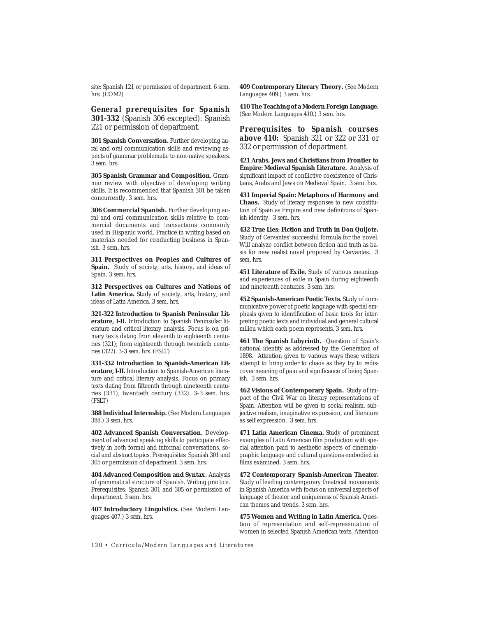*site*: Spanish 121 or permission of department. *6 sem. hrs.* (COM2)

*General prerequisites for Spanish 301-332* (Spanish 306 excepted): Spanish 221 or permission of department.

301 Spanish Conversation. Further developing aural and oral communication skills and reviewing aspects of grammar problematic to non-native speakers. *3 sem. hrs.*

**305 Spanish Grammar and Composition.** Grammar review with objective of developing writing skills. It is recommended that Spanish 301 be taken concurrently. *3 sem. hrs.*

**306 Commercial Spanish.** Further developing aural and oral communication skills relative to commercial documents and transactions commonly used in Hispanic world. Practice in writing based on materials needed for conducting business in Spanish. *3 sem. hrs.*

**311 Perspectives on Peoples and Cultures of Spain.** Study of society, arts, history, and ideas of Spain. *3 sem. hrs.*

**312 Perspectives on Cultures and Nations of Latin America.** Study of society, arts, history, and ideas of Latin America. *3 sem. hrs.*

**321-322 Introduction to Spanish Peninsular Literature, I-II.** Introduction to Spanish Peninsular literature and critical literary analysis. Focus is on primary texts dating from eleventh to eighteenth centuries (321); from eighteenth through twentieth centuries (322). *3-3 sem. hrs.* (FSLT)

**331-332 Introduction to Spanish-American Literature, I-II.** Introduction to Spanish-American literature and critical literary analysis. Focus on primary texts dating from fifteenth through nineteenth centuries (331); twentieth century (332). *3-3 sem. hrs.* (FSLT)

**388 Individual Internship.** (See Modern Languages 388.) *3 sem. hrs.*

**402 Advanced Spanish Conversation.** Development of advanced speaking skills to participate effectively in both formal and informal conversations, social and abstract topics. *Prerequisites*: Spanish 301 and 305 or permission of department. *3 sem. hrs.*

**404 Advanced Composition and Syntax.** Analysis of grammatical structure of Spanish. Writing practice. *Prerequisites*: Spanish 301 and 305 or permission of department. *3 sem. hrs.*

**407 Introductory Linguistics.** (See Modern Languages 407.) *3 sem. hrs.*

**409 Contemporary Literary Theory.** (See Modern Languages 409.) *3 sem. hrs.*

**410 The Teaching of a Modern Foreign Language.** (See Modern Languages 410.) *3 sem. hrs.*

*Prerequisites to Spanish courses above 410:* Spanish 321 or 322 or 331 or 332 or permission of department.

**421 Arabs, Jews and Christians from Frontier to Empire: Medieval Spanish Literature.** Analysis of significant impact of conflictive coexistence of Christians, Arabs and Jews on Medieval Spain. *3 sem. hrs.*

**431 Imperial Spain: Metaphors of Harmony and Chaos.** Study of literary responses to new constitution of Spain as Empire and new definitions of Spanish identity. *3 sem. hrs.*

**432 True Lies: Fiction and Truth in** *Don Quijote***.** Study of Cervantes' successful formula for the novel. Will analyze conflict between fiction and truth as basis for new realist novel proposed by Cervantes. *3 sem. hrs.*

**451 Literature of Exile.** Study of various meanings and experiences of exile in Spain during eighteenth and nineteenth centuries. *3 sem. hrs.*

**452 Spanish-American Poetic Texts.** Study of communicative power of poetic language with special emphasis given to identification of basic tools for interpreting poetic texts and individual and general cultural milieu which each poem represents. *3 sem. hrs.*

**461 The Spanish Labyrinth.** Question of Spain's national identity as addressed by the Generation of 1898. Attention given to various ways these writers attempt to bring order to chaos as they try to rediscover meaning of pain and significance of being Spanish. *3 sem. hrs.*

**462 Visions of Contemporary Spain.** Study of impact of the Civil War on literary representations of Spain. Attention will be given to social realism, subjective realism, imaginative expression, and literature as self expression. *3 sem. hrs.*

**471 Latin American Cinema.** Study of prominent examples of Latin American film production with special attention paid to aesthetic aspects of cinematographic language and cultural questions embodied in films examined. *3 sem. hrs.*

**472 Contemporary Spanish-American Theater.** Study of leading contemporary theatrical movements in Spanish America with focus on universal aspects of language of theater and uniqueness of Spanish American themes and trends. *3 sem. hrs.*

**475 Women and Writing in Latin America.** Question of representation and self-representation of women in selected Spanish American texts. Attention

*120 • Curricula/Modern Languages and Literatures*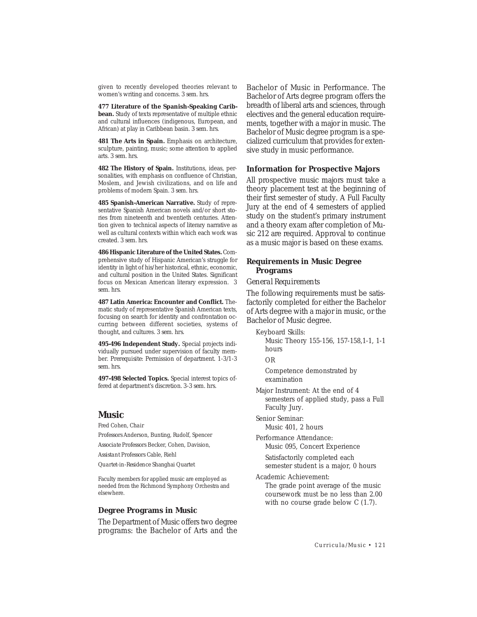given to recently developed theories relevant to women's writing and concerns. *3 sem. hrs.*

**477 Literature of the Spanish-Speaking Caribbean.** Study of texts representative of multiple ethnic and cultural influences (indigenous, European, and African) at play in Caribbean basin. *3 sem. hrs.*

**481 The Arts in Spain.** Emphasis on architecture, sculpture, painting, music; some attention to applied arts. *3 sem. hrs.*

**482 The History of Spain.** Institutions, ideas, personalities, with emphasis on confluence of Christian, Moslem, and Jewish civilizations, and on life and problems of modern Spain. *3 sem. hrs.*

**485 Spanish-American Narrative.** Study of representative Spanish American novels and/or short stories from nineteenth and twentieth centuries. Attention given to technical aspects of literary narrative as well as cultural contexts within which each work was created. *3 sem. hrs.*

**486 Hispanic Literature of the United States.** Comprehensive study of Hispanic American's struggle for identity in light of his/her historical, ethnic, economic, and cultural position in the United States. Significant focus on Mexican American literary expression. *3 sem. hrs.*

**487 Latin America: Encounter and Conflict.** Thematic study of representative Spanish American texts, focusing on search for identity and confrontation occurring between different societies, systems of thought, and cultures. *3 sem. hrs.*

**495-496 Independent Study.** Special projects individually pursued under supervision of faculty member. *Prerequisite*: Permission of department. *1-3/1-3 sem. hrs.*

**497-498 Selected Topics.** Special interest topics offered at department's discretion. *3-3 sem. hrs.*

## **Music**

Fred Cohen, *Chair*

*Professors* Anderson, Bunting, Rudolf, Spencer

*Associate Professors* Becker, Cohen, Davision,

*Assistant Professors* Cable, Riehl

*Quartet-in-Residence* Shanghai Quartet

Faculty members for applied music are employed as needed from the Richmond Symphony Orchestra and elsewhere.

#### **Degree Programs in Music**

The Department of Music offers two degree programs: the Bachelor of Arts and the Bachelor of Music in Performance. The Bachelor of Arts degree program offers the breadth of liberal arts and sciences, through electives and the general education requirements, together with a major in music. The Bachelor of Music degree program is a specialized curriculum that provides for extensive study in music performance.

## **Information for Prospective Majors**

All prospective music majors must take a theory placement test at the beginning of their first semester of study. A Full Faculty Jury at the end of 4 semesters of applied study on the student's primary instrument and a theory exam after completion of Music 212 are required. Approval to continue as a music major is based on these exams.

## **Requirements in Music Degree Programs**

#### *General Requirements*

The following requirements must be satisfactorily completed for either the Bachelor of Arts degree with a major in music, or the Bachelor of Music degree.

Keyboard Skills: Music Theory 155-156, 157-158,1-1, 1-1 hours

OR

Competence demonstrated by examination

Major Instrument: At the end of 4 semesters of applied study, pass a Full Faculty Jury.

Senior Seminar: Music 401, 2 hours

Performance Attendance: Music 095, Concert Experience

Satisfactorily completed each semester student is a major, 0 hours

Academic Achievement: The grade point average of the music coursework must be no less than 2.00 with no course grade below *C* (1.7).

*Curricula/Music • 121*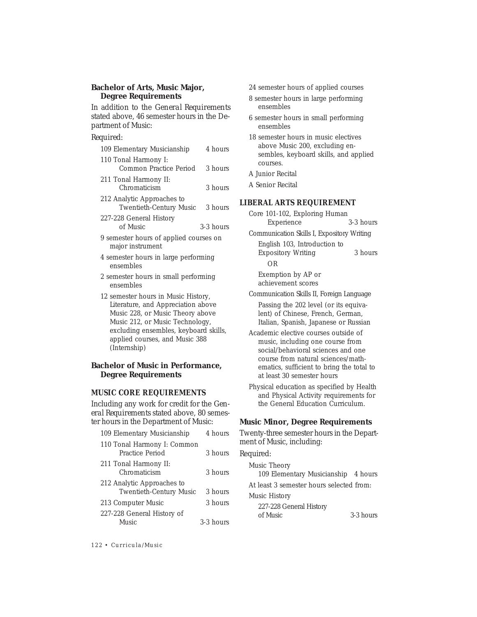## **Bachelor of Arts, Music Major, Degree Requirements**

In addition to the *General Requirements* stated above, 46 semester hours in the Department of Music:

#### *Required:*

| 109 Elementary Musicianship                                  | 4 hours   |
|--------------------------------------------------------------|-----------|
| 110 Tonal Harmony I:<br>Common Practice Period               | 3 hours   |
| 211 Tonal Harmony II:<br>Chromaticism                        | 3 hours   |
| 212 Analytic Approaches to<br><b>Twentieth-Century Music</b> | 3 hours   |
| 227-228 General History<br>of Music                          | 3-3 hours |
| 9 semester hours of applied courses on<br>major instrument   |           |
| 4 semester hours in large nerforming                         |           |

- ster hours in large performing ensembles
- 2 semester hours in small performing ensembles
- 12 semester hours in Music History, Literature, and Appreciation above Music 228, or Music Theory above Music 212, or Music Technology, excluding ensembles, keyboard skills, applied courses, and Music 388 (Internship)

## **Bachelor of Music in Performance, Degree Requirements**

#### *MUSIC CORE REQUIREMENTS*

Including any work for credit for the *General Requirements* stated above, 80 semester hours in the Department of Music:

| 109 Elementary Musicianship                                  | 4 hours     |
|--------------------------------------------------------------|-------------|
| 110 Tonal Harmony I: Common<br>Practice Period               | 3 hours     |
| 211 Tonal Harmony II:<br>Chromaticism                        | 3 hours     |
| 212 Analytic Approaches to<br><b>Twentieth-Century Music</b> | 3 hours     |
| 213 Computer Music                                           | 3 hours     |
| 227-228 General History of<br>Music                          | $3-3$ hours |
|                                                              |             |

24 semester hours of applied courses

- 8 semester hours in large performing ensembles
- 6 semester hours in small performing ensembles
- 18 semester hours in music electives above Music 200, excluding ensembles, keyboard skills, and applied courses.
- A Junior Recital
- A Senior Recital

#### *LIBERAL ARTS REQUIREMENT*

- Core 101-102, Exploring Human<br>Experience 3-3 hours Experience Communication Skills I, Expository Writing English 103, Introduction to
- Expository Writing 3 hours OR Exemption by AP or achievement scores
- Communication Skills II, Foreign Language Passing the 202 level (or its equivalent) of Chinese, French, German, Italian, Spanish, Japanese or Russian
- Academic elective courses outside of music, including one course from social/behavioral sciences and one course from natural sciences/mathematics, sufficient to bring the total to at least 30 semester hours
- Physical education as specified by Health and Physical Activity requirements for the General Education Curriculum.

## **Music Minor, Degree Requirements**

Twenty-three semester hours in the Department of Music, including:

| Required:                                           |           |
|-----------------------------------------------------|-----------|
| Music Theory<br>109 Elementary Musicianship 4 hours |           |
| At least 3 semester hours selected from:            |           |
| Music History                                       |           |
| 227-228 General History<br>of Music                 | 3-3 hours |

*122 • Curricula/Music*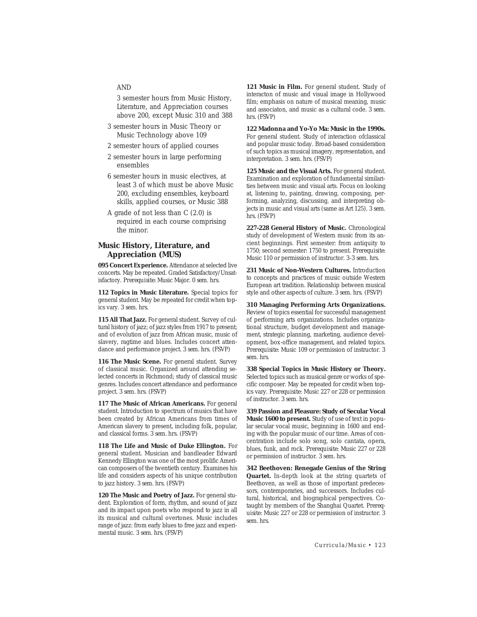#### AND

3 semester hours from Music History, Literature, and Appreciation courses above 200, except Music 310 and 388

- 3 semester hours in Music Theory or Music Technology above 109
- 2 semester hours of applied courses
- 2 semester hours in large performing ensembles
- 6 semester hours in music electives, at least 3 of which must be above Music 200, excluding ensembles, keyboard skills, applied courses, or Music 388
- A grade of not less than *C* (2.0) is required in each course comprising the minor.

## **Music History, Literature, and Appreciation (MUS)**

**095 Concert Experience.** Attendance at selected live concerts. May be repeated. Graded Satisfactory/Unsatisfactory. *Prerequisite:* Music Major. *0 sem. hrs.*

**112 Topics in Music Literature.** Special topics for general student. May be repeated for credit when topics vary. *3 sem. hrs.*

**115 All That Jazz.** For general student. Survey of cultural history of jazz; of jazz styles from 1917 to present; and of evolution of jazz from African music, music of slavery, ragtime and blues. Includes concert attendance and performance project. *3 sem. hrs.* (FSVP)

116 The Music Scene. For general student. Survey of classical music. Organized around attending selected concerts in Richmond; study of classical music genres. Includes concert attendance and performance project. *3 sem. hrs.* (FSVP)

**117 The Music of African Americans.** For general student. Introduction to spectrum of musics that have been created by African Americans from times of American slavery to present, including folk, popular, and classical forms. *3 sem. hrs.* (FSVP)

**118 The Life and Music of Duke Ellington.** For general student. Musician and bandleader Edward Kennedy Ellington was one of the most prolific American composers of the twentieth century. Examines his life and considers aspects of his unique contribution to jazz history. *3 sem. hrs.* (FSVP)

**120 The Music and Poetry of Jazz.** For general student. Exploration of form, rhythm, and sound of jazz and its impact upon poets who respond to jazz in all its musical and cultural overtones. Music includes range of jazz: from early blues to free jazz and experimental music. *3 sem. hrs.* (FSVP)

121 Music in Film. For general student. Study of interacton of music and visual image in Hollywood film; emphasis on nature of musical meaning, music and associaton, and music as a cultural code. *3 sem. hrs.* (FSVP)

**122 Madonna and Yo-Yo Ma: Music in the 1990s.** For general student. Study of interaction ofclassical and popular music today. Broad-based consideration of such topics as musical imagery, representation, and interpretation. *3 sem. hrs.* (FSVP)

**125 Music and the Visual Arts.** For general student. Examination and exploration of fundamental similarities between music and visual arts. Focus on looking at, listening to, painting, drawing, composing, performing, analyzing, discussing, and interpreting objects in music and visual arts (same as Art 125). *3 sem. hrs.* (FSVP)

**227-228 General History of Music.** Chronological study of development of Western music from its ancient beginnings. First semester: from antiquity to 1750; second semester: 1750 to present. *Prerequisite*: Music 110 or permission of instructor. *3-3 sem. hrs.*

**231 Music of Non-Western Cultures.** Introduction to concepts and practices of music outside Western European art tradition. Relationship between musical style and other aspects of culture. *3 sem. hrs.* (FSVP)

**310 Managing Performing Arts Organizations.** Review of topics essential for successful management of performing arts organizations. Includes organizational structure, budget development and management, strategic planning, marketing, audience development, box-office management, and related topics. *Prerequisite*: Music 109 or permission of instructor. *3 sem. hrs.*

**338 Special Topics in Music History or Theory.** Selected topics such as musical genre or works of specific composer. May be repeated for credit when topics vary. *Prerequisite*: Music 227 or 228 or permission of instructor. *3 sem. hrs.*

**339 Passion and Pleasure: Study of Secular Vocal Music 1600 to present.** Study of use of text in popular secular vocal music, beginning in 1600 and ending with the popular music of our time. Areas of concentration include solo song, solo cantata, opera, blues, funk, and rock. *Prerequisite*: Music 227 or 228 or permission of instructor. *3 sem. hrs.*

**342 Beethoven: Renegade Genius of the String Quartet.** In-depth look at the string quartets of Beethoven, as well as those of important predecessors, contemporaries, and successors. Includes cultural, historical, and biographical perspectives. Cotaught by members of the Shanghai Quartet. *Prerequisite*: Music 227 or 228 or permission of instructor. *3 sem. hrs.*

*Curricula/Music • 123*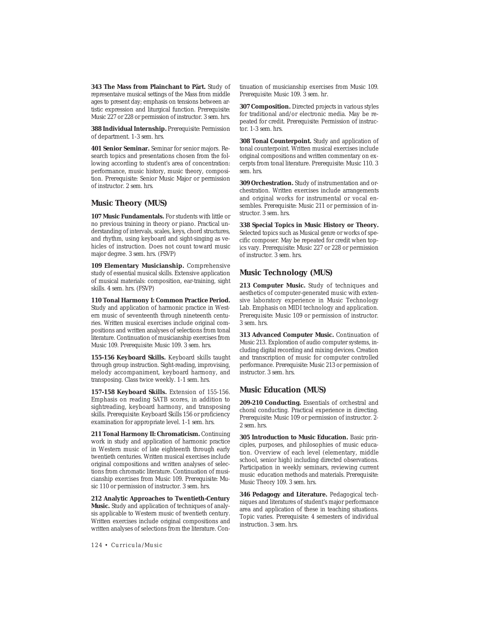**343 The Mass from Plainchant to Pärt.** Study of representaive musical settings of the Mass from middle ages to present day; emphasis on tensions between artistic expression and liturgical function. *Prerequisite*: Music 227 or 228 or permission of instructor. *3 sem. hrs.*

**388 Individual Internship.** *Prerequisite*: Permission of department. *1-3 sem. hrs.*

**401 Senior Seminar.** Seminar for senior majors. Research topics and presentations chosen from the following according to student's area of concentration: performance, music history, music theory, composition. *Prerequisite*: Senior Music Major or permission of instructor. *2 sem. hrs.*

#### **Music Theory (MUS)**

**107 Music Fundamentals.** For students with little or no previous training in theory or piano. Practical understanding of intervals, scales, keys, chord structures, and rhythm, using keyboard and sight-singing as vehicles of instruction. Does not count toward music major degree. *3 sem. hrs.* (FSVP)

**109 Elementary Musicianship.** Comprehensive study of essential musical skills. Extensive application of musical materials: composition, ear-training, sight skills. *4 sem. hrs.* (FSVP)

**110 Tonal Harmony I: Common Practice Period.** Study and application of harmonic practice in Western music of seventeenth through nineteenth centuries. Written musical exercises include original compositions and written analyses of selections from tonal literature. Continuation of musicianship exercises from Music 109. *Prerequisite*: Music 109. *3 sem. hrs.*

**155-156 Keyboard Skills.** Keyboard skills taught through group instruction. Sight-reading, improvising, melody accompaniment, keyboard harmony, and transposing. Class twice weekly. *1-1 sem. hrs.*

**157-158 Keyboard Skills.** Extension of 155-156. Emphasis on reading SATB scores, in addition to sightreading, keyboard harmony, and transposing skills. *Prerequisite*: Keyboard Skills 156 or proficiency examination for appropriate level. *1-1 sem. hrs.*

**211 Tonal Harmony II: Chromaticism.** Continuing work in study and application of harmonic practice in Western music of late eighteenth through early twentieth centuries. Written musical exercises include original compositions and written analyses of selections from chromatic literature. Continuation of musicianship exercises from Music 109. *Prerequisite*: Music 110 or permission of instructor. *3 sem. hrs.*

**212 Analytic Approaches to Twentieth-Century Music.** Study and application of techniques of analysis applicable to Western music of twentieth century. Written exercises include original compositions and written analyses of selections from the literature. Con-

*124 • Curricula/Music*

tinuation of musicianship exercises from Music 109. *Prerequisite*: Music 109. *3 sem. hr.*

**307 Composition.** Directed projects in various styles for traditional and/or electronic media. May be repeated for credit. *Prerequisite*: Permission of instructor. *1-3 sem. hrs.*

**308 Tonal Counterpoint.** Study and application of tonal counterpoint. Written musical exercises include original compositions and written commentary on excerpts from tonal literature. *Prerequisite*: Music 110. *3 sem. hrs.*

**309 Orchestration.** Study of instrumentation and orchestration. Written exercises include arrangements and original works for instrumental or vocal ensembles. *Prerequisite*: Music 211 or permission of instructor. *3 sem. hrs.*

**338 Special Topics in Music History or Theory.** Selected topics such as Musical genre or works of specific composer. May be repeated for credit when topics vary. *Prerequisite*: Music 227 or 228 or permission of instructor. *3 sem. hrs.*

## **Music Technology (MUS)**

213 Computer Music. Study of techniques and aesthetics of computer-generated music with extensive laboratory experience in Music Technology Lab. Emphasis on MIDI technology and application. *Prerequisite*: Music 109 or permission of instructor. *3 sem. hrs.*

**313 Advanced Computer Music.** Continuation of Music 213. Exploration of audio computer systems, including digital recording and mixing devices. Creation and transcription of music for computer controlled performance. *Prerequisite*: Music 213 or permission of instructor. *3 sem. hrs.*

#### **Music Education (MUS)**

**209-210 Conducting.** Essentials of orchestral and choral conducting. Practical experience in directing. *Prerequisite*: Music 109 or permission of instructor. 2- *2 sem. hrs.*

**305 Introduction to Music Education.** Basic principles, purposes, and philosophies of music education. Overview of each level (elementary, middle school, senior high) including directed observations. Participation in weekly seminars, reviewing current music education methods and materials. *Prerequisite*: Music Theory 109. *3 sem. hrs.*

**346 Pedagogy and Literature.** Pedagogical techniques and literatures of student's major performance area and application of these in teaching situations. Topic varies. *Prerequisite*: 4 semesters of individual instruction. *3 sem. hrs.*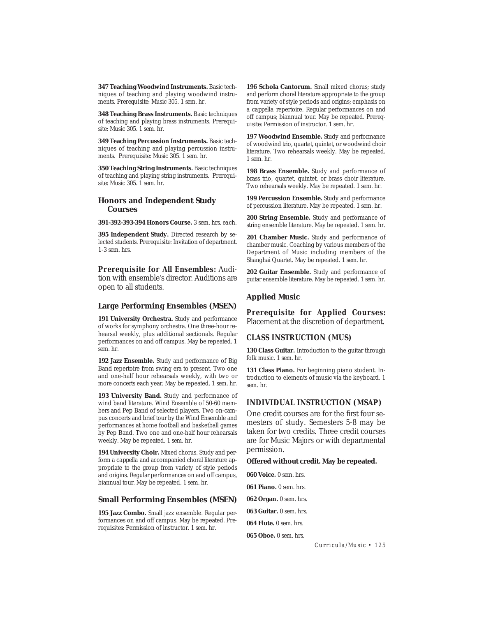**347 Teaching Woodwind Instruments.** Basic techniques of teaching and playing woodwind instruments. *Prerequisite:* Music 305. *1 sem. hr.*

**348 Teaching Brass Instruments.** Basic techniques of teaching and playing brass instruments. *Prerequisite:* Music 305. *1 sem. hr.*

**349 Teaching Percussion Instruments.** Basic techniques of teaching and playing percussion instruments. *Prerequisite:* Music 305. *1 sem. hr.*

**350 Teaching String Instruments.** Basic techniques of teaching and playing string instruments. *Prerequisite:* Music 305. *1 sem. hr.*

### **Honors and Independent Study Courses**

**391-392-393-394 Honors Course.** *3 sem. hrs. each.*

**395 Independent Study.** Directed research by selected students. *Prerequisite*: Invitation of department. *1-3 sem. hrs.*

*Prerequisite for All Ensembles:* Audition with ensemble's director. Auditions are open to all students.

#### **Large Performing Ensembles (MSEN)**

191 University Orchestra. Study and performance of works for symphony orchestra. One three-hour rehearsal weekly, plus additional sectionals. Regular performances on and off campus. May be repeated. *1 sem. hr.*

192 Jazz Ensemble. Study and performance of Big Band repertoire from swing era to present. Two one and one-half hour rehearsals weekly, with two or more concerts each year. May be repeated. *1 sem. hr.*

193 University Band. Study and performance of wind band literature. Wind Ensemble of 50-60 members and Pep Band of selected players. Two on-campus concerts and brief tour by the Wind Ensemble and performances at home football and basketball games by Pep Band. Two one and one-half hour rehearsals weekly. May be repeated. *1 sem. hr.*

**194 University Choir.** Mixed chorus. Study and perform *a cappella* and accompanied choral literature appropriate to the group from variety of style periods and origins. Regular performances on and off campus, biannual tour. May be repeated. *1 sem. hr.*

### **Small Performing Ensembles (MSEN)**

**195 Jazz Combo.** Small jazz ensemble. Regular performances on and off campus. May be repeated. *Prerequisites*: Permission of instructor. *1 sem. hr.*

**196 Schola Cantorum.** Small mixed chorus; study and perform choral literature appropriate to the group from variety of style periods and origins; emphasis on *a cappella* repertoire. Regular performances on and off campus; biannual tour. May be repeated. *Prerequisite*: Permission of instructor. *1 sem. hr.*

197 Woodwind Ensemble. Study and performance of woodwind trio, quartet, quintet, or woodwind choir literature. Two rehearsals weekly. May be repeated. *1 sem. hr.*

**198 Brass Ensemble.** Study and performance of brass trio, quartet, quintet, or brass choir literature. Two rehearsals weekly. May be repeated. *1 sem. hr.*

199 Percussion Ensemble. Study and performance of percussion literature. May be repeated. *1 sem. hr.*

**200 String Ensemble.** Study and performance of string ensemble literature. May be repeated. *1 sem. hr.*

201 Chamber Music. Study and performance of chamber music. Coaching by various members of the Department of Music including members of the Shanghai Quartet. May be repeated. *1 sem. hr.*

**202 Guitar Ensemble.** Study and performance of guitar ensemble literature. May be repeated. *1 sem. hr.*

#### **Applied Music**

*Prerequisite for Applied Courses:* Placement at the discretion of department.

#### *CLASS INSTRUCTION (MUS)*

130 Class Guitar. Introduction to the guitar through folk music. *1 sem. hr.*

131 Class Piano. For beginning piano student. Introduction to elements of music via the keyboard. *1 sem. hr.*

### *INDIVIDUAL INSTRUCTION (MSAP)*

One credit courses are for the first four semesters of study. Semesters 5-8 may be taken for two credits. Three credit courses are for Music Majors or with departmental permission.

#### **Offered without credit. May be repeated.**

**060 Voice.** *0 sem. hrs.* **061 Piano.** *0 sem. hrs.* **062 Organ.** *0 sem. hrs.* **063 Guitar.** *0 sem. hrs.* **064 Flute.** *0 sem. hrs.* **065 Oboe.** *0 sem. hrs*.

*Curricula/Music • 125*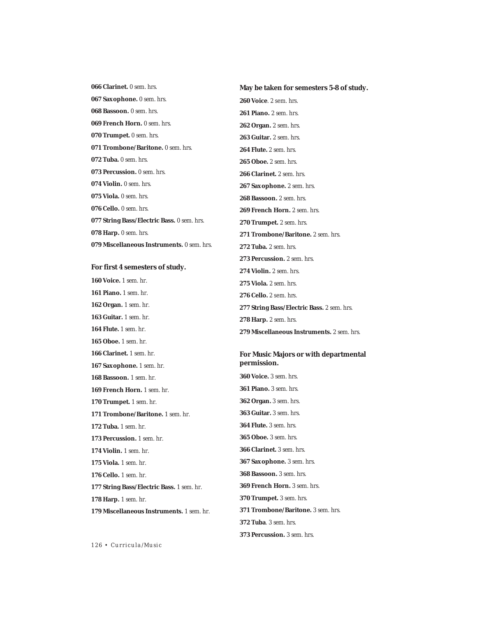#### **May be taken for semesters 5-8 of study.**

**067 Saxophone.** *0 sem. hrs.* **068 Bassoon.** *0 sem. hrs.* **069 French Horn.** *0 sem. hrs.* **070 Trumpet.** *0 sem. hrs.* **071 Trombone/Baritone.** *0 sem. hrs.* **072 Tuba.** *0 sem. hrs.* **073 Percussion.** *0 sem. hrs.* **074 Violin.** *0 sem. hrs.* **075 Viola.** *0 sem. hrs.* **076 Cello.** *0 sem. hrs.* **077 String Bass/Electric Bass.** *0 sem. hrs.* **078 Harp.** *0 sem. hrs.* **079 Miscellaneous Instruments.** *0 sem. hrs.*

**066 Clarinet.** *0 sem. hrs.*

#### **For first 4 semesters of study.**

**160 Voice.** *1 sem. hr.* **161 Piano.** *1 sem. hr.* **162 Organ.** *1 sem. hr.* **163 Guitar.** *1 sem. hr.* **164 Flute.** *1 sem. hr.* **165 Oboe.** *1 sem. hr.* **166 Clarinet.** *1 sem. hr.* **167 Saxophone.** *1 sem. hr.* **168 Bassoon.** *1 sem. hr.* **169 French Horn.** *1 sem. hr.* **170 Trumpet.** *1 sem. hr.* **171 Trombone/Baritone.** *1 sem. hr.* **172 Tuba.** *1 sem. hr.* **173 Percussion.** *1 sem. hr.* **174 Violin.** *1 sem. hr.* **175 Viola.** *1 sem. hr.* **176 Cello.** *1 sem. hr.* **177 String Bass/Electric Bass.** *1 sem. hr.* **178 Harp.** *1 sem. hr.* **179 Miscellaneous Instruments.** *1 sem. hr.*

**260 Voice**. 2 sem. hrs. **261 Piano.** *2 sem. hrs*. **262 Organ.** *2 sem. hrs.* **263 Guitar.** *2 sem. hrs*. **264 Flute.** *2 sem. hrs*. **265 Oboe.** *2 sem. hrs.* **266 Clarinet.** *2 sem. hrs.* **267 Saxophone.** *2 sem. hrs.* **268 Bassoon.** *2 sem. hrs.* **269 French Horn.** *2 sem. hrs*. **270 Trumpet.** *2 sem. hrs.* **271 Trombone/Baritone.** *2 sem. hrs.* **272 Tuba.** *2 sem. hrs.* **273 Percussion.** *2 sem. hrs.* **274 Violin.** *2 sem. hrs.* **275 Viola.** *2 sem. hrs.* **276 Cello.** 2 sem. hrs. **277 String Bass/Electric Bass.** *2 sem. hrs.* **278 Harp.** *2 sem. hrs*. **279 Miscellaneous Instruments.** *2 sem. hrs*.

## **For Music Majors or with departmental permission.**

**360 Voice.** *3 sem. hrs.* **361 Piano.** *3 sem. hrs.* **362 Organ.** *3 sem. hrs.* **363 Guitar.** *3 sem. hrs.* **364 Flute.** *3 sem. hrs.* **365 Oboe.** *3 sem. hrs.* **366 Clarinet.** *3 sem. hrs.* **367 Saxophone.** *3 sem. hrs.* **368 Bassoon.** *3 sem. hrs.* **369 French Horn.** *3 sem. hrs.* **370 Trumpet.** *3 sem. hrs.* **371 Trombone/Baritone.** *3 sem. hrs.* **372 Tuba**. *3 sem. hrs.* **373 Percussion.** *3 sem. hrs.*

*126 • Curricula/Music*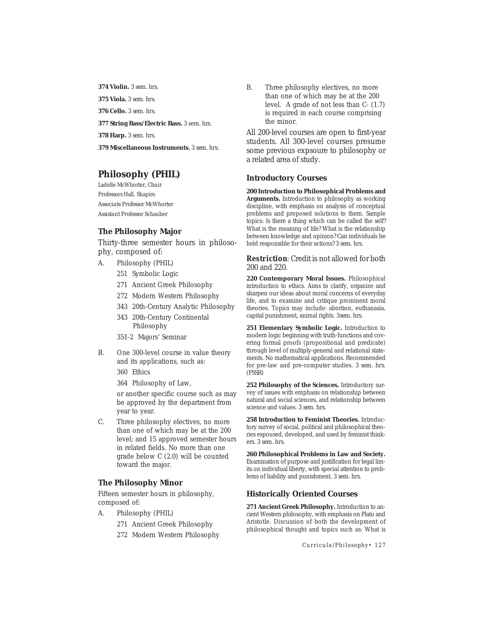**374 Violin.** *3 sem. hrs.*

**375 Viola.** *3 sem. hrs.*

**376 Cello.** *3 sem. hrs.*

**377 String Bass/Electric Bass.** 3 sem. hrs.

**378 Harp.** *3 sem. hrs.*

**379 Miscellaneous Instruments.** *3 sem. hrs.*

## **Philosophy (PHIL)**

Ladelle McWhorter, *Chair Professors* Hall, Shapiro *Associate Professor* McWhorter *Assistant Professor* Schauber

## **The Philosophy Major**

Thirty-three semester hours in philosophy, composed of:

- A. Philosophy (PHIL)
	- 251 Symbolic Logic
	- 271 Ancient Greek Philosophy
	- 272 Modern Western Philosophy
	- 343 20th-Century Analytic Philosophy
	- 343 20th-Century Continental Philosophy
	- 351-2 Majors' Seminar
- B. One 300-level course in value theory and its applications, such as:
	- 360 Ethics
	- 364 Philosophy of Law,

or another specific course such as may be approved by the department from year to year.

C. Three philosophy electives, no more than one of which may be at the 200 level; and 15 approved semester hours in related fields. No more than one grade below *C* (2.0) will be counted toward the major.

#### **The Philosophy Minor**

Fifteen semester hours in philosophy, composed of:

- A. Philosophy (PHIL)
	- 271 Ancient Greek Philosophy
	- 272 Modern Western Philosophy

B. Three philosophy electives, no more than one of which may be at the 200 level. A grade of not less than *C-* (1.7) is required in each course comprising the minor.

All 200-level courses are open to first-year students. All 300-level courses presume some previous expsoure to philosophy or a related area of study.

#### **Introductory Courses**

**200 Introduction to Philosophical Problems and Arguments.** Introduction to philosophy as working discipline, with emphasis on analysis of conceptual problems and proposed solutions to them. Sample topics: Is there a thing which can be called the self? What is the meaning of life? What is the relationship between knowledge and opinion? Can individuals be held responsible for their actions? *3 sem. hrs.*

#### *Restriction*: Credit is not allowed for both 200 and 220.

**220 Contemporary Moral Issues.** Philosophical introduction to ethics. Aims to clarify, organize and sharpen our ideas about moral concerns of everyday life, and to examine and critique prominent moral theories. Topics may include: abortion, euthanasia, capital punishment, animal rights. *3sem. hrs.*

**251 Elementary Symbolic Logic.** Introduction to modern logic beginning with truth-functions and covering formal proofs (propositional and predicate) through level of multiply-general and relational statements. No mathematical applications. Recommended for pre-law and pre-computer studies. *3 sem. hrs.* (FSSR)

**252 Philosophy of the Sciences.** Introductory survey of issues with emphasis on relationship between natural and social sciences, and relationship between science and values. *3 sem. hrs.*

**258 Introduction to Feminist Theories.** Introductory survey of social, political and philosophical theories espoused, developed, and used by feminist thinkers. *3 sem. hrs.*

**260 Philosophical Problems in Law and Society.** Examination of purpose and justification for legal limits on individual liberty, with special attention to problems of liability and punishment. *3 sem. hrs.*

#### **Historically Oriented Courses**

**271 Ancient Greek Philosophy.** Introduction to ancient Western philosophy, with emphasis on Plato and Aristotle. Discussion of both the development of philosophical thought and topics such as: What is

*Curricula/Philosophy• 127*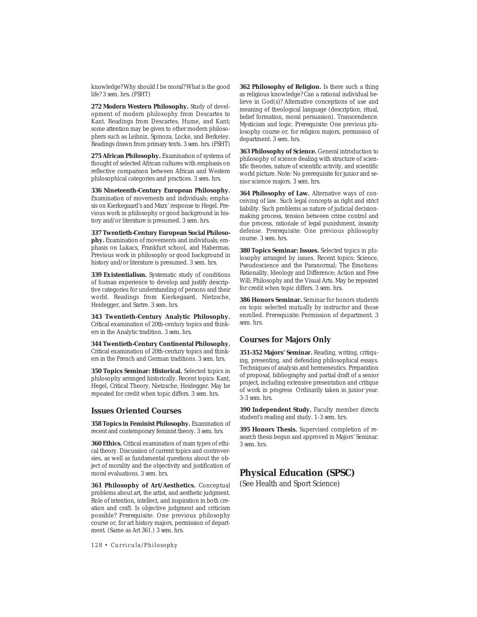knowledge? Why should I be moral? What is the good life? *3 sem. hrs.* (FSHT)

**272 Modern Western Philosophy.** Study of development of modern philosophy from Descartes to Kant. Readings from Descartes, Hume, and Kant; some attention may be given to other modern philosophers such as Leibniz, Spinoza, Locke, and Berkeley. Readings drawn from primary texts. *3 sem. hrs.* (FSHT)

**275 African Philosophy.** Examination of systems of thought of selected African cultures with emphasis on reflective comparison between African and Western philosophical categories and practices. *3 sem. hrs.*

**336 Nineteenth-Century European Philosophy.** Examination of movements and individuals; emphasis on Kierkegaard's and Marx' response to Hegel. Previous work in philosophy or good background in history and/or literature is presumed. *3 sem. hrs.*

**337 Twentieth-Century European Social Philosophy.** Examination of movements and individuals; emphasis on Lukacs, Frankfurt school, and Habermas. Previous work in philosophy or good background in history and/or literature is presumed. *3 sem. hrs.*

**339 Existentialism.** Systematic study of conditions of human experience to develop and justify descriptive categories for understanding of persons and their world. Readings from Kierkegaard, Nietzsche, Heidegger, and Sartre. *3 sem. hrs.*

**343 Twentieth-Century Analytic Philosophy.** Critical examination of 20th-century topics and thinkers in the Analytic tradition. *3 sem. hrs.*

**344 Twentieth-Century Continental Philosophy.** Critical examination of 20th-century topics and thinkers in the French and German traditions. *3 sem. hrs.*

**350 Topics Seminar: Historical.** Selected topics in philosophy arranged historically. Recent topics: Kant, Hegel, Critical Theory, Nietzsche, Heidegger. May be repeated for credit when topic differs. *3 sem. hrs.*

#### **Issues Oriented Courses**

**358 Topics in Feminist Philosophy.** Examination of recent and contemporary feminist theory. *3 sem. hrs.*

**360 Ethics.** Critical examination of main types of ethical theory. Discussion of current topics and controversies, as well as fundamental questions about the object of morality and the objectivity and justification of moral evaluations. *3 sem. hrs.*

**361 Philosophy of Art/Aesthetics.** Conceptual problems about art, the artist, and aesthetic judgment. Role of intention, intellect, and inspiration in both creation and craft. Is objective judgment and criticism possible? *Prerequisite*: One previous philosophy course or, for art history majors, permission of department. (Same as Art 361.) *3 sem. hrs.*

*128 • Curricula/Philosophy*

**362 Philosophy of Religion.** Is there such a thing as religious knowledge? Can a rational individual believe in God(s)? Alternative conceptions of use and meaning of theological language (description, ritual, belief formation, moral persuasion). Transcendence. Mysticism and logic. *Prerequisite*: One previous philosophy course or, for religion majors, permission of department. *3 sem. hrs.*

**363 Philosophy of Science.** General introduction to philosophy of science dealing with structure of scientific theories, nature of scientific activity, and scientific world picture. Note: No prerequisite for junior and senior science majors. *3 sem. hrs.*

**364 Philosophy of Law.** Alternative ways of conceiving of law. Such legal concepts as right and strict liability. Such problems as nature of judicial decisionmaking process, tension between crime control and due process, rationale of legal punishment, insanity defense. *Prerequisite*: One previous philosophy course. *3 sem. hrs.*

**380 Topics Seminar: Issues.** Selected topics in philosophy arranged by issues. Recent topics: Science, Pseudoscience and the Paranormal; The Emotions: Rationality, Ideology and Difference; Action and Free Will; Philosophy and the Visual Arts. May be repeated for credit when topic differs. *3 sem. hrs.*

**386 Honors Seminar.** Seminar for honors students on topic selected mutually by instructor and those enrolled. *Prerequisite:* Permission of department. *3 sem. hrs.*

#### **Courses for Majors Only**

**351-352 Majors' Seminar.** Reading, writing, critiquing, presenting, and defending philosophical essays. Techniques of analysis and hermeneutics. Preparation of proposal, bibliography and partial draft of a senior project, including extensive presentation and critique of work in progress Ordinarily taken in junior year. *3-3 sem. hrs.*

**390 Independent Study.** Faculty member directs student's reading and study. *1-3 sem. hrs.*

**395 Honors Thesis.** Supervised completion of research thesis begun and approved in Majors' Seminar. *3 sem. hrs.*

## **Physical Education (SPSC)**

(See Health and Sport Science)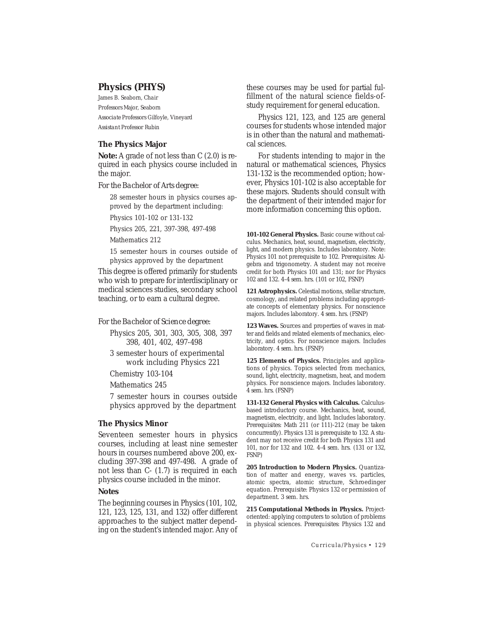# **Physics (PHYS)**

James B. Seaborn, *Chair Professors* Major, Seaborn *Associate Professors* Gilfoyle, Vineyard *Assistant Professor* Rubin

## **The Physics Major**

**Note:** A grade of not less than *C* (2.0) is required in each physics course included in the major.

*For the Bachelor of Arts degree:*

28 semester hours in physics courses approved by the department including:

Physics 101-102 or 131-132

Physics 205, 221, 397-398, 497-498

Mathematics 212

15 semester hours in courses outside of physics approved by the department

This degree is offered primarily for students who wish to prepare for interdisciplinary or medical sciences studies, secondary school teaching, or to earn a cultural degree.

#### *For the Bachelor of Science degree:*

Physics 205, 301, 303, 305, 308, 397 398, 401, 402, 497-498

3 semester hours of experimental work including Physics 221

Chemistry 103-104

Mathematics 245

7 semester hours in courses outside physics approved by the department

## **The Physics Minor**

Seventeen semester hours in physics courses, including at least nine semester hours in courses numbered above 200, excluding 397-398 and 497-498. A grade of not less than *C-* (1.7) is required in each physics course included in the minor.

#### **Notes**

The beginning courses in Physics (101, 102, 121, 123, 125, 131, and 132) offer different approaches to the subject matter depending on the student's intended major. Any of these courses may be used for partial fulfillment of the natural science fields-ofstudy requirement for general education.

Physics 121, 123, and 125 are general courses for students whose intended major is in other than the natural and mathematical sciences.

For students intending to major in the natural or mathematical sciences, Physics 131-132 is the recommended option; however, Physics 101-102 is also acceptable for these majors. Students should consult with the department of their intended major for more information concerning this option.

**101-102 General Physics.** Basic course without calculus. Mechanics, heat, sound, magnetism, electricity, light, and modern physics. Includes laboratory. Note: Physics 101 not prerequisite to 102. *Prerequisites*: Algebra and trigonometry. A student may not receive credit for both Physics 101 and 131; nor for Physics 102 and 132. *4-4 sem. hrs.* (101 or 102, FSNP)

**121 Astrophysics.** Celestial motions, stellar structure, cosmology, and related problems including appropriate concepts of elementary physics. For nonscience majors. Includes laboratory. *4 sem. hrs.* (FSNP)

123 Waves. Sources and properties of waves in matter and fields and related elements of mechanics, electricity, and optics. For nonscience majors. Includes laboratory. *4 sem. hrs.* (FSNP)

125 Elements of Physics. Principles and applications of physics. Topics selected from mechanics, sound, light, electricity, magnetism, heat, and modern physics. For nonscience majors. Includes laboratory. *4 sem. hrs.* (FSNP)

**131-132 General Physics with Calculus.** Calculusbased introductory course. Mechanics, heat, sound, magnetism, electricity, and light. Includes laboratory. *Prerequisites*: Math 211 (or 111)-212 (may be taken concurrently). Physics 131 is prerequisite to 132. A student may not receive credit for both Physics 131 and 101, nor for 132 and 102. *4-4 sem. hrs.* (131 or 132, FSNP)

**205 Introduction to Modern Physics.** Quantization of matter and energy, waves vs. particles, atomic spectra, atomic structure, Schroedinger equation. *Prerequisite*: Physics 132 or permission of department. *3 sem. hrs.*

**215 Computational Methods in Physics.** Projectoriented: applying computers to solution of problems in physical sciences. *Prerequisites*: Physics 132 and

*Curricula/Physics • 129*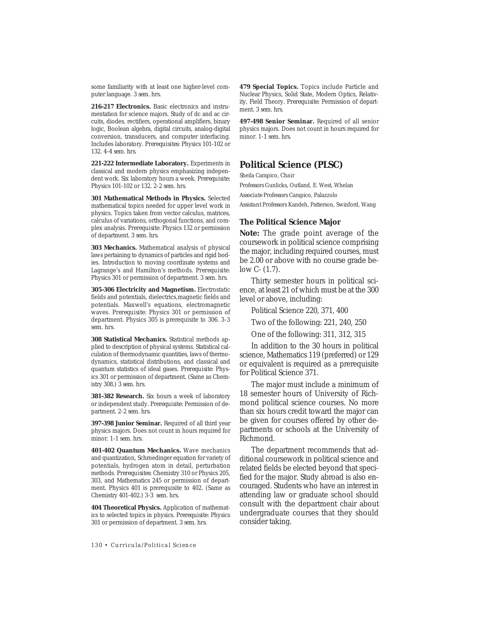some familiarity with at least one higher-level computer language. *3 sem. hrs.*

**216-217 Electronics.** Basic electronics and instrumentation for science majors. Study of dc and ac circuits, diodes, rectifiers, operational amplifiers, binary logic, Boolean algebra, digital circuits, analog-digital conversion, transducers, and computer interfacing. Includes laboratory. *Prerequisites*: Physics 101-102 or 132. *4-4 sem. hrs.*

**221-222 Intermediate Laboratory.** Experiments in classical and modern physics emphasizing independent work. Six laboratory hours a week. *Prerequisite*: Physics 101-102 or 132. *2-2 sem. hrs.*

**301 Mathematical Methods in Physics.** Selected mathematical topics needed for upper level work in physics. Topics taken from vector calculus, matrices, calculus of variations, orthogonal functions, and complex analysis. *Prerequisite*: Physics 132 or permission of department. *3 sem. hrs.*

**303 Mechanics.** Mathematical analysis of physical laws pertaining to dynamics of particles and rigid bodies. Introduction to moving coordinate systems and Lagrange's and Hamilton's methods. *Prerequisite*: Physics 301 or permission of department. *3 sem. hrs.*

**305-306 Electricity and Magnetism.** Electrostatic fields and potentials, dielectrics,magnetic fields and potentials. Maxwell's equations, electromagnetic waves. *Prerequisite*: Physics 301 or permission of department. Physics 305 is prerequisite to 306. *3-3 sem. hrs.*

**308 Statistical Mechanics.** Statistical methods applied to description of physical systems. Statistical calculation of thermodynamic quantities, laws of thermodynamics, statistical distributions, and classical and quantum statistics of ideal gases. *Prerequisite*: Physics 301 or permission of department. (Same as Chemistry 308.) *3 sem. hrs.*

**381-382 Research.** Six hours a week of laboratory or independent study. *Prerequisite*: Permission of department. *2-2 sem. hrs.*

**397-398 Junior Seminar.** Required of all third year physics majors. Does not count in hours required for minor. *1-1 sem. hrs.*

**401-402 Quantum Mechanics.** Wave mechanics and quantization, Schroedinger equation for variety of potentials, hydrogen atom in detail, perturbation methods. *Prerequisites*: Chemistry 310 or Physics 205, 303, and Mathematics 245 or permission of department. Physics 401 is prerequisite to 402. (Same as Chemistry 401-402.) *3-3 sem. hrs.*

**404 Theoretical Physics.** Application of mathematics to selected topics in physics. *Prerequisite*: Physics 301 or permission of department. *3 sem. hrs.*

**479 Special Topics.** Topics include Particle and Nuclear Physics, Solid State, Modern Optics, Relativity, Field Theory. *Prerequisite*: Permission of department. *3 sem. hrs.*

**497-498 Senior Seminar.** Required of all senior physics majors. Does not count in hours required for minor. *1-1 sem. hrs.*

## **Political Science (PLSC)**

Sheila Carapico, *Chair Professors* Gunlicks, Outland, E. West, Whelan *Associate Professors* Carapico, Palazzolo

*Assistant Professors* Kandeh, Patterson, Swinford, Wang

### **The Political Science Major**

**Note:** The grade point average of the coursework in political science comprising the major, including required courses, must be 2.00 or above with no course grade below *C-* (1.7).

Thirty semester hours in political science, at least 21 of which must be at the 300 level or above, including:

Political Science 220, 371, 400

Two of the following: 221, 240, 250

One of the following: 311, 312, 315

In addition to the 30 hours in political science, Mathematics 119 (preferred) or 129 or equivalent is required as a prerequisite for Political Science 371.

The major must include a minimum of 18 semester hours of University of Richmond political science courses. No more than six hours credit toward the major can be given for courses offered by other departments or schools at the University of Richmond.

The department recommends that additional coursework in political science and related fields be elected beyond that specified for the major. Study abroad is also encouraged. Students who have an interest in attending law or graduate school should consult with the department chair about undergraduate courses that they should consider taking.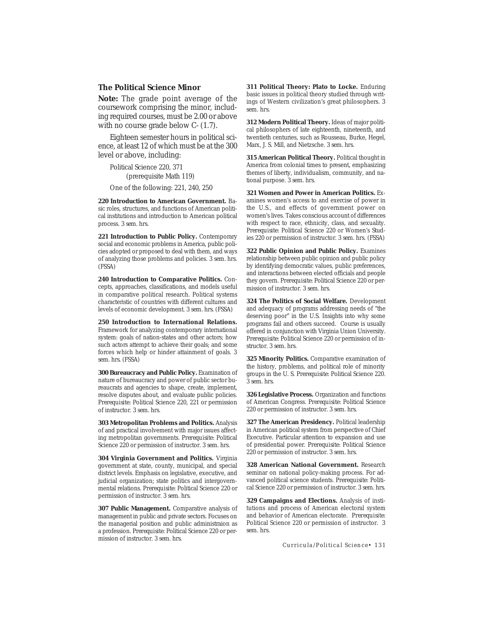## **The Political Science Minor**

**Note:** The grade point average of the coursework comprising the minor, including required courses, must be 2.00 or above with no course grade below *C-* (1.7).

Eighteen semester hours in political science, at least 12 of which must be at the 300 level or above, including:

Political Science 220, 371 (prerequisite Math 119)

One of the following: 221, 240, 250

**220 Introduction to American Government.** Basic roles, structures, and functions of American political institutions and introduction to American political process. *3 sem. hrs.*

221 Introduction to Public Policy. Contemporary social and economic problems in America, public policies adopted or proposed to deal with them, and ways of analyzing those problems and policies. *3 sem. hrs.* (FSSA)

**240 Introduction to Comparative Politics.** Concepts, approaches, classifications, and models useful in comparative political research. Political systems characteristic of countries with different cultures and levels of economic development. *3 sem. hrs.* (FSSA)

**250 Introduction to International Relations.** Framework for analyzing contemporary international system: goals of nation-states and other actors; how such actors attempt to achieve their goals; and some forces which help or hinder attainment of goals. *3 sem. hrs.* (FSSA)

**300 Bureaucracy and Public Policy.** Examination of nature of bureaucracy and power of public sector bureaucrats and agencies to shape, create, implement, resolve disputes about, and evaluate public policies. *Prerequisite*: Political Science 220, 221 or permission of instructor. *3 sem. hrs.*

**303 Metropolitan Problems and Politics.** Analysis of and practical involvement with major issues affecting metropolitan governments. *Prerequisite*: Political Science 220 or permission of instructor. *3 sem. hrs.*

**304 Virginia Government and Politics.** Virginia government at state, county, municipal, and special district levels. Emphasis on legislative, executive, and judicial organization; state politics and intergovernmental relations. *Prerequisite*: Political Science 220 or permission of instructor. *3 sem. hrs.*

**307 Public Management.** Comparative analysis of management in public and private sectors. Focuses on the managerial position and public administraion as a profession. *Prerequisite*: Political Science 220 or permission of instructor. *3 sem. hrs.*

**311 Political Theory: Plato to Locke.** Enduring basic issues in political theory studied through writings of Western civilization's great philosophers. *3 sem. hrs.*

**312 Modern Political Theory.** Ideas of major political philosophers of late eighteenth, nineteenth, and twentieth centuries, such as Rousseau, Burke, Hegel, Marx, J. S. Mill, and Nietzsche. *3 sem. hrs.*

**315 American Political Theory.** Political thought in America from colonial times to present, emphasizing themes of liberty, individualism, community, and national purpose. *3 sem. hrs.*

**321 Women and Power in American Politics.** Examines women's access to and exercise of power in the U.S., and effects of government power on women's lives. Takes conscious account of differences with respect to race, ethnicity, class, and sexuality. *Prerequisite*: Political Science 220 or Women's Studies 220 or permission of instructor. *3 sem. hrs.* (FSSA)

**322 Public Opinion and Public Policy.** Examines relationship between public opinion and public policy by identifying democratic values, public preferences, and interactions between elected officials and people they govern. *Prerequisite*: Political Science 220 or permission of instructor. *3 sem. hrs.*

**324 The Politics of Social Welfare.** Development and adequacy of programs addressing needs of "the deserving poor" in the U.S. Insights into why some programs fail and others succeed. Course is usually offered in conjunction with Virginia Union University. *Prerequisite*: Political Science 220 or permission of instructor. *3 sem. hrs.*

**325 Minority Politics.** Comparative examination of the history, problems, and political role of minority groups in the U. S. *Prerequisite*: Political Science 220. *3 sem. hrs.*

**326 Legislative Process.** Organization and functions of American Congress. *Prerequisite*: Political Science 220 or permission of instructor. *3 sem. hrs.*

**327 The American Presidency.** Political leadership in American political system from perspective of Chief Executive. Particular attention to expansion and use of presidential power. *Prerequisite*: Political Science 220 or permission of instructor. *3 sem. hrs.*

**328 American National Government.** Research seminar on national policy-making process. For advanced political science students. *Prerequisite*: Political Science 220 or permission of instructor. *3 sem. hrs.*

**329 Campaigns and Elections.** Analysis of institutions and process of American electoral system and behavior of American electorate. *Prerequisite*: Political Science 220 or permission of instructor. *3 sem. hrs.*

*Curricula/Political Science• 131*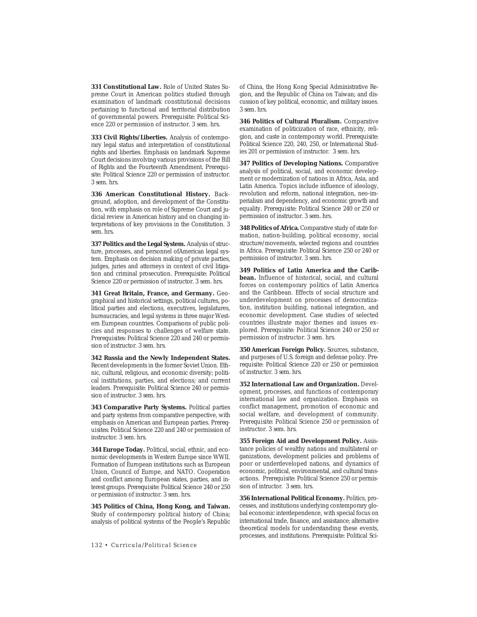**331 Constitutional Law.** Role of United States Supreme Court in American politics studied through examination of landmark constitutional decisions pertaining to functional and territorial distribution of governmental powers. *Prerequisite*: Political Science 220 or permission of instructor. *3 sem. hrs.*

**333 Civil Rights/Liberties.** Analysis of contemporary legal status and interpretation of constitutional rights and liberties. Emphasis on landmark Supreme Court decisions involving various provisions of the Bill of Rights and the Fourteenth Amendment. *Prerequisite*: Political Science 220 or permission of instructor. *3 sem. hrs.*

**336 American Constitutional History.** Background, adoption, and development of the Constitution, with emphasis on role of Supreme Court and judicial review in American history and on changing interpretations of key provisions in the Constitution. *3 sem. hrs.*

**337 Politics and the Legal System.** Analysis of structure, processes, and personnel ofAmerican legal system. Emphasis on decision making of private parties, judges, juries and attorneys in context of civil litigation and criminal prosecution. *Prerequisite*: Political Science 220 or permission of instructor. *3 sem. hrs.*

**341 Great Britain, France, and Germany.** Geographical and historical settings, political cultures, political parties and elections, executives, legislatures, bureaucracies, and legal systems in three major Western European countries. Comparisons of public policies and responses to challenges of welfare state. *Prerequisites*: Political Science 220 and 240 or permission of instructor. *3 sem. hrs.*

**342 Russia and the Newly Independent States.** Recent developments in the former Soviet Union. Ethnic, cultural, religious, and economic diversity; political institutions, parties, and elections; and current leaders. *Prerequisite*: Political Science 240 or permission of instructor. *3 sem. hrs.*

**343 Comparative Party Systems.** Political parties and party systems from comparative perspective, with emphasis on American and European parties. *Prerequisites*: Political Science 220 and 240 or permission of instructor. *3 sem. hrs.*

**344 Europe Today.** Political, social, ethnic, and economic developments in Western Europe since WWII. Formation of European institutions such as European Union, Council of Europe, and NATO. Cooperation and conflict among European states, parties, and interest groups. *Prerequisite*: Political Science 240 or 250 or permission of instructor. *3 sem. hrs.*

**345 Politics of China, Hong Kong, and Taiwan.** Study of contemporary political history of China; analysis of political systems of the People's Republic

*132 • Curricula/Political Science*

of China, the Hong Kong Special Administrative Region, and the Republic of China on Taiwan; and discussion of key political, economic, and military issues. *3 sem. hrs.*

**346 Politics of Cultural Pluralism.** Comparative examination of politicization of race, ethnicity, religion, and caste in contemporary world. *Prerequisite*: Political Science 220, 240, 250, or International Studies 201 or permission of instructor. *3 sem. hrs.*

**347 Politics of Developing Nations.** Comparative analysis of political, social, and economic development or modernization of nations in Africa, Asia, and Latin America. Topics include influence of ideology, revolution and reform, national integration, neo-imperialism and dependency, and economic growth and equality. *Prerequisite*: Political Science 240 or 250 or permission of instructor. *3 sem. hrs.*

**348 Politics of Africa.** Comparative study of state formation, nation-building, political economy, social structure/movements, selected regions and countries in Africa. *Prerequisite*: Political Science 250 or 240 or permission of instructor. *3 sem. hrs.*

**349 Politics of Latin America and the Caribbean.** Influence of historical, social, and cultural forces on contemporary politics of Latin America and the Caribbean. Effects of social structure and underdevelopment on processes of democratization, institution building, national integration, and economic development. Case studies of selected countries illustrate major themes and issues explored. *Prerequisite*: Political Science 240 or 250 or permission of instructor. *3 sem. hrs.*

**350 American Foreign Policy.** Sources, substance, and purposes of U.S. foreign and defense policy. *Prerequisite*: Political Science 220 or 250 or permission of instructor. *3 sem. hrs.*

**352 International Law and Organization.** Development, processes, and functions of contemporary international law and organization. Emphasis on conflict management, promotion of economic and social welfare, and development of community. *Prerequisite*: Political Science 250 or permission of instructor. *3 sem. hrs.*

**355 Foreign Aid and Development Policy.** Assistance policies of wealthy nations and multilateral organizations, development policies and problems of poor or underdeveloped nations, and dynamics of economic, political, environmental, and cultural transactions. *Prerequisite*: Political Science 250 or permission of intructor. *3 sem. hrs.*

**356 International Political Economy.** Politics, processes, and institutions underlying contemporary global economic interdependence, with special focus on international trade, finance, and assistance; alternative theoretical models for understanding these events, processes, and institutions. *Prerequisite*: Political Sci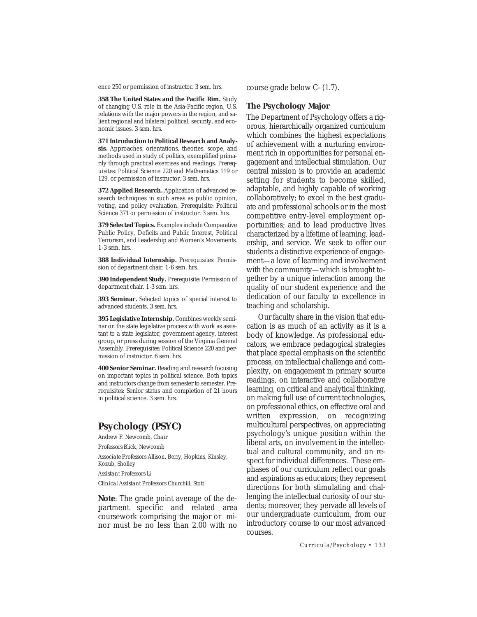ence 250 or permission of instructor. *3 sem. hrs.*

**358 The United States and the Pacific Rim.** Study of changing U.S. role in the Asia-Pacific region, U.S. relations with the major powers in the region, and salient regional and bilateral political, security, and economic issues. *3 sem. hrs.*

**371 Introduction to Political Research and Analysis.** Approaches, orientations, theories, scope, and methods used in study of politics, exemplified primarily through practical exercises and readings. *Prerequisites*: Political Science 220 and Mathematics 119 or 129, or permission of instructor. *3 sem. hrs.*

**372 Applied Research.** Application of advanced research techniques in such areas as public opinion, voting, and policy evaluation. *Prerequisite*: Political Science 371 or permission of instructor. *3 sem. hrs.*

**379 Selected Topics.** Examples include Comparative Public Policy, Deficits and Public Interest, Political Terrorism, and Leadership and Women's Movements. *1-3 sem. hrs.*

**388 Individual Internship.** *Prerequisites*: Permission of department chair. *1-6 sem. hrs.*

**390 Independent Study.** *Prerequisite*: Permission of department chair. *1-3 sem. hrs.*

**393 Seminar.** Selected topics of special interest to advanced students. *3 sem. hrs.*

**395 Legislative Internship.** Combines weekly seminar on the state legislative process with work as assistant to a state legislator, government agency, interest group, or press during session of the Virginia General Assembly. *Prerequisites*: Political Science 220 and permission of instructor. *6 sem. hrs.*

**400 Senior Seminar.** Reading and research focusing on important topics in political science. Both topics and instructors change from semester to semester. *Prerequisites*: Senior status and completion of 21 hours in political science. *3 sem. hrs.*

# **Psychology (PSYC)**

Andrew F. Newcomb, *Chair Professors* Blick, Newcomb *Associate Professors* Allison, Berry, Hopkins, Kinsley, Kozub, Sholley *Assistant Professors* Li *Clinical Assistant Professors* Churchill, Stott

**Note**: The grade point average of the department specific and related area coursework comprising the major or minor must be no less than 2.00 with no course grade below *C-* (1.7).

## **The Psychology Major**

The Department of Psychology offers a rigorous, hierarchically organized curriculum which combines the highest expectations of achievement with a nurturing environment rich in opportunities for personal engagement and intellectual stimulation. Our central mission is to provide an academic setting for students to become skilled, adaptable, and highly capable of working collaboratively; to excel in the best graduate and professional schools or in the most competitive entry-level employment opportunities; and to lead productive lives characterized by a lifetime of learning, leadership, and service. We seek to offer our students a distinctive experience of engagement—a love of learning and involvement with the community—which is brought together by a unique interaction among the quality of our student experience and the dedication of our faculty to excellence in teaching and scholarship.

Our faculty share in the vision that education is as much of an activity as it is a body of knowledge. As professional educators, we embrace pedagogical strategies that place special emphasis on the scientific process, on intellectual challenge and complexity, on engagement in primary source readings, on interactive and collaborative learning, on critical and analytical thinking, on making full use of current technologies, on professional ethics, on effective oral and written expression, on recognizing multicultural perspectives, on appreciating psychology's unique position within the liberal arts, on involvement in the intellectual and cultural community, and on respect for individual differences. These emphases of our curriculum reflect our goals and aspirations as educators; they represent directions for both stimulating and challenging the intellectual curiosity of our students; moreover, they pervade all levels of our undergraduate curriculum, from our introductory course to our most advanced courses.

*Curricula/Psychology • 133*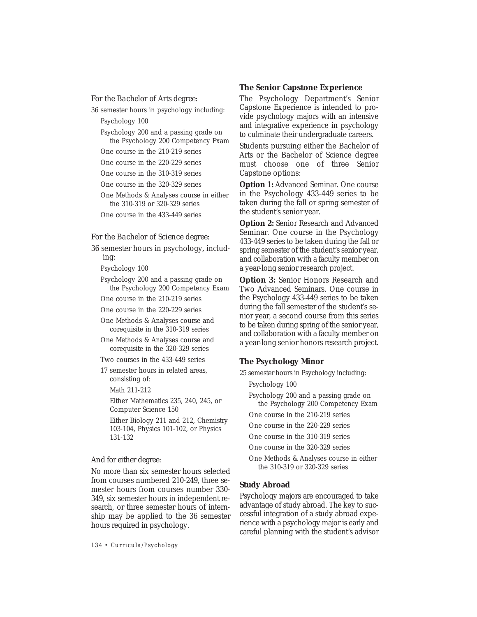## *For the Bachelor of Arts degree:*

36 semester hours in psychology including: Psychology 100

Psychology 200 and a passing grade on the Psychology 200 Competency Exam

One course in the 210-219 series

One course in the 220-229 series

One course in the 310-319 series

One course in the 320-329 series

One Methods & Analyses course in either the 310-319 or 320-329 series

One course in the 433-449 series

## *For the Bachelor of Science degree:*

36 semester hours in psychology, including:

Psychology 100

Psychology 200 and a passing grade on the Psychology 200 Competency Exam

One course in the 210-219 series

One course in the 220-229 series

One Methods & Analyses course and corequisite in the 310-319 series

One Methods & Analyses course and corequisite in the 320-329 series

Two courses in the 433-449 series

17 semester hours in related areas, consisting of:

Math 211-212

Either Mathematics 235, 240, 245, or Computer Science 150

Either Biology 211 and 212, Chemistry 103-104, Physics 101-102, or Physics 131-132

#### *And for either degree:*

No more than six semester hours selected from courses numbered 210-249, three semester hours from courses number 330- 349, six semester hours in independent research, or three semester hours of internship may be applied to the 36 semester hours required in psychology.

*134 • Curricula/Psychology*

### **The Senior Capstone Experience**

The Psychology Department's Senior Capstone Experience is intended to provide psychology majors with an intensive and integrative experience in psychology to culminate their undergraduate careers.

Students pursuing either the Bachelor of Arts or the Bachelor of Science degree must choose one of three Senior Capstone options:

**Option 1:** Advanced Seminar. One course in the Psychology 433-449 series to be taken during the fall or spring semester of the student's senior year.

**Option 2:** Senior Research and Advanced Seminar. One course in the Psychology 433-449 series to be taken during the fall or spring semester of the student's senior year, and collaboration with a faculty member on a year-long senior research project.

**Option 3:** Senior Honors Research and Two Advanced Seminars. One course in the Psychology 433-449 series to be taken during the fall semester of the student's senior year, a second course from this series to be taken during spring of the senior year, and collaboration with a faculty member on a year-long senior honors research project.

#### **The Psychology Minor**

25 semester hours in Psychology including:

Psychology 100

Psychology 200 and a passing grade on the Psychology 200 Competency Exam

One course in the 210-219 series

One course in the 220-229 series

One course in the 310-319 series

One course in the 320-329 series

One Methods & Analyses course in either the 310-319 or 320-329 series

## **Study Abroad**

Psychology majors are encouraged to take advantage of study abroad. The key to successful integration of a study abroad experience with a psychology major is early and careful planning with the student's advisor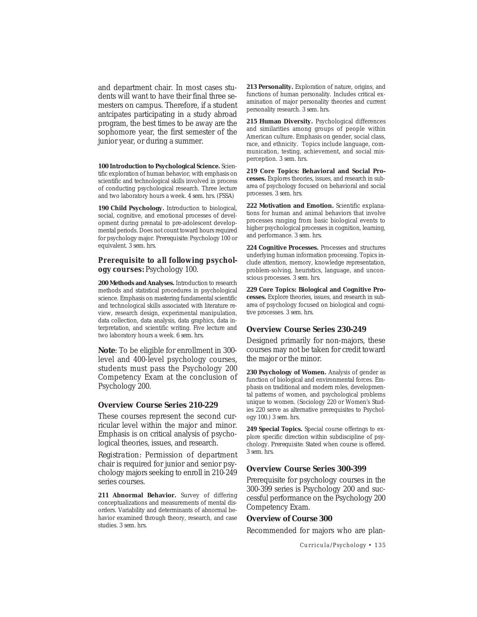and department chair. In most cases students will want to have their final three semesters on campus. Therefore, if a student antcipates participating in a study abroad program, the best times to be away are the sophomore year, the first semester of the junior year, or during a summer.

**100 Introduction to Psychological Science.** Scientific exploration of human behavior, with emphasis on scientific and technological skills involved in process of conducting psychological research. Three lecture and two laboratory hours a week. *4 sem. hrs.* (FSSA)

**190 Child Psychology.** Introduction to biological, social, cognitive, and emotional processes of development during prenatal to pre-adolescent developmental periods. Does not count toward hours required for psychology major. *Prerequisite*: Psychology 100 or equivalent. *3 sem. hrs.*

## *Prerequisite to all following psychology courses:* Psychology 100.

**200 Methods and Analyses.** Introduction to research methods and statistical procedures in psychological science. Emphasis on mastering fundamental scientific and technological skills associated with literature review, research design, experimental manipulation, data collection, data analysis, data graphics, data interpretation, and scientific writing. Five lecture and two laboratory hours a week. *6 sem. hrs.*

**Note**: To be eligible for enrollment in 300 level and 400-level psychology courses, students must pass the Psychology 200 Competency Exam at the conclusion of Psychology 200.

#### **Overview Course Series 210-229**

These courses represent the second curricular level within the major and minor. Emphasis is on critical analysis of psychological theories, issues, and research.

*Registration:* Permission of department chair is required for junior and senior psychology majors seeking to enroll in 210-249 series courses.

211 Abnormal Behavior. Survey of differing conceptualizations and measurements of mental disorders. Variability and determinants of abnormal behavior examined through theory, research, and case studies. *3 sem. hrs.*

**213 Personality.** Exploration of nature, origins, and functions of human personality. Includes critical examination of major personality theories and current personality research. *3 sem. hrs.*

**215 Human Diversity.** Psychological differences and similarities among groups of people within American culture. Emphasis on gender, social class, race, and ethnicity. Topics include language, communication, testing, achievement, and social misperception. *3 sem. hrs.*

**219 Core Topics: Behavioral and Social Processes.** Explores theories, issues, and research in subarea of psychology focused on behavioral and social processes. *3 sem. hrs.*

**222 Motivation and Emotion.** Scientific explanations for human and animal behaviors that involve processes ranging from basic biological events to higher psychological processes in cognition, learning, and performance. *3 sem. hrs.*

**224 Cognitive Processes.** Processes and structures underlying human information processing. Topics include attention, memory, knowledge representation, problem-solving, heuristics, language, and unconscious processes. *3 sem. hrs.*

**229 Core Topics: Biological and Cognitive Processes.** Explore theories, issues, and research in subarea of psychology focused on biological and cognitive processes. *3 sem. hrs.*

## **Overview Course Series 230-249**

Designed primarily for non-majors, these courses may not be taken for credit toward the major or the minor.

**230 Psychology of Women.** Analysis of gender as function of biological and environmental forces. Emphasis on traditional and modern roles, developmental patterns of women, and psychological problems unique to women. (Sociology 220 or Women's Studies 220 serve as alternative prerequisites to Psychology 100.) *3 sem. hrs.*

**249 Special Topics.** Special course offerings to explore specific direction within subdiscipline of psychology. *Prerequisite*: Stated when course is offered. *3 sem. hrs.*

#### **Overview Course Series 300-399**

Prerequisite for psychology courses in the 300-399 series is Psychology 200 and successful performance on the Psychology 200 Competency Exam.

### **Overview of Course 300**

Recommended for majors who are plan-

*Curricula/Psychology • 135*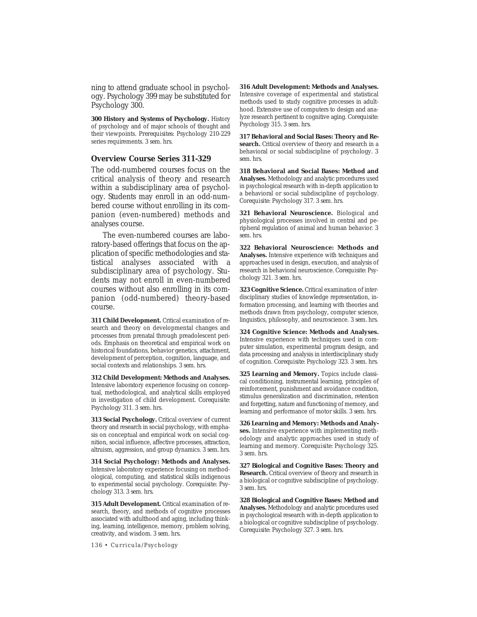ning to attend graduate school in psychology. Psychology 399 may be substituted for Psychology 300.

**300 History and Systems of Psychology.** History of psychology and of major schools of thought and their viewpoints. *Prerequisites*: Psychology 210-229 series requirements. *3 sem. hrs.*

## **Overview Course Series 311-329**

The odd-numbered courses focus on the critical analysis of theory and research within a subdisciplinary area of psychology. Students may enroll in an odd-numbered course without enrolling in its companion (even-numbered) methods and analyses course.

The even-numbered courses are laboratory-based offerings that focus on the application of specific methodologies and statistical analyses associated with a subdisciplinary area of psychology. Students may not enroll in even-numbered courses without also enrolling in its companion (odd-numbered) theory-based course.

**311 Child Development.** Critical examination of research and theory on developmental changes and processes from prenatal through preadolescent periods. Emphasis on theoretical and empirical work on historical foundations, behavior genetics, attachment, development of perception, cognition, language, and social contexts and relationships. *3 sem. hrs.*

**312 Child Development: Methods and Analyses.** Intensive laboratory experience focusing on conceptual, methodological, and analytical skills employed in investigation of child development. *Corequisite*: Psychology 311. *3 sem. hrs.*

**313 Social Psychology.** Critical overview of current theory and research in social psychology, with emphasis on conceptual and empirical work on social cognition, social influence, affective processes, attraction, altruism, aggression, and group dynamics. *3 sem. hrs.*

**314 Social Psychology: Methods and Analyses.** Intensive laboratory experience focusing on methodological, computing, and statistical skills indigenous to experimental social psychology. *Corequisite*: Psychology 313. *3 sem. hrs.*

**315 Adult Development.** Critical examination of research, theory, and methods of cognitive processes associated with adulthood and aging, including thinking, learning, intelligence, memory, problem solving, creativity, and wisdom. *3 sem. hrs.*

*136 • Curricula/Psychology*

**316 Adult Development: Methods and Analyses.** Intensive coverage of experimental and statistical methods used to study cognitive processes in adulthood. Extensive use of computers to design and analyze research pertinent to cognitive aging. *Corequisite*: Psychology 315. *3 sem. hrs.*

**317 Behavioral and Social Bases: Theory and Research.** Critical overview of theory and research in a behavioral or social subdiscipline of psychology. *3 sem. hrs.*

**318 Behavioral and Social Bases: Method and Analyses.** Methodology and analytic procedures used in psychological research with in-depth application to a behavioral or social subdiscipline of psychology. *Corequisite*: Psychology 317. *3 sem. hrs.*

**321 Behavioral Neuroscience.** Biological and physiological processes involved in central and peripheral regulation of animal and human behavior. *3 sem. hrs.*

**322 Behavioral Neuroscience: Methods and Analyses.** Intensive experience with techniques and approaches used in design, execution, and analysis of research in behavioral neuroscience. *Corequisite*: Psychology 321. *3 sem. hrs.*

**323 Cognitive Science.** Critical examination of interdisciplinary studies of knowledge representation, information processing, and learning with theories and methods drawn from psychology, computer science, linguistics, philosophy, and neuroscience. *3 sem. hrs.*

**324 Cognitive Science: Methods and Analyses.** Intensive experience with techniques used in computer simulation, experimental program design, and data processing and analysis in interdisciplinary study of cognition. *Corequisite*: Psychology 323. *3 sem. hrs.*

**325 Learning and Memory.** Topics include classical conditioning, instrumental learning, principles of reinforcement, punishment and avoidance condition, stimulus generalization and discrimination, retention and forgetting, nature and functioning of memory, and learning and performance of motor skills. *3 sem. hrs.*

**326 Learning and Memory: Methods and Analyses.** Intensive experience with implementing methodology and analytic approaches used in study of learning and memory. *Corequisite*: Psychology 325. *3 sem. hrs.*

**327 Biological and Cognitive Bases: Theory and Research.** Critical overview of theory and research in a biological or cognitive subdiscipline of psychology. *3 sem. hrs.*

**328 Biological and Cognitive Bases: Method and Analyses.** Methodology and analytic procedures used in psychological research with in-depth application to a biological or cognitive subdiscipline of psychology. *Corequisite*: Psychology 327. *3 sem. hrs.*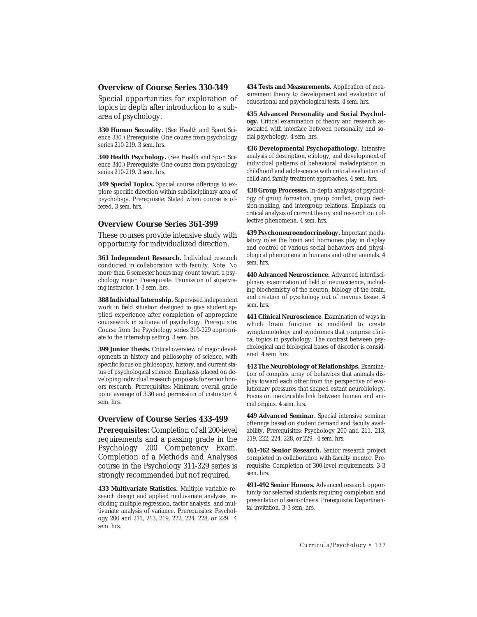## **Overview of Course Series 330-349**

Special opportunities for exploration of topics in depth after introduction to a subarea of psychology.

**330 Human Sexuality.** (See Health and Sport Science 330.) *Prerequisite*: One course from psychology series 210-219. *3 sem. hrs.*

**340 Health Psychology.** (See Health and Sport Science 340.) *Prerequisite*: One course from psychology series 210-219. *3 sem. hrs.*

**349 Special Topics.** Special course offerings to explore specific direction within subdisciplinary area of psychology. *Prerequisite*: Stated when course is offered. *3 sem. hrs.*

#### **Overview Course Series 361-399**

These courses provide intensive study with opportunity for individualized direction.

**361 Independent Research.** Individual research conducted in collaboration with faculty. Note: No more than 6 semester hours may count toward a psychology major. *Prerequisite*: Permission of supervising instructor. *1-3 sem. hrs.*

**388 Individual Internship.** Supervised independent work in field situation designed to give student applied experience after completion of appropriate coursework in subarea of psychology. *Prerequisite*: Course from the Psychology series 210-229 appropriate to the internship setting. *3 sem. hrs.*

**399 Junior Thesis.** Critical overview of major developments in history and philosophy of science, with specific focus on philosophy, history, and current status of psychological science. Emphasis placed on developing individual research proposals for senior honors research. *Prerequisites*: Minimum overall grade point average of 3.30 and permission of instructor. *4 sem. hrs.*

### **Overview of Course Series 433-499**

*Prerequisites:* Completion of all 200-level requirements and a passing grade in the Psychology 200 Competency Exam. Completion of a Methods and Analyses course in the Psychology 311-329 series is strongly recommended but not required.

**433 Multivariate Statistics.** Multiple variable research design and applied multivariate analyses, including multiple regression, factor analysis, and multivariate analysis of variance. *Prerequisites*: Psychology 200 and 211, 213, 219, 222, 224, 228, or 229. *4 sem. hrs.*

**434 Tests and Measurements.** Application of measurement theory to development and evaluation of educational and psychological tests. *4 sem. hrs.*

**435 Advanced Personality and Social Psychology.** Critical examination of theory and research associated with interface between personality and social psychology. *4 sem. hrs.*

**436 Developmental Psychopathology.** Intensive analysis of description, etiology, and development of individual patterns of behavioral maladaptation in childhood and adolescence with critical evaluation of child and family treatment approaches. *4 sem. hrs.*

**438 Group Processes.** In-depth analysis of psychology of group formation, group conflict, group decision-making, and intergroup relations. Emphasis on critical analysis of current theory and research on collective phenomena. *4 sem. hrs.*

**439 Psychoneuroendocrinology.** Important modulatory roles the brain and hormones play in display and control of various social behaviors and physiological phenomena in humans and other animals. *4 sem. hrs.*

**440 Advanced Neuroscience.** Advanced interdisciplinary examination of field of neuroscience, including biochemistry of the neuron, biology of the brain, and creation of pyschology out of nervous tissue. *4 sem. hrs.*

**441 Clinical Neuroscience**. Examination of ways in which brain function is modified to create symptomotology and syndromes that comprise clinical topics in psychology. The contrast between psychological and biological bases of disorder is considered. *4 sem. hrs.*

**442 The Neurobiology of Relationships.** Examination of complex array of behaviors that animals display toward each other from the perspective of evolutionary pressures that shaped extant neurobiology. Focus on inextricable link between human and animal origins. *4 sem. hrs.*

**449 Advanced Seminar.** Special intensive seminar offerings based on student demand and faculty availability. *Prerequisites*: Psychology 200 and 211, 213, 219, 222, 224, 228, or 229. *4 sem. hrs.*

**461-462 Senior Research.** Senior research project completed in collaboration with faculty mentor. *Prerequisite*: Completion of 300-level requirements. *3-3 sem. hrs.*

**491-492 Senior Honors.** Advanced research opportunity for selected students requiring completion and presentation of senior thesis. *Prerequisite*: Departmental invitation. *3-3 sem. hrs.*

*Curricula/Psychology • 137*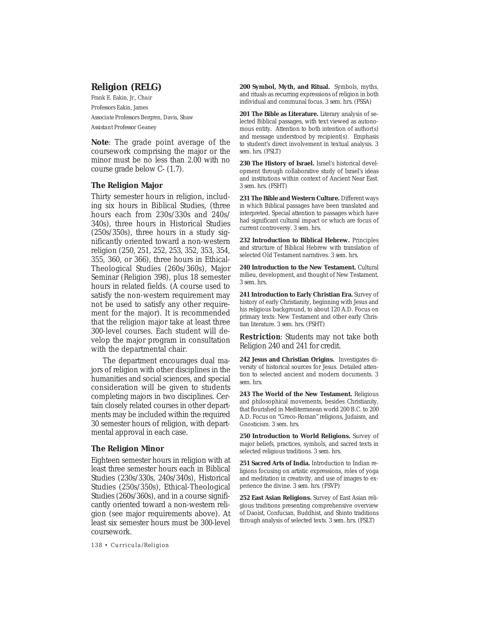# **Religion (RELG)**

Frank E. Eakin, Jr., *Chair Professors* Eakin, James *Associate Professors* Bergren, Davis, Shaw *Assistant Professor* Geaney

**Note**: The grade point average of the coursework comprising the major or the minor must be no less than 2.00 with no course grade below *C-* (1.7).

### **The Religion Major**

Thirty semester hours in religion, including six hours in Biblical Studies, (three hours each from 230s/330s and 240s/ 340s), three hours in Historical Studies (250s/350s), three hours in a study significantly oriented toward a non-western religion (250, 251, 252, 253, 352, 353, 354, 355, 360, or 366), three hours in Ethical-Theological Studies (260s/360s), Major Seminar (Religion 398), plus 18 semester hours in related fields. (A course used to satisfy the non-western requirement may not be used to satisfy any other requirement for the major). It is recommended that the religion major take at least three 300-level courses. Each student will develop the major program in consultation with the departmental chair.

The department encourages dual majors of religion with other disciplines in the humanities and social sciences, and special consideration will be given to students completing majors in two disciplines. Certain closely related courses in other departments may be included within the required 30 semester hours of religion, with departmental approval in each case.

## **The Religion Minor**

Eighteen semester hours in religion with at least three semester hours each in Biblical Studies (230s/330s, 240s/340s), Historical Studies (250s/350s), Ethical-Theological Studies (260s/360s), and in a course significantly oriented toward a non-western religion (see major requirements above). At least six semester hours must be 300-level coursework.

*138 • Curricula/Religion*

**200 Symbol, Myth, and Ritual.** Symbols, myths, and rituals as recurring expressions of religion in both individual and communal focus. *3 sem. hrs.* (FSSA)

**201 The Bible as Literature.** Literary analysis of selected Biblical passages, with text viewed as autonomous entity. Attention to both intention of author(s) and message understood by recipient(s). Emphasis to student's direct involvement in textual analysis. *3 sem. hrs.* (FSLT)

**230 The History of Israel.** Israel's historical development through collaborative study of Israel's ideas and institutions within context of Ancient Near East. *3 sem. hrs.* (FSHT)

**231 The Bible and Western Culture.** Different ways in which Biblical passages have been translated and interpreted. Special attention to passages which have had significant cultural impact or which are focus of current controversy. *3 sem. hrs.*

**232 Introduction to Biblical Hebrew.** Principles and structure of Biblical Hebrew with translation of selected Old Testament narratives. *3 sem. hrs.*

**240 Introduction to the New Testament.** Cultural milieu, development, and thought of New Testament. *3 sem. hrs.*

**241 Introduction to Early Christian Era.** Survey of history of early Christianity, beginning with Jesus and his religious background, to about 120 A.D. Focus on primary texts: New Testament and other early Christian literature. *3 sem. hrs.* (FSHT)

*Restriction*: Students may not take both Religion 240 and 241 for credit.

**242 Jesus and Christian Origins.** Investigates diversity of historical sources for Jesus. Detailed attention to selected ancient and modern documents. *3 sem. hrs.*

**243 The World of the New Testament.** Religious and philosophical movements, besides Christianity, that flourished in Mediterranean world 200 B.C. to 200 A.D. Focus on "Greco-Roman" religions, Judaism, and Gnosticism. *3 sem. hrs.*

**250 Introduction to World Religions.** Survey of major beliefs, practices, symbols, and sacred texts in selected religious traditions. *3 sem. hrs.*

**251 Sacred Arts of India.** Introduction to Indian religions focusing on artistic expressions, roles of yoga and meditation in creativity, and use of images to experience the divine. *3 sem. hrs.* (FSVP)

**252 East Asian Religions.** Survey of East Asian religious traditions presenting comprehensive overview of Daoist, Confucian, Buddhist, and Shinto traditions through analysis of selected texts. *3 sem. hrs.* (FSLT)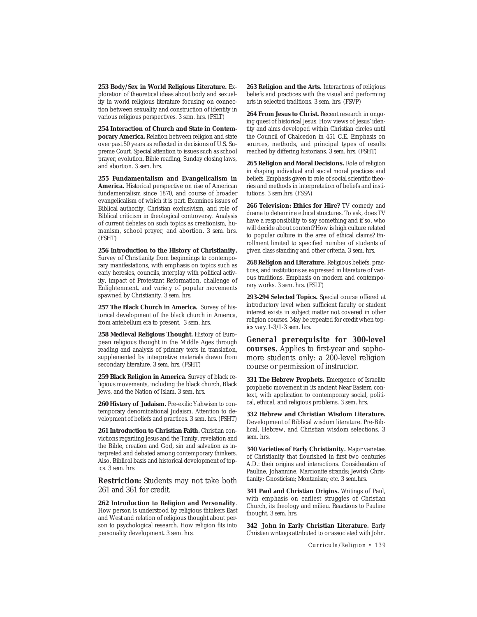**253 Body/Sex in World Religious Literature.** Exploration of theoretical ideas about body and sexuality in world religious literature focusing on connection between sexuality and construction of identity in various religious perspectives. *3 sem. hrs.* (FSLT)

**254 Interaction of Church and State in Contemporary America.** Relation between religion and state over past 50 years as reflected in decisions of U.S. Supreme Court. Special attention to issues such as school prayer, evolution, Bible reading, Sunday closing laws, and abortion. *3 sem. hrs.*

**255 Fundamentalism and Evangelicalism in America.** Historical perspective on rise of American fundamentalism since 1870, and course of broader evangelicalism of which it is part. Examines issues of Biblical authority, Christian exclusivism, and role of Biblical criticism in theological controversy. Analysis of current debates on such topics as creationism, humanism, school prayer, and abortion. *3 sem. hrs.* (FSHT)

**256 Introduction to the History of Christianity.** Survey of Christianity from beginnings to contemporary manifestations, with emphasis on topics such as early heresies, councils, interplay with political activity, impact of Protestant Reformation, challenge of Enlightenment, and variety of popular movements spawned by Christianity. *3 sem. hrs.*

**257 The Black Church in America.** Survey of historical development of the black church in America, from antebellum era to present. *3 sem. hrs.*

258 Medieval Religious Thought. History of European religious thought in the Middle Ages through reading and analysis of primary texts in translation, supplemented by interpretive materials drawn from secondary literature. *3 sem. hrs.* (FSHT)

**259 Black Religion in America.** Survey of black religious movements, including the black church, Black Jews, and the Nation of Islam. *3 sem. hrs.*

**260 History of Judaism.** Pre-exilic Yahwism to contemporary denominational Judaism. Attention to development of beliefs and practices. *3 sem. hrs.* (FSHT)

**261 Introduction to Christian Faith.** Christian convictions regarding Jesus and the Trinity, revelation and the Bible, creation and God, sin and salvation as interpreted and debated among contemporary thinkers. Also, Biblical basis and historical development of topics. *3 sem. hrs.*

*Restriction:* Students may not take both 261 and 361 for credit.

**262 Introduction to Religion and Personality**. How person is understood by religious thinkers East and West and relation of religious thought about person to psychological research. How religion fits into personality development. *3 sem. hrs.*

**263 Religion and the Arts.** Interactions of religious beliefs and practices with the visual and performing arts in selected traditions. *3 sem. hrs.* (FSVP)

264 From Jesus to Christ. Recent research in ongoing quest of historical Jesus. How views of Jesus' identity and aims developed within Christian circles until the Council of Chalcedon in 451 C.E. Emphasis on sources, methods, and principal types of results reached by differing historians. *3 sem. hrs.* (FSHT)

**265 Religion and Moral Decisions.** Role of religion in shaping individual and social moral practices and beliefs. Emphasis given to role of social scientific theories and methods in interpretation of beliefs and institutions. *3 sem.hrs.* (FSSA)

**266 Television: Ethics for Hire?** TV comedy and drama to determine ethical structures. To ask, does TV have a responsibility to say something and if so, who will decide about content? How is high culture related to popular culture in the area of ethical claims? Enrollment limited to specified number of students of given class standing and other criteria. *3 sem. hrs.*

**268 Religion and Literature.** Religious beliefs, practices, and institutions as expressed in literature of various traditions. Emphasis on modern and contemporary works. *3 sem. hrs.* (FSLT)

**293-294 Selected Topics.** Special course offered at introductory level when sufficient faculty or student interest exists in subject matter not covered in other religion courses. May be repeated for credit when topics vary.*1-3/1-3 sem. hrs.*

*General prerequisite for 300-level courses.* Applies to first-year and sophomore students only: a 200-level religion course or permission of instructor.

**331 The Hebrew Prophets.** Emergence of Israelite prophetic movement in its ancient Near Eastern context, with application to contemporary social, political, ethical, and religious problems. *3 sem. hrs.*

**332 Hebrew and Christian Wisdom Literature.** Development of Biblical wisdom literature. Pre-Biblical, Hebrew, and Christian wisdom selections. *3 sem. hrs.*

**340 Varieties of Early Christianity.** Major varieties of Christianity that flourished in first two centuries A.D.: their origins and interactions. Consideration of Pauline, Johannine, Marcionite strands; Jewish Christianity; Gnosticism; Montanism; etc. *3 sem.hrs.*

**341 Paul and Christian Origins.** Writings of Paul, with emphasis on earliest struggles of Christian Church, its theology and milieu. Reactions to Pauline thought. *3 sem. hrs.*

**342 John in Early Christian Literature.** Early Christian writings attributed to or associated with John.

*Curricula/Religion • 139*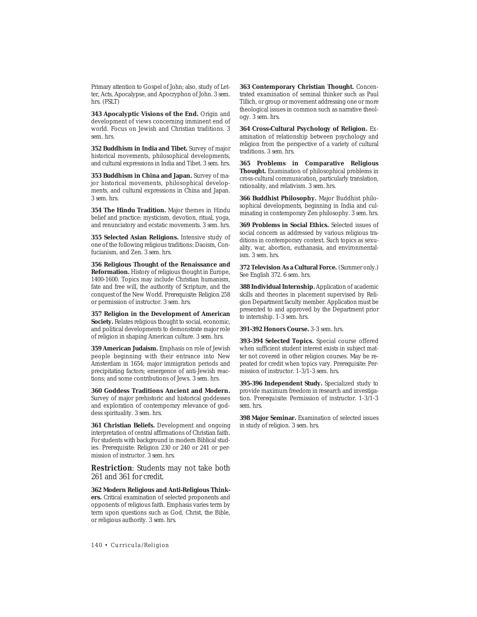Primary attention to Gospel of John; also, study of Letter, Acts, Apocalypse, and Apocryphon of John. *3 sem. hrs.* (FSLT)

**343 Apocalyptic Visions of the End.** Origin and development of views concerning imminent end of world. Focus on Jewish and Christian traditions. *3 sem. hrs.*

**352 Buddhism in India and Tibet.** Survey of major historical movements, philosophical developments, and cultural expressions in India and Tibet. *3 sem. hrs.*

**353 Buddhism in China and Japan.** Survey of major historical movements, philosophical developments, and cultural expressions in China and Japan. *3 sem. hrs.*

**354 The Hindu Tradition.** Major themes in Hindu belief and practice: mysticism, devotion, ritual, yoga, and renunciatory and ecstatic movements. *3 sem. hrs.*

**355 Selected Asian Religions.** Intensive study of one of the following religious traditions: Daoism, Confucianism, and Zen. *3 sem. hrs.*

**356 Religious Thought of the Renaissance and Reformation.** History of religious thought in Europe, 1400-1600. Topics may include Christian humanism, fate and free will, the authority of Scripture, and the conquest of the New World. *Prerequisite*: Religion 258 or permission of instructor. *3 sem. hrs.*

**357 Religion in the Development of American Society.** Relates religious thought to social, economic, and political developments to demonstrate major role of religion in shaping American culture. *3 sem. hrs.*

**359 American Judaism.** Emphasis on role of Jewish people beginning with their entrance into New Amsterdam in 1654; major immigration periods and precipitating factors; emergence of anti-Jewish reactions; and some contributions of Jews. *3 sem. hrs.*

**360 Goddess Traditions Ancient and Modern.** Survey of major prehistoric and historical goddesses and exploration of contemporary relevance of goddess spirituality. *3 sem. hrs.*

**361 Christian Beliefs.** Development and ongoing interpretation of central affirmations of Christian faith. For students with background in modern Biblical studies. *Prerequisite*: Religion 230 or 240 or 241 or permission of instructor. *3 sem. hrs.*

*Restriction*: Students may not take both 261 and 361 for credit.

**362 Modern Religious and Anti-Religious Thinkers.** Critical examination of selected proponents and opponents of religious faith. Emphasis varies term by term upon questions such as God, Christ, the Bible, or religious authority. *3 sem. hrs.*

**363 Contemporary Christian Thought.** Concentrated examination of seminal thinker such as Paul Tillich, or group or movement addressing one or more theological issues in common such as narrative theology. *3 sem. hrs.*

**364 Cross-Cultural Psychology of Religion.** Examination of relationship between psychology and religion from the perspective of a variety of cultural traditions. *3 sem. hrs.*

**365 Problems in Comparative Religious Thought.** Examination of philosophical problems in cross-cultural communication, particularly translation, rationality, and relativism. *3 sem. hrs.*

**366 Buddhist Philosophy.** Major Buddhist philosophical developments, beginning in India and culminating in contemporary Zen philosophy. *3 sem. hrs.*

**369 Problems in Social Ethics.** Selected issues of social concern as addressed by various religious traditions in contemporary context. Such topics as sexuality, war, abortion, euthanasia, and environmentalism. *3 sem. hrs.*

**372 Television As a Cultural Force.** (Summer only.) See English 372. *6 sem. hrs.*

**388 Individual Internship.** Application of academic skills and theories in placement supervised by Religion Department faculty member. Application must be presented to and approved by the Department prior to internship. *1-3 sem. hrs.*

**391-392 Honors Course.** *3-3 sem. hrs.*

**393-394 Selected Topics.** Special course offered when sufficient student interest exists in subject matter not covered in other religion courses. May be repeated for credit when topics vary. *Prerequisite*: Permission of instructor. *1-3/1-3 sem. hrs.*

**395-396 Independent Study.** Specialized study to provide maximum freedom in research and investigation. *Prerequisite*: Permission of instructor. *1-3/1-3 sem. hrs.*

**398 Major Seminar.** Examination of selected issues in study of religion. *3 sem. hrs.*

*140 • Curricula/Religion*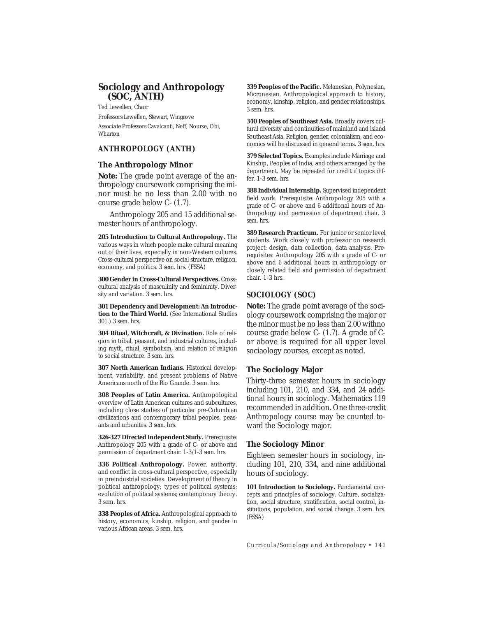## **Sociology and Anthropology (SOC, ANTH)**

Ted Lewellen, *Chair*

*Professors* Lewellen, Stewart, Wingrove *Associate Professors* Cavalcanti, Neff, Nourse, Obi, Wharton

### *ANTHROPOLOGY (ANTH)*

#### **The Anthropology Minor**

**Note:** The grade point average of the anthropology coursework comprising the minor must be no less than 2.00 with no course grade below *C-* (1.7).

Anthropology 205 and 15 additional semester hours of anthropology.

**205 Introduction to Cultural Anthropology.** The various ways in which people make cultural meaning out of their lives, expecially in non-Western cultures. Cross-cultural perspective on social structure, religion, economy, and politics. *3 sem. hrs.* (FSSA)

**300 Gender in Cross-Cultural Perspectives.** Crosscultural analysis of masculinity and femininity. Diversity and variation. *3 sem. hrs.*

**301 Dependency and Development: An Introduction to the Third World.** (See International Studies 301.) *3 sem. hrs.*

**304 Ritual, Witchcraft, & Divination.** Role of religion in tribal, peasant, and industrial cultures, including myth, ritual, symbolism, and relation of religion to social structure. *3 sem. hrs.*

**307 North American Indians.** Historical development, variability, and present problems of Native Americans north of the Rio Grande. *3 sem. hrs.*

**308 Peoples of Latin America.** Anthropological overview of Latin American cultures and subcultures, including close studies of particular pre-Columbian civilizations and contemporary tribal peoples, peasants and urbanites. *3 sem. hrs.*

**326-327 Directed Independent Study.** *Prerequisite:* Anthropology 205 with a grade of C- or above and permission of department chair. *1-3/1-3 sem. hrs.*

**336 Political Anthropology.** Power, authority, and conflict in cross-cultural perspective, especially in preindustrial societies. Development of theory in political anthropology; types of political systems; evolution of political systems; contemporary theory. *3 sem. hrs.*

**338 Peoples of Africa.** Anthropological approach to history, economics, kinship, religion, and gender in various African areas. *3 sem. hrs.*

**339 Peoples of the Pacific.** Melanesian, Polynesian, Micronesian. Anthropological approach to history, economy, kinship, religion, and gender relationships. *3 sem. hrs.*

**340 Peoples of Southeast Asia.** Broadly covers cultural diversity and continuities of mainland and island Southeast Asia. Religion, gender, colonialism, and economics will be discussed in general terms. *3 sem. hrs.*

**379 Selected Topics.** Examples include Marriage and Kinship, Peoples of India, and others arranged by the department. May be repeated for credit if topics differ. *1-3 sem. hrs.*

**388 Individual Internship.** Supervised independent field work. *Prerequisite:* Anthropology 205 with a grade of C- or above and 6 additional hours of Anthropology and permission of department chair. *3 sem. hrs.*

**389 Research Practicum.** For junior or senior level students. Work closely with professor on research project: design, data collection, data analysis. *Prerequisites*: Anthropology 205 with a grade of C- or above and 6 additional hours in anthropology or closely related field and permission of department chair. *1-3 hrs.*

## *SOCIOLOGY (SOC)*

**Note:** The grade point average of the sociology coursework comprising the major or the minor must be no less than 2.00 withno course grade below *C-* (1.7). A grade of *C*or above is required for all upper level sociaology courses, except as noted.

#### **The Sociology Major**

Thirty-three semester hours in sociology including 101, 210, and 334, and 24 additional hours in sociology. Mathematics 119 recommended in addition. One three-credit Anthropology course may be counted toward the Sociology major.

#### **The Sociology Minor**

Eighteen semester hours in sociology, including 101, 210, 334, and nine additional hours of sociology.

**101 Introduction to Sociology.** Fundamental concepts and principles of sociology. Culture, socialization, social structure, stratification, social control, institutions, population, and social change. *3 sem. hrs.* (FSSA)

*Curricula/Sociology and Anthropology • 141*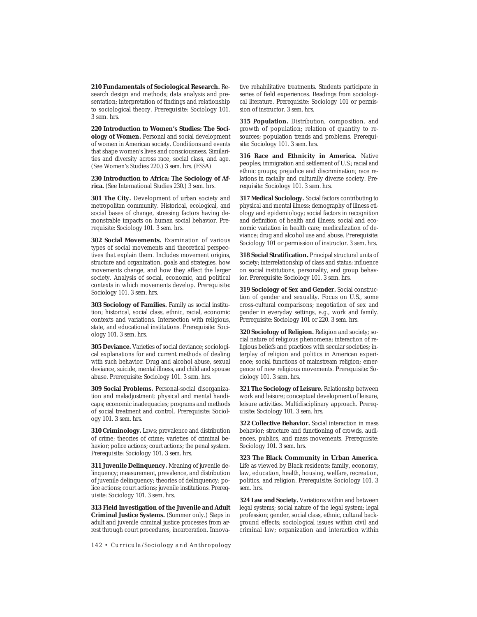**210 Fundamentals of Sociological Research.** Research design and methods; data analysis and presentation; interpretation of findings and relationship to sociological theory. *Prerequisite*: Sociology 101. *3 sem. hrs.*

**220 Introduction to Women's Studies: The Sociology of Women.** Personal and social development of women in American society. Conditions and events that shape women's lives and consciousness. Similarities and diversity across race, social class, and age. (See Women's Studies 220.) *3 sem. hrs.* (FSSA)

**230 Introduction to Africa: The Sociology of Africa.** (See International Studies 230.) *3 sem. hrs.*

**301 The City.** Development of urban society and metropolitan community. Historical, ecological, and social bases of change, stressing factors having demonstrable impacts on human social behavior. *Prerequisite*: Sociology 101. *3 sem. hrs.*

**302 Social Movements.** Examination of various types of social movements and theoretical perspectives that explain them. Includes movement origins, structure and organization, goals and strategies, how movements change, and how they affect the larger society. Analysis of social, economic, and political contexts in which movements develop. *Prerequisite*: Sociology 101. *3 sem. hrs.*

**303 Sociology of Families.** Family as social institution; historical, social class, ethnic, racial, economic contexts and variations. Intersection with religious, state, and educational institutions. *Prerequisite*: Sociology 101. *3 sem. hrs.*

**305 Deviance.** Varieties of social deviance; sociological explanations for and current methods of dealing with such behavior. Drug and alcohol abuse, sexual deviance, suicide, mental illness, and child and spouse abuse. *Prerequisite*: Sociology 101. *3 sem. hrs.*

**309 Social Problems.** Personal-social disorganization and maladjustment: physical and mental handicaps; economic inadequacies; programs and methods of social treatment and control. *Prerequisite*: Sociology 101. *3 sem. hrs.*

**310 Criminology.** Laws; prevalence and distribution of crime; theories of crime; varieties of criminal behavior; police actions; court actions; the penal system. *Prerequisite*: Sociology 101. *3 sem. hrs.*

**311 Juvenile Delinquency.** Meaning of juvenile delinquency; measurement, prevalence, and distribution of juvenile delinquency; theories of delinquency; police actions; court actions; juvenile institutions. *Prerequisite*: Sociology 101. *3 sem. hrs.*

**313 Field Investigation of the Juvenile and Adult Criminal Justice Systems.** (Summer only.) Steps in adult and juvenile criminal justice processes from arrest through court procedures, incarceration. Innova-

*142 • Curricula/Sociology and Anthropology*

tive rehabilitative treatments. Students participate in series of field experiences. Readings from sociological literature. *Prerequisite*: Sociology 101 or permission of instructor. *3 sem. hrs.*

**315 Population.** Distribution, composition, and growth of population; relation of quantity to resources; population trends and problems. *Prerequisite*: Sociology 101. *3 sem. hrs.*

**316 Race and Ethnicity in America.** Native peoples; immigration and settlement of U.S.; racial and ethnic groups; prejudice and discrimination; race relations in racially and culturally diverse society. *Prerequisite*: Sociology 101. *3 sem. hrs.*

**317 Medical Sociology.** Social factors contributing to physical and mental illness; demography of illness etiology and epidemiology; social factors in recognition and definition of health and illness; social and economic variation in health care; medicalization of deviance; drug and alcohol use and abuse. *Prerequisite*: Sociology 101 or permission of instructor. *3 sem. hrs.*

**318 Social Stratification.** Principal structural units of society; interrelationship of class and status; influence on social institutions, personality, and group behavior. *Prerequisite*: Sociology 101. *3 sem. hrs.*

**319 Sociology of Sex and Gender.** Social construction of gender and sexuality. Focus on U.S., some cross-cultural comparisons; negotiation of sex and gender in everyday settings, e.g., work and family. *Prerequisite*: Sociology 101 or 220. *3 sem. hrs.*

**320 Sociology of Religion.** Religion and society; social nature of religious phenomena; interaction of religious beliefs and practices with secular societies; interplay of religion and politics in American experience; social functions of mainstream religion; emergence of new religious movements. *Prerequisite*: Sociology 101. *3 sem. hrs.*

**321 The Sociology of Leisure.** Relationshp between work and leisure; conceptual development of leisure, leisure activities. Multidisciplinary approach. *Prerequisite*: Sociology 101. *3 sem. hrs.*

**322 Collective Behavior.** Social interaction in mass behavior; structure and functioning of crowds, audiences, publics, and mass movements. *Prerequisite*: Sociology 101. *3 sem. hrs.*

**323 The Black Community in Urban America.** Life as viewed by Black residents; family, economy, law, education, health, housing, welfare, recreation, politics, and religion. *Prerequisite*: Sociology 101. *3 sem. hrs.*

**324 Law and Society.** Variations within and between legal systems; social nature of the legal system; legal profession; gender, social class, ethnic, cultural background effects; sociological issues within civil and criminal law; organization and interaction within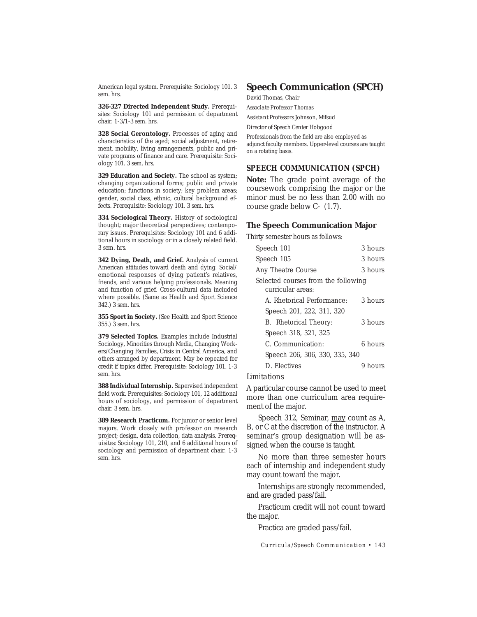American legal system. *Prerequisite*: Sociology 101. *3 sem. hrs.*

**326-327 Directed Independent Study.** *Prerequisites*: Sociology 101 and permission of department chair. *1-3/1-3 sem. hrs.*

**328 Social Gerontology.** Processes of aging and characteristics of the aged; social adjustment, retirement, mobility, living arrangements, public and private programs of finance and care. *Prerequisite*: Sociology 101. *3 sem. hrs.*

**329 Education and Society.** The school as system; changing organizational forms; public and private education; functions in society; key problem areas; gender, social class, ethnic, cultural background effects. *Prerequisite*: Sociology 101. *3 sem. hrs.*

**334 Sociological Theory.** History of sociological thought; major theoretical perspectives; contemporary issues. *Prerequisites*: Sociology 101 and 6 additional hours in sociology or in a closely related field. *3 sem. hrs.*

**342 Dying, Death, and Grief.** Analysis of current American attitudes toward death and dying. Social/ emotional responses of dying patient's relatives, friends, and various helping professionals. Meaning and function of grief. Cross-cultural data included where possible. (Same as Health and Sport Science 342.) *3 sem. hrs.*

**355 Sport in Society.** (See Health and Sport Science 355.) *3 sem. hrs.*

**379 Selected Topics.** Examples include Industrial Sociology, Minorities through Media, Changing Workers/Changing Families, Crisis in Central America, and others arranged by department. May be repeated for credit if topics differ. *Prerequisite*: Sociology 101. *1-3 sem. hrs.*

**388 Individual Internship.** Supervised independent field work. *Prerequisites*: Sociology 101, 12 additional hours of sociology, and permission of department chair. *3 sem. hrs.*

**389 Research Practicum.** For junior or senior level majors. Work closely with professor on research project; design, data collection, data analysis. *Prerequisites*: Sociology 101, 210, and 6 additional hours of sociology and permission of department chair. *1-3 sem. hrs.*

## **Speech Communication (SPCH)**

David Thomas, *Chair*

*Associate Professor* Thomas

*Assistant Professors* Johnson, Mifsud

*Director of Speech Center* Hobgood

Professionals from the field are also employed as adjunct faculty members. Upper-level courses are taught on a rotating basis.

### *SPEECH COMMUNICATION (SPCH)*

**Note:** The grade point average of the coursework comprising the major or the minor must be no less than 2.00 with no course grade below *C-* (1.7).

#### **The Speech Communication Major**

Thirty semester hours as follows:

| Speech 101                                               | 3 hours |
|----------------------------------------------------------|---------|
| Speech 105                                               | 3 hours |
| Any Theatre Course                                       | 3 hours |
| Selected courses from the following<br>curricular areas: |         |
| A. Rhetorical Performance:                               | 3 hours |
| Speech 201, 222, 311, 320                                |         |
| B. Rhetorical Theory:                                    | 3 hours |
| Speech 318, 321, 325                                     |         |
| C. Communication:                                        | 6 hours |
| Speech 206, 306, 330, 335, 340                           |         |
| D. Electives                                             | hours   |

#### *Limitations*

A particular course cannot be used to meet more than one curriculum area requirement of the major.

Speech 312, Seminar, may count as A, B, or C at the discretion of the instructor. A seminar's group designation will be assigned when the course is taught.

No more than three semester hours each of internship and independent study may count toward the major.

Internships are strongly recommended, and are graded pass/fail.

Practicum credit will not count toward the major.

Practica are graded pass/fail.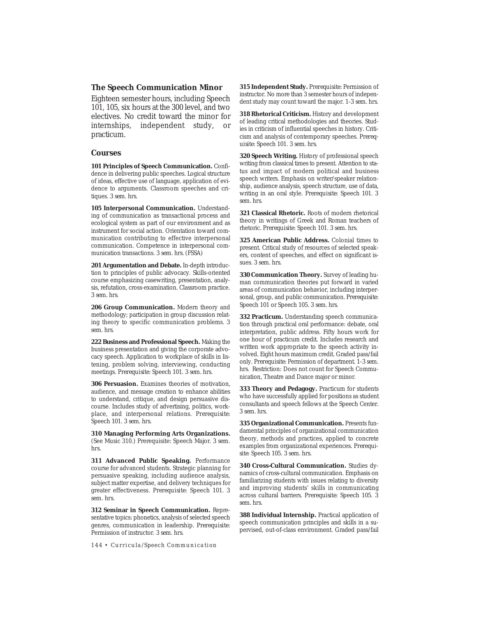### **The Speech Communication Minor**

Eighteen semester hours, including Speech 101, 105, six hours at the 300 level, and two electives. No credit toward the minor for internships, independent study, or practicum.

#### **Courses**

**101 Principles of Speech Communication.** Confidence in delivering public speeches. Logical structure of ideas, effective use of language, application of evidence to arguments. Classroom speeches and critiques. *3 sem. hrs.*

**105 Interpersonal Communication.** Understanding of communication as transactional process and ecological system as part of our environment and as instrument for social action. Orientation toward communication contributing to effective interpersonal communication. Competence in interpersonal communication transactions. *3 sem. hrs.* (FSSA)

**201 Argumentation and Debate.** In-depth introduction to principles of public advocacy. Skills-oriented course emphasizing casewriting, presentation, analysis, refutation, cross-examination. Classroom practice. *3 sem. hrs.*

**206 Group Communication.** Modern theory and methodology; participation in group discussion relating theory to specific communication problems. *3 sem. hrs.*

**222 Business and Professional Speech.** Making the business presentation and giving the corporate advocacy speech. Application to workplace of skills in listening, problem solving, interviewing, conducting meetings. *Prerequisite*: Speech 101. *3 sem. hrs.*

**306 Persuasion.** Examines theories of motivation, audience, and message creation to enhance abilities to understand, critique, and design persuasive discourse. Includes study of advertising, politics, workplace, and interpersonal relations. *Prerequisite*: Speech 101. *3 sem. hrs.*

**310 Managing Performing Arts Organizations.** (See Music 310.) Prerequisite: Speech Major. *3 sem. hrs.*

**311 Advanced Public Speaking.** Performance course for advanced students. Strategic planning for persuasive speaking, including audience analysis, subject matter expertise, and delivery techniques for greater effectiveness. *Prerequisite*: Speech 101. *3 sem. hrs.*

**312 Seminar in Speech Communication.** Representative topics: phonetics, analysis of selected speech genres, communication in leadership. *Prerequisite*: Permission of instructor. *3 sem. hrs.*

*144 • Curricula/Speech Communication*

**315 Independent Study.** *Prerequisite*: Permission of instructor. No more than 3 semester hours of independent study may count toward the major. *1-3 sem. hrs.*

**318 Rhetorical Criticism.** History and development of leading critical methodologies and theories. Studies in criticism of influential speeches in history. Criticism and analysis of contemporary speeches. *Prerequisite*: Speech 101. *3 sem. hrs.*

**320 Speech Writing.** History of professional speech writing from classical times to present. Attention to status and impact of modern political and business speech writers. Emphasis on writer/speaker relationship, audience analysis, speech structure, use of data, writing in an oral style. *Prerequisite*: Speech 101. *3 sem. hrs.*

**321 Classical Rhetoric.** Roots of modern rhetorical theory in writings of Greek and Roman teachers of rhetoric. *Prerequisite*: Speech 101. *3 sem. hrs.*

**325 American Public Address.** Colonial times to present. Critical study of resources of selected speakers, content of speeches, and effect on significant issues. *3 sem. hrs.*

**330 Communication Theory.** Survey of leading human communication theories put forward in varied areas of communication behavior, including interpersonal, group, and public communication. *Prerequisite*: Speech 101 or Speech 105. *3 sem. hrs.*

**332 Practicum.** Understanding speech communication through practical oral performance: debate, oral interpretation, public address. Fifty hours work for one hour of practicum credit. Includes research and written work appropriate to the speech activity involved. Eight hours maximum credit. Graded pass/fail only. *Prerequisite*: Permission of department. *1-3 sem. hrs.* Restriction: Does not count for Speech Communication, Theatre and Dance major or minor.

**333 Theory and Pedagogy.** Practicum for students who have successfully applied for positions as student consultants and speech fellows at the Speech Center. *3 sem. hrs.*

**335 Organizational Communication.** Presents fundamental principles of organizational communication theory, methods and practices, applied to concrete examples from organizational experiences. *Prerequisite*: Speech 105. *3 sem. hrs.*

**340 Cross-Cultural Communication.** Studies dynamics of cross-cultural communication. Emphasis on familiarizing students with issues relating to diversity and improving students' skills in communicating across cultural barriers. *Prerequisite*: Speech 105. *3 sem. hrs.*

**388 Individual Internship.** Practical application of speech communication principles and skills in a supervised, out-of-class environment. Graded pass/fail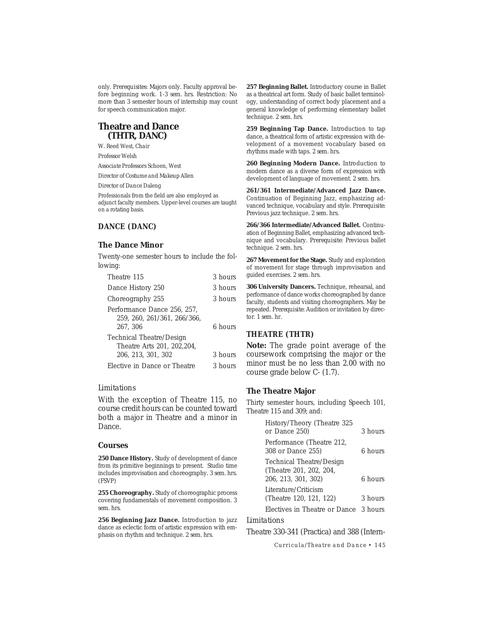only. *Prerequisites*: Majors only. Faculty approval before beginning work. *1-3 sem. hrs.* Restriction: No more than 3 semester hours of internship may count for speech communication major.

## **Theatre and Dance (THTR, DANC)**

W. Reed West, *Chair*

*Professor* Welsh

*Associate Professors* Schoen, West

*Director of Costume and Makeup* Allen

*Director of Dance* Daleng

Professionals from the field are also employed as adjunct faculty members. Upper-level courses are taught on a rotating basis.

## *DANCE (DANC)*

## **The Dance Minor**

Twenty-one semester hours to include the following:

| Theatre 115                                                                   | 3 hours |
|-------------------------------------------------------------------------------|---------|
| Dance History 250                                                             | 3 hours |
| Choreography 255                                                              | 3 hours |
| Performance Dance 256, 257,<br>259, 260, 261/361, 266/366,<br>267.306         | 6 hours |
| Technical Theatre/Design<br>Theatre Arts 201, 202, 204,<br>206, 213, 301, 302 | 3 hours |
| Elective in Dance or Theatre                                                  | 3 hours |
|                                                                               |         |

#### *Limitations*

With the exception of Theatre 115, no course credit hours can be counted toward both a major in Theatre and a minor in Dance.

#### **Courses**

**250 Dance History.** Study of development of dance from its primitive beginnings to present. Studio time includes improvisation and choreography. *3 sem. hrs.* (FSVP)

255 Choreography. Study of choreographic process covering fundamentals of movement composition. *3 sem. hrs.*

256 Beginning Jazz Dance. Introduction to jazz dance as eclectic form of artistic expression with emphasis on rhythm and technique. *2 sem. hrs.*

**257 Beginning Ballet.** Introductory course in Ballet as a theatrical art form. Study of basic ballet terminology, understanding of correct body placement and a general knowledge of performing elementary ballet technique. *2 sem. hrs.*

**259 Beginning Tap Dance.** Introduction to tap dance, a theatrical form of artistic expression with development of a movement vocabulary based on rhythms made with taps. *2 sem. hrs.*

**260 Beginning Modern Dance.** Introduction to modern dance as a diverse form of expression with development of language of movement. *2 sem. hrs.*

**261/361 Intermediate/Advanced Jazz Dance.** Continuation of Beginning Jazz, emphasizing advanced technique, vocabulary and style. *Prerequisite*: Previous jazz technique. *2 sem. hrs.*

**266/366 Intermediate/Advanced Ballet.** Continuation of Beginning Ballet, emphasizing advanced technique and vocabulary. *Prerequisite*: Previous ballet technique. *2 sem. hrs.*

**267 Movement for the Stage.** Study and exploration of movement for stage through improvisation and guided exercises. *2 sem. hrs.*

**306 University Dancers.** Technique, rehearsal, and performance of dance works choreographed by dance faculty, students and visiting choreographers. May be repeated. *Prerequisite*: Audition or invitation by director. *1 sem. hr.*

## *THEATRE (THTR)*

**Note:** The grade point average of the coursework comprising the major or the minor must be no less than 2.00 with no course grade below *C-* (1.7).

#### **The Theatre Major**

Thirty semester hours, including Speech 101, Theatre 115 and 309; and:

| History/Theory (Theatre 325<br>or Dance 250)                               | 3 hours |
|----------------------------------------------------------------------------|---------|
| Performance (Theatre 212,<br>308 or Dance 255)                             | 6 hours |
| Technical Theatre/Design<br>(Theatre 201, 202, 204,<br>206, 213, 301, 302) | 6 hours |
| Literature/Criticism<br>(Theatre 120, 121, 122)                            | 3 hours |
| Electives in Theatre or Dance 3 hours                                      |         |

#### *Limitations*

Theatre 330-341 (Practica) and 388 (Intern-

*Curricula/Theatre and Dance • 145*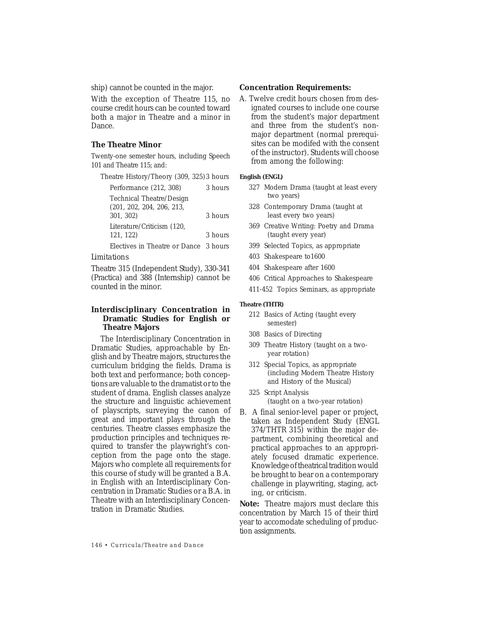ship) cannot be counted in the major.

With the exception of Theatre 115, no course credit hours can be counted toward both a major in Theatre and a minor in Dance.

#### **The Theatre Minor**

Twenty-one semester hours, including Speech 101 and Theatre 115; and:

| Theatre History/Theory (309, 325) 3 hours             |         |
|-------------------------------------------------------|---------|
| Performance (212, 308)                                | 3 hours |
| Technical Theatre/Design<br>(201, 202, 204, 206, 213, |         |
| 301, 302)                                             | 3 hours |
| Literature/Criticism (120,                            |         |
| 121, 122)                                             | 3 hours |
| Electives in Theatre or Dance 3 hours                 |         |

## *Limitations*

Theatre 315 (Independent Study), 330-341 (Practica) and 388 (Internship) cannot be counted in the minor.

## **Interdisciplinary Concentration in Dramatic Studies for English or Theatre Majors**

The Interdisciplinary Concentration in Dramatic Studies, approachable by English and by Theatre majors, structures the curriculum bridging the fields. Drama is both text and performance; both conceptions are valuable to the dramatist or to the student of drama. English classes analyze the structure and linguistic achievement of playscripts, surveying the canon of great and important plays through the centuries. Theatre classes emphasize the production principles and techniques required to transfer the playwright's conception from the page onto the stage. Majors who complete all requirements for this course of study will be granted a B.A. in English with an Interdisciplinary Concentration in Dramatic Studies or a B.A. in Theatre with an Interdisciplinary Concentration in Dramatic Studies.

#### **Concentration Requirements:**

A. Twelve credit hours chosen from designated courses to include one course from the student's major department and three from the student's nonmajor department (normal prerequisites can be modifed with the consent of the instructor). Students will choose from among the following:

#### **English (ENGL)**

- 327 Modern Drama (taught at least every two years)
- 328 Contemporary Drama (taught at least every two years)
- 369 Creative Writing: Poetry and Drama (taught every year)
- 399 Selected Topics, as appropriate
- 403 Shakespeare to1600
- 404 Shakespeare after 1600
- 406 Critical Approaches to Shakespeare
- 411-452 Topics Seminars, as appropriate

#### **Theatre (THTR)**

- 212 Basics of Acting (taught every semester)
- 308 Basics of Directing
- 309 Theatre History (taught on a twoyear rotation)
- 312 Special Topics, as appropriate (including Modern Theatre History and History of the Musical)
- 325 Script Analysis (taught on a two-year rotation)
- B. A final senior-level paper or project, taken as Independent Study (ENGL 374/THTR 315) within the major department, combining theoretical and practical approaches to an appropriately focused dramatic experience. Knowledge of theatrical tradition would be brought to bear on a contemporary challenge in playwriting, staging, acting, or criticism.

**Note:** Theatre majors must declare this concentration by March 15 of their third year to accomodate scheduling of production assignments.

*146 • Curricula/Theatre and Dance*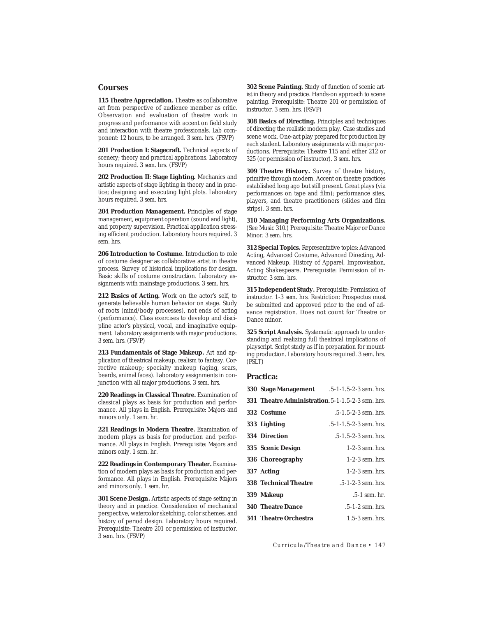#### **Courses**

**115 Theatre Appreciation.** Theatre as collaborative art from perspective of audience member as critic. Observation and evaluation of theatre work in progress and performance with accent on field study and interaction with theatre professionals. Lab component: 12 hours, to be arranged. *3 sem. hrs.* (FSVP)

201 Production I: Stagecraft. Technical aspects of scenery; theory and practical applications. Laboratory hours required. *3 sem. hrs.* (FSVP)

**202 Production II: Stage Lighting.** Mechanics and artistic aspects of stage lighting in theory and in practice; designing and executing light plots. Laboratory hours required. *3 sem. hrs.*

**204 Production Management.** Principles of stage management, equipment operation (sound and light), and property supervision. Practical application stressing efficient production. Laboratory hours required. *3 sem. hrs.*

**206 Introduction to Costume.** Introduction to role of costume designer as collaborative artist in theatre process. Survey of historical implications for design. Basic skills of costume construction. Laboratory assignments with mainstage productions. *3 sem. hrs.*

212 Basics of Acting. Work on the actor's self, to generate believable human behavior on stage. Study of roots (mind/body processes), not ends of acting (performance). Class exercises to develop and discipline actor's physical, vocal, and imaginative equipment. Laboratory assignments with major productions. *3 sem. hrs.* (FSVP)

**213 Fundamentals of Stage Makeup.** Art and application of theatrical makeup, realism to fantasy. Corrective makeup; specialty makeup (aging, scars, beards, animal faces). Laboratory assignments in conjunction with all major productions. *3 sem. hrs.*

**220 Readings in Classical Theatre.** Examination of classical plays as basis for production and performance. All plays in English. *Prerequisite*: Majors and minors only. *1 sem. hr.*

**221 Readings in Modern Theatre.** Examination of modern plays as basis for production and performance. All plays in English. *Prerequisite*: Majors and minors only. *1 sem. hr.*

**222 Readings in Contemporary Theater.** Examination of modern plays as basis for production and performance. All plays in English. *Prerequisite*: Majors and minors only. *1 sem. hr.*

**301 Scene Design.** Artistic aspects of stage setting in theory and in practice. Consideration of mechanical perspective, watercolor sketching, color schemes, and history of period design. Laboratory hours required. *Prerequisite*: Theatre 201 or permission of instructor. *3 sem. hrs.* (FSVP)

**302 Scene Painting.** Study of function of scenic artist in theory and practice. Hands-on approach to scene painting. *Prerequisite*: Theatre 201 or permission of instructor. *3 sem. hrs.* (FSVP)

**308 Basics of Directing.** Principles and techniques of directing the realistic modern play. Case studies and scene work. One-act play prepared for production by each student. Laboratory assignments with major productions. *Prerequisite*: Theatre 115 and either 212 or 325 (or permission of instructor). *3 sem. hrs.*

**309 Theatre History.** Survey of theatre history, primitive through modern. Accent on theatre practices established long ago but still present. Great plays (via performances on tape and film); performance sites, players, and theatre practitioners (slides and film strips). *3 sem. hrs.*

**310 Managing Performing Arts Organizations.** (See Music 310.) *Prerequisite*: Theatre Major or Dance Minor. *3 sem. hrs.*

**312 Special Topics.** Representative topics: Advanced Acting, Advanced Costume, Advanced Directing, Advanced Makeup, History of Apparel, Improvisation, Acting Shakespeare. *Prerequisite*: Permission of instructor. *3 sem. hrs.*

**315 Independent Study.** *Prerequisite*: Permission of instructor. *1-3 sem. hrs.* Restriction: Prospectus must be submitted and approved prior to the end of advance registration. Does not count for Theatre or Dance minor.

**325 Script Analysis.** Systematic approach to understanding and realizing full theatrical implications of playscript. Script study as if in preparation for mounting production. Laboratory hours required. *3 sem. hrs.* (FSLT)

#### **Practica:**

| <b>330 Stage Management</b> 5-1-1.5-2-3 sem. hrs.         |                              |
|-----------------------------------------------------------|------------------------------|
| <b>331 Theatre Administration.</b> 5-1-1. 5-2-3 sem. hrs. |                              |
| 332 Costume                                               | $.5 - 1.5 - 2 - 3$ sem. hrs. |
| 333 Lighting                                              | .5-1-1.5-2-3 sem. hrs.       |
| <b>334 Direction</b>                                      | .5-1.5-2-3 sem. hrs.         |
| 335 Scenic Design                                         | $1-2-3$ sem. hrs.            |
| 336 Choreography                                          | $1-2-3$ sem. hrs.            |
| 337 Acting                                                | $1-2-3$ sem hrs              |
| <b>338 Technical Theatre</b>                              | .5-1-2-3 sem. hrs.           |
| 339 Makeup                                                | $.5-1$ sem. $hr$ .           |
| <b>340 Theatre Dance</b>                                  | $.5 - 1 - 2$ sem. hrs.       |
| <b>341 Theatre Orchestra</b>                              | $1.5-3$ sem. hrs.            |

*Curricula/Theatre and Dance • 147*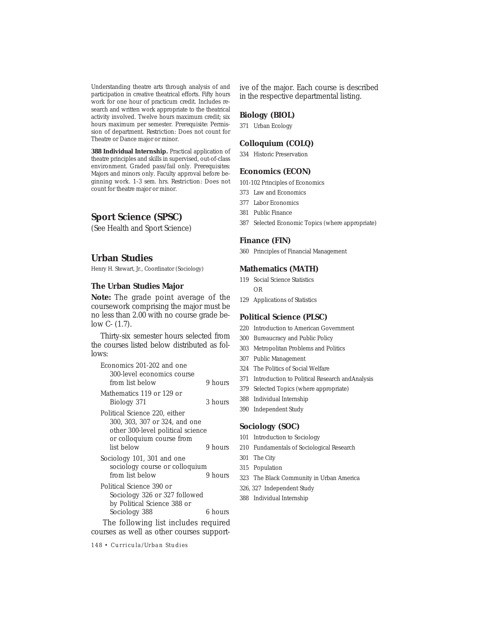Understanding theatre arts through analysis of and participation in creative theatrical efforts. Fifty hours work for one hour of practicum credit. Includes research and written work appropriate to the theatrical activity involved. Twelve hours maximum credit; six hours maximum per semester. *Prerequisite*: Permission of department. *Restriction*: Does not count for Theatre or Dance major or minor.

**388 Individual Internship.** Practical application of theatre principles and skills in supervised, out-of-class environment. Graded pass/fail only. *Prerequisites*: Majors and minors only. Faculty approval before beginning work. *1-3 sem. hrs. Restriction*: Does not count for theatre major or minor.

## **Sport Science (SPSC)**

(See Health and Sport Science)

## **Urban Studies**

Henry H. Stewart, Jr., Coordinator (Sociology)

#### **The Urban Studies Major**

**Note:** The grade point average of the coursework comprising the major must be no less than 2.00 with no course grade below *C-* (1.7).

Thirty-six semester hours selected from the courses listed below distributed as follows:

| Economics 201-202 and one<br>300-level economics course<br>from list below                                                                     | 9 hours |
|------------------------------------------------------------------------------------------------------------------------------------------------|---------|
| Mathematics 119 or 129 or<br>Biology 371                                                                                                       | 3 hours |
| Political Science 220, either<br>300, 303, 307 or 324, and one<br>other 300-level political science<br>or colloquium course from<br>list below | 9 hours |
| Sociology 101, 301 and one<br>sociology course or colloquium<br>from list below                                                                | 9 hours |
| Political Science 390 or<br>Sociology 326 or 327 followed<br>by Political Science 388 or<br>Sociology 388                                      | 6 hours |

The following list includes required courses as well as other courses support-

*148 • Curricula/Urban Studies*

ive of the major. Each course is described in the respective departmental listing.

## **Biology (BIOL)**

371 Urban Ecology

#### **Colloquium (COLQ)**

334 Historic Preservation

## **Economics (ECON)**

101-102 Principles of Economics

- 373 Law and Economics
- 377 Labor Economics
- 381 Public Finance
- 387 Selected Economic Topics (where appropriate)

#### **Finance (FIN)**

360 Principles of Financial Management

#### **Mathematics (MATH)**

- 119 Social Science Statistics OR
- 129 Applications of Statistics

#### **Political Science (PLSC)**

- 220 Introduction to American Government
- 300 Bureaucracy and Public Policy
- 303 Metropolitan Problems and Politics
- 307 Public Management
- 324 The Politics of Social Welfare
- 371 Introduction to Political Research andAnalysis
- 379 Selected Topics (where appropriate)
- 388 Individual Internship
- 390 Independent Study

#### **Sociology (SOC)**

- 101 Introduction to Sociology
- 210 Fundamentals of Sociological Research
- 301 The City
- 315 Population
- 323 The Black Community in Urban America
- 326, 327 Independent Study
- 388 Individual Internship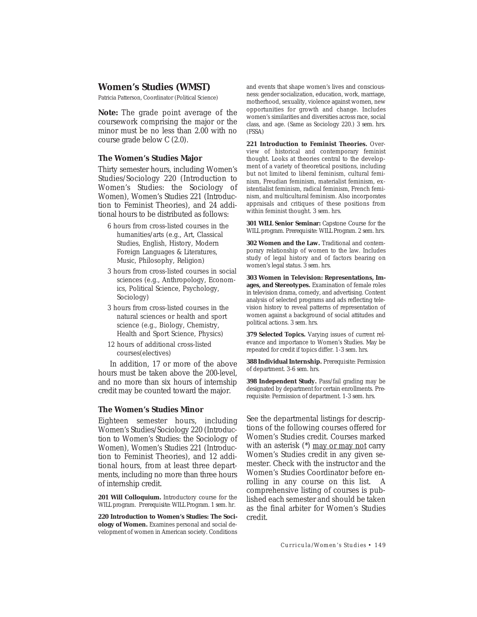## **Women's Studies (WMST)**

Patricia Patterson, Coordinator (Political Science)

**Note:** The grade point average of the coursework comprising the major or the minor must be no less than 2.00 with no course grade below *C* (2.0).

#### **The Women's Studies Major**

Thirty semester hours, including Women's Studies/Sociology 220 (Introduction to Women's Studies: the Sociology of Women), Women's Studies 221 (Introduction to Feminist Theories), and 24 additional hours to be distributed as follows:

- 6 hours from cross-listed courses in the humanities/arts (e.g., Art, Classical Studies, English, History, Modern Foreign Languages & Literatures, Music, Philosophy, Religion)
- 3 hours from cross-listed courses in social sciences (e.g., Anthropology, Economics, Political Science, Psychology, Sociology)
- 3 hours from cross-listed courses in the natural sciences or health and sport science (e.g., Biology, Chemistry, Health and Sport Science, Physics)
- 12 hours of additional cross-listed courses(electives)

In addition, 17 or more of the above hours must be taken above the 200-level, and no more than six hours of internship credit may be counted toward the major.

#### **The Women's Studies Minor**

Eighteen semester hours, including Women's Studies/Sociology 220 (Introduction to Women's Studies: the Sociology of Women), Women's Studies 221 (Introduction to Feminist Theories), and 12 additional hours, from at least three departments, including no more than three hours of internship credit.

**201 Will Colloquium.** Introductory course for the WILL program. *Prerequisite*: WILL Program. *1 sem. hr.*

**220 Introduction to Women's Studies: The Sociology of Women.** Examines personal and social development of women in American society. Conditions

and events that shape women's lives and consciousness: gender socialization, education, work, marriage, motherhood, sexuality, violence against women, new opportunities for growth and change. Includes women's similarities and diversities across race, social class, and age. (Same as Sociology 220.) *3 sem. hrs.* (FSSA)

**221 Introduction to Feminist Theories.** Overview of historical and contemporary feminist thought. Looks at theories central to the development of a variety of theoretical positions, including but not limited to liberal feminism, cultural feminism, Freudian feminism, materialist feminism, existentialist feminism, radical feminism, French feminism, and multicultural feminism. Also incorporates appraisals and critiques of these positions from within feminist thought. *3 sem. hrs.*

**301 WILL Senior Seminar:** Capstone Course for the WILL program. *Prerequisite:* WILL Program. *2 sem. hrs.*

**302 Women and the Law.** Traditional and contemporary relationship of women to the law. Includes study of legal history and of factors bearing on women's legal status. *3 sem. hrs.*

**303 Women in Television: Representations, Images, and Stereotypes.** Examination of female roles in television drama, comedy, and advertising. Content analysis of selected programs and ads reflecting television history to reveal patterns of representation of women against a background of social attitudes and political actions. *3 sem. hrs.*

**379 Selected Topics.** Varying issues of current relevance and importance to Women's Studies. May be repeated for credit if topics differ. *1-3 sem. hrs.*

**388 Individual Internship.** *Prerequisite*: Permission of department. *3-6 sem. hrs.*

**398 Independent Study.** Pass/fail grading may be designated by department for certain enrollments. *Prerequisite*: Permission of department. *1-3 sem. hrs.*

See the departmental listings for descriptions of the following courses offered for Women's Studies credit. Courses marked with an asterisk (\*) may or may not carry Women's Studies credit in any given semester. Check with the instructor and the Women's Studies Coordinator before enrolling in any course on this list. A comprehensive listing of courses is published each semester and should be taken as the final arbiter for Women's Studies credit.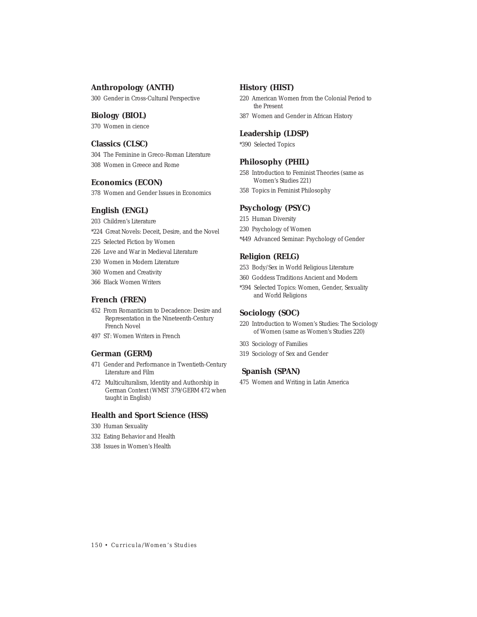## **Anthropology (ANTH)**

300 Gender in Cross-Cultural Perspective

**Biology (BIOL)** 370 Women in cience

#### **Classics (CLSC)**

304 The Feminine in Greco-Roman Literature 308 Women in Greece and Rome

#### **Economics (ECON)**

378 Women and Gender Issues in Economics

## **English (ENGL)**

- 203 Children's Literature
- \*224 Great Novels: Deceit, Desire, and the Novel
- 225 Selected Fiction by Women
- 226 Love and War in Medieval Literature
- 230 Women in Modern Literature
- 360 Women and Creativity
- 366 Black Women Writers

#### **French (FREN)**

- 452 From Romanticism to Decadence: Desire and Representation in the Nineteenth-Century French Novel
- 497 ST: Women Writers in French

#### **German (GERM)**

- 471 Gender and Performance in Twentieth-Century Literature and Film
- 472 Multiculturalism, Identity and Authorship in German Context (WMST 379/GERM 472 when taught in English)

## **Health and Sport Science (HSS)**

- 330 Human Sexuality
- 332 Eating Behavior and Health
- 338 Issues in Women's Health

#### **History (HIST)**

- 220 American Women from the Colonial Period to the Present
- 387 Women and Gender in African History

#### **Leadership (LDSP)**

\*390 Selected Topics

#### **Philosophy (PHIL)**

- 258 Introduction to Feminist Theories (same as Women's Studies 221)
- 358 Topics in Feminist Philosophy

#### **Psychology (PSYC)**

- 215 Human Diversity
- 230 Psychology of Women
- \*449 Advanced Seminar: Psychology of Gender

## **Religion (RELG)**

- 253 Body/Sex in World Religious Literature
- 360 Goddess Traditions Ancient and Modern
- \*394 Selected Topics: Women, Gender, Sexuality and World Religions

## **Sociology (SOC)**

- 220 Introduction to Women's Studies: The Sociology of Women (same as Women's Studies 220)
- 303 Sociology of Families
- 319 Sociology of Sex and Gender

## **Spanish (SPAN)**

475 Women and Writing in Latin America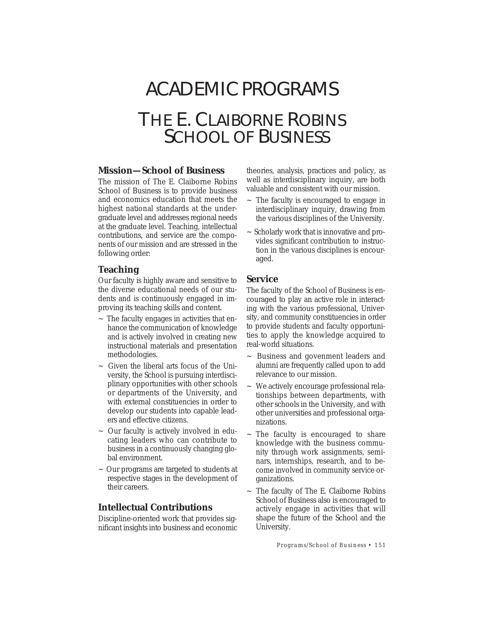# ACADEMIC PROGRAMS THE E. CLAIBORNE ROBINS SCHOOL OF BUSINESS

## **Mission—School of Business**

The mission of The E. Claiborne Robins School of Business is to provide business and economics education that meets the highest national standards at the undergraduate level and addresses regional needs at the graduate level. Teaching, intellectual contributions, and service are the components of our mission and are stressed in the following order:

## **Teaching**

Our faculty is highly aware and sensitive to the diverse educational needs of our students and is continuously engaged in improving its teaching skills and content.

- $\sim$  The faculty engages in activities that enhance the communication of knowledge and is actively involved in creating new instructional materials and presentation methodologies.
- $\sim$  Given the liberal arts focus of the University, the School is pursuing interdisciplinary opportunities with other schools or departments of the University, and with external constituencies in order to develop our students into capable leaders and effective citizens.
- ~ Our faculty is actively involved in educating leaders who can contribute to business in a continuously changing global environment.
- ~ Our programs are targeted to students at respective stages in the development of their careers.

## **Intellectual Contributions**

Discipline-oriented work that provides significant insights into business and economic theories, analysis, practices and policy, as well as interdisciplinary inquiry, are both valuable and consistent with our mission.

- ~ The faculty is encouraged to engage in interdisciplinary inquiry, drawing from the various disciplines of the University.
- ~ Scholarly work that is innovative and provides significant contribution to instruction in the various disciplines is encouraged.

## **Service**

The faculty of the School of Business is encouraged to play an active role in interacting with the various professional, University, and community constituencies in order to provide students and faculty opportunities to apply the knowledge acquired to real-world situations.

- ~ Business and govenment leaders and alumni are frequently called upon to add relevance to our mission.
- We actively encourage professional relationships between departments, with other schools in the University, and with other universities and professional organizations.
- The faculty is encouraged to share knowledge with the business community through work assignments, seminars, internships, research, and to become involved in community service organizations.
- $\sim$  The faculty of The E. Claiborne Robins School of Business also is encouraged to actively engage in activities that will shape the future of the School and the University.

*Programs/School of Business • 151*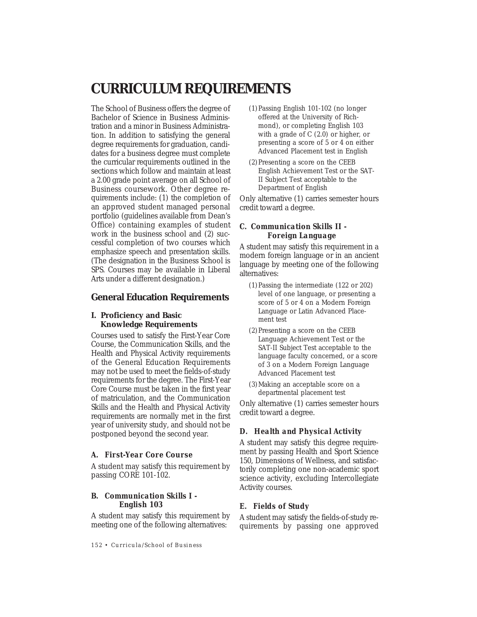## **CURRICULUM REQUIREMENTS**

The School of Business offers the degree of Bachelor of Science in Business Administration and a minor in Business Administration. In addition to satisfying the general degree requirements for graduation, candidates for a business degree must complete the curricular requirements outlined in the sections which follow and maintain at least a 2.00 grade point average on all School of Business coursework. Other degree requirements include: (1) the completion of an approved student managed personal portfolio (guidelines available from Dean's Office) containing examples of student work in the business school and (2) successful completion of two courses which emphasize speech and presentation skills. (The designation in the Business School is SPS. Courses may be available in Liberal Arts under a different designation.)

## **General Education Requirements**

## **I. Proficiency and Basic Knowledge Requirements**

Courses used to satisfy the First-Year Core Course, the Communication Skills, and the Health and Physical Activity requirements of the General Education Requirements may not be used to meet the fields-of-study requirements for the degree. The First-Year Core Course must be taken in the first year of matriculation, and the Communication Skills and the Health and Physical Activity requirements are normally met in the first year of university study, and should not be postponed beyond the second year.

## *A. First-Year Core Course*

A student may satisfy this requirement by passing CORE 101-102.

## *B. Communication Skills I - English 103*

A student may satisfy this requirement by meeting one of the following alternatives:

- (1)Passing English 101-102 (no longer offered at the University of Richmond), or completing English 103 with a grade of *C* (2.0) or higher, or presenting a score of 5 or 4 on either Advanced Placement test in English
- (2)Presenting a score on the CEEB English Achievement Test or the SAT-II Subject Test acceptable to the Department of English

Only alternative (1) carries semester hours credit toward a degree.

## *C. Communication Skills II - Foreign Language*

A student may satisfy this requirement in a modern foreign language or in an ancient language by meeting one of the following alternatives:

- (1)Passing the intermediate (122 or 202) level of one language, or presenting a score of 5 or 4 on a Modern Foreign Language or Latin Advanced Placement test
- (2)Presenting a score on the CEEB Language Achievement Test or the SAT-II Subject Test acceptable to the language faculty concerned, or a score of 3 on a Modern Foreign Language Advanced Placement test
- (3)Making an acceptable score on a departmental placement test

Only alternative (1) carries semester hours credit toward a degree.

#### *D. Health and Physical Activity*

A student may satisfy this degree requirement by passing Health and Sport Science 150, Dimensions of Wellness, and satisfactorily completing one non-academic sport science activity, excluding Intercollegiate Activity courses.

## *E. Fields of Study*

A student may satisfy the fields-of-study requirements by passing one approved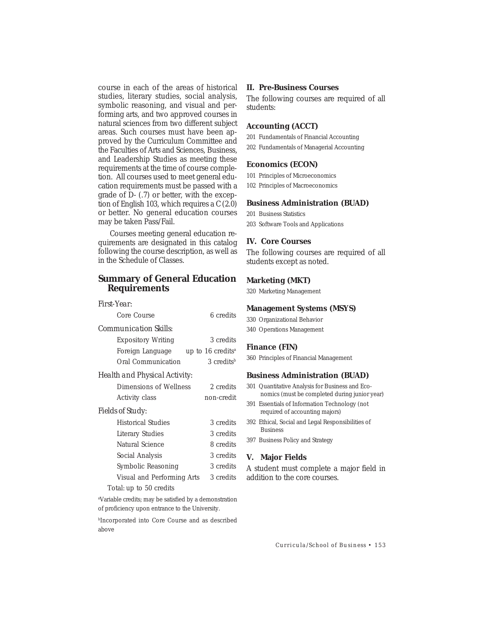course in each of the areas of historical studies, literary studies, social analysis, symbolic reasoning, and visual and performing arts, and two approved courses in natural sciences from two different subject areas. Such courses must have been approved by the Curriculum Committee and the Faculties of Arts and Sciences, Business, and Leadership Studies as meeting these requirements at the time of course completion. All courses used to meet general education requirements must be passed with a grade of *D-* (.7) or better, with the exception of English 103, which requires a *C* (2.0) or better. No general education courses may be taken Pass/Fail.

Courses meeting general education requirements are designated in this catalog following the course description, as well as in the Schedule of Classes.

## **Summary of General Education Requirements**

| Core Course                   | 6 credits                       |  |
|-------------------------------|---------------------------------|--|
| <i>Communication Skills:</i>  |                                 |  |
| <b>Expository Writing</b>     | 3 credits                       |  |
| Foreign Language              | up to $16$ credits <sup>a</sup> |  |
| Oral Communication            | 3 <sub>creditsb</sub>           |  |
| Health and Physical Activity: |                                 |  |
| Dimensions of Wellness        | 2 credits                       |  |
| <b>Activity class</b>         | non-credit                      |  |
| Fields of Study:              |                                 |  |
| <b>Historical Studies</b>     | 3 credits                       |  |
| Literary Studies              | 3 credits                       |  |
| Natural Science               | 8 credits                       |  |
| Social Analysis               | 3 credits                       |  |
| Symbolic Reasoning            | 3 credits                       |  |
| Visual and Performing Arts    | 3 credits                       |  |
| Total: up to 50 credits       |                                 |  |

a Variable credits; may be satisfied by a demonstration of proficiency upon entrance to the University.

bIncorporated into Core Course and as described above

#### **II. Pre-Business Courses**

The following courses are required of all students:

#### **Accounting (ACCT)**

201 Fundamentals of Financial Accounting 202 Fundamentals of Managerial Accounting

#### **Economics (ECON)**

101 Principles of Microeconomics

102 Principles of Macroeconomics

#### **Business Administration (BUAD)**

201 Business Statistics 203 Software Tools and Applications

#### **IV. Core Courses**

The following courses are required of all students except as noted.

#### **Marketing (MKT)**

320 Marketing Management

#### **Management Systems (MSYS)**

- 330 Organizational Behavior
- 340 Operations Management

#### **Finance (FIN)**

360 Principles of Financial Management

#### **Business Administration (BUAD)**

- 301 Quantitative Analysis for Business and Economics (must be completed during junior year)
- 391 Essentials of Information Technology (not required of accounting majors)
- 392 Ethical, Social and Legal Responsibilities of Business
- 397 Business Policy and Strategy

#### **V. Major Fields**

A student must complete a major field in addition to the core courses.

*Curricula/School of Business • 153*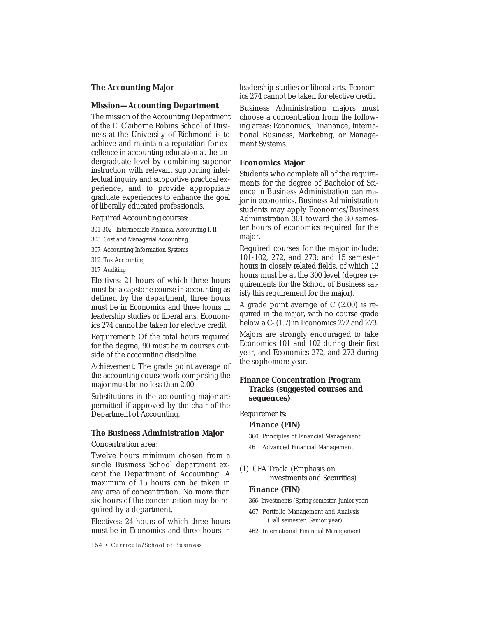## **The Accounting Major**

#### **Mission—Accounting Department**

The mission of the Accounting Department of the E. Claiborne Robins School of Business at the University of Richmond is to achieve and maintain a reputation for excellence in accounting education at the undergraduate level by combining superior instruction with relevant supporting intellectual inquiry and supportive practical experience, and to provide appropriate graduate experiences to enhance the goal of liberally educated professionals.

*Required Accounting courses:*

301-302 Intermediate Financial Accounting I, II

305 Cost and Managerial Accounting

307 Accounting Information Systems

312 Tax Accounting

317 Auditing

*Electives*: 21 hours of which three hours must be a capstone course in accounting as defined by the department, three hours must be in Economics and three hours in leadership studies or liberal arts. Economics 274 cannot be taken for elective credit.

*Requirement*: Of the total hours required for the degree, 90 must be in courses outside of the accounting discipline.

*Achievement*: The grade point average of the accounting coursework comprising the major must be no less than 2.00.

Substitutions in the accounting major are permitted if approved by the chair of the Department of Accounting.

#### **The Business Administration Major**

#### *Concentration area:*

Twelve hours minimum chosen from a single Business School department except the Department of Accounting. A maximum of 15 hours can be taken in any area of concentration. No more than six hours of the concentration may be required by a department.

Electives: 24 hours of which three hours must be in Economics and three hours in

*154 • Curricula/School of Business*

leadership studies or liberal arts. Economics 274 cannot be taken for elective credit.

Business Administration majors must choose a concentration from the following areas: Economics, Finanance, International Business, Marketing, or Management Systems.

#### **Economics Major**

Students who complete all of the requirements for the degree of Bachelor of Science in Business Administration can major in economics. Business Administration students may apply Economics/Business Administration 301 toward the 30 semester hours of economics required for the major.

Required courses for the major include: 101-102, 272, and 273; and 15 semester hours in closely related fields, of which 12 hours must be at the 300 level (degree requirements for the School of Business satisfy this requirement for the major).

A grade point average of *C* (2.00) is required in the major, with no course grade below a *C-* (1.7) in Economics 272 and 273.

Majors are strongly encouraged to take Economics 101 and 102 during their first year, and Economics 272, and 273 during the sophomore year.

#### **Finance Concentration Program Tracks (suggested courses and sequences)**

#### *Requirements:*

#### **Finance (FIN)**

- 360 Principles of Financial Management
- 461 Advanced Financial Management
- (1) CFA Track (Emphasis on Investments and Securities)

#### **Finance (FIN)**

- 366 Investments (Spring semester, Junior year)
- 467 Portfolio Management and Analysis (Fall semester, Senior year)
- 462 International Financial Management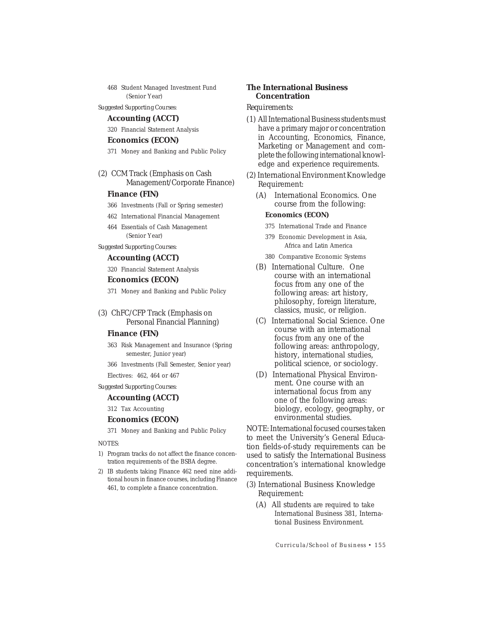- 468 Student Managed Investment Fund (Senior Year)
- *Suggested Supporting Courses:*

## **Accounting (ACCT)**

320 Financial Statement Analysis

## **Economics (ECON)**

371 Money and Banking and Public Policy

(2) CCM Track (Emphasis on Cash Management/Corporate Finance)

#### **Finance (FIN)**

- 366 Investments (Fall or Spring semester)
- 462 International Financial Management
- 464 Essentials of Cash Management (Senior Year)

#### *Suggested Supporting Courses:*

#### **Accounting (ACCT)**

320 Financial Statement Analysis

#### **Economics (ECON)**

371 Money and Banking and Public Policy

## (3) ChFC/CFP Track (Emphasis on Personal Financial Planning)

## **Finance (FIN)**

- 363 Risk Management and Insurance (Spring semester, Junior year)
- 366 Investments (Fall Semester, Senior year) Electives: 462, 464 or 467

*Suggested Supporting Courses:*

## **Accounting (ACCT)**

## 312 Tax Accounting

#### **Economics (ECON)**

371 Money and Banking and Public Policy

#### NOTES:

- 1) Program tracks do not affect the finance concentration requirements of the BSBA degree.
- 2) IB students taking Finance 462 need nine additional hours in finance courses, including Finance 461, to complete a finance concentration.

## **The International Business Concentration**

#### *Requirements:*

- (1) All International Business students must have a primary major or concentration in Accounting, Economics, Finance, Marketing or Management and complete the following international knowledge and experience requirements.
- (2) International Environment Knowledge Requirement:
	- (A) International Economics. One course from the following:

#### **Economics (ECON)**

- 375 International Trade and Finance
- 379 Economic Development in Asia, Africa and Latin America
- 380 Comparative Economic Systems
- (B) International Culture. One course with an international focus from any one of the following areas: art history, philosophy, foreign literature, classics, music, or religion.
- (C) International Social Science. One course with an international focus from any one of the following areas: anthropology, history, international studies, political science, or sociology.
- (D) International Physical Environment. One course with an international focus from any one of the following areas: biology, ecology, geography, or environmental studies.

NOTE: International focused courses taken to meet the University's General Education fields-of-study requirements can be used to satisfy the International Business concentration's international knowledge requirements.

- (3) International Business Knowledge Requirement:
	- (A) All students are required to take International Business 381, International Business Environment.

*Curricula/School of Business • 155*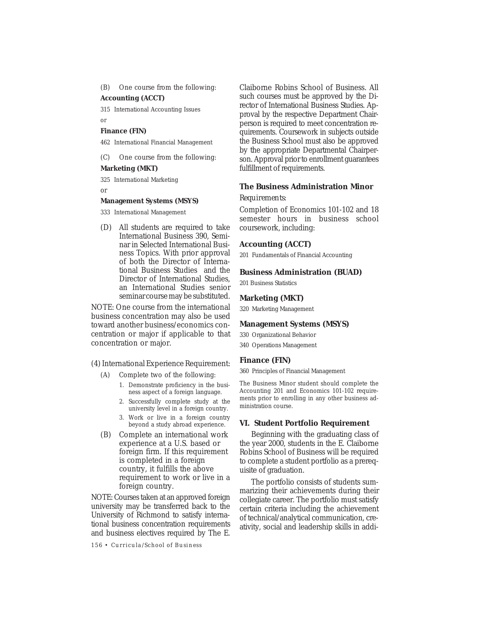(B) One course from the following:

#### **Accounting (ACCT)**

315 International Accounting Issues

or

#### **Finance (FIN)**

462 International Financial Management

(C) One course from the following: **Marketing (MKT)**

325 International Marketing

or

#### **Management Systems (MSYS)**

333 International Management

(D) All students are required to take International Business 390, Seminar in Selected International Business Topics. With prior approval of both the Director of International Business Studies and the Director of International Studies, an International Studies senior seminar course may be substituted.

NOTE: One course from the international business concentration may also be used toward another business/economics concentration or major if applicable to that concentration or major.

(4) International Experience Requirement:

- (A) Complete two of the following:
	- 1. Demonstrate proficiency in the business aspect of a foreign language.
	- 2. Successfully complete study at the university level in a foreign country.
	- 3. Work or live in a foreign country beyond a study abroad experience.
- (B) Complete an international work experience at a U.S. based or foreign firm. If this requirement is completed in a foreign country, it fulfills the above requirement to work or live in a foreign country.

NOTE: Courses taken at an approved foreign university may be transferred back to the University of Richmond to satisfy international business concentration requirements and business electives required by The E.

*156 • Curricula/School of Business*

Claiborne Robins School of Business. All such courses must be approved by the Director of International Business Studies. Approval by the respective Department Chairperson is required to meet concentration requirements. Coursework in subjects outside the Business School must also be approved by the appropriate Departmental Chairperson. Approval prior to enrollment guarantees fulfillment of requirements.

#### **The Business Administration Minor**

#### *Requirements:*

Completion of Economics 101-102 and 18 semester hours in business school coursework, including:

#### **Accounting (ACCT)**

201 Fundamentals of Financial Accounting

#### **Business Administration (BUAD)**

201 Business Statistics

#### **Marketing (MKT)**

320 Marketing Management

#### **Management Systems (MSYS)**

330 Organizational Behavior

340 Operations Management

## **Finance (FIN)**

360 Principles of Financial Management

The Business Minor student should complete the Accounting 201 and Economics 101-102 requirements prior to enrolling in any other business administration course.

#### **VI. Student Portfolio Requirement**

Beginning with the graduating class of the year 2000, students in the E. Claiborne Robins School of Business will be required to complete a student portfolio as a prerequisite of graduation.

The portfolio consists of students summarizing their achievements during their collegiate career. The portfolio must satisfy certain criteria including the achievement of technical/analytical communication, creativity, social and leadership skills in addi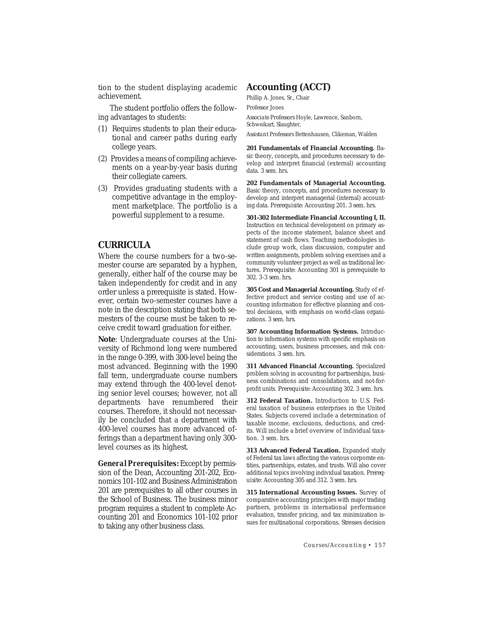tion to the student displaying academic achievement.

The student portfolio offers the following advantages to students:

- (1) Requires students to plan their educational and career paths during early college years.
- (2) Provides a means of compiling achievements on a year-by-year basis during their collegiate careers.
- (3) Provides graduating students with a competitive advantage in the employment marketplace. The portfolio is a powerful supplement to a resume.

## **CURRICULA**

Where the course numbers for a two-semester course are separated by a hyphen, generally, either half of the course may be taken independently for credit and in any order unless a prerequisite is stated. However, certain two-semester courses have a note in the description stating that both semesters of the course must be taken to receive credit toward graduation for either.

**Note**: Undergraduate courses at the University of Richmond long were numbered in the range 0-399, with 300-level being the most advanced. Beginning with the 1990 fall term, undergraduate course numbers may extend through the 400-level denoting senior level courses; however, not all departments have renumbered their courses. Therefore, it should not necessarily be concluded that a department with 400-level courses has more advanced offerings than a department having only 300 level courses as its highest.

*General Prerequisites:* Except by permission of the Dean, Accounting 201-202, Economics 101-102 and Business Administration 201 are prerequisites to all other courses in the School of Business. The business minor program requires a student to complete Accounting 201 and Economics 101-102 prior to taking any other business class.

## **Accounting (ACCT)**

Phillip A. Jones, Sr., Chair

*Professor* Jones

*Associate Professors* Hoyle, Lawrence, Sanborn, Schweikart, Slaughter,

*Assistant Professors* Bettenhausen, Clikeman, Walden

**201 Fundamentals of Financial Accounting.** Basic theory, concepts, and procedures necessary to develop and interpret financial (external) accounting data. *3 sem. hrs.*

**202 Fundamentals of Managerial Accounting.** Basic theory, concepts, and procedures necessary to develop and interpret managerial (internal) accounting data. *Prerequisite*: Accounting 201. *3 sem. hrs.*

**301-302 Intermediate Financial Accounting I, II.** Instruction on technical development on primary aspects of the income statement, balance sheet and statement of cash flows. Teaching methodologies include group work, class discussion, computer and written assignments, problem solving exercises and a community volunteer project as well as traditional lectures. *Prerequisite*: Accounting 301 is prerequisite to 302. *3-3 sem. hrs.*

**305 Cost and Managerial Accounting.** Study of effective product and service costing and use of accounting information for effective planning and control decisions, with emphasis on world-class organizations. *3 sem. hrs.*

**307 Accounting Information Systems.** Introduction to information systems with specific emphasis on accounting, users, business processes, and risk considerations. *3 sem. hrs.*

**311 Advanced Financial Accounting.** Specialized problem solving in accounting for partnerships, business combinations and consolidations, and not-forprofit units. *Prerequisite*: Accounting 302. *3 sem. hrs.*

**312 Federal Taxation.** Introduction to U.S. Federal taxation of business enterprises in the United States. Subjects covered include a determination of taxable income, exclusions, deductions, and credits. Will include a brief overview of individual taxation. *3 sem. hrs.*

**313 Advanced Federal Taxation.** Expanded study of Federal tax laws affecting the various corporate entities, partnerships, estates, and trusts. Will also cover additional topics involving individual taxation. *Prerequisite*: Accounting 305 and 312. *3 sem. hrs.*

**315 International Accounting Issues.** Survey of comparative accounting principles with major trading partners, problems in international performance evaluation, transfer pricing, and tax minimization issues for multinational corporations. Stresses decision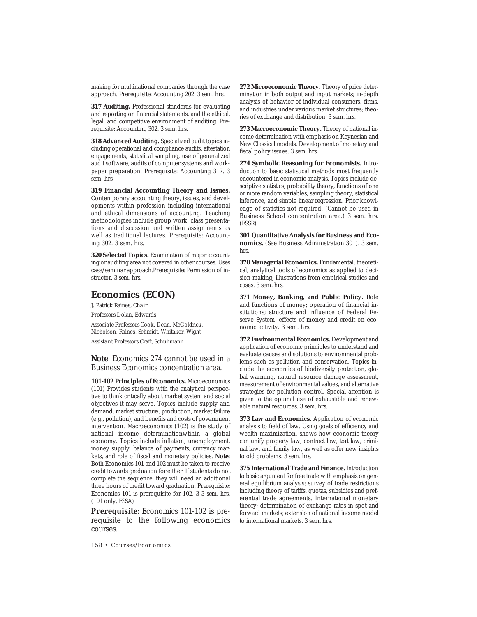making for multinational companies through the case approach. *Prerequisite*: Accounting 202. *3 sem. hrs.*

**317 Auditing.** Professional standards for evaluating and reporting on financial statements, and the ethical, legal, and competitive environment of auditing. *Prerequisite*: Accounting 302. *3 sem. hrs.*

**318 Advanced Auditing.** Specialized audit topics including operational and compliance audits, attestation engagements, statistical sampling, use of generalized audit software, audits of computer systems and workpaper preparation. *Prerequisite*: Accounting 317. *3 sem. hrs.*

**319 Financial Accounting Theory and Issues.** Contemporary accounting theory, issues, and developments within profession including international and ethical dimensions of accounting. Teaching methodologies include group work, class presentations and discussion and written assignments as well as traditional lectures. *Prerequisite*: Accounting 302. *3 sem. hrs.*

**320 Selected Topics.** Examination of major accounting or auditing area not covered in other courses. Uses case/seminar approach.*Prerequisite*: Permission of instructor. *3 sem. hrs.*

## **Economics (ECON)**

J. Patrick Raines, *Chair Professors* Dolan, Edwards

*Associate Professors* Cook, Dean, McGoldrick, Nicholson, Raines, Schmidt, Whitaker, Wight *Assistant Professors* Craft, Schuhmann

**Note**: Economics 274 cannot be used in a Business Economics concentration area.

**101-102 Principles of Economics.** Microeconomics (101) Provides students with the analytical perspective to think critically about market system and social objectives it may serve. Topics include supply and demand, market structure, production, market failure (e.g., pollution), and benefits and costs of government intervention. Macroeconomics (102) is the study of national income determinationwtihin a global economy. Topics include inflation, unemployment, money supply, balance of payments, currency markets, and role of fiscal and monetary policies. **Note**: Both Economics 101 and 102 must be taken to receive credit towards graduation for either. If students do not complete the sequence, they will need an additional three hours of credit toward graduation. *Prerequisite*: Economics 101 is prerequisite for 102. *3-3 sem. hrs.* (101 only, FSSA)

*Prerequisite:* Economics 101-102 is prerequisite to the following economics courses.

*158 • Courses/Economics*

**272 Microeconomic Theory.** Theory of price determination in both output and input markets; in-depth analysis of behavior of individual consumers, firms, and industries under various market structures; theories of exchange and distribution. *3 sem. hrs.*

**273 Macroeconomic Theory.** Theory of national income determination with emphasis on Keynesian and New Classical models. Development of monetary and fiscal policy issues. *3 sem. hrs.*

**274 Symbolic Reasoning for Economists.** Introduction to basic statistical methods most frequently encountered in economic analysis. Topics include descriptive statistics, probability theory, functions of one or more random variables, sampling theory, statistical inference, and simple linear regression. Prior knowledge of statistics not required. (Cannot be used in Business School concentration area.) *3 sem. hrs.* (FSSR)

**301 Quantitative Analysis for Business and Economics.** (See Business Administration 301). *3 sem. hrs.*

**370 Managerial Economics.** Fundamental, theoretical, analytical tools of economics as applied to decision making; illustrations from empirical studies and cases. *3 sem. hrs.*

**371 Money, Banking, and Public Policy.** Role and functions of money; operation of financial institutions; structure and influence of Federal Reserve System; effects of money and credit on economic activity. *3 sem. hrs.*

**372 Environmental Economics.** Development and application of economic principles to understand and evaluate causes and solutions to environmental problems such as pollution and conservation. Topics include the economics of biodiversity protection, global warming, natural resource damage assessment, measurement of environmental values, and alternative strategies for pollution control. Special attention is given to the optimal use of exhaustible and renewable natural resources. *3 sem. hrs.*

**373 Law and Economics.** Application of economic analysis to field of law. Using goals of efficiency and wealth maximization, shows how economic theory can unify property law, contract law, tort law, criminal law, and family law, as well as offer new insights to old problems. *3 sem. hrs.*

**375 International Trade and Finance.** Introduction to basic argument for free trade with emphasis on general equilibrium analysis; survey of trade restrictions including theory of tariffs, quotas, subsidies and preferential trade agreements. International monetary theory; determination of exchange rates in spot and forward markets; extension of national income model to international markets. *3 sem. hrs.*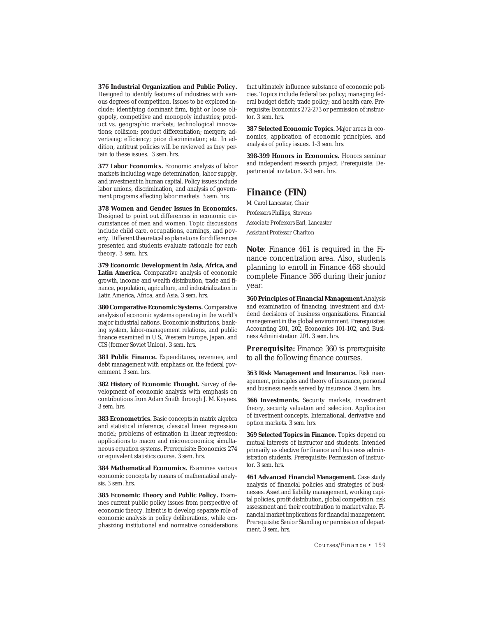**376 Industrial Organization and Public Policy.** Designed to identify features of industries with various degrees of competition. Issues to be explored include: identifying dominant firm, tight or loose oligopoly, competitive and monopoly industries; product vs. geographic markets; technological innovations; collision; product differentiation; mergers; advertising; efficiency; price discrimination; etc. In addition, antitrust policies will be reviewed as they pertain to these issues. *3 sem. hrs.*

**377 Labor Economics.** Economic analysis of labor markets including wage determination, labor supply, and investment in human capital. Policy issues include labor unions, discrimination, and analysis of government programs affecting labor markets. *3 sem. hrs.*

**378 Women and Gender Issues in Economics.** Designed to point out differences in economic circumstances of men and women. Topic discussions include child care, occupations, earnings, and poverty. Different theoretical explanations for differences presented and students evaluate rationale for each theory. *3 sem. hrs.*

**379 Economic Development in Asia, Africa, and Latin America.** Comparative analysis of economic growth, income and wealth distribution, trade and finance, population, agriculture, and industrialization in Latin America, Africa, and Asia. *3 sem. hrs.*

**380 Comparative Economic Systems.** Comparative analysis of economic systems operating in the world's major industrial nations. Economic institutions, banking system, labor-management relations, and public finance examined in U.S., Western Europe, Japan, and CIS (former Soviet Union). *3 sem. hrs.*

**381 Public Finance.** Expenditures, revenues, and debt management with emphasis on the federal government. *3 sem. hrs.*

**382 History of Economic Thought.** Survey of development of economic analysis with emphasis on contributions from Adam Smith through J. M. Keynes. *3 sem. hrs.*

**383 Econometrics.** Basic concepts in matrix algebra and statistical inference; classical linear regression model; problems of estimation in linear regression; applications to macro and microeconomics; simultaneous equation systems. *Prerequisite*: Economics 274 or equivalent statistics course. *3 sem. hrs.*

**384 Mathematical Economics.** Examines various economic concepts by means of mathematical analysis. *3 sem. hrs.*

**385 Economic Theory and Public Policy.** Examines current public policy issues from perspective of economic theory. Intent is to develop separate role of economic analysis in policy deliberations, while emphasizing institutional and normative considerations that ultimately influence substance of economic policies. Topics include federal tax policy; managing federal budget deficit; trade policy; and health care. *Prerequisite*: Economics 272-273 or permission of instructor. *3 sem. hrs.*

**387 Selected Economic Topics.** Major areas in economics, application of economic principles, and analysis of policy issues. *1-3 sem. hrs.*

**398-399 Honors in Economics.** Honors seminar and independent research project. *Prerequisite*: Departmental invitation. *3-3 sem. hrs.*

#### **Finance (FIN)**

M. Carol Lancaster, *Chair Professors* Phillips, Stevens *Associate Professors* Earl, Lancaster *Assistant Professor* Charlton

**Note**: Finance 461 is required in the Finance concentration area. Also, students planning to enroll in Finance 468 should complete Finance 366 during their junior year.

**360 Principles of Financial Management.**Analysis and examination of financing, investment and dividend decisions of business organizations. Financial management in the global environment. *Prerequisites*: Accounting 201, 202, Economics 101-102, and Business Administration 201. *3 sem. hrs.*

*Prerequisite:* Finance 360 is prerequisite to all the following finance courses.

**363 Risk Management and Insurance.** Risk management, principles and theory of insurance, personal and business needs served by insurance. *3 sem. hrs.*

**366 Investments.** Security markets, investment theory, security valuation and selection. Application of investment concepts. International, derivative and option markets. *3 sem. hrs.*

**369 Selected Topics in Finance.** Topics depend on mutual interests of instructor and students. Intended primarily as elective for finance and business administration students. *Prerequisite*: Permission of instructor. *3 sem. hrs.*

**461 Advanced Financial Management.** Case study analysis of financial policies and strategies of businesses. Asset and liability management, working capital policies, profit distribution, global competition, risk assessment and their contribution to market value. Financial market implications for financial management. *Prerequisite:* Senior Standing or permission of department. *3 sem. hrs.*

*Courses/Finance • 159*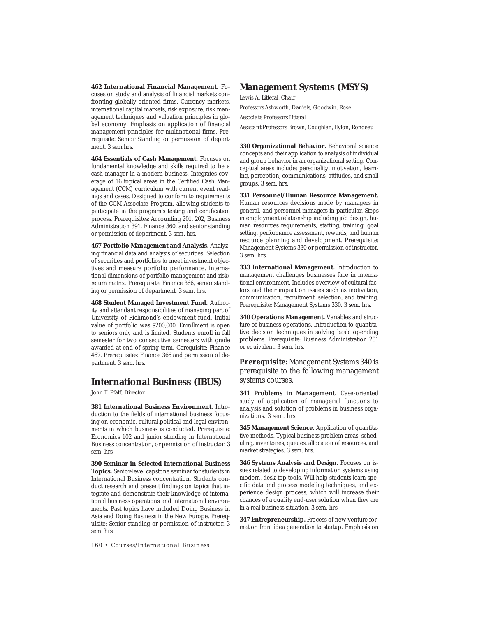**462 International Financial Management.** Focuses on study and analysis of financial markets confronting globally-oriented firms. Currency markets, international capital markets, risk exposure, risk management techniques and valuation principles in global economy. Emphasis on application of financial management principles for multinational firms. *Prerequisite:* Senior Standing or permission of department. *3 sem hrs.*

**464 Essentials of Cash Management.** Focuses on fundamental knowledge and skills required to be a cash manager in a modern business. Integrates coverage of 16 topical areas in the Certified Cash Management (CCM) curriculum with current event readings and cases. Designed to conform to requirements of the CCM Associate Program, allowing students to participate in the program's testing and certification process. *Prerequisites:* Accounting 201, 202, Business Administration 391, Finance 360, and senior standing or permission of department. *3 sem. hrs.*

**467 Portfolio Management and Analysis.** Analyzing financial data and analysis of securities. Selection of securities and portfolios to meet investment objectives and measure portfolio performance. International dimensions of portfolio management and risk/ return matrix. *Prerequisite*: Finance 366, senior standing or permission of department. *3 sem. hrs.*

**468 Student Managed Investment Fund.** Authority and attendant responsibilities of managing part of University of Richmond's endowment fund. Initial value of portfolio was \$200,000. Enrollment is open to seniors only and is limited. Students enroll in fall semester for two consecutive semesters with grade awarded at end of spring term. *Corequisite*: Finance 467. *Prerequisites*: Finance 366 and permission of department. *3 sem. hrs.*

## **International Business (IBUS)**

John F. Pfaff, *Director*

**381 International Business Environment.** Introduction to the fields of international business focusing on economic, cultural,political and legal environments in which business is conducted. *Prerequisite*: Economics 102 and junior standing in International Business concentration, or permission of instructor. 3 *sem. hrs.*

**390 Seminar in Selected International Business Topics.** Senior-level capstone seminar for students in International Business concentration. Students conduct research and present findings on topics that integrate and demonstrate their knowledge of international business operations and international environments. Past topics have included Doing Business in Asia and Doing Business in the New Europe. *Prerequisite*: Senior standing or permission of instructor. *3 sem. hrs.*

*160 • Courses/International Business*

## **Management Systems (MSYS)**

Lewis A. Litteral, *Chair Professors* Ashworth, Daniels, Goodwin, Rose *Associate Professors* Litteral *Assistant Professors* Brown, Coughlan, Eylon, Rondeau

**330 Organizational Behavior.** Behavioral science concepts and their application to analysis of individual and group behavior in an organizational setting. Conceptual areas include: personality, motivation, learning, perception, communications, attitudes, and small groups. *3 sem. hrs.*

**331 Personnel/Human Resource Management.** Human resources decisions made by managers in general, and personnel managers in particular. Steps in employment relationship including job design, human resources requirements, staffing, training, goal setting, performance assessment, rewards, and human resource planning and development. *Prerequisite*: Management Systems 330 or permission of instructor. *3 sem. hrs.*

**333 International Management.** Introduction to management challenges businesses face in international environment. Includes overview of cultural factors and their impact on issues such as motivation, communication, recruitment, selection, and training. *Prerequisite*: Management Systems 330. *3 sem. hrs.*

**340 Operations Management.** Variables and structure of business operations. Introduction to quantitative decision techniques in solving basic operating problems. *Prerequisite*: Business Administration 201 or equivalent. *3 sem. hrs.*

*Prerequisite:* Management Systems 340 is prerequisite to the following management systems courses.

**341 Problems in Management.** Case-oriented study of application of managerial functions to analysis and solution of problems in business organizations. *3 sem. hrs.*

**345 Management Science.** Application of quantitative methods. Typical business problem areas: scheduling, inventories, queues, allocation of resources, and market strategies. *3 sem. hrs.*

**346 Systems Analysis and Design.** Focuses on issues related to developing information systems using modern, desk-top tools. Will help students learn specific data and process modeling techniques, and experience design process, which will increase their chances of a *quality* end-user solution when they are in a real business situation. *3 sem. hrs.*

**347 Entrepreneurship.** Process of new venture formation from idea generation to startup. Emphasis on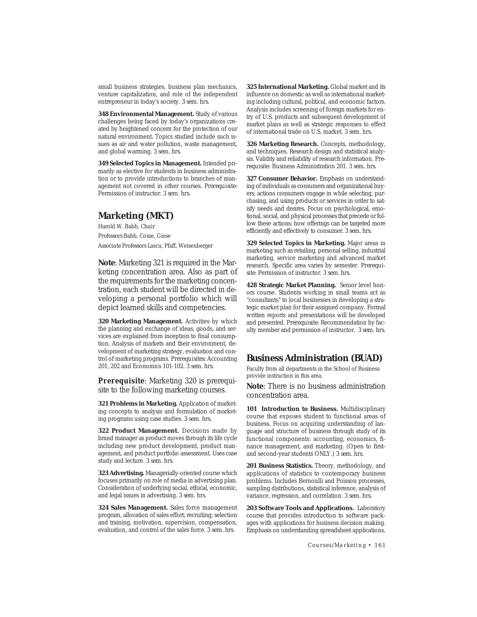small business strategies, business plan mechanics, venture capitalization, and role of the independent entrepreneur in today's society. *3 sem. hrs.*

**348 Environmental Management.** Study of various challenges being faced by today's organizations created by heightened concern for the protection of our natural environment. Topics studied include such issues as air and water pollution, waste management, and global warming. *3 sem. hrs.*

**349 Selected Topics in Management.** Intended primarily as elective for students in business administration or to provide introductions to branches of management not covered in other courses. *Prerequisite*: Permission of instructor. *3 sem. hrs.*

## **Marketing (MKT)**

Harold W. Babb, *Chair Professors* Babb, Cosse, Giese *Associate Professors* Lascu, Pfaff, Weisenberger

**Note**: Marketing 321 is required in the Marketing concentration area. Also as part of the requirements for the marketing concentration, each student will be directed in developing a personal portfolio which will depict learned skills and competencies.

**320 Marketing Management.** Activities by which the planning and exchange of ideas, goods, and services are explained from inception to final consumption. Analysis of markets and their environment, development of marketing strategy, evaluation and control of marketing programs. *Prerequisites*: Accounting 201, 202 and Economics 101-102. *3 sem. hrs.*

*Prerequisite*: Marketing 320 is prerequisite to the following marketing courses.

**321 Problems in Marketing.** Application of marketing concepts to analysis and formulation of marketing programs using case studies. *3 sem. hrs.*

**322 Product Management.** Decisions made by brand manager as product moves through its life cycle including new product development, product management, and product portfolio assessment. Uses case study and lecture. *3 sem. hrs.*

**323 Advertising.** Managerially-oriented course which focuses primarily on role of media in advertising plan. Consideration of underlying social, ethical, economic, and legal issues in advertising. *3 sem. hrs.*

**324 Sales Management.** Sales force management program, allocation of sales effort; recruiting; selection and training, motivation, supervision, compensation, evaluation, and control of the sales force. *3 sem. hrs.*

325 International Marketing. Global market and its influence on domestic as well as international marketing including cultural, political, and economic factors. Analysis includes screening of foreign markets for entry of U.S. products and subsequent development of market plans as well as strategic responses to effect of international trade on U.S. market. *3 sem. hrs.*

326 Marketing Research. Concepts, methodology, and techniques. Research design and statistical analysis. Validity and reliability of research information. *Prerequisite*: Business Administration 201. *3 sem. hrs.*

**327 Consumer Behavior.** Emphasis on understanding of individuals as consumers and organizational buyers; actions consumers engage in while selecting, purchasing, and using products or services in order to satisfy needs and desires. Focus on psychological, emotional, social, and physical processes that precede or follow these actions; how offerings can be targeted more efficiently and effectively to consumer. *3 sem. hrs.*

**329 Selected Topics in Marketing.** Major areas in marketing such as retailing, personal selling, industrial marketing, service marketing and advanced market research. Specific area varies by semester. *Prerequisite*: Permission of instructor. *3 sem. hrs.*

**428 Strategic Market Planning.** Senior level honors course. Students working in small teams act as "consultants" to local businesses in developing a strategic market plan for their assigned company. Formal written reports and presentations will be developed and presented. *Prerequisite*: Recommendation by faculty member and permission of instructor. *3 sem. hrs.*

## **Business Administration (BUAD)**

Faculty from all departments in the School of Business provide instruction in this area.

**Note**: There is no business administration concentration area.

101 Introduction to Business. Multidisciplinary course that exposes student to functional areas of business. Focus on acquiring understanding of language and structure of business through study of its functional components: accounting, economics, finance management, and marketing. (Open to firstand second-year students ONLY.) *3 sem. hrs.*

**201 Business Statistics.** Theory, methodology, and applications of statistics to contemporary business problems. Includes Bernoulli and Poisson processes, sampling distributions, statistical inference, analysis of variance, regression, and correlation. *3 sem. hrs.*

**203 Software Tools and Applications.** Laboratory course that provides introduction to software packages with applications for business decision making. Emphasis on understanding spreadsheet applications,

*Courses/Marketing • 161*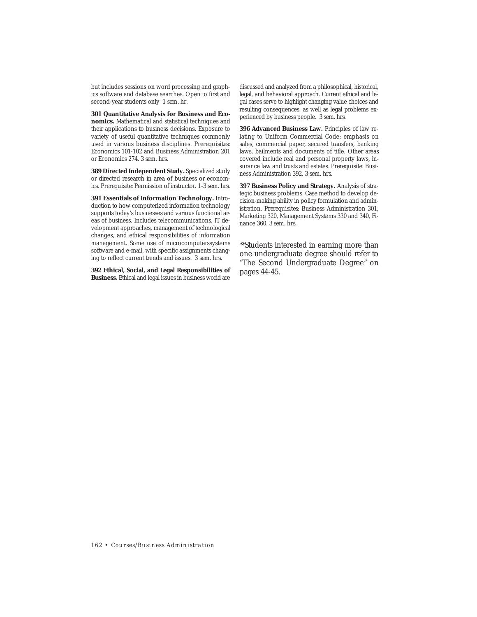but includes sessions on word processing and graphics software and database searches. Open to first and second-year students only *1 sem. hr.*

**301 Quantitative Analysis for Business and Economics.** Mathematical and statistical techniques and their applications to business decisions. Exposure to variety of useful quantitative techniques commonly used in various business disciplines. *Prerequisites*: Economics 101-102 and Business Administration 201 or Economics 274. *3 sem. hrs.*

**389 Directed Independent Study.** Specialized study or directed research in area of business or economics. *Prerequisite*: Permission of instructor. *1-3 sem. hrs.*

**391 Essentials of Information Technology.** Introduction to how computerized information technology supports today's businesses and various functional areas of business. Includes telecommunications, IT development approaches, management of technological changes, and ethical responsibilities of information management. Some use of microcomputerssystems software and e-mail, with specific assignments changing to reflect current trends and issues. *3 sem. hrs.*

**392 Ethical, Social, and Legal Responsibilities of Business.** Ethical and legal issues in business world are

discussed and analyzed from a philosophical, historical, legal, and behavioral approach. Current ethical and legal cases serve to highlight changing value choices and resulting consequences, as well as legal problems experienced by business people. *3 sem. hrs.*

**396 Advanced Business Law.** Principles of law relating to Uniform Commercial Code; emphasis on sales, commercial paper, secured transfers, banking laws, bailments and documents of title. Other areas covered include real and personal property laws, insurance law and trusts and estates. *Prerequisite*: Business Administration 392. *3 sem. hrs.*

**397 Business Policy and Strategy.** Analysis of strategic business problems. Case method to develop decision-making ability in policy formulation and administration. *Prerequisites*: Business Administration 301, Marketing 320, Management Systems 330 and 340, Finance 360. *3 sem. hrs.*

\*\*Students interested in earning more than one undergraduate degree should refer to "The Second Undergraduate Degree" on pages 44-45.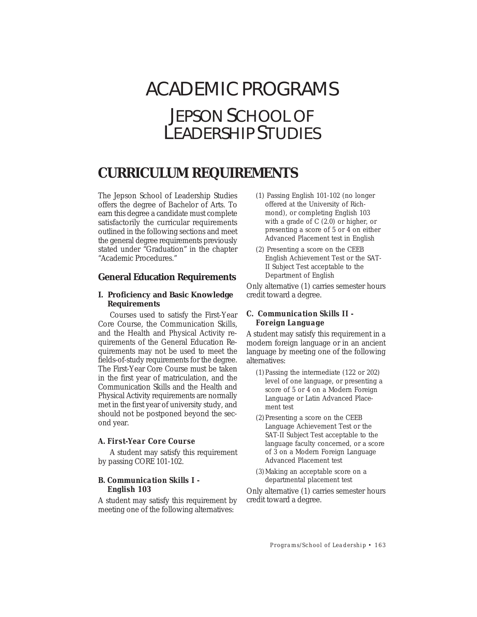# ACADEMIC PROGRAMS JEPSON SCHOOLOF LEADERSHIP STUDIES

## **CURRICULUM REQUIREMENTS**

The Jepson School of Leadership Studies offers the degree of Bachelor of Arts. To earn this degree a candidate must complete satisfactorily the curricular requirements outlined in the following sections and meet the general degree requirements previously stated under "Graduation" in the chapter "Academic Procedures."

## **General Education Requirements**

## **I. Proficiency and Basic Knowledge Requirements**

Courses used to satisfy the First-Year Core Course, the Communication Skills, and the Health and Physical Activity requirements of the General Education Requirements may not be used to meet the fields-of-study requirements for the degree. The First-Year Core Course must be taken in the first year of matriculation, and the Communication Skills and the Health and Physical Activity requirements are normally met in the first year of university study, and should not be postponed beyond the second year.

## *A. First-Year Core Course*

A student may satisfy this requirement by passing CORE 101-102.

## *B. Communication Skills I - English 103*

A student may satisfy this requirement by meeting one of the following alternatives:

- (1) Passing English 101-102 (no longer offered at the University of Richmond), or completing English 103 with a grade of *C* (2.0) or higher, or presenting a score of 5 or 4 on either Advanced Placement test in English
- (2) Presenting a score on the CEEB English Achievement Test or the SAT-II Subject Test acceptable to the Department of English

Only alternative (1) carries semester hours credit toward a degree.

## *C. Communication Skills II - Foreign Language*

A student may satisfy this requirement in a modern foreign language or in an ancient language by meeting one of the following alternatives:

- (1)Passing the intermediate (122 or 202) level of one language, or presenting a score of 5 or 4 on a Modern Foreign Language or Latin Advanced Placement test
- (2)Presenting a score on the CEEB Language Achievement Test or the SAT-II Subject Test acceptable to the language faculty concerned, or a score of 3 on a Modern Foreign Language Advanced Placement test
- (3)Making an acceptable score on a departmental placement test

Only alternative (1) carries semester hours credit toward a degree.

*Programs/School of Leadership • 163*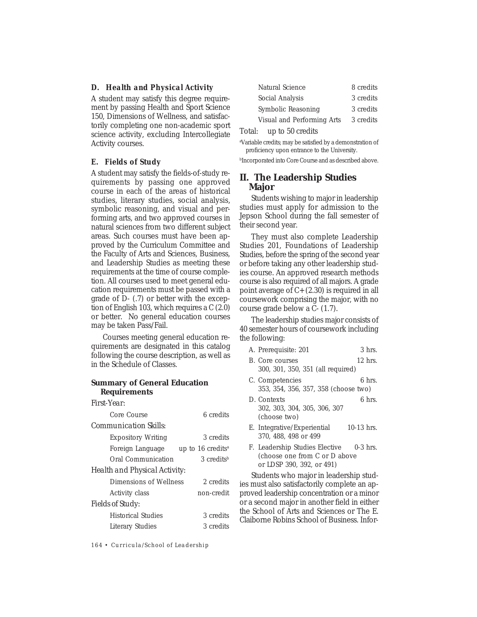#### *D. Health and Physical Activity*

A student may satisfy this degree requirement by passing Health and Sport Science 150, Dimensions of Wellness, and satisfactorily completing one non-academic sport science activity, excluding Intercollegiate Activity courses.

#### *E. Fields of Study*

A student may satisfy the fields-of-study requirements by passing one approved course in each of the areas of historical studies, literary studies, social analysis, symbolic reasoning, and visual and performing arts, and two approved courses in natural sciences from two different subject areas. Such courses must have been approved by the Curriculum Committee and the Faculty of Arts and Sciences, Business, and Leadership Studies as meeting these requirements at the time of course completion. All courses used to meet general education requirements must be passed with a grade of D- (.7) or better with the exception of English 103, which requires a C (2.0) or better. No general education courses may be taken Pass/Fail.

Courses meeting general education requirements are designated in this catalog following the course description, as well as in the Schedule of Classes.

## **Summary of General Education Requirements**

*First-Year:*

| тим-теат.                     |                                 |  |
|-------------------------------|---------------------------------|--|
| Core Course                   | 6 credits                       |  |
| <i>Communication Skills:</i>  |                                 |  |
| <b>Expository Writing</b>     | 3 credits                       |  |
| Foreign Language              | up to $16$ credits <sup>a</sup> |  |
| Oral Communication            | 3 <sub>creditsb</sub>           |  |
| Health and Physical Activity: |                                 |  |
| Dimensions of Wellness        | 2 credits                       |  |
| <b>Activity class</b>         | non-credit                      |  |
| <i>Fields of Study:</i>       |                                 |  |
| <b>Historical Studies</b>     | 3 credits                       |  |
| Literary Studies              | 3 credits                       |  |

*164 • Curricula/School of Leadership*

| Natural Science            | 8 credits |
|----------------------------|-----------|
| Social Analysis            | 3 credits |
| Symbolic Reasoning         | 3 credits |
| Visual and Performing Arts | 3 credits |
|                            |           |

Total: up to 50 credits

a Variable credits; may be satisfied by a demonstration of proficiency upon entrance to the University.

b Incorporated into Core Course and as described above.

## **II. The Leadership Studies Major**

Students wishing to major in leadership studies must apply for admission to the Jepson School during the fall semester of their second year.

They must also complete Leadership Studies 201, Foundations of Leadership Studies, before the spring of the second year or before taking any other leadership studies course. An approved research methods course is also required of all majors. A grade point average of *C+* (2.30) is required in all coursework comprising the major, with no course grade below a *C-* (1.7).

The leadership studies major consists of 40 semester hours of coursework including the following:

- A. Prerequisite: 201 3 hrs.
- B. Core courses 12 hrs. 300, 301, 350, 351 (all required)
- C. Competencies 6 hrs. 353, 354, 356, 357, 358 (choose two)
- D. Contexts 6 hrs. 302, 303, 304, 305, 306, 307 (choose two)
- E. Integrative/Experiential 10-13 hrs. 370, 488, 498 or 499
- F. Leadership Studies Elective 0-3 hrs. (choose one from C or D above or LDSP 390, 392, or 491)

Students who major in leadership studies must also satisfactorily complete an approved leadership concentration or a minor or a second major in another field in either the School of Arts and Sciences or The E. Claiborne Robins School of Business. Infor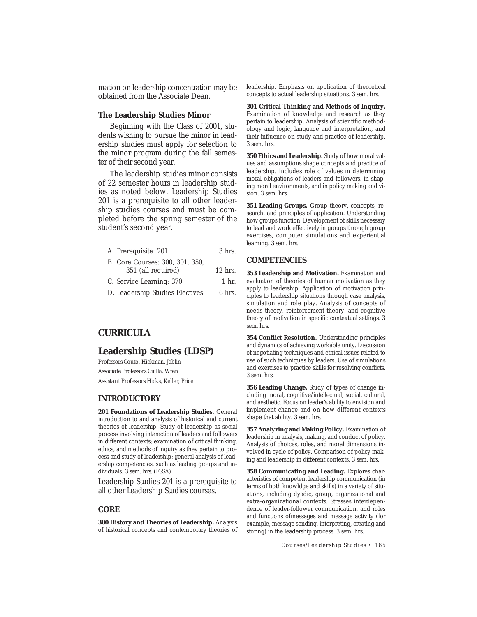mation on leadership concentration may be obtained from the Associate Dean.

## **The Leadership Studies Minor**

Beginning with the Class of 2001, students wishing to pursue the minor in leadership studies must apply for selection to the minor program during the fall semester of their second year.

The leadership studies minor consists of 22 semester hours in leadership studies as noted below. Leadership Studies 201 is a prerequisite to all other leadership studies courses and must be completed before the spring semester of the student's second year.

| A. Prerequisite: 201            | $3$ hrs.       |
|---------------------------------|----------------|
| B. Core Courses: 300, 301, 350, |                |
| 351 (all required)              | $12$ hrs.      |
| C. Service Learning: 370        | $1 \text{ hr}$ |

D. Leadership Studies Electives 6 hrs.

## **CURRICULA**

## **Leadership Studies (LDSP)**

*Professors* Couto, Hickman, Jablin *Associate Professors* Ciulla, Wren *Assistant Professors* Hicks, Keller, Price

#### **INTRODUCTORY**

**201 Foundations of Leadership Studies.** General introduction to and analysis of historical and current theories of leadership. Study of leadership as social process involving interaction of leaders and followers in different contexts; examination of critical thinking, ethics, and methods of inquiry as they pertain to process and study of leadership; general analysis of leadership competencies, such as leading groups and individuals. *3 sem. hrs.* (FSSA)

Leadership Studies 201 is a prerequisite to all other Leadership Studies courses.

#### **CORE**

**300 History and Theories of Leadership.** Analysis of historical concepts and contemporary theories of

leadership. Emphasis on application of theoretical concepts to actual leadership situations. *3 sem. hrs.*

**301 Critical Thinking and Methods of Inquiry.** Examination of knowledge and research as they pertain to leadership. Analysis of scientific methodology and logic, language and interpretation, and their influence on study and practice of leadership. *3 sem. hrs.*

**350 Ethics and Leadership.** Study of how moral values and assumptions shape concepts and practice of leadership. Includes role of values in determining moral obligations of leaders and followers, in shaping moral environments, and in policy making and vision. *3 sem. hrs.*

351 Leading Groups. Group theory, concepts, research, and principles of application. Understanding how groups function. Development of skills necessary to lead and work effectively in groups through group exercises, computer simulations and experiential learning. *3 sem. hrs.*

#### **COMPETENCIES**

**353 Leadership and Motivation.** Examination and evaluation of theories of human motivation as they apply to leadership. Application of motivation principles to leadership situations through case analysis, simulation and role play. Analysis of concepts of needs theory, reinforcement theory, and cognitive theory of motivation in specific contextual settings. *3 sem. hrs.*

**354 Conflict Resolution.** Understanding principles and dynamics of achieving workable unity. Discussion of negotiating techniques and ethical issues related to use of such techniques by leaders. Use of simulations and exercises to practice skills for resolving conflicts. *3 sem. hrs.*

**356 Leading Change.** Study of types of change including moral, cognitive/intellectual, social, cultural, and aesthetic. Focus on leader's ability to envision and implement change and on how different contexts shape that ability. *3 sem. hrs.*

**357 Analyzing and Making Policy.** Examination of leadership in analysis, making, and conduct of policy. Analysis of choices, roles, and moral dimensions involved in cycle of policy. Comparison of policy making and leadership in different contexts. *3 sem. hrs.*

**358 Communicating and Leading.** Explores characteristics of competent leadership communication (in terms of both knowldge and skills) in a variety of situations, including dyadic, group, organizational and extra-organizational contexts. Stresses interdependence of leader-follower communication, and roles and functions ofmessages and message activity (for example, message sending, interpreting, creating and storing) in the leadership process. *3 sem. hrs.*

*Courses/Leadership Studies • 165*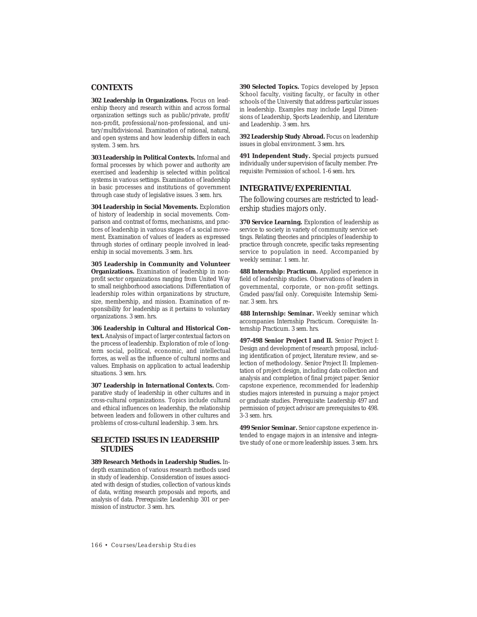#### **CONTEXTS**

**302 Leadership in Organizations.** Focus on leadership theory and research within and across formal organization settings such as public/private, profit/ non-profit, professional/non-professional, and unitary/multidivisional. Examination of rational, natural, and open systems and how leadership differs in each system. *3 sem. hrs.*

**303 Leadership in Political Contexts.** Informal and formal processes by which power and authority are exercised and leadership is selected within political systems in various settings. Examination of leadership in basic processes and institutions of government through case study of legislative issues. *3 sem. hrs.*

**304 Leadership in Social Movements.** Exploration of history of leadership in social movements. Comparison and contrast of forms, mechanisms, and practices of leadership in various stages of a social movement. Examination of values of leaders as expressed through stories of ordinary people involved in leadership in social movements. *3 sem. hrs.*

**305 Leadership in Community and Volunteer Organizations.** Examination of leadership in nonprofit sector organizations ranging from United Way to small neighborhood associations. Differentiation of leadership roles within organizations by structure, size, membership, and mission. Examination of responsibility for leadership as it pertains to voluntary organizations. *3 sem. hrs.*

**306 Leadership in Cultural and Historical Context.** Analysis of impact of larger contextual factors on the process of leadership. Exploration of role of longterm social, political, economic, and intellectual forces, as well as the influence of cultural norms and values. Emphasis on application to actual leadership situations. *3 sem. hrs.*

**307 Leadership in International Contexts.** Comparative study of leadership in other cultures and in cross-cultural organizations. Topics include cultural and ethical influences on leadership, the relationship between leaders and followers in other cultures and problems of cross-cultural leadership. *3 sem. hrs.*

#### **SELECTED ISSUES IN LEADERSHIP STUDIES**

**389 Research Methods in Leadership Studies.** Indepth examination of various research methods used in study of leadership. Consideration of issues associated with design of studies, collection of various kinds of data, writing research proposals and reports, and analysis of data. *Prerequisite*: Leadership 301 or permission of instructor. *3 sem. hrs.*

**390 Selected Topics.** Topics developed by Jepson School faculty, visiting faculty, or faculty in other schools of the University that address particular issues in leadership. Examples may include Legal Dimensions of Leadership, Sports Leadership, and Literature and Leadership. *3 sem. hrs.*

**392 Leadership Study Abroad.** Focus on leadership issues in global environment. *3 sem. hrs.*

**491 Independent Study.** Special projects pursued individually under supervision of faculty member. *Prerequisite*: Permission of school. *1-6 sem. hrs.*

## **INTEGRATIVE/EXPERIENTIAL**

The following courses are restricted to leadership studies majors only.

**370 Service Learning.** Exploration of leadership as service to society in variety of community service settings. Relating theories and principles of leadership to practice through concrete, specific tasks representing service to population in need. Accompanied by weekly seminar. *1 sem. hr.*

**488 Internship: Practicum.** Applied experience in field of leadership studies. Observations of leaders in governmental, corporate, or non-profit settings. Graded pass/fail only. *Corequisite*: Internship Seminar. *3 sem. hrs.*

**488 Internship: Seminar.** Weekly seminar which accompanies Internship Practicum. *Corequisite*: Internship Practicum. *3 sem. hrs.*

**497-498 Senior Project I and II.** Senior Project I: Design and development of research proposal, including identification of project, literature review, and selection of methodology. Senior Project II: Implementation of project design, including data collection and analysis and completion of final project paper. Senior capstone experience, recommended for leadership studies majors interested in pursuing a major project or graduate studies. *Prerequisite:* Leadership 497 and permission of project advisor are prerequisites to 498. *3-3 sem. hrs.*

**499 Senior Seminar.** Senior capstone experience intended to engage majors in an intensive and integrative study of one or more leadership issues. *3 sem. hrs.*

*166 • Courses/Leadership Studies*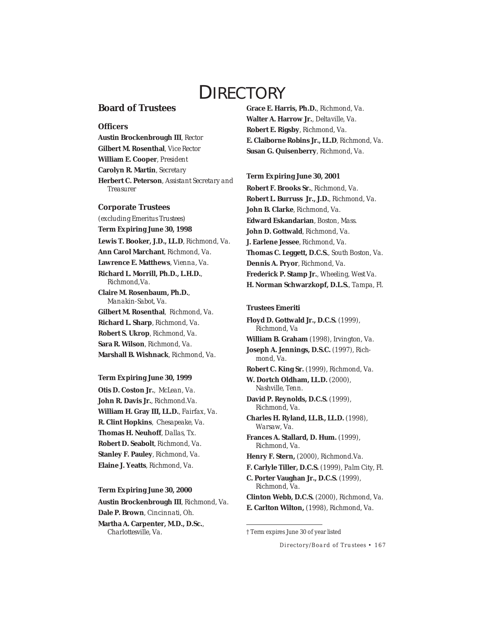# **DIRECTORY**

## **Board of Trustees**

#### **Officers**

**Austin Brockenbrough III**, *Rector* **Gilbert M. Rosenthal**, *Vice Rector* **William E. Cooper**, *President* **Carolyn R. Martin**, *Secretary* **Herbert C. Peterson**, *Assistant Secretary and Treasurer*

#### **Corporate Trustees**

*(excluding Emeritus Trustees)* **Term Expiring June 30, 1998**

**Lewis T. Booker, J.D., LL.D**, *Richmond, Va.* **Ann Carol Marchant**, *Richmond, Va.* **Lawrence E. Matthews**, *Vienna, Va.* **Richard L. Morrill, Ph.D., L.H.D.**, *Richmond,Va.* **Claire M. Rosenbaum, Ph.D.**, *Manakin-Sabot, Va.* **Gilbert M. Rosenthal**,*Richmond, Va.*

**Richard L. Sharp**, *Richmond, Va.* **Robert S. Ukrop**, *Richmond, Va.* **Sara R. Wilson**, *Richmond, Va.* **Marshall B. Wishnack**, *Richmond, Va.*

#### **Term Expiring June 30, 1999**

**Otis D. Coston Jr.**, *McLean, Va.* **John R. Davis Jr.**, *Richmond.Va.* **William H. Gray III, LL.D.**, *Fairfax, Va.* **R. Clint Hopkins**, *Chesapeake, Va.* **Thomas H. Neuhoff**, *Dallas, Tx.* **Robert D. Seabolt**, *Richmond, Va.* **Stanley F. Pauley**, *Richmond, Va.* **Elaine J. Yeatts**, *Richmond, Va.*

**Term Expiring June 30, 2000**

**Austin Brockenbrough III**, *Richmond, Va.* **Dale P. Brown**, *Cincinnati, Oh.*

**Martha A. Carpenter, M.D., D.Sc.**, *Charlottesville, Va.*

**Grace E. Harris, Ph.D.***, Richmond, Va.* **Walter A. Harrow Jr.**, *Deltaville, Va.* **Robert E. Rigsby**, *Richmond, Va.* **E. Claiborne Robins Jr., LL.D**, *Richmond, Va.* **Susan G. Quisenberry**, *Richmond, Va.*

#### **Term Expiring June 30, 2001**

**Robert F. Brooks Sr.**, *Richmond, Va.* **Robert L. Burruss Jr., J.D.**, *Richmond, Va.* **John B. Clarke**, *Richmond, Va.* **Edward Eskandarian**, *Boston, Mass.* **John D. Gottwald**, *Richmond, Va.* **J. Earlene Jessee**, *Richmond, Va.* **Thomas C. Leggett, D.C.S.**, *South Boston, Va.* **Dennis A. Pryor**, *Richmond, Va.* **Frederick P. Stamp Jr.**, *Wheeling, West Va.* **H. Norman Schwarzkopf, D.L.S.**, *Tampa, Fl.*

#### **Trustees Emeriti**

**Floyd D. Gottwald Jr., D.C.S.** *(1999), Richmond, Va* **William B. Graham** *(1998), Irvington, Va.* **Joseph A. Jennings, D.S.C.** (*1997*), *Richmond, Va.* **Robert C. King Sr.** *(1999), Richmond, Va.* **W. Dortch Oldham, LL.D.** *(2000), Nashville, Tenn.* **David P. Reynolds, D.C.S.** *(1999), Richmond, Va.* **Charles H. Ryland, LL.B., LL.D.** *(1998), Warsaw, Va.* **Frances A. Stallard, D. Hum.** *(1999), Richmond, Va.* **Henry F. Stern,** *(2000), Richmond.Va.* **F. Carlyle Tiller, D.C.S.** *(1999), Palm City, Fl.* **C. Porter Vaughan Jr., D.C.S.** *(1999), Richmond, Va.* **Clinton Webb, D.C.S.** *(2000), Richmond, Va.* **E. Carlton Wilton,** *(1998), Richmond, Va.*

#### † Term expires June 30 of year listed

*Directory/Board of Trustees • 167*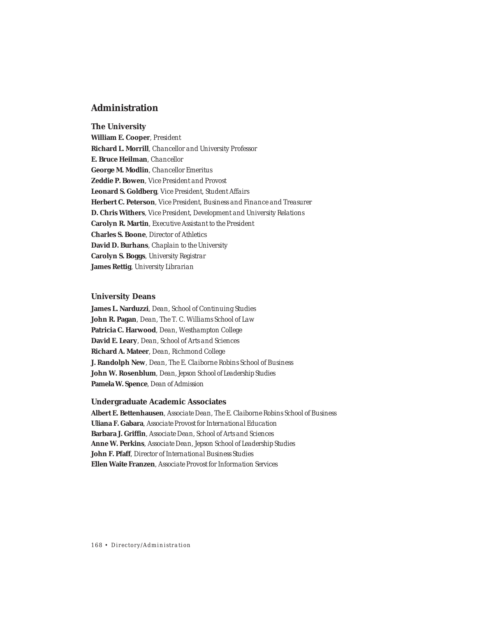## **Administration**

**The University**

**William E. Cooper**, *President* **Richard L. Morrill**, *Chancellor and University Professor* **E. Bruce Heilman**, *Chancellor* **George M. Modlin**, *Chancellor Emeritus* **Zeddie P. Bowen**, *Vice President and Provost* **Leonard S. Goldberg**, *Vice President, Student Affairs* **Herbert C. Peterson**, *Vice President, Business and Finance and Treasurer* **D. Chris Withers**, *Vice President, Development and University Relations* **Carolyn R. Martin**, *Executive Assistant to the President* **Charles S. Boone**, *Director of Athletics* **David D. Burhans**, *Chaplain to the University* **Carolyn S. Boggs**, *University Registrar* **James Rettig**, *University Librarian*

#### **University Deans**

**James L. Narduzzi**, *Dean, School of Continuing Studies* **John R. Pagan**, *Dean, The T. C. Williams School of Law* **Patricia C. Harwood**, *Dean, Westhampton College* **David E. Leary**, *Dean, School of Arts and Sciences* **Richard A. Mateer**, *Dean, Richmond College* **J. Randolph New**, *Dean, The E. Claiborne Robins School of Business* **John W. Rosenblum**, *Dean, Jepson School of Leadership Studies* **Pamela W. Spence**, *Dean of Admission*

#### **Undergraduate Academic Associates**

**Albert E. Bettenhausen**, *Associate Dean, The E. Claiborne Robins School of Business* **Uliana F. Gabara**, *Associate Provost for International Education* **Barbara J. Griffin**, *Associate Dean, School of Arts and Sciences* **Anne W. Perkins**, *Associate Dean, Jepson School of Leadership Studies* **John F. Pfaff**, *Director of International Business Studies* **Ellen Waite Franzen**, *Associate Provost for Information Services*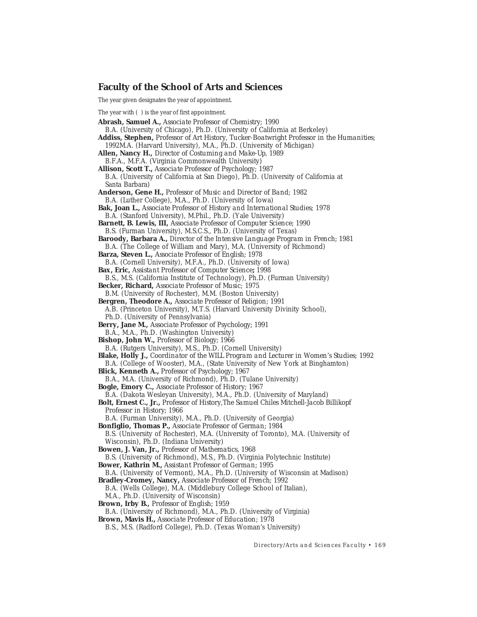## **Faculty of the School of Arts and Sciences**

The year given designates the year of appointment.

The year with ( ) is the year of first appointment.

**Abrash, Samuel A.,** *Associate Professor of Chemistry;* 1990 B.A. (University of Chicago), Ph.D. (University of California at Berkeley) **Addiss, Stephen,** *Professor of Art History, Tucker-Boatwright Professor in the Humanities;* 1992M.A. (Harvard University), M.A., Ph.D. (University of Michigan) **Allen, Nancy H.,** *Director of Costuming and Make-Up,* 1989 B.F.A., M.F.A. (Virginia Commonwealth University) **Allison, Scott T.,** *Associate Professor of Psychology;* 1987 B.A. (University of California at San Diego), Ph.D. (University of California at Santa Barbara) **Anderson, Gene H.,** *Professor of Music and Director of Band;* 1982 B.A. (Luther College), M.A., Ph.D. (University of Iowa) **Bak, Joan L.,** *Associate Professor of History and International Studies;* 1978 B.A. (Stanford University), M.Phil., Ph.D. (Yale University) **Barnett, B. Lewis, III,** *Associate Professor of Computer Science;* 1990 B.S. (Furman University), M.S.C.S., Ph.D. (University of Texas) **Baroody, Barbara A.,** *Director of the Intensive Language Program in French;* 1981 B.A. (The College of William and Mary), M.A. (University of Richmond) **Barza, Steven L.,** *Associate Professor of English;* 1978 B.A. (Cornell University), M.F.A., Ph.D. (University of Iowa) **Bax, Eric,** *Assistant Professor of Computer Science***;** 1998 B.S., M.S. (California Institute of Technology), Ph.D. (Furman University) **Becker, Richard,** *Associate Professor of Music;* 1975 B.M. (University of Rochester), M.M. (Boston University) **Bergren, Theodore A.,** *Associate Professor of Religion;* 1991 A.B. (Princeton University), M.T.S. (Harvard University Divinity School), Ph.D. (University of Pennsylvania) **Berry, Jane M.,** *Associate Professor of Psychology;* 1991 B.A., M.A., Ph.D. (Washington University) **Bishop, John W.,** *Professor of Biology;* 1966 B.A. (Rutgers University), M.S., Ph.D. (Cornell University) **Blake, Holly J.,** *Coordinator of the WILL Program and Lecturer in Women's Studies;* 1992 B.A. (College of Wooster), M.A., (State University of New York at Binghamton) **Blick, Kenneth A.,** *Professor of Psychology;* 1967 B.A., M.A. (University of Richmond), Ph.D. (Tulane University) **Bogle, Emory C.,** *Associate Professor of History;* 1967 B.A. (Dakota Wesleyan University), M.A., Ph.D. (University of Maryland) **Bolt, Ernest C., Jr.,** *Professor of History,The Samuel Chiles Mitchell-Jacob Billikopf Professor in History;* 1966 B.A. (Furman University), M.A., Ph.D. (University of Georgia) **Bonfiglio, Thomas P.,** *Associate Professor of German;* 1984 B.S. (University of Rochester), M.A. (University of Toronto), M.A. (University of Wisconsin), Ph.D. (Indiana University) **Bowen, J. Van, Jr.,** *Professor of Mathematics,* 1968 B.S. (University of Richmond), M.S., Ph.D. (Virginia Polytechnic Institute) **Bower, Kathrin M.,** *Assistant Professor of German;* 1995 B.A. (University of Vermont), M.A., Ph.D. (University of Wisconsin at Madison) **Bradley-Cromey, Nancy,** *Associate Professor of French;* 1992 B.A. (Wells College), M.A. (Middlebury College School of Italian), M.A., Ph.D. (University of Wisconsin) **Brown, Irby B.,** *Professor of English;* 1959 B.A. (University of Richmond), M.A., Ph.D. (University of Virginia) **Brown, Mavis H.,** *Associate Professor of Education;* 1978

B.S., M.S. (Radford College), Ph.D. (Texas Woman's University)

*Directory/Arts and Sciences Faculty • 169*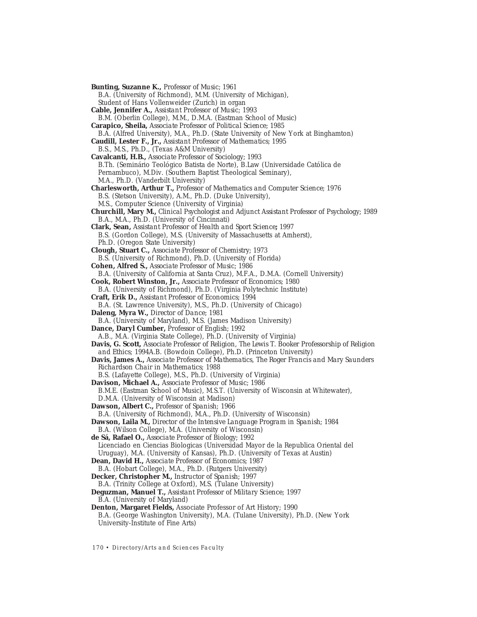**Bunting, Suzanne K.,** *Professor of Music;* 1961 B.A. (University of Richmond), M.M. (University of Michigan), Student of Hans Vollenweider (Zurich) in organ **Cable, Jennifer A.,** *Assistant Professor of Music;* 1993 B.M. (Oberlin College), M.M., D.M.A. (Eastman School of Music) **Carapico, Sheila,** *Associate Professor of Political Science;* 1985 B.A. (Alfred University), M.A., Ph.D. (State University of New York at Binghamton) **Caudill, Lester F., Jr.,** *Assistant Professor of Mathematics;* 1995 B.S., M.S., Ph.D., (Texas A&M University) **Cavalcanti, H.B.,** *Associate Professor of Sociology;* 1993 B.Th. (Seminário Teológico Batista de Norte), B.Law (Universidade Católica de Pernambuco), M.Div. (Southern Baptist Theological Seminary), M.A., Ph.D. (Vanderbilt University) **Charlesworth, Arthur T.,** *Professor of Mathematics and Computer Science;* 1976 B.S. (Stetson University), A.M., Ph.D. (Duke University), M.S., Computer Science (University of Virginia) **Churchill, Mary M.,** *Clinical Psychologist and Adjunct Assistant Professor of Psychology;* 1989 B.A., M.A., Ph.D. (University of Cincinnati) **Clark, Sean,** *Assistant Professor of Health and Sport Science***;** 1997 B.S. (Gordon College), M.S. (University of Massachusetts at Amherst), Ph.D. (Oregon State University) **Clough, Stuart C.,** *Associate Professor of Chemistry;* 1973 B.S. (University of Richmond), Ph.D. (University of Florida) **Cohen, Alfred S.,** *Associate Professor of Music;* 1986 B.A. (University of California at Santa Cruz), M.F.A., D.M.A. (Cornell University) **Cook, Robert Winston, Jr.,** *Associate Professor of Economics;* 1980 B.A. (University of Richmond), Ph.D. (Virginia Polytechnic Institute) **Craft, Erik D.,** *Assistant Professor of Economics;* 1994 B.A. (St. Lawrence University), M.S., Ph.D. (University of Chicago) **Daleng, Myra W.,** *Director of Dance;* 1981 B.A. (University of Maryland), M.S. (James Madison University) **Dance, Daryl Cumber,** *Professor of English;* 1992 A.B., M.A. (Virginia State College), Ph.D. (University of Virginia) **Davis, G. Scott,** *Associate Professor of Religion, The Lewis T. Booker Professorship of Religion and Ethics;* 1994A.B. (Bowdoin College), Ph.D. (Princeton University) **Davis, James A.,** *Associate Professor of Mathematics, The Roger Francis and Mary Saunders Richardson Chair in Mathematics;* 1988 B.S. (Lafayette College), M.S., Ph.D. (University of Virginia) **Davison, Michael A.,** *Associate Professor of Music;* 1986 B.M.E. (Eastman School of Music), M.S.T. (University of Wisconsin at Whitewater), D.M.A. (University of Wisconsin at Madison) **Dawson, Albert C.,** *Professor of Spanish;* 1966 B.A. (University of Richmond), M.A., Ph.D. (University of Wisconsin) **Dawson, Laila M.,** *Director of the Intensive Language Program in Spanish;* 1984 B.A. (Wilson College), M.A. (University of Wisconsin) **de Sá, Rafael O.,** *Associate Professor of Biology;* 1992 Licenciado en Ciencias Biologicas (Universidad Mayor de la Republica Oriental del Uruguay), M.A. (University of Kansas), Ph.D. (University of Texas at Austin) **Dean, David H.,** *Associate Professor of Economics;* 1987 B.A. (Hobart College), M.A., Ph.D. (Rutgers University) **Decker, Christopher M.,** *Instructor of Spanish;* 1997 B.A. (Trinity College at Oxford), M.S. (Tulane University) **Deguzman, Manuel T.,** *Assistant Professor of Military Science;* 1997 B.A. (University of Maryland) **Denton, Margaret Fields,** Associate Professor of Art History; 1990 B.A. (George Washington University), M.A. (Tulane University), Ph.D. (New York University-Institute of Fine Arts)

*170 • Directory/Arts and Sciences Faculty*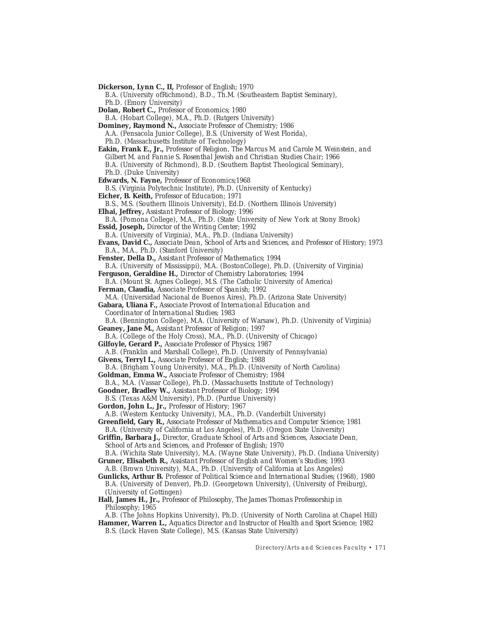**Dickerson, Lynn C., II,** *Professor of English;* 1970 B.A. (University ofRichmond), B.D., Th.M. (Southeastern Baptist Seminary), Ph.D. (Emory University) **Dolan, Robert C.,** *Professor of Economics;* 1980 B.A. (Hobart College), M.A., Ph.D. (Rutgers University) **Dominey, Raymond N.,** *Associate Professor of Chemistry;* 1986 A.A. (Pensacola Junior College), B.S. (University of West Florida), Ph.D. (Massachusetts Institute of Technology) **Eakin, Frank E., Jr.,** *Professor of Religion, The Marcus M. and Carole M. Weinstein, and Gilbert M. and Fannie S. Rosenthal Jewish and Christian Studies Chair;* 1966 B.A. (University of Richmond), B.D. (Southern Baptist Theological Seminary), Ph.D. (Duke University) **Edwards, N. Fayne,** *Professor of Economics;*1968 B.S. (Virginia Polytechnic Institute), Ph.D. (University of Kentucky) **Eicher, B. Keith,** *Professor of Education;* 1971 B.S., M.S. (Southern Illinois University), Ed.D. (Northern Illinois University) **Elhai, Jeffrey,** *Assistant Professor of Biology;* 1996 B.A. (Pomona College), M.A., Ph.D. (State University of New York at Stony Brook) **Essid, Joseph,** *Director of the Writing Center;* 1992 B.A. (University of Virginia), M.A., Ph.D. (Indiana University) **Evans, David C.,** *Associate Dean, School of Arts and Sciences, and Professor of History;* 1973 B.A., M.A., Ph.D. (Stanford University) **Fenster, Della D.,** *Assistant Professor of Mathematics;* 1994 B.A. (University of Mississippi), M.A. (BostonCollege), Ph.D. (University of Virginia) **Ferguson, Geraldine H.,** *Director of Chemistry Laboratories;* 1994 B.A. (Mount St. Agnes College), M.S. (The Catholic University of America) **Ferman, Claudia,** *Associate Professor of Spanish;* 1992 M.A. (Universidad Nacional de Buenos Aires), Ph.D. (Arizona State University) **Gabara, Uliana F.,** *Associate Provost of International Education and Coordinator of International Studies;* 1983 B.A. (Bennington College), M.A. (University of Warsaw), Ph.D. (University of Virginia) **Geaney, Jane M.,** *Assistant Professor of Religion;* 1997 B.A. (College of the Holy Cross), M.A., Ph.D. (University of Chicago) **Gilfoyle, Gerard P.,** *Associate Professor of Physics;* 1987 A.B. (Franklin and Marshall College), Ph.D. (University of Pennsylvania) **Givens, Terryl L.,** *Associate Professor of English;* 1988 B.A. (Brigham Young University), M.A., Ph.D. (University of North Carolina) **Goldman, Emma W.,** *Associate Professor of Chemistry;* 1984 B.A., M.A. (Vassar College), Ph.D. (Massachusetts Institute of Technology) **Goodner, Bradley W.,** *Assistant Professor of Biology;* 1994 B.S. (Texas A&M University), Ph.D. (Purdue University) **Gordon, John L., Jr.,** *Professor of History;* 1967 A.B. (Western Kentucky University), M.A., Ph.D. (Vanderbilt University) **Greenfield, Gary R.,** *Associate Professor of Mathematics and Computer Science;* 1981 B.A. (University of California at Los Angeles), Ph.D. (Oregon State University) **Griffin, Barbara J.,** *Director, Graduate School of Arts and Sciences, Associate Dean, School of Arts and Sciences, and Professor of English;* 1970 B.A. (Wichita State University), M.A. (Wayne State University), Ph.D. (Indiana University) **Gruner, Elisabeth R.,** *Assistant Professor of English and Women's Studies;* 1993 A.B. (Brown University), M.A., Ph.D. (University of California at Los Angeles) **Gunlicks, Arthur B.** *Professor of Political Science and International Studies;* (1968), 1980 B.A. (University of Denver), Ph.D. (Georgetown University), (University of Freiburg), (University of Gottingen) **Hall, James H., Jr.,** *Professor of Philosophy, The James Thomas Professorship in Philosophy;* 1965 A.B. (The Johns Hopkins University), Ph.D. (University of North Carolina at Chapel Hill) **Hammer, Warren L.,** *Aquatics Director and Instructor of Health and Sport Science;* 1982 B.S. (Lock Haven State College), M.S. (Kansas State University)

*Directory/Arts and Sciences Faculty • 171*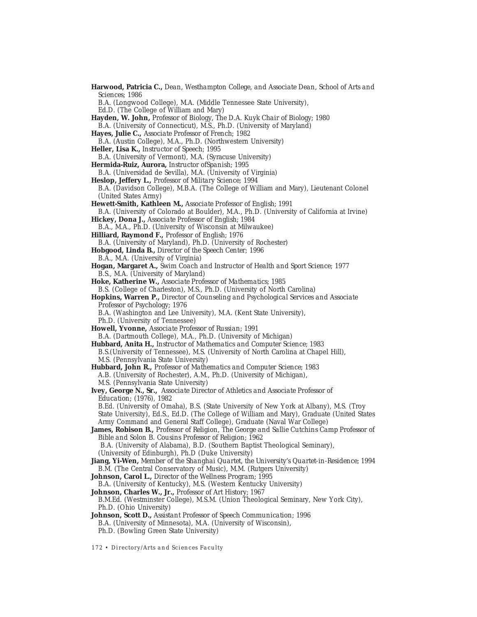*172 • Directory/Arts and Sciences Faculty* **Harwood, Patricia C.,** *Dean, Westhampton College, and Associate Dean, School of Arts and Sciences;* 1986 B.A. (Longwood College), M.A. (Middle Tennessee State University), Ed.D. (The College of William and Mary) **Hayden, W. John,** *Professor of Biology, The D.A. Kuyk Chair of Biology;* 1980 B.A. (University of Connecticut), M.S., Ph.D. (University of Maryland) **Hayes, Julie C.,** *Associate Professor of French;* 1982 B.A. (Austin College), M.A., Ph.D. (Northwestern University) **Heller, Lisa K.,** *Instructor of Speech;* 1995 B.A. (University of Vermont), M.A. (Syracuse University) **Hermida-Ruiz, Aurora,** *Instructor ofSpanish;* 1995 B.A. (Universidad de Sevilla), M.A. (University of Virginia) **Heslop, Jeffery L.,** *Professor of Military Science;* 1994 B.A. (Davidson College), M.B.A. (The College of William and Mary), Lieutenant Colonel (United States Army) **Hewett-Smith, Kathleen M.,** *Associate Professor of English;* 1991 B.A. (University of Colorado at Boulder), M.A., Ph.D. (University of California at Irvine) **Hickey, Dona J.,** *Associate Professor of English;* 1984 B.A., M.A., Ph.D. (University of Wisconsin at Milwaukee) **Hilliard, Raymond F.,** *Professor of English;* 1976 B.A. (University of Maryland), Ph.D. (University of Rochester) **Hobgood, Linda B.,** *Director of the Speech Center;* 1996 B.A., M.A. (University of Virginia) **Hogan, Margaret A.,** *Swim Coach and Instructor of Health and Sport Science;* 1977 B.S., M.A. (University of Maryland) **Hoke, Katherine W.,** *Associate Professor of Mathematics;* 1985 B.S. (College of Charleston), M.S., Ph.D. (University of North Carolina) **Hopkins, Warren P.,** *Director of Counseling and Psychological Services and Associate Professor of Psychology;* 1976 B.A. (Washington and Lee University), M.A. (Kent State University), Ph.D. (University of Tennessee) **Howell, Yvonne,** *Associate Professor of Russian;* 1991 B.A. (Dartmouth College), M.A., Ph.D. (University of Michigan) **Hubbard, Anita H.,** *Instructor of Mathematics and Computer Science;* 1983 B.S.(University of Tennessee), M.S. (University of North Carolina at Chapel Hill), M.S. (Pennsylvania State University) **Hubbard, John R.,** *Professor of Mathematics and Computer Science;* 1983 A.B. (University of Rochester), A.M., Ph.D. (University of Michigan), M.S. (Pennsylvania State University) **Ivey, George N., Sr.,** *Associate Director of Athletics and Associate Professor of Education;* (1976), 1982 B.Ed. (University of Omaha), B.S. (State University of New York at Albany), M.S. (Troy State University), Ed.S., Ed.D. (The College of William and Mary), Graduate (United States Army Command and General Staff College), Graduate (Naval War College) **James, Robison B.,** *Professor of Religion, The George and Sallie Cutchins Camp Professor of Bible and Solon B. Cousins Professor of Religion;* 1962 B.A. (University of Alabama), B.D. (Southern Baptist Theological Seminary), (University of Edinburgh), Ph.D (Duke University) **Jiang, Yi-Wen,** *Member of the Shanghai Quartet, the University's Quartet-in-Residence;* 1994 B.M. (The Central Conservatory of Music), M.M. (Rutgers University) **Johnson, Carol L.,** *Director of the Wellness Program;* 1995 B.A. (University of Kentucky), M.S. (Western Kentucky University) **Johnson, Charles W., Jr.,** *Professor of Art History;* 1967 B.M.Ed. (Westminster College), M.S.M. (Union Theological Seminary, New York City), Ph.D. (Ohio University) **Johnson, Scott D.,** *Assistant Professor of Speech Communication;* 1996 B.A. (University of Minnesota), M.A. (University of Wisconsin), Ph.D. (Bowling Green State University)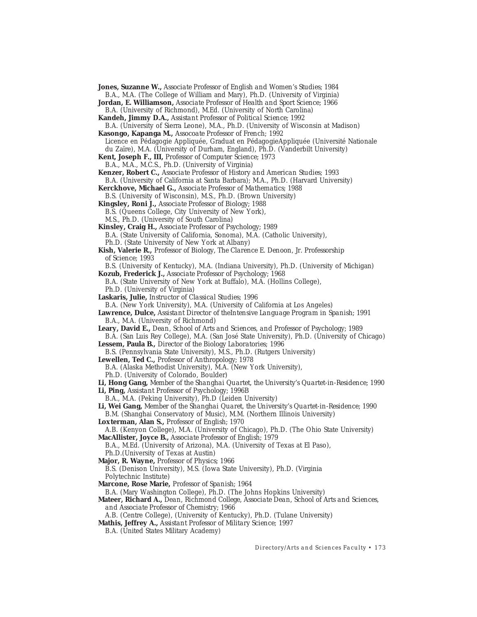**Jones, Suzanne W.,** *Associate Professor of English and Women's Studies;* 1984 B.A., M.A. (The College of William and Mary), Ph.D. (University of Virginia)

**Jordan, E. Williamson,** *Associate Professor of Health and Sport Science;* 1966 B.A. (University of Richmond), M.Ed. (University of North Carolina)

**Kandeh, Jimmy D.A.,** *Assistant Professor of Political Science;* 1992

B.A. (University of Sierra Leone), M.A., Ph.D. (University of Wisconsin at Madison) **Kasongo, Kapanga M.,** *Assocoate Professor of French;* 1992

Licence en Pédagogie Appliquée, Graduat en PédagogieAppliquée (Université Nationale du Zaïre), M.A. (University of Durham, England), Ph.D. (Vanderbilt University)

**Kent, Joseph F., III,** *Professor of Computer Science;* 1973

B.A., M.A., M.C.S., Ph.D. (University of Virginia)

**Kenzer, Robert C.,** *Associate Professor of History and American Studies;* 1993

B.A. (University of California at Santa Barbara); M.A., Ph.D. (Harvard University)

**Kerckhove, Michael G.,** *Associate Professor of Mathematics;* 1988

B.S. (University of Wisconsin), M.S., Ph.D. (Brown University) **Kingsley, Roni J.,** *Associate Professor of Biology;* 1988

B.S. (Queens College, City University of New York),

M.S., Ph.D. (University of South Carolina)

**Kinsley, Craig H.,** *Associate Professor of Psychology;* 1989 B.A. (State University of California, Sonoma), M.A. (Catholic University), Ph.D. (State University of New York at Albany)

**Kish, Valerie R.,** *Professor of Biology, The Clarence E. Denoon, Jr. Professorship of Science;* 1993

B.S. (University of Kentucky), M.A. (Indiana University), Ph.D. (University of Michigan) **Kozub, Frederick J.,** *Associate Professor of Psychology;* 1968

B.A. (State University of New York at Buffalo), M.A. (Hollins College), Ph.D. (University of Virginia)

**Laskaris, Julie,** *Instructor of Classical Studies;* 1996

B.A. (New York University), M.A. (University of California at Los Angeles)

**Lawrence, Dulce,** *Assistant Director of theIntensive Language Program in Spanish;* 1991 B.A., M.A. (University of Richmond)

**Leary, David E.,** *Dean, School of Arts and Sciences, and Professor of Psychology;* 1989 B.A. (San Luis Rey College), M.A. (San José State University), Ph.D. (University of Chicago)

**Lessem, Paula B.,** *Director of the Biology Laboratories;* 1996

B.S. (Pennsylvania State University), M.S., Ph.D. (Rutgers University) **Lewellen, Ted C.,** *Professor of Anthropology;* 1978

B.A. (Alaska Methodist University), M.A. (New York University),

Ph.D. (University of Colorado, Boulder)

**Li, Hong Gang,** *Member of the Shanghai Quartet, the University's Quartet-in-Residence;* 1990 **Li, Ping,** *Assistant Professor of Psychology;* 1996B

B.A., M.A. (Peking University), Ph.D (Leiden University)

- **Li, Wei Gang,** *Member of the Shanghai Quaret, the University's Quartet-in-Residence;* 1990 B.M. (Shanghai Conservatory of Music), M.M. (Northern Illinois University)
- **Loxterman, Alan S.,** *Professor of English;* 1970

A.B. (Kenyon College), M.A. (University of Chicago), Ph.D. (The Ohio State University) **MacAllister, Joyce B.,** *Associate Professor of English;* 1979

B.A., M.Ed. (University of Arizona), M.A. (University of Texas at El Paso), Ph.D.(University of Texas at Austin)

**Major, R. Wayne,** *Professor of Physics;* 1966

B.S. (Denison University), M.S. (Iowa State University), Ph.D. (Virginia Polytechnic Institute)

**Marcone, Rose Marie,** *Professor of Spanish;* 1964

B.A. (Mary Washington College), Ph.D. (The Johns Hopkins University)

**Mateer, Richard A.,** *Dean, Richmond College, Associate Dean, School of Arts and Sciences, and Associate Professor of Chemistry;* 1966

A.B. (Centre College), (University of Kentucky), Ph.D. (Tulane University)

**Mathis, Jeffrey A.,** *Assistant Professor of Military Science;* 1997

B.A. (United States Military Academy)

*Directory/Arts and Sciences Faculty • 173*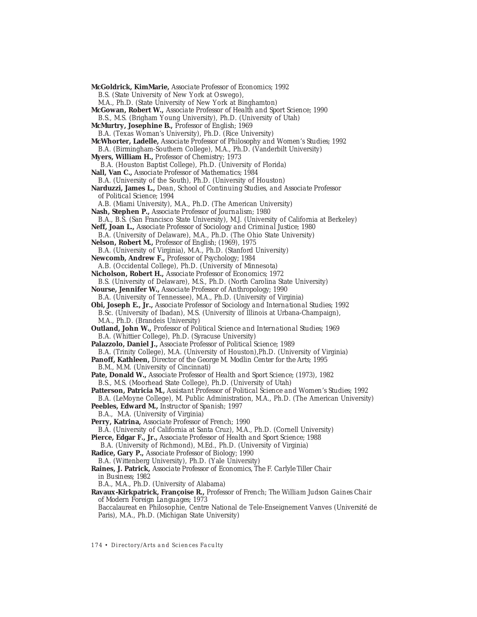**McGoldrick, KimMarie,** *Associate Professor of Economics;* 1992 B.S. (State University of New York at Oswego), M.A., Ph.D. (State University of New York at Binghamton) **McGowan, Robert W.,** *Associate Professor of Health and Sport Science;* 1990 B.S., M.S. (Brigham Young University), Ph.D. (University of Utah) **McMurtry, Josephine B.,** *Professor of English;* 1969 B.A. (Texas Woman's University), Ph.D. (Rice University) **McWhorter, Ladelle,** *Associate Professor of Philosophy and Women's Studies;* 1992 B.A. (Birmingham-Southern College), M.A., Ph.D. (Vanderbilt University) **Myers, William H.,** *Professor of Chemistry;* 1973 B.A. (Houston Baptist College), Ph.D. (University of Florida) **Nall, Van C.,** *Associate Professor of Mathematics;* 1984 B.A. (University of the South), Ph.D. (University of Houston) **Narduzzi, James L.,** *Dean, School of Continuing Studies, and Associate Professor of Political Science;* 1994 A.B. (Miami University), M.A., Ph.D. (The American University) **Nash, Stephen P.,** *Associate Professor of Journalism;* 1980 B.A., B.S. (San Francisco State University), M.J. (University of California at Berkeley) **Neff, Joan L.,** *Associate Professor of Sociology and Criminal Justice;* 1980 B.A. (University of Delaware), M.A., Ph.D. (The Ohio State University) **Nelson, Robert M.,** *Professor of English;* (1969), 1975 B.A. (University of Virginia), M.A., Ph.D. (Stanford University) **Newcomb, Andrew F.,** *Professor of Psychology;* 1984 A.B. (Occidental College), Ph.D. (University of Minnesota) **Nicholson, Robert H.,** *Associate Professor of Economics;* 1972 B.S. (University of Delaware), M.S., Ph.D. (North Carolina State University) **Nourse, Jennifer W.,** *Associate Professor of Anthropology;* 1990 B.A. (University of Tennessee), M.A., Ph.D. (University of Virginia) **Obi, Joseph E., Jr.,** *Associate Professor of Sociology and International Studies;* 1992 B.Sc. (University of Ibadan), M.S. (University of Illinois at Urbana-Champaign), M.A., Ph.D. (Brandeis University) **Outland, John W.,** *Professor of Political Science and International Studies;* 1969 B.A. (Whittier College), Ph.D. (Syracuse University) **Palazzolo, Daniel J.,** *Associate Professor of Political Science;* 1989 B.A. (Trinity College), M.A. (University of Houston),Ph.D. (University of Virginia) **Panoff, Kathleen,** *Director of the George M. Modlin Center for the Arts;* 1995 B.M., M.M. (University of Cincinnati) **Pate, Donald W.,** *Associate Professor of Health and Sport Science;* (1973), 1982 B.S., M.S. (Moorhead State College), Ph.D. (University of Utah) **Patterson, Patricia M.,** *Assistant Professor of Political Science and Women's Studies;* 1992 B.A. (LeMoyne College), M. Public Administration, M.A., Ph.D. (The American University) **Peebles, Edward M.,** *Instructor of Spanish;* 1997 B.A., M.A. (University of Virginia) **Perry, Katrina,** *Associate Professor of French;* 1990 B.A. (University of California at Santa Cruz), M.A., Ph.D. (Cornell University) **Pierce, Edgar F., Jr.,** *Associate Professor of Health and Sport Science;* 1988 B.A. (University of Richmond), M.Ed., Ph.D. (University of Virginia) **Radice, Gary P.,** *Associate Professor of Biology;* 1990 B.A. (Wittenberg University), Ph.D. (Yale University) **Raines, J. Patrick,** *Associate Professor of Economics, The F. Carlyle Tiller Chair in Business;* 1982 B.A., M.A., Ph.D. (University of Alabama) **Ravaux-Kirkpatrick, Françoise R.,** *Professor of French; The William Judson Gaines Chair of Modern Foreign Languages;* 1973 Baccalaureat en Philosophie, Centre National de Tele-Enseignement Vanves (Université de Paris), M.A., Ph.D. (Michigan State University)

*174 • Directory/Arts and Sciences Faculty*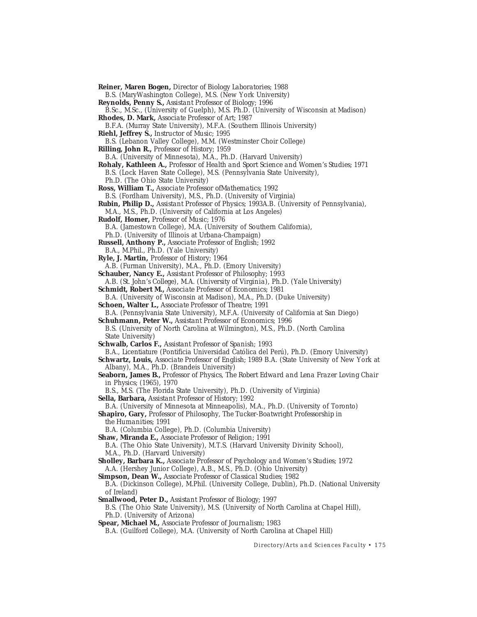**Reiner, Maren Bogen,** *Director of Biology Laboratories;* 1988 B.S. (MaryWashington College), M.S. (New York University) **Reynolds, Penny S.,** *Assistant Professor of Biology;* 1996 B.Sc., M.Sc., (University of Guelph), M.S. Ph.D. (University of Wisconsin at Madison) **Rhodes, D. Mark,** *Associate Professor of Art;* 1987 B.F.A. (Murray State University), M.F.A. (Southern Illinois University) **Riehl, Jeffrey S.,** *Instructor of Music;* 1995 B.S. (Lebanon Valley College), M.M. (Westminster Choir College) **Rilling, John R.,** *Professor of History;* 1959 B.A. (University of Minnesota), M.A., Ph.D. (Harvard University) **Rohaly, Kathleen A.,** *Professor of Health and Sport Science and Women's Studies;* 1971 B.S. (Lock Haven State College), M.S. (Pennsylvania State University), Ph.D. (The Ohio State University) **Ross, William T.,** *Associate Professor ofMathematics;* 1992 B.S. (Fordham University), M.S., Ph.D. (University of Virginia) **Rubin, Philip D.,** *Assistant Professor of Physics;* 1993A.B. (University of Pennsylvania), M.A., M.S., Ph.D. (University of California at Los Angeles) **Rudolf, Homer,** *Professor of Music;* 1976 B.A. (Jamestown College), M.A. (University of Southern California), Ph.D. (University of Illinois at Urbana-Champaign) **Russell, Anthony P.,** *Associate Professor of English;* 1992 B.A., M.Phil., Ph.D. (Yale University) **Ryle, J. Martin,** *Professor of History;* 1964 A.B. (Furman University), M.A., Ph.D. (Emory University) **Schauber, Nancy E.,** *Assistant Professor of Philosophy; 1993 A.B. (St. John's College), M.A. (University of Virginia), Ph.D. (Yale University)* **Schmidt, Robert M.,** *Associate Professor of Economics;* 1981 B.A. (University of Wisconsin at Madison), M.A., Ph.D. (Duke University) **Schoen, Walter L.,** *Associate Professor of Theatre;* 1991 B.A. (Pennsylvania State University), M.F.A. (University of California at San Diego) **Schuhmann, Peter W.,** *Assistant Professor of Economics;* 1996 B.S. (University of North Carolina at Wilmington), M.S., Ph.D. (North Carolina State University) **Schwalb, Carlos F.,** *Assistant Professor of Spanish;* 1993 B.A., Licentiature (Pontificia Universidad Católica del Perú), Ph.D. (Emory University) **Schwartz, Louis,** *Associate Professor of English;* 1989 B.A. (State University of New York at Albany), M.A., Ph.D. (Brandeis University) **Seaborn, James B.,** *Professor of Physics, The Robert Edward and Lena Frazer Loving Chair in Physics;* (1965), 1970 B.S., M.S. (The Florida State University), Ph.D. (University of Virginia) **Sella, Barbara,** *Assistant Professor of History;* 1992 B.A. (University of Minnesota at Minneapolis), M.A., Ph.D. (University of Toronto) **Shapiro, Gary,** *Professor of Philosophy, The Tucker-Boatwright Professorship in the Humanities;* 1991 B.A. (Columbia College), Ph.D. (Columbia University) **Shaw, Miranda E.,** *Associate Professor of Religion;* 1991 B.A. (The Ohio State University), M.T.S. (Harvard University Divinity School), M.A., Ph.D. (Harvard University) **Sholley, Barbara K.,** *Associate Professor of Psychology and Women's Studies;* 1972 A.A. (Hershey Junior College), A.B., M.S., Ph.D. (Ohio University) **Simpson, Dean W.,** *Associate Professor of Classical Studies;* 1982 B.A. (Dickinson College), M.Phil. (University College, Dublin), Ph.D. (National University of Ireland) **Smallwood, Peter D.,** *Assistant Professor of Biology;* 1997 B.S. (The Ohio State University), M.S. (University of North Carolina at Chapel Hill), Ph.D. (University of Arizona) **Spear, Michael M.,** *Associate Professor of Journalism;* 1983 B.A. (Guilford College), M.A. (University of North Carolina at Chapel Hill)

*Directory/Arts and Sciences Faculty • 175*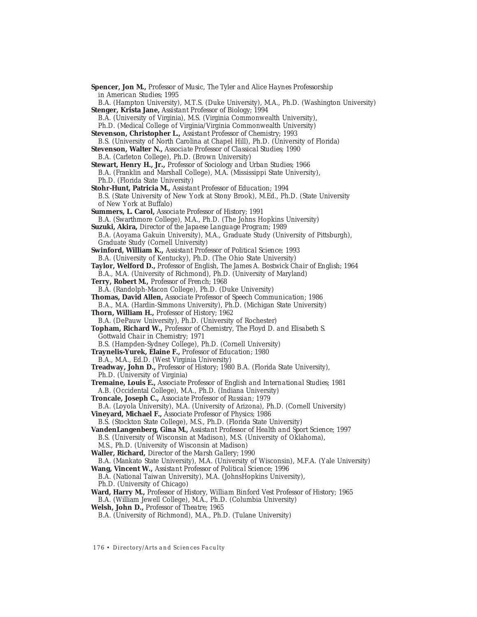**Spencer, Jon M.,** *Professor of Music, The Tyler and Alice Haynes Professorship in American Studies;* 1995 B.A. (Hampton University), M.T.S. (Duke University), M.A., Ph.D. (Washington University) **Stenger, Krista Jane,** *Assistant Professor of Biology;* 1994 B.A. (University of Virginia), M.S. (Virginia Commonwealth University), Ph.D. (Medical College of Virginia/Virginia Commonwealth University) **Stevenson, Christopher L.,** *Assistant Professor of Chemistry;* 1993 B.S. (University of North Carolina at Chapel Hill), Ph.D. (University of Florida) **Stevenson, Walter N.,** *Associate Professor of Classical Studies;* 1990 B.A. (Carleton College), Ph.D. (Brown University) **Stewart, Henry H., Jr.,** *Professor of Sociology and Urban Studies;* 1966 B.A. (Franklin and Marshall College), M.A. (Mississippi State University), Ph.D. (Florida State University) **Stohr-Hunt, Patricia M.,** *Assistant Professor of Education;* 1994 B.S. (State University of New York at Stony Brook), M.Ed., Ph.D. (State University of New York at Buffalo) **Summers, L. Carol,** *Associate Professor of History;* 1991 B.A. (Swarthmore College), M.A., Ph.D. (The Johns Hopkins University) **Suzuki, Akira,** *Director of the Japaese Language Program;* 1989 B.A. (Aoyama Gakuin University), M.A., Graduate Study (University of Pittsburgh), Graduate Study (Cornell University) **Swinford, William K.,** *Assistant Professor of Political Science;* 1993 B.A. (University of Kentucky), Ph.D. (The Ohio State University) **Taylor, Welford D.,** *Professor of English, The James A. Bostwick Chair of English;* 1964 B.A., M.A. (University of Richmond), Ph.D. (University of Maryland) **Terry, Robert M.,** *Professor of French;* 1968 B.A. (Randolph-Macon College), Ph.D. (Duke University) **Thomas, David Allen,** *Associate Professor of Speech Communication;* 1986 B.A., M.A. (Hardin-Simmons University), Ph.D. (Michigan State University) **Thorn, William H.,** *Professor of History;* 1962 B.A. (DePauw University), Ph.D. (University of Rochester) **Topham, Richard W.,** *Professor of Chemistry, The Floyd D. and Elisabeth S. Gottwald Chair in Chemistry;* 1971 B.S. (Hampden-Sydney College), Ph.D. (Cornell University) **Traynelis-Yurek, Elaine F.,** *Professor of Education;* 1980 B.A., M.A., Ed.D. (West Virginia University) **Treadway, John D.,** *Professor of History;* 1980 B.A. (Florida State University), Ph.D. (University of Virginia) **Tremaine, Louis E.,** *Associate Professor of English and International Studies;* 1981 A.B. (Occidental College), M.A., Ph.D. (Indiana University) **Troncale, Joseph C.,** *Associate Professor of Russian;* 1979 B.A. (Loyola University), M.A. (University of Arizona), Ph.D. (Cornell University) **Vineyard, Michael F.,** *Associate Professor of Physics;* 1986 B.S. (Stockton State College), M.S., Ph.D. (Florida State University) **VandenLangenberg, Gina M.,** *Assistant Professor of Health and Sport Science;* 1997 B.S. (University of Wisconsin at Madison), M.S. (University of Oklahoma), M.S., Ph.D. (University of Wisconsin at Madison) **Waller, Richard,** *Director of the Marsh Gallery;* 1990 B.A. (Mankato State University), M.A. (University of Wisconsin), M.F.A. (Yale University) **Wang, Vincent W.,** *Assistant Professor of Political Science;* 1996 B.A. (National Taiwan University), M.A. (JohnsHopkins University), Ph.D. (University of Chicago) **Ward, Harry M.,** *Professor of History, William Binford Vest Professor of History;* 1965 B.A. (William Jewell College), M.A., Ph.D. (Columbia University) **Welsh, John D.,** *Professor of Theatre;* 1965 B.A. (University of Richmond), M.A., Ph.D. (Tulane University)

*176 • Directory/Arts and Sciences Faculty*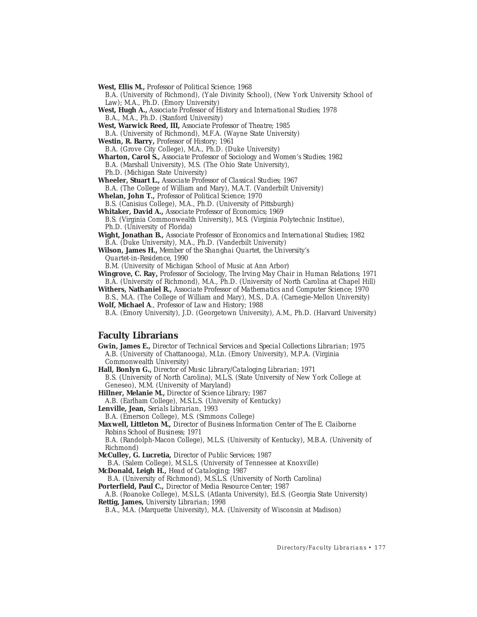**West, Ellis M.,** *Professor of Political Science;* 1968

B.A. (University of Richmond), (Yale Divinity School), (New York University School of Law); M.A., Ph.D. (Emory University)

**West, Hugh A.,** *Associate Professor of History and International Studies;* 1978 B.A., M.A., Ph.D. (Stanford University)

- **West, Warwick Reed, III,** *Associate Professor of Theatre;* 1985 B.A. (University of Richmond), M.F.A. (Wayne State University)
- **Westin, R. Barry,** *Professor of History;* 1961

B.A. (Grove City College), M.A., Ph.D. (Duke University) **Wharton, Carol S.,** *Associate Professor of Sociology and Women's Studies;* 1982 B.A. (Marshall University), M.S. (The Ohio State University), Ph.D. (Michigan State University)

- **Wheeler, Stuart L.,** *Associate Professor of Classical Studies;* 1967 B.A. (The College of William and Mary), M.A.T. (Vanderbilt University)
- **Whelan, John T.,** *Professor of Political Science;* 1970

B.S. (Canisius College), M.A., Ph.D. (University of Pittsburgh)

**Whitaker, David A.,** *Associate Professor of Economics;* 1969 B.S. (Virginia Commonwealth University), M.S. (Virginia Polytechnic Institue), Ph.D. (University of Florida)

**Wight, Jonathan B.,** *Associate Professor of Economics and International Studies;* 1982 B.A. (Duke University), M.A., Ph.D. (Vanderbilt University)

**Wilson, James H.,** *Member of the Shanghai Quartet, the University's Quartet-in-Residence,* 1990 B.M. (University of Michigan School of Music at Ann Arbor)

**Wingrove, C. Ray,** *Professor of Sociology, The Irving May Chair in Human Relations;* 1971 B.A. (University of Richmond), M.A., Ph.D. (University of North Carolina at Chapel Hill)

**Withers, Nathaniel R.,** *Associate Professor of Mathematics and Computer Science;* 1970 B.S., M.A. (The College of William and Mary), M.S., D.A. (Carnegie-Mellon University)

**Wolf, Michael A**., *Professor of Law and History*; 1988 B.A. (Emory University), J.D. (Georgetown University), A.M., Ph.D. (Harvard University)

## **Faculty Librarians**

**Gwin, James E.,** *Director of Technical Services and Special Collections Librarian;* 1975 A.B. (University of Chattanooga), M.Ln. (Emory University), M.P.A. (Virginia Commonwealth University) **Hall, Bonlyn G.,** *Director of Music Library/Cataloging Librarian;* 1971 B.S. (University of North Carolina), M.L.S. (State University of New York College at

Geneseo), M.M. (University of Maryland)

**Hillner, Melanie M.,** *Director of Science Library;* 1987 A.B. (Earlham College), M.S.L.S. (University of Kentucky)

**Lenville, Jean,** *Serials Librarian,* 1993

B.A. (Emerson College), M.S. (Simmons College)

**Maxwell, Littleton M.,** *Director of Business Information Center of The E. Claiborne Robins School of Business;* 1971

B.A. (Randolph-Macon College), M.L.S. (University of Kentucky), M.B.A. (University of Richmond)

**McCulley, G. Lucretia,** *Director of Public Services;* 1987

B.A. (Salem College), M.S.L.S. (University of Tennessee at Knoxville)

**McDonald, Leigh H.,** *Head of Cataloging;* 1987

B.A. (University of Richmond), M.S.L.S. (University of North Carolina)

**Porterfield, Paul C.,** *Director of Media Resource Center;* 1987

A.B. (Roanoke College), M.S.L.S. (Atlanta University), Ed.S. (Georgia State University) **Rettig, James,** *University Librarian;* 1998

B.A., M.A. (Marquette University), M.A. (University of Wisconsin at Madison)

*Directory/Faculty Librarians • 177*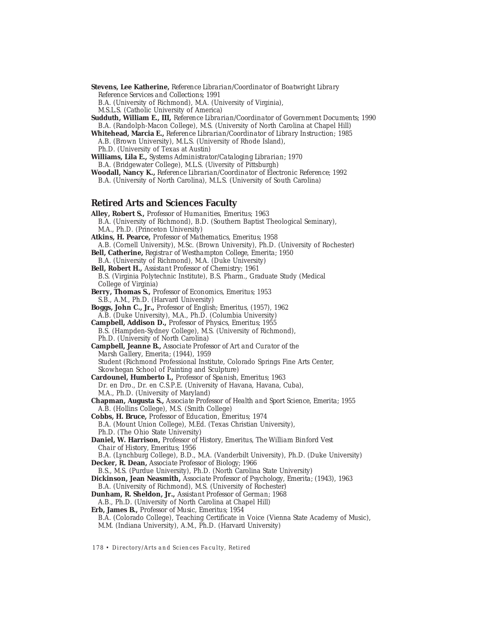**Stevens, Lee Katherine,** *Reference Librarian/Coordinator of Boatwright Library Reference Services and Collections;* 1991 B.A. (University of Richmond), M.A. (University of Virginia), M.S.L.S. (Catholic University of America)

**Sudduth, William E., III,** *Reference Librarian/Coordinator of Government Documents;* 1990 B.A. (Randolph-Macon College), M.S. (University of North Carolina at Chapel Hill)

- **Whitehead, Marcia E.,** *Reference Librarian/Coordinator of Library Instruction;* 1985 A.B. (Brown University), M.L.S. (University of Rhode Island),
- Ph.D. (University of Texas at Austin)

**Williams, Lila E.,** *Systems Administrator/Cataloging Librarian;* 1970 B.A. (Bridgewater College), M.L.S. (Uiversity of Pittsburgh)

**Woodall, Nancy K.,** *Reference Librarian/Coordinator of Electronic Reference;* 1992 B.A. (University of North Carolina), M.L.S. (University of South Carolina)

## **Retired Arts and Sciences Faculty**

**Alley, Robert S.,** *Professor of Humanities, Emeritus;* 1963 B.A. (University of Richmond), B.D. (Southern Baptist Theological Seminary), M.A., Ph.D. (Princeton University) **Atkins, H. Pearce,** *Professor of Mathematics, Emeritus;* 1958 A.B. (Cornell University), M.Sc. (Brown University), Ph.D. (University of Rochester) **Bell, Catherine,** *Registrar of Westhampton College, Emerita;* 1950 B.A. (University of Richmond), M.A. (Duke University) **Bell, Robert H.,** *Assistant Professor of Chemistry;* 1961 B.S. (Virginia Polytechnic Institute), B.S. Pharm., Graduate Study (Medical College of Virginia) **Berry, Thomas S.,** *Professor of Economics, Emeritus;* 1953 S.B., A.M., Ph.D. (Harvard University) **Boggs, John C., Jr.,** *Professor of English; Emeritus,* (1957), 1962 A.B. (Duke University), M.A., Ph.D. (Columbia University) **Campbell, Addison D.,** *Professor of Physics, Emeritus;* 1955 B.S. (Hampden-Sydney College), M.S. (University of Richmond), Ph.D. (University of North Carolina) **Campbell, Jeanne B.,** *Associate Professor of Art and Curator of the Marsh Gallery, Emerita;* (1944), 1959 Student (Richmond Professional Institute, Colorado Springs Fine Arts Center, Skowhegan School of Painting and Sculpture) **Cardounel, Humberto I.,** *Professor of Spanish, Emeritus;* 1963 Dr. en Dro., Dr. en C.S.P.E. (University of Havana, Havana, Cuba), M.A., Ph.D. (University of Maryland) **Chapman, Augusta S.,** *Associate Professor of Health and Sport Science, Emerita;* 1955 A.B. (Hollins College), M.S. (Smith College) **Cobbs, H. Bruce,** *Professor of Education, Emeritus;* 1974 B.A. (Mount Union College), M.Ed. (Texas Christian University), Ph.D. (The Ohio State University) **Daniel, W. Harrison,** *Professor of History, Emeritus, The William Binford Vest Chair of History, Emeritus;* 1956 B.A. (Lynchburg College), B.D., M.A. (Vanderbilt University), Ph.D. (Duke University) **Decker, R. Dean,** *Associate Professor of Biology;* 1966 B.S., M.S. (Purdue University), Ph.D. (North Carolina State University) **Dickinson, Jean Neasmith,** *Associate Professor of Psychology, Emerita;* (1943), 1963 B.A. (University of Richmond), M.S. (University of Rochester) **Dunham, R. Sheldon, Jr.,** *Assistant Professor of German;* 1968 A.B., Ph.D. (University of North Carolina at Chapel Hill) **Erb, James B.,** *Professor of Music, Emeritus;* 1954 B.A. (Colorado College), Teaching Certificate in Voice (Vienna State Academy of Music), M.M. (Indiana University), A.M., Ph.D. (Harvard University)

*178 • Directory/Arts and Sciences Faculty, Retired*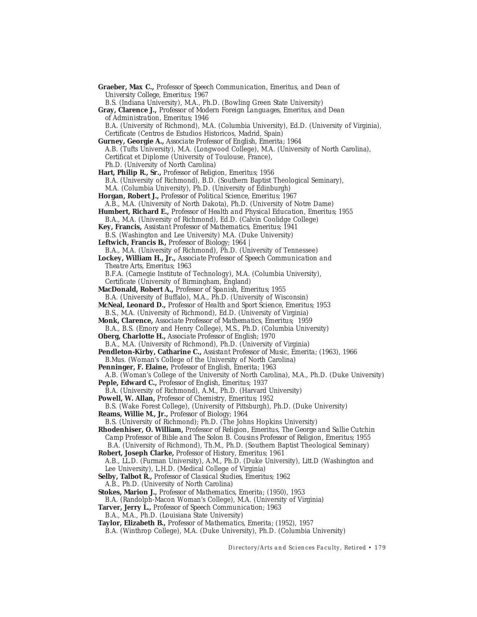**Graeber, Max C.,** *Professor of Speech Communication, Emeritus, and Dean of University College, Emeritus;* 1967 B.S. (Indiana University), M.A., Ph.D. (Bowling Green State University) **Gray, Clarence J.,** *Professor of Modern Foreign Languages, Emeritus, and Dean of Administration, Emeritus;* 1946 B.A. (University of Richmond), M.A. (Columbia University), Ed.D. (University of Virginia), Certificate (Centros de Estudios Historicos, Madrid, Spain) **Gurney, Georgie A.,** *Associate Professor of English, Emerita;* 1964 A.B. (Tufts University), M.A. (Longwood College), M.A. (University of North Carolina), Certificat et Diplome (University of Toulouse, France), Ph.D. (University of North Carolina) **Hart, Philip R., Sr.,** *Professor of Religion, Emeritus;* 1956 B.A. (University of Richmond), B.D. (Southern Baptist Theological Seminary), M.A. (Columbia University), Ph.D. (University of Edinburgh) **Horgan, Robert J.,** *Professor of Political Science, Emeritus;* 1967 A.B., M.A. (University of North Dakota), Ph.D. (University of Notre Dame) **Humbert, Richard E.,** *Professor of Health and Physical Education, Emeritus;* 1955 B.A., M.A. (University of Richmond), Ed.D. (Calvin Coolidge College) **Key, Francis,** *Assistant Professor of Mathematics, Emeritus;* 1941 B.S. (Washington and Lee University) M.A. (Duke University) **Leftwich, Francis B.,** *Professor of Biology;* 1964 | B.A., M.A. (University of Richmond), Ph.D. (University of Tennessee) **Lockey, William H., Jr.,** *Associate Professor of Speech Communication and Theatre Arts, Emeritus;* 1963 B.F.A. (Carnegie Institute of Technology), M.A. (Columbia University), Certificate (University of Birmingham, England) **MacDonald, Robert A.,** *Professor of Spanish, Emeritus;* 1955 B.A. (University of Buffalo), M.A., Ph.D. (University of Wisconsin) **McNeal, Leonard D.,** *Professor of Health and Sport Science, Emeritus;* 1953 B.S., M.A. (University of Richmond), Ed.D. (University of Virginia) **Monk, Clarence,** *Associate Professor of Mathematics, Emeritus;* 1959 B.A., B.S. (Emory and Henry College), M.S., Ph.D. (Columbia University) **Oberg, Charlotte H.,** *Associate Professor of English;* 1970 B.A., M.A. (University of Richmond), Ph.D. (University of Virginia) **Pendleton-Kirby, Catharine C.,** *Assistant Professor of Music, Emerita;* (1963), 1966 B.Mus. (Woman's College of the University of North Carolina) **Penninger, F. Elaine,** *Professor of English, Emerita;* 1963 A.B. (Woman's College of the University of North Carolina), M.A., Ph.D. (Duke University) **Peple, Edward C.,** *Professor of English, Emeritus;* 1937 B.A. (University of Richmond), A.M., Ph.D. (Harvard University) **Powell, W. Allan,** *Professor of Chemistry, Emeritus;* 1952 B.S. (Wake Forest College), (University of Pittsburgh), Ph.D. (Duke University) **Reams, Willie M., Jr.,** *Professor of Biology;* 1964 B.S. (University of Richmond); Ph.D. (The Johns Hopkins University) **Rhodenhiser, O. William,** *Professor of Religion, Emeritus, The George and Sallie Cutchin Camp Professor of Bible and The Solon B. Cousins Professor of Religion, Emeritus;* 1955 B.A. (University of Richmond), Th.M., Ph.D. (Southern Baptist Theological Seminary) **Robert, Joseph Clarke,** *Professor of History, Emeritus; 1961* A.B., LL.D. (Furman University), A.M., Ph.D. (Duke University), Litt.D (Washington and Lee University), L.H.D. (Medical College of Virginia) **Selby, Talbot R.,** *Professor of Classical Studies, Emeritus;* 1962 A.B., Ph.D. (University of North Carolina) **Stokes, Marion J.,** *Professor of Mathematics, Emerita;* (1950), 1953 B.A. (Randolph-Macon Woman's College), M.A. (University of Virginia) **Tarver, Jerry L.,** *Professor of Speech Communication;* 1963 B.A., M.A., Ph.D. (Louisiana State University) **Taylor, Elizabeth B.,** *Professor of Mathematics, Emerita;* (1952), 1957 B.A. (Winthrop College), M.A. (Duke University), Ph.D. (Columbia University)

*Directory/Arts and Sciences Faculty, Retired • 179*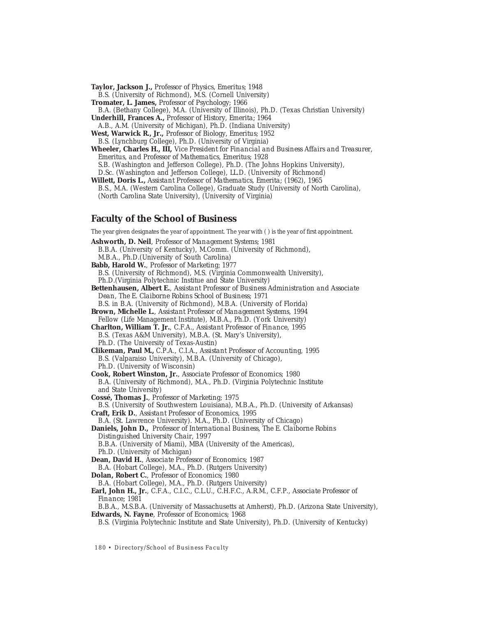**Taylor, Jackson J.,** *Professor of Physics, Emeritus;* 1948

B.S. (University of Richmond), M.S. (Cornell University)

**Tromater, L. James,** *Professor of Psychology;* 1966

B.A. (Bethany College), M.A. (University of Illinois), Ph.D. (Texas Christian University) **Underhill, Frances A.,** *Professor of History, Emerita;* 1964

- A.B., A.M. (University of Michigan), Ph.D. (Indiana University)
- **West, Warwick R., Jr.,** *Professor of Biology, Emeritus;* 1952 B.S. (Lynchburg College), Ph.D. (University of Virginia)
- **Wheeler, Charles H., III,** *Vice President for Financial and Business Affairs and Treasurer, Emeritus, and Professor of Mathematics, Emeritus;* 1928 S.B. (Washington and Jefferson College), Ph.D. (The Johns Hopkins University), D.Sc. (Washington and Jefferson College), LL.D. (University of Richmond)

**Willett, Doris L.,** *Assistant Professor of Mathematics, Emerita;* (1962), 1965 B.S., M.A. (Western Carolina College), Graduate Study (University of North Carolina), (North Carolina State University), (University of Virginia)

## **Faculty of the School of Business**

The year given designates the year of appointment. The year with ( ) is the year of first appointment. **Ashworth, D. Neil**, *Professor of Management Systems;* 1981 B.B.A. (University of Kentucky), M.Comm. (University of Richmond), M.B.A., Ph.D.(University of South Carolina) **Babb, Harold W.**, *Professor of Marketing;* 1977 B.S. (University of Richmond), M.S. (Virginia Commonwealth University), Ph.D.(Virginia Polytechnic Institue and State University) **Bettenhausen, Albert E.**, *Assistant Professor of Business Administration and Associate Dean, The E. Claiborne Robins School of Business;* 1971 B.S. in B.A. (University of Richmond), M.B.A. (University of Florida) **Brown, Michelle L.**, *Assistant Professor of Management Systems,* 1994 Fellow (Life Management Institute), M.B.A., Ph.D. (York University) **Charlton, William T. Jr.**, C.F.A., *Assistant Professor of Finance,* 1995 B.S. (Texas A&M University), M.B.A. (St. Mary's University), Ph.D. (The University of Texas-Austin) **Clikeman, Paul M.,** C.P.A., C.I.A., *Assistant Professor of Accounting,* 1995 B.S. (Valparaiso University), M.B.A. (University of Chicago), Ph.D. (University of Wisconsin) **Cook, Robert Winston, Jr.**, *Associate Professor of Economics;* 1980 B.A. (University of Richmond), M.A., Ph.D. (Virginia Polytechnic Institute and State University) **Cossé, Thomas J.**, *Professor of Marketing;* 1975 B.S. (University of Southwestern Louisiana), M.B.A., Ph.D. (University of Arkansas) **Craft, Erik D.**, *Assistant Professor of Economics,* 1995 B.A. (St. Lawrence University). M.A., Ph.D. (University of Chicago) **Daniels, John D.,** *Professor of International Business, The E. Claiborne Robins Distinguished University Chair, 1997* B.B.A. (University of Miami), MBA (University of the Americas), Ph.D. (University of Michigan) **Dean, David H.**, *Associate Professor of Economics;* 1987 B.A. (Hobart College), M.A., Ph.D. (Rutgers University) **Dolan, Robert C.**, *Professor of Economics;* 1980 B.A. (Hobart College), M.A., Ph.D. (Rutgers University) **Earl, John H., Jr.**, C.F.A., C.I.C., C.L.U., C.H.F.C., A.R.M., C.F.P., *Associate Professor of Finance;* 1981 B.B.A., M.S.B.A. (University of Massachusetts at Amherst), Ph.D. (Arizona State University), **Edwards, N. Fayne**, *Professor of Economics;* 1968 B.S. (Virginia Polytechnic Institute and State University), Ph.D. (University of Kentucky)

*180 • Directory/School of Business Faculty*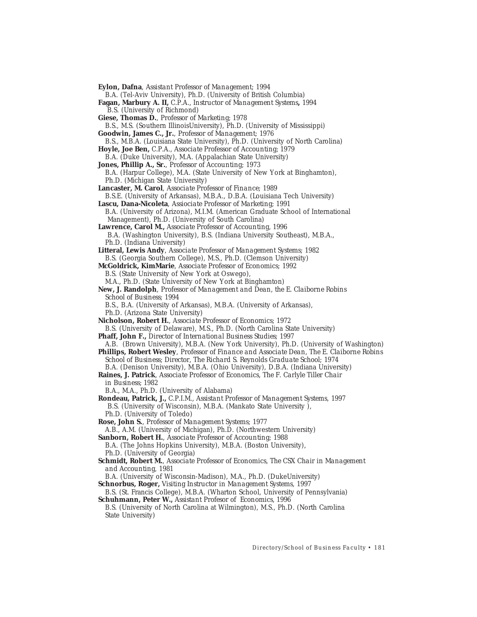**Eylon, Dafna**, *Assistant Professor of Management;* 1994 B.A. (Tel-Aviv University), Ph.D. (University of British Columbia) **Fagan, Marbury A. II,** C.P.A., *Instructor of Management Systems***,** 1994 B.S. (University of Richmond) **Giese, Thomas D.**, *Professor of Marketing;* 1978 B.S., M.S. (Southern IllinoisUniversity), Ph.D. (University of Mississippi) **Goodwin, James C., Jr.**, *Professor of Management;* 1976 B.S., M.B.A. (Louisiana State University), Ph.D. (University of North Carolina) **Hoyle, Joe Ben,** C.P.A.*, Associate Professor of Accounting;* 1979 B.A. (Duke University), M.A. (Appalachian State University) **Jones, Phillip A., Sr.**, *Professor of Accounting;* 1973 B.A. (Harpur College), M.A. (State University of New York at Binghamton), Ph.D. (Michigan State University) **Lancaster, M. Carol**, *Associate Professor of Finance;* 1989 B.S.E. (University of Arkansas), M.B.A., D.B.A. (Louisiana Tech University) **Lascu, Dana-Nicoleta**, *Assiociate Professor of Marketing;* 1991 B.A. (University of Arizona), M.I.M. (American Graduate School of International Management), Ph.D. (University of South Carolina) **Lawrence, Carol M.,** *Associate Professor of Accounting,* 1996 B.A. (Washington University), B.S. (Indiana University Southeast), M.B.A., Ph.D. (Indiana University) **Litteral, Lewis Andy**, *Associate Professor of Management Systems;* 1982 B.S. (Georgia Southern College), M.S., Ph.D. (Clemson University) **McGoldrick, KimMarie**, *Associate Professor of Economics;* 1992 B.S. (State University of New York at Oswego), M.A., Ph.D. (State University of New York at Binghamton) **New, J. Randolph**, *Professor of Management and Dean, the E. Claiborne Robins School of Business*; 1994 B.S., B.A. (University of Arkansas), M.B.A. (University of Arkansas), Ph.D. (Arizona State University) **Nicholson, Robert H.**, *Associate Professor of Economics;* 1972 B.S. (University of Delaware), M.S., Ph.D. (North Carolina State University) **Phaff, John F.,** *Director of International Business Studies*; 1997 A.B. (Brown University), M.B.A. (New York University), Ph.D. (University of Washington) **Phillips, Robert Wesley**, *Professor of Finance and Associate Dean, The E. Claiborne Robins School of Business; Director, The Richard S. Reynolds Graduate School;* 1974 B.A. (Denison University), M.B.A. (Ohio University), D.B.A. (Indiana University) **Raines, J. Patrick**, *Associate Professor of Economics, The F. Carlyle Tiller Chair in Business;* 1982 B.A., M.A., Ph.D. (University of Alabama) **Rondeau, Patrick, J.,** C.P.I.M.*, Assistant Professor of Management Systems,* 1997 B.S. (University of Wisconsin), M.B.A. (Mankato State University ), Ph.D. (University of Toledo) **Rose, John S.**, *Professor of Management Systems;* 1977 A.B., A.M. (University of Michigan), Ph.D. (Northwestern University) **Sanborn, Robert H.**, *Associate Professor of Accounting;* 1988 B.A. (The Johns Hopkins University), M.B.A. (Boston University), Ph.D. (University of Georgia) **Schmidt, Robert M.**, *Associate Professor of Economics, The CSX Chair in Management and Accounting,* 1981 B.A. (University of Wisconsin-Madison), M.A., Ph.D. (DukeUniversity) **Schnorbus, Roger,** *Visiting Instructor in Management Systems,* 1997 B.S. (St. Francis College), M.B.A. (Wharton School, University of Pennsylvania) **Schuhmann, Peter W.,** *Assistant Profesor of Economics,* 1996 B.S. (University of North Carolina at Wilmington), M.S., Ph.D. (North Carolina State University)

*Directory/School of Business Faculty • 181*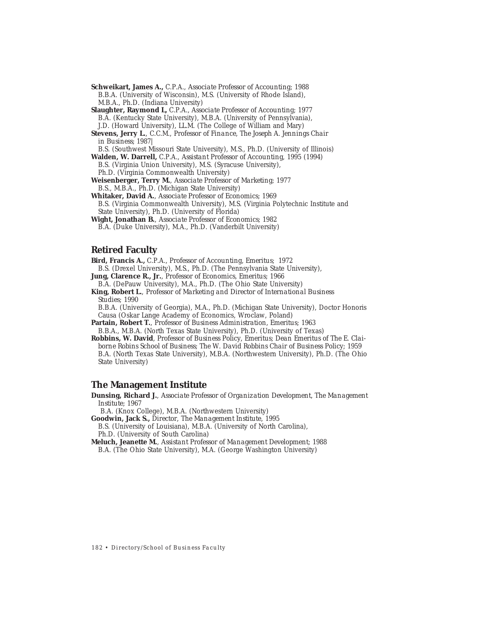- **Schweikart, James A.,** C.P.A., *Associate Professor of Accounting;* 1988 B.B.A. (University of Wisconsin), M.S. (University of Rhode Island), M.B.A., Ph.D. (Indiana University)
- **Slaughter, Raymond L,** C.P.A.*, Associate Professor of Accounting;* 1977 B.A. (Kentucky State University), M.B.A. (University of Pennsylvania), J.D. (Howard University), LL.M. (The College of William and Mary)
- **Stevens, Jerry L.**, C.C.M., *Professor of Finance, The Joseph A. Jennings Chair in Business;* 1987|

B.S. (Southwest Missouri State University), M.S., Ph.D. (University of Illinois)

- **Walden, W. Darrell,** C.P.A., *Assistant Professor of Accounting*, 1995 (1994) B.S. (Virginia Union University), M.S. (Syracuse University), Ph.D. (Virginia Commonwealth University)
- **Weisenberger, Terry M.**, *Associate Professor of Marketing;* 1977 B.S., M.B.A., Ph.D. (Michigan State University)

**Whitaker, David A.**, *Associate Professor of Economics;* 1969 B.S. (Virginia Commonwealth University), M.S. (Virginia Polytechnic Institute and State University), Ph.D. (University of Florida)

**Wight, Jonathan B.**, *Associate Professor of Economics;* 1982 B.A. (Duke University), M.A., Ph.D. (Vanderbilt University)

#### **Retired Faculty**

- **Bird, Francis A.,** C.P.A., *Professor of Accounting, Emeritus;* 1972 B.S. (Drexel University), M.S., Ph.D. (The Pennsylvania State University),
- **Jung, Clarence R., Jr.**, *Professor of Economics, Emeritus;* 1966

B.A. (DePauw University), M.A., Ph.D. (The Ohio State University)

**King, Robert L.**, *Professor of Marketing and Director of International Business Studies;* 1990

B.B.A. (University of Georgia), M.A., Ph.D. (Michigan State University), Doctor Honoris Causa (Oskar Lange Academy of Economics, Wroclaw, Poland)

**Partain, Robert T.**, *Professor of Business Administration, Emeritus;* 1963 B.B.A., M.B.A. (North Texas State University), Ph.D. (University of Texas)

**Robbins, W. David**, *Professor of Business Policy, Emeritus; Dean Emeritus of The E. Claiborne Robins School of Business; The W. David Robbins Chair of Business Policy;* 1959 B.A. (North Texas State University), M.B.A. (Northwestern University), Ph.D. (The Ohio State University)

## **The Management Institute**

**Dunsing, Richard J.**, *Associate Professor of Organization Development, The Management Institute;* 1967

B.A. (Knox College), M.B.A. (Northwestern University)

**Goodwin, Jack S.,** *Director, The Management Institute,* 1995

B.S. (University of Louisiana), M.B.A. (University of North Carolina), Ph.D. (University of South Carolina)

**Meluch, Jeanette M.**, *Assistant Professor of Management Development;* 1988 B.A. (The Ohio State University), M.A. (George Washington University)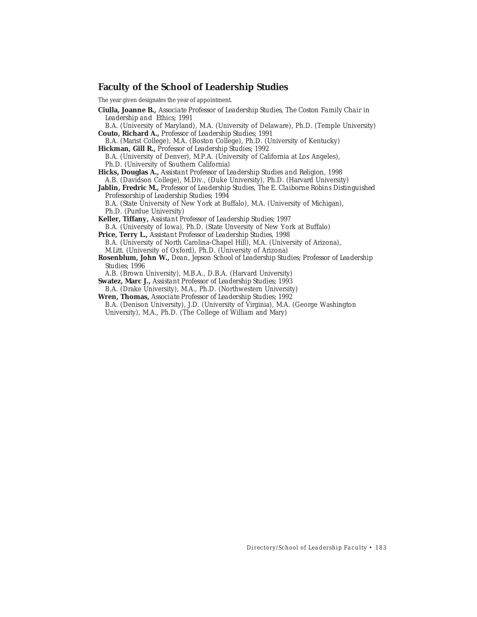### **Faculty of the School of Leadership Studies**

The year given designates the year of appointment.

- **Ciulla, Joanne B.,** *Associate Professor of Leadership Studies, The Coston Family Chair in Leadership and Ethics;* 1991
- B.A. (University of Maryland), M.A. (University of Delaware), Ph.D. (Temple University) **Couto, Richard A.,** *Professor of Leadership Studies;* 1991
- B.A. (Marist College), M.A. (Boston College), Ph.D. (University of Kentucky) **Hickman, Gill R.,** *Professor of Leadership Studies;* 1992
- B.A. (University of Denver), M.P.A. (University of California at Los Angeles), Ph.D. (University of Southern California)

**Hicks, Douglas A.,** *Assistant Professor of Leadership Studies and Religion,* 1998 A.B. (Davidson College), M.Div., (Duke University), Ph.D. (Harvard University)

- **Jablin, Fredric M.,** *Professor of Leadership Studies, The E. Claiborne Robins Distinguished Professorship of Leadership Studies;* 1994
- B.A. (State University of New York at Buffalo), M.A. (University of Michigan), Ph.D. (Purdue University)
- **Keller, Tiffany,** *Assistant Professor of Leadership Studies;* 1997 B.A. (University of Iowa), Ph.D. (State Unversity of New York at Buffalo)
- **Price, Terry L.,** *Assistant Professor of Leadership Studies,* 1998 B.A. (University of North Carolina-Chapel Hill), M.A. (University of Arizona), M.Litt. (University of Oxford), Ph.D. (University of Arizona)
- **Rosenblum, John W.,** *Dean, Jepson School of Leadership Studies; Professor of Leadership Studies;* 1996
- A.B. (Brown University), M.B.A., D.B.A. (Harvard University)
- **Swatez, Marc J.,** *Assistant Professor of Leadership Studies;* 1993
- B.A. (Drake University), M.A., Ph.D. (Northwestern University)
- **Wren, Thomas,** *Associate Professor of Leadership Studies;* 1992 B.A. (Denison University), J.D. (University of Virginia), M.A. (George Washington University), M.A., Ph.D. (The College of William and Mary)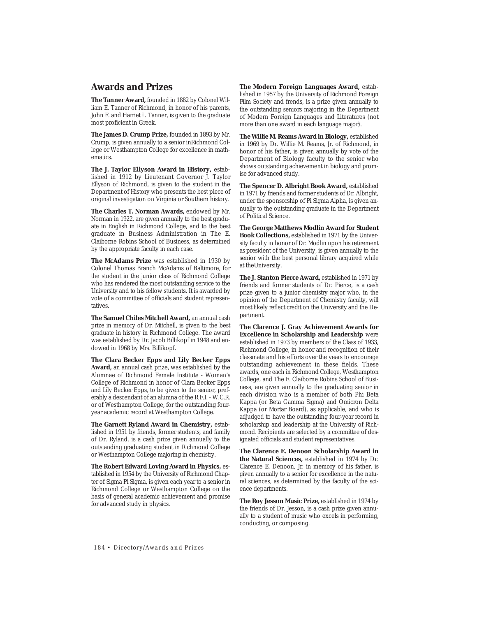## **Awards and Prizes**

**The Tanner Award,** founded in 1882 by Colonel William E. Tanner of Richmond, in honor of his parents, John F. and Harriet L. Tanner, is given to the graduate most proficient in Greek.

**The James D. Crump Prize,** founded in 1893 by Mr. Crump, is given annually to a senior inRichmond College or Westhampton College for excellence in mathematics.

**The J. Taylor Ellyson Award in History,** established in 1912 by Lieutenant Governor J. Taylor Ellyson of Richmond, is given to the student in the Department of History who presents the best piece of original investigation on Virginia or Southern history.

**The Charles T. Norman Awards,** endowed by Mr. Norman in 1922, are given annually to the best graduate in English in Richmond College, and to the best graduate in Business Administration in The E. Claiborne Robins School of Business, as determined by the appropriate faculty in each case.

**The McAdams Prize** was established in 1930 by Colonel Thomas Branch McAdams of Baltimore, for the student in the junior class of Richmond College who has rendered the most outstanding service to the University and to his fellow students. It is awarded by vote of a committee of officials and student representatives.

**The Samuel Chiles Mitchell Award,** an annual cash prize in memory of Dr. Mitchell, is given to the best graduate in history in Richmond College. The award was established by Dr. Jacob Billikopf in 1948 and endowed in 1968 by Mrs. Billikopf.

**The Clara Becker Epps and Lily Becker Epps Award,** an annual cash prize, was established by the Alumnae of Richmond Female Institute - Woman's College of Richmond in honor of Clara Becker Epps and Lily Becker Epps, to be given to the senior, preferably a descendant of an alumna of the R.F.I. - W.C.R. or of Westhampton College, for the outstanding fouryear academic record at Westhampton College.

**The Garnett Ryland Award in Chemistry,** established in 1951 by friends, former students, and family of Dr. Ryland, is a cash prize given annually to the outstanding graduating student in Richmond College or Westhampton College majoring in chemistry.

**The Robert Edward Loving Award in Physics,** established in 1954 by the University of Richmond Chapter of Sigma Pi Sigma, is given each year to a senior in Richmond College or Westhampton College on the basis of general academic achievement and promise for advanced study in physics.

**The Modern Foreign Languages Award,** established in 1957 by the University of Richmond Foreign Film Society and frends, is a prize given annually to the outstanding seniors majoring in the Department of Modern Foreign Languages and Literatures (not more than one award in each language major).

**The Willie M. Reams Award in Biology,** established in 1969 by Dr. Willie M. Reams, Jr. of Richmond, in honor of his father, is given annually by vote of the Department of Biology faculty to the senior who shows outstanding achievement in biology and promise for advanced study.

**The Spencer D. Albright Book Award,** established in 1971 by friends and former students of Dr. Albright, under the sponsorship of Pi Sigma Alpha, is given annually to the outstanding graduate in the Department of Political Science.

**The George Matthews Modlin Award for Student Book Collections,** established in 1971 by the University faculty in honor of Dr. Modlin upon his retirement as president of the University, is given annually to the senior with the best personal library acquired while at theUniversity.

**The J. Stanton Pierce Award,** established in 1971 by friends and former students of Dr. Pierce, is a cash prize given to a junior chemistry major who, in the opinion of the Department of Chemistry faculty, will most likely reflect credit on the University and the Department.

**The Clarence J. Gray Achievement Awards for Excellence in Scholarship and Leadership** were established in 1973 by members of the Class of 1933, Richmond College, in honor and recognition of their classmate and his efforts over the years to encourage outstanding achievement in these fields. These awards, one each in Richmond College, Westhampton College, and The E. Claiborne Robins School of Business, are given annually to the graduating senior in each division who is a member of both Phi Beta Kappa (or Beta Gamma Sigma) and Omicron Delta Kappa (or Mortar Board), as applicable, and who is adjudged to have the outstanding four-year record in scholarship and leadership at the University of Richmond. Recipients are selected by a committee of designated officials and student representatives.

**The Clarence E. Denoon Scholarship Award in the Natural Sciences,** established in 1974 by Dr. Clarence E. Denoon, Jr. in memory of his father, is given annually to a senior for excellence in the natural sciences, as determined by the faculty of the science departments.

**The Roy Jesson Music Prize,** established in 1974 by the friends of Dr. Jesson, is a cash prize given annually to a student of music who excels in performing, conducting, or composing.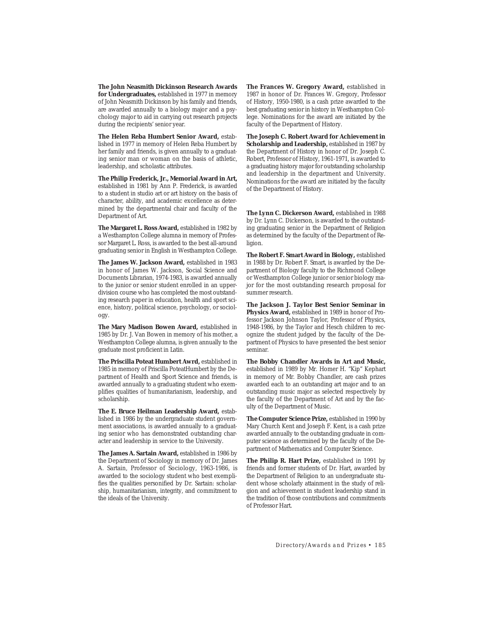**The John Neasmith Dickinson Research Awards for Undergraduates,** established in 1977 in memory of John Neasmith Dickinson by his family and friends, are awarded annually to a biology major and a psychology major to aid in carrying out research projects during the recipients' senior year.

**The Helen Reba Humbert Senior Award,** established in 1977 in memory of Helen Reba Humbert by her family and friends, is given annually to a graduating senior man or woman on the basis of athletic, leadership, and scholastic attributes.

**The Philip Frederick, Jr., Memorial Award in Art,** established in 1981 by Ann P. Frederick, is awarded to a student in studio art or art history on the basis of character, ability, and academic excellence as determined by the departmental chair and faculty of the Department of Art.

**The Margaret L. Ross Award,** established in 1982 by a Westhampton College alumna in memory of Professor Margaret L. Ross, is awarded to the best all-around graduating senior in English in Westhampton College.

**The James W. Jackson Award,** established in 1983 in honor of James W. Jackson, Social Science and Documents Librarian, 1974-1983, is awarded annually to the junior or senior student enrolled in an upperdivision course who has completed the most outstanding research paper in education, health and sport science, history, political science, psychology, or sociology.

**The Mary Madison Bowen Award,** established in 1985 by Dr. J. Van Bowen in memory of his mother, a Westhampton College alumna, is given annually to the graduate most proficient in Latin.

**The Priscilla Poteat Humbert Awrd,** established in 1985 in memory of Priscilla PoteatHumbert by the Department of Health and Sport Science and friends, is awarded annually to a graduating student who exemplifies qualities of humanitarianism, leadership, and scholarship.

**The E. Bruce Heilman Leadership Award,** established in 1986 by the undergraduate student government associations, is awarded annually to a graduating senior who has demonstrated outstanding character and leadership in service to the University.

**The James A. Sartain Award,** established in 1986 by the Department of Sociology in memory of Dr. James A. Sartain, Professor of Sociology, 1963-1986, is awarded to the sociology student who best exemplifies the qualities personified by Dr. Sartain: scholarship, humanitarianism, integrity, and commitment to the ideals of the University.

**The Frances W. Gregory Award,** established in 1987 in honor of Dr. Frances W. Gregory, Professor of History, 1950-1980, is a cash prize awarded to the best graduating senior in history in Westhampton College. Nominations for the award are initiated by the faculty of the Department of History.

**The Joseph C. Robert Award for Achievement in Scholarship and Leadership,** established in 1987 by the Department of History in honor of Dr. Joseph C. Robert, Professor of History, 1961-1971, is awarded to a graduating history major for outstanding scholarship and leadership in the department and University. Nominations for the award are initiated by the faculty of the Department of History.

**The Lynn C. Dickerson Award,** established in 1988 by Dr. Lynn C. Dickerson, is awarded to the outstanding graduating senior in the Department of Religion as determined by the faculty of the Department of Religion.

**The Robert F. Smart Award in Biology,** established in 1988 by Dr. Robert F. Smart, is awarded by the Department of Biology faculty to the Richmond College or Westhampton College junior or senior biology major for the most outstanding research proposal for summer research.

**The Jackson J. Taylor Best Senior Seminar in Physics Award,** established in 1989 in honor of Professor Jackson Johnson Taylor, Professor of Physics, 1948-1986, by the Taylor and Hesch children to recognize the student judged by the faculty of the Department of Physics to have presented the best senior seminar.

**The Bobby Chandler Awards in Art and Music,** established in 1989 by Mr. Homer H. "Kip" Kephart in memory of Mr. Bobby Chandler, are cash prizes awarded each to an outstanding art major and to an outstanding music major as selected respectively by the faculty of the Department of Art and by the faculty of the Department of Music.

**The Computer Science Prize,** established in 1990 by Mary Church Kent and Joseph F. Kent, is a cash prize awarded annually to the outstanding graduate in computer science as determined by the faculty of the Department of Mathematics and Computer Science.

**The Philip R. Hart Prize,** established in 1991 by friends and former students of Dr. Hart, awarded by the Department of Religion to an undergraduate student whose scholarly attainment in the study of religion and achievement in student leadership stand in the tradition of those contributions and commitments of Professor Hart.

*Directory/Awards and Prizes • 185*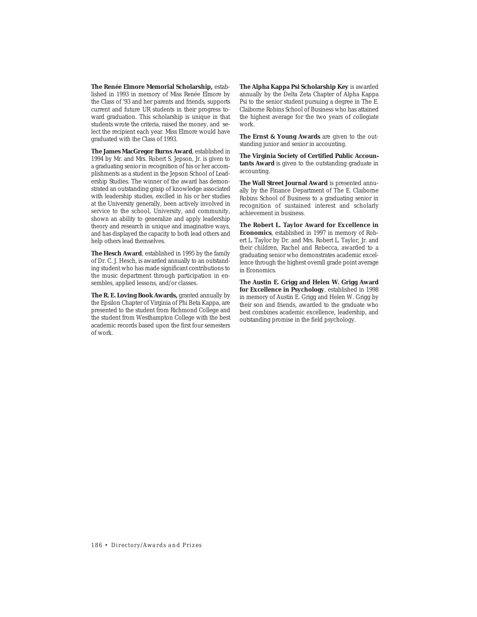**The Renée Elmore Memorial Scholarship,** established in 1993 in memory of Miss Renée Elmore by the Class of '93 and her parents and friends, supports current and future UR students in their progress toward graduation. This scholarship is unique in that students wrote the criteria, raised the money, and select the recipient each year. Miss Elmore would have graduated with the Class of 1993.

**The James MacGregor Burns Award**, established in 1994 by Mr. and Mrs. Robert S. Jepson, Jr. is given to a graduating senior in recognition of his or her accomplishments as a student in the Jepson School of Leadership Studies. The winner of the award has demonstrated an outstanding grasp of knowledge associated with leadership studies, exclled in his or her studies at the University generally, been actively involved in service to the school, University, and community, shown an ability to generalize and apply leadership theory and research in unique and imaginative ways, and has displayed the capacity to both lead others and help others lead themselves.

**The Hesch Award**, established in 1995 by the family of Dr. C. J. Hesch, is awarded annually to an outstanding student who has made significant contributions to the music department through participation in ensembles, applied lessons, and/or classes.

**The R. E. Loving Book Awards,** granted annually by the Epsilon Chapter of Virginia of Phi Beta Kappa, are presented to the student from Richmond College and the student from Westhampton College with the best academic records based upon the first four semesters of work.

**The Alpha Kappa Psi Scholarship Key** is awarded annually by the Delta Zeta Chapter of Alpha Kappa Psi to the senior student pursuing a degree in The E. Claiborne Robins School of Business who has attained the highest average for the two years of collegiate work.

**The Ernst & Young Awards** are given to the outstanding junior and senior in accounting.

**The Virginia Society of Certified Public Accountants Award** is given to the outstanding graduate in accounting.

**The Wall Street Journal Award** is presented annually by the Finance Department of The E. Claiborne Robins School of Business to a graduating senior in recognition of sustained interest and scholarly achievement in business.

**The Robert L. Taylor Award for Excellence in Economics**, established in 1997 in memory of Robert L. Taylor by Dr. and Mrs. Robert L. Taylor, Jr. and their children, Rachel and Rebecca, awarded to a graduating senior who demonstrates academic excellence through the highest overall grade point average in Economics.

**The Austin E. Grigg and Helen W. Grigg Award for Excellence in Psychology**, established in 1998 in memory of Austin E. Grigg and Helen W. Grigg by their son and friends, awarded to the graduate who best combines academic excellence, leadership, and outstanding promise in the field psychology.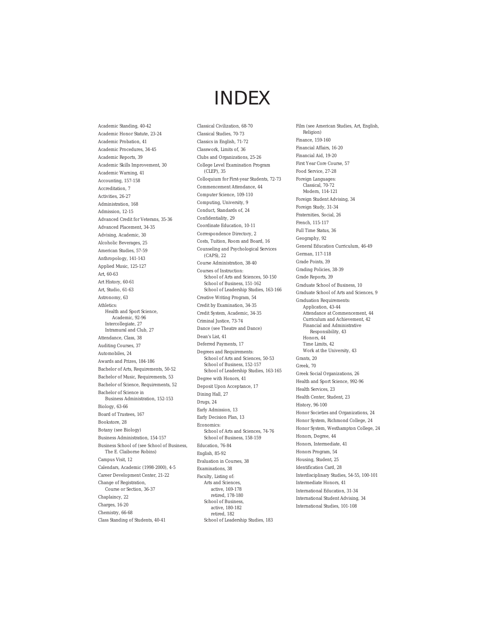# INDEX

Academic Standing, 40-42 Academic Honor Statute, 23-24 Academic Probation, 41 Academic Procedures, 34-45 Academic Reports, 39 Academic Skills Improvement, 30 Academic Warning, 41 Accounting, 157-158 Accreditation, 7 Activities, 26-27 Administration, 168 Admission, 12-15 Advanced Credit for Veterans, 35-36 Advanced Placement, 34-35 Advising, Academic, 30 Alcoholic Beverages, 25 American Studies, 57-59 Anthropology, 141-143 Applied Music, 125-127 Art, 60-63 Art History, 60-61 Art, Studio, 61-63 Astronomy, 63 Athletics: Health and Sport Science, Academic, 92-96 Intercollegiate, 27 Intramural and Club, 27 Attendance, Class, 38 Auditing Courses, 37 Automobiles, 24 Awards and Prizes, 184-186 Bachelor of Arts, Requirements, 50-52 Bachelor of Music, Requirements, 53 Bachelor of Science, Requirements, 52 Bachelor of Science in Business Administration, 152-153 Biology, 63-66 Board of Trustees, 167 Bookstore, 28 Botany (see Biology) Business Administration, 154-157 Business School of (see School of Business, The E. Claiborne Robins) Campus Visit, 12 Calendars, Academic (1998-2000), 4-5 Career Development Center, 21-22 Change of Registration, Course or Section, 36-37 Chaplaincy, 22 Charges, 16-20 Chemistry, 66-68 Class Standing of Students, 40-41

Classical Civilization, 68-70 Classical Studies, 70-73 Classics in English, 71-72 Classwork, Limits of, 36 Clubs and Organizations, 25-26 College Level Examination Program (CLEP), 35 Colloquium for First-year Students, 72-73 Commencement Attendance, 44 Computer Science, 109-110 Computing, University, 9 Conduct, Standards of, 24 Confidentiality, 29 Coordinate Education, 10-11 Correspondence Directory, 2 Costs, Tuition, Room and Board, 16 Counseling and Psychological Services (CAPS), 22 Course Administration, 38-40 Courses of Instruction: School of Arts and Sciences, 50-150 School of Business, 151-162 School of Leadership Studies, 163-166 Creative Writing Program, 54 Credit by Examination, 34-35 Credit System, Academic, 34-35 Criminal Justice, 73-74 Dance (see Theatre and Dance) Dean's List, 41 Deferred Payments, 17 Degrees and Requirements: School of Arts and Sciences, 50-53 School of Business, 152-157 School of Leadership Studies, 163-165 Degree with Honors, 41 Deposit Upon Acceptance, 17 Dining Hall, 27 Drugs, 24 Early Admission, 13 Early Decision Plan, 13 Economics: School of Arts and Sciences, 74-76 School of Business, 158-159 Education, 76-84 English, 85-92 Evaluation in Courses, 38 Examinations, 38 Faculty, Listing of: Arts and Sciences, active, 169-178 retired, 178-180 School of Business, active, 180-182 retired, 182 School of Leadership Studies, 183

Film (see American Studies, Art, English, Religion) Finance, 159-160 Financial Affairs, 16-20 Financial Aid, 19-20 First Year Core Course, 57 Food Service, 27-28 Foreign Languages: Classical, 70-72 Modern, 114-121 Foreign Student Advising, 34 Foreign Study, 31-34 Fraternities, Social, 26 French, 115-117 Full Time Status, 36 Geography, 92 General Education Curriculum, 46-49 German, 117-118 Grade Points, 39 Grading Policies, 38-39 Grade Reports, 39 Graduate School of Business, 10 Graduate School of Arts and Sciences, 9 Graduation Requirements: Application, 43-44 Attendance at Commencement, 44 Curriculum and Achievement, 42 Financial and Administrative Responsibility, 43 Honors, 44 Time Limits, 42 Work at the University, 43 Grants, 20 Greek, 70 Greek Social Organizations, 26 Health and Sport Science, 992-96 Health Services, 23 Health Center, Student, 23 History, 96-100 Honor Societies and Organizations, 24 Honor System, Richmond College, 24 Honor System, Westhampton College, 24 Honors, Degree, 44 Honors, Intermediate, 41 Honors Program, 54 Housing, Student, 25 Identification Card, 28 Interdisciplinary Studies, 54-55, 100-101 Intermediate Honors, 41 International Education, 31-34 International Student Advising, 34 International Studies, 101-108